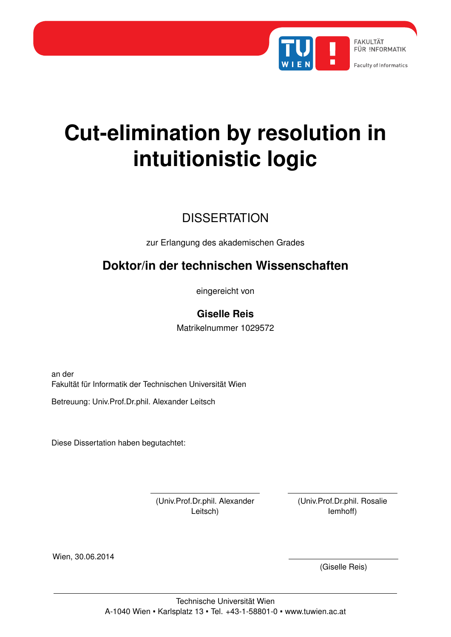

### **Cut-elimination by resolution in intuitionistic logic**

### **DISSERTATION**

zur Erlangung des akademischen Grades

### **Doktor/in der technischen Wissenschaften**

eingereicht von

### **Giselle Reis**

Matrikelnummer 1029572

an der Fakultät für Informatik der Technischen Universität Wien

Betreuung: Univ.Prof.Dr.phil. Alexander Leitsch

Diese Dissertation haben begutachtet:

(Univ.Prof.Dr.phil. Alexander Leitsch)

(Univ.Prof.Dr.phil. Rosalie Iemhoff)

Wien, 30.06.2014

(Giselle Reis)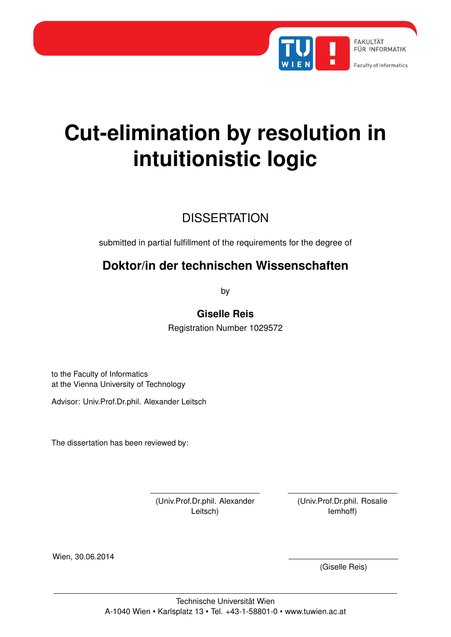

### **Cut-elimination by resolution in intuitionistic logic**

### **DISSERTATION**

submitted in partial fulfillment of the requirements for the degree of

### **Doktor/in der technischen Wissenschaften**

by

**Giselle Reis**

Registration Number 1029572

to the Faculty of Informatics at the Vienna University of Technology

Advisor: Univ.Prof.Dr.phil. Alexander Leitsch

The dissertation has been reviewed by:

(Univ.Prof.Dr.phil. Alexander Leitsch)

(Univ.Prof.Dr.phil. Rosalie Iemhoff)

Wien, 30.06.2014

(Giselle Reis)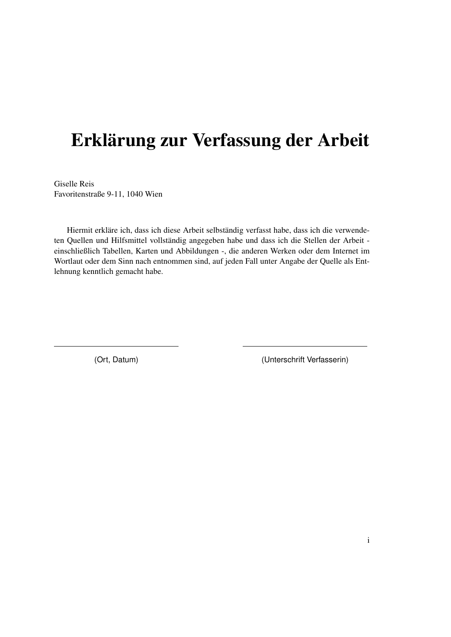### Erklärung zur Verfassung der Arbeit

Giselle Reis Favoritenstraße 9-11, 1040 Wien

Hiermit erkläre ich, dass ich diese Arbeit selbständig verfasst habe, dass ich die verwendeten Quellen und Hilfsmittel vollständig angegeben habe und dass ich die Stellen der Arbeit einschließlich Tabellen, Karten und Abbildungen -, die anderen Werken oder dem Internet im Wortlaut oder dem Sinn nach entnommen sind, auf jeden Fall unter Angabe der Quelle als Entlehnung kenntlich gemacht habe.

(Ort, Datum) (Unterschrift Verfasserin)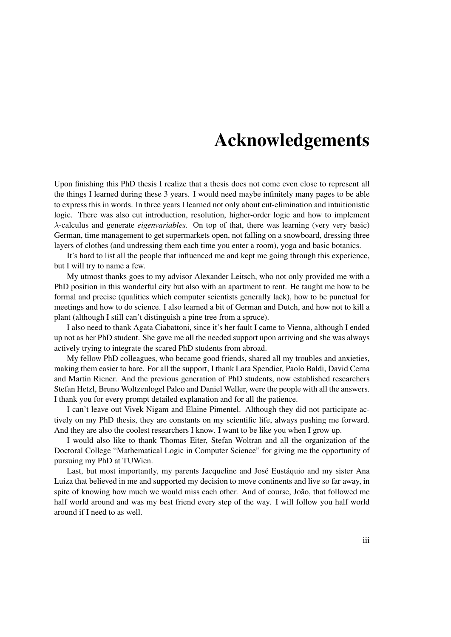### Acknowledgements

Upon finishing this PhD thesis I realize that a thesis does not come even close to represent all the things I learned during these 3 years. I would need maybe infinitely many pages to be able to express this in words. In three years I learned not only about cut-elimination and intuitionistic logic. There was also cut introduction, resolution, higher-order logic and how to implement λ-calculus and generate *eigenvariables*. On top of that, there was learning (very very basic) German, time management to get supermarkets open, not falling on a snowboard, dressing three layers of clothes (and undressing them each time you enter a room), yoga and basic botanics.

It's hard to list all the people that influenced me and kept me going through this experience, but I will try to name a few.

My utmost thanks goes to my advisor Alexander Leitsch, who not only provided me with a PhD position in this wonderful city but also with an apartment to rent. He taught me how to be formal and precise (qualities which computer scientists generally lack), how to be punctual for meetings and how to do science. I also learned a bit of German and Dutch, and how not to kill a plant (although I still can't distinguish a pine tree from a spruce).

I also need to thank Agata Ciabattoni, since it's her fault I came to Vienna, although I ended up not as her PhD student. She gave me all the needed support upon arriving and she was always actively trying to integrate the scared PhD students from abroad.

My fellow PhD colleagues, who became good friends, shared all my troubles and anxieties, making them easier to bare. For all the support, I thank Lara Spendier, Paolo Baldi, David Cerna and Martin Riener. And the previous generation of PhD students, now established researchers Stefan Hetzl, Bruno Woltzenlogel Paleo and Daniel Weller, were the people with all the answers. I thank you for every prompt detailed explanation and for all the patience.

I can't leave out Vivek Nigam and Elaine Pimentel. Although they did not participate actively on my PhD thesis, they are constants on my scientific life, always pushing me forward. And they are also the coolest researchers I know. I want to be like you when I grow up.

I would also like to thank Thomas Eiter, Stefan Woltran and all the organization of the Doctoral College "Mathematical Logic in Computer Science" for giving me the opportunity of pursuing my PhD at TUWien.

Last, but most importantly, my parents Jacqueline and José Eustáquio and my sister Ana Luiza that believed in me and supported my decision to move continents and live so far away, in spite of knowing how much we would miss each other. And of course, João, that followed me half world around and was my best friend every step of the way. I will follow you half world around if I need to as well.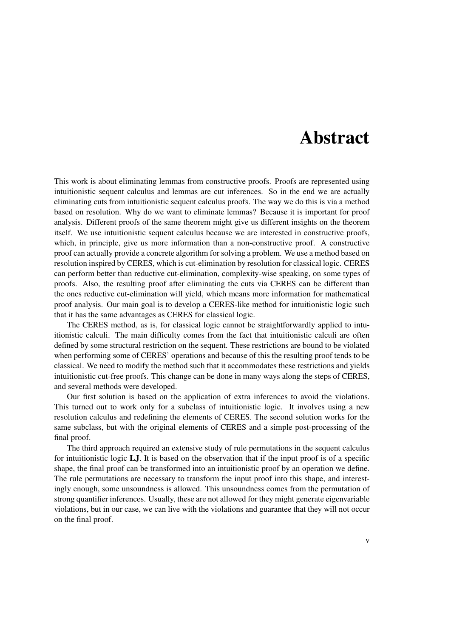### Abstract

This work is about eliminating lemmas from constructive proofs. Proofs are represented using intuitionistic sequent calculus and lemmas are cut inferences. So in the end we are actually eliminating cuts from intuitionistic sequent calculus proofs. The way we do this is via a method based on resolution. Why do we want to eliminate lemmas? Because it is important for proof analysis. Different proofs of the same theorem might give us different insights on the theorem itself. We use intuitionistic sequent calculus because we are interested in constructive proofs, which, in principle, give us more information than a non-constructive proof. A constructive proof can actually provide a concrete algorithm for solving a problem. We use a method based on resolution inspired by CERES, which is cut-elimination by resolution for classical logic. CERES can perform better than reductive cut-elimination, complexity-wise speaking, on some types of proofs. Also, the resulting proof after eliminating the cuts via CERES can be different than the ones reductive cut-elimination will yield, which means more information for mathematical proof analysis. Our main goal is to develop a CERES-like method for intuitionistic logic such that it has the same advantages as CERES for classical logic.

The CERES method, as is, for classical logic cannot be straightforwardly applied to intuitionistic calculi. The main difficulty comes from the fact that intuitionistic calculi are often defined by some structural restriction on the sequent. These restrictions are bound to be violated when performing some of CERES' operations and because of this the resulting proof tends to be classical. We need to modify the method such that it accommodates these restrictions and yields intuitionistic cut-free proofs. This change can be done in many ways along the steps of CERES, and several methods were developed.

Our first solution is based on the application of extra inferences to avoid the violations. This turned out to work only for a subclass of intuitionistic logic. It involves using a new resolution calculus and redefining the elements of CERES. The second solution works for the same subclass, but with the original elements of CERES and a simple post-processing of the final proof.

The third approach required an extensive study of rule permutations in the sequent calculus for intuitionistic logic LJ. It is based on the observation that if the input proof is of a specific shape, the final proof can be transformed into an intuitionistic proof by an operation we define. The rule permutations are necessary to transform the input proof into this shape, and interestingly enough, some unsoundness is allowed. This unsoundness comes from the permutation of strong quantifier inferences. Usually, these are not allowed for they might generate eigenvariable violations, but in our case, we can live with the violations and guarantee that they will not occur on the final proof.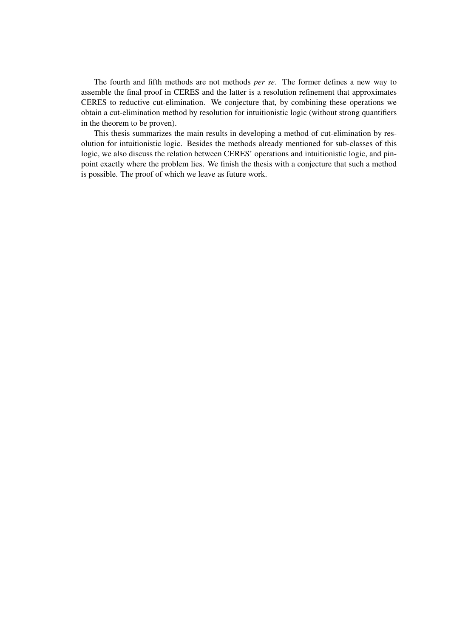The fourth and fifth methods are not methods *per se*. The former defines a new way to assemble the final proof in CERES and the latter is a resolution refinement that approximates CERES to reductive cut-elimination. We conjecture that, by combining these operations we obtain a cut-elimination method by resolution for intuitionistic logic (without strong quantifiers in the theorem to be proven).

This thesis summarizes the main results in developing a method of cut-elimination by resolution for intuitionistic logic. Besides the methods already mentioned for sub-classes of this logic, we also discuss the relation between CERES' operations and intuitionistic logic, and pinpoint exactly where the problem lies. We finish the thesis with a conjecture that such a method is possible. The proof of which we leave as future work.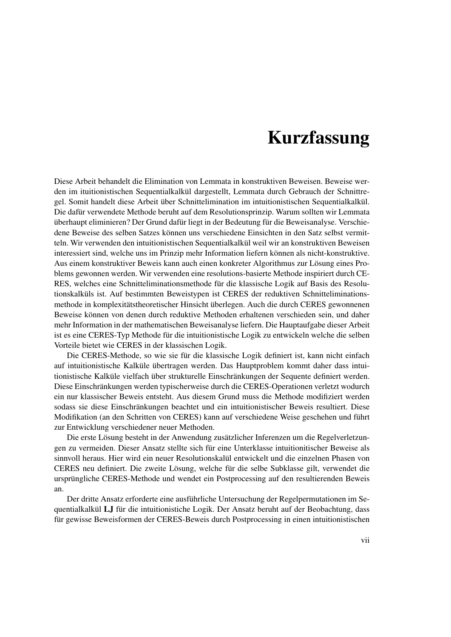### Kurzfassung

Diese Arbeit behandelt die Elimination von Lemmata in konstruktiven Beweisen. Beweise werden im ituitionistischen Sequentialkalkül dargestellt, Lemmata durch Gebrauch der Schnittregel. Somit handelt diese Arbeit über Schnittelimination im intuitionistischen Sequentialkalkül. Die dafür verwendete Methode beruht auf dem Resolutionsprinzip. Warum sollten wir Lemmata überhaupt eliminieren? Der Grund dafür liegt in der Bedeutung für die Beweisanalyse. Verschiedene Beweise des selben Satzes können uns verschiedene Einsichten in den Satz selbst vermitteln. Wir verwenden den intuitionistischen Sequentialkalkül weil wir an konstruktiven Beweisen interessiert sind, welche uns im Prinzip mehr Information liefern können als nicht-konstruktive. Aus einem konstruktiver Beweis kann auch einen konkreter Algorithmus zur Lösung eines Problems gewonnen werden. Wir verwenden eine resolutions-basierte Methode inspiriert durch CE-RES, welches eine Schnitteliminationsmethode für die klassische Logik auf Basis des Resolutionskalküls ist. Auf bestimmten Beweistypen ist CERES der reduktiven Schnitteliminationsmethode in komplexitätstheoretischer Hinsicht überlegen. Auch die durch CERES gewonnenen Beweise können von denen durch reduktive Methoden erhaltenen verschieden sein, und daher mehr Information in der mathematischen Beweisanalyse liefern. Die Hauptaufgabe dieser Arbeit ist es eine CERES-Typ Methode für die intuitionistische Logik zu entwickeln welche die selben Vorteile bietet wie CERES in der klassischen Logik.

Die CERES-Methode, so wie sie für die klassische Logik definiert ist, kann nicht einfach auf intuitionistische Kalküle übertragen werden. Das Hauptproblem kommt daher dass intuitionistische Kalküle vielfach über strukturelle Einschränkungen der Sequente definiert werden. Diese Einschränkungen werden typischerweise durch die CERES-Operationen verletzt wodurch ein nur klassischer Beweis entsteht. Aus diesem Grund muss die Methode modifiziert werden sodass sie diese Einschränkungen beachtet und ein intuitionistischer Beweis resultiert. Diese Modifikation (an den Schritten von CERES) kann auf verschiedene Weise geschehen und führt zur Entwicklung verschiedener neuer Methoden.

Die erste Lösung besteht in der Anwendung zusätzlicher Inferenzen um die Regelverletzungen zu vermeiden. Dieser Ansatz stellte sich für eine Unterklasse intuitionitischer Beweise als sinnvoll heraus. Hier wird ein neuer Resolutionskalül entwickelt und die einzelnen Phasen von CERES neu definiert. Die zweite Lösung, welche für die selbe Subklasse gilt, verwendet die ursprüngliche CERES-Methode und wendet ein Postprocessing auf den resultierenden Beweis an.

Der dritte Ansatz erforderte eine ausführliche Untersuchung der Regelpermutationen im Sequentialkalkül LJ für die intuitionistiche Logik. Der Ansatz beruht auf der Beobachtung, dass für gewisse Beweisformen der CERES-Beweis durch Postprocessing in einen intuitionistischen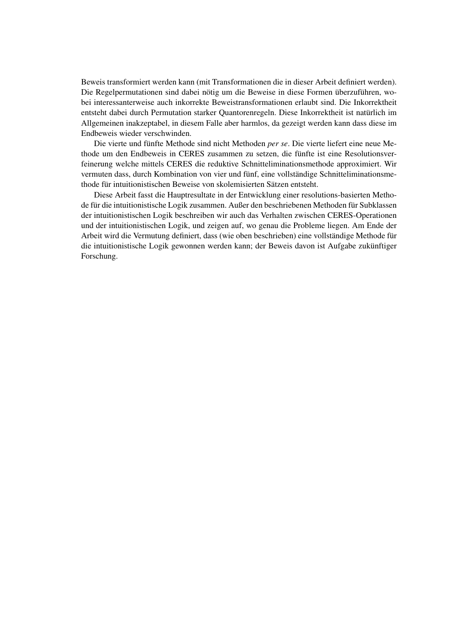Beweis transformiert werden kann (mit Transformationen die in dieser Arbeit definiert werden). Die Regelpermutationen sind dabei nötig um die Beweise in diese Formen überzuführen, wobei interessanterweise auch inkorrekte Beweistransformationen erlaubt sind. Die Inkorrektheit entsteht dabei durch Permutation starker Quantorenregeln. Diese Inkorrektheit ist natürlich im Allgemeinen inakzeptabel, in diesem Falle aber harmlos, da gezeigt werden kann dass diese im Endbeweis wieder verschwinden.

Die vierte und fünfte Methode sind nicht Methoden *per se*. Die vierte liefert eine neue Methode um den Endbeweis in CERES zusammen zu setzen, die fünfte ist eine Resolutionsverfeinerung welche mittels CERES die reduktive Schnitteliminationsmethode approximiert. Wir vermuten dass, durch Kombination von vier und fünf, eine vollständige Schnitteliminationsmethode für intuitionistischen Beweise von skolemisierten Sätzen entsteht.

Diese Arbeit fasst die Hauptresultate in der Entwicklung einer resolutions-basierten Methode für die intuitionistische Logik zusammen. Außer den beschriebenen Methoden für Subklassen der intuitionistischen Logik beschreiben wir auch das Verhalten zwischen CERES-Operationen und der intuitionistischen Logik, und zeigen auf, wo genau die Probleme liegen. Am Ende der Arbeit wird die Vermutung definiert, dass (wie oben beschrieben) eine vollständige Methode für die intuitionistische Logik gewonnen werden kann; der Beweis davon ist Aufgabe zukünftiger Forschung.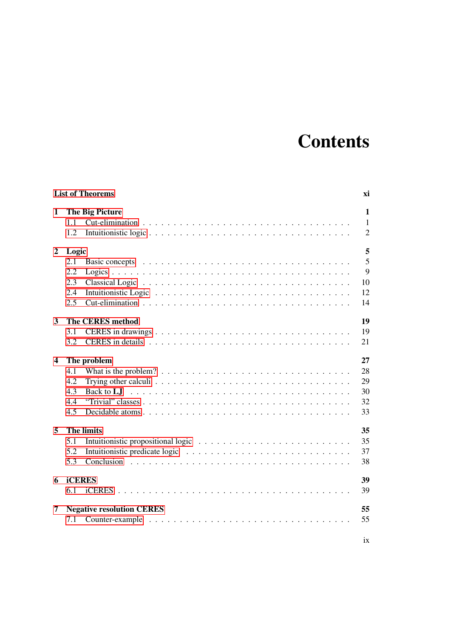### **Contents**

|                |                   | <b>List of Theorems</b>                                                                             | хi             |  |  |
|----------------|-------------------|-----------------------------------------------------------------------------------------------------|----------------|--|--|
| 1              |                   | The Big Picture                                                                                     | 1              |  |  |
|                | 1.1               |                                                                                                     | 1              |  |  |
|                | 1.2               |                                                                                                     | $\overline{2}$ |  |  |
| $\overline{2}$ | Logic             |                                                                                                     | 5              |  |  |
|                | 2.1               |                                                                                                     | $\overline{5}$ |  |  |
|                | 2.2               |                                                                                                     | 9              |  |  |
|                | 2.3               |                                                                                                     | 10             |  |  |
|                | 2.4               |                                                                                                     | 12             |  |  |
|                | 2.5               |                                                                                                     | 14             |  |  |
| 3              |                   | <b>The CERES method</b>                                                                             | 19             |  |  |
|                | 3.1               |                                                                                                     | 19             |  |  |
|                | 3.2               |                                                                                                     | 21             |  |  |
| 4              | The problem<br>27 |                                                                                                     |                |  |  |
|                | 4.1               | What is the problem? $\ldots \ldots \ldots \ldots \ldots \ldots \ldots \ldots \ldots \ldots \ldots$ | 28             |  |  |
|                | 4.2               | Trying other calculi $\ldots \ldots \ldots \ldots \ldots \ldots \ldots \ldots \ldots \ldots$        | 29             |  |  |
|                | 4.3               |                                                                                                     | 30             |  |  |
|                | 4.4               |                                                                                                     | 32             |  |  |
|                | 4.5               |                                                                                                     | 33             |  |  |
| 5              |                   | <b>The limits</b>                                                                                   | 35             |  |  |
|                | 5.1               |                                                                                                     | 35             |  |  |
|                | 5.2               |                                                                                                     | 37             |  |  |
|                | 5.3               |                                                                                                     | 38             |  |  |
| 6              | <b>iCERES</b>     |                                                                                                     | 39             |  |  |
|                | 6.1               |                                                                                                     | 39             |  |  |
| 7              |                   | <b>Negative resolution CERES</b>                                                                    | 55             |  |  |
|                | 7.1               |                                                                                                     | 55             |  |  |
|                |                   |                                                                                                     |                |  |  |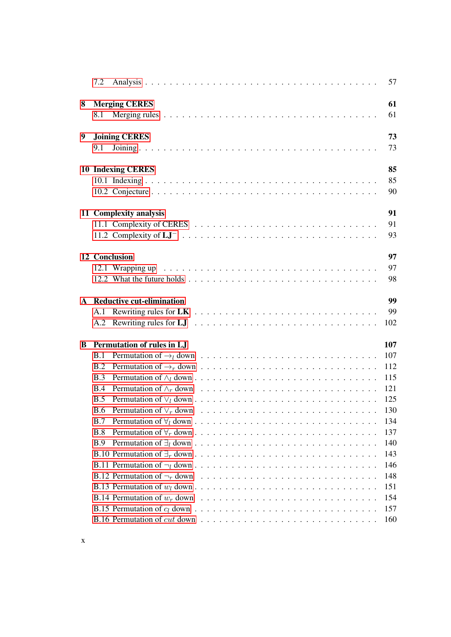|              | 7.2                                                                                                                  | 57  |
|--------------|----------------------------------------------------------------------------------------------------------------------|-----|
| 8            | <b>Merging CERES</b>                                                                                                 | 61  |
|              | 8.1                                                                                                                  | 61  |
| 9            | <b>Joining CERES</b>                                                                                                 | 73  |
|              | 9.1                                                                                                                  | 73  |
|              | <b>10 Indexing CERES</b>                                                                                             | 85  |
|              |                                                                                                                      | 85  |
|              |                                                                                                                      | 90  |
|              | 11 Complexity analysis                                                                                               | 91  |
|              |                                                                                                                      | 91  |
|              |                                                                                                                      | 93  |
|              | 12 Conclusion                                                                                                        | 97  |
|              |                                                                                                                      | 97  |
|              |                                                                                                                      | 98  |
| $\mathbf{A}$ | <b>Reductive cut-elimination</b>                                                                                     | 99  |
|              |                                                                                                                      | 99  |
|              |                                                                                                                      | 102 |
|              |                                                                                                                      |     |
| B            | Permutation of rules in LJ                                                                                           | 107 |
|              | <b>B.1</b>                                                                                                           | 107 |
|              | <b>B.2</b>                                                                                                           | 112 |
|              | B.3                                                                                                                  | 115 |
|              | Permutation of $\wedge_r$ down $\ldots \ldots \ldots \ldots \ldots \ldots \ldots \ldots \ldots \ldots$<br><b>B.4</b> | 121 |
|              | <b>B.5</b>                                                                                                           | 125 |
|              |                                                                                                                      | 130 |
|              | B.7                                                                                                                  | 134 |
|              | B.8                                                                                                                  | 137 |
|              | B.9                                                                                                                  | 140 |
|              |                                                                                                                      | 143 |
|              |                                                                                                                      | 146 |
|              | B.12 Permutation of $\neg_r$ down $\dots \dots \dots \dots \dots \dots \dots \dots \dots \dots \dots \dots$          | 148 |
|              |                                                                                                                      | 151 |
|              |                                                                                                                      | 154 |
|              |                                                                                                                      | 157 |
|              |                                                                                                                      | 160 |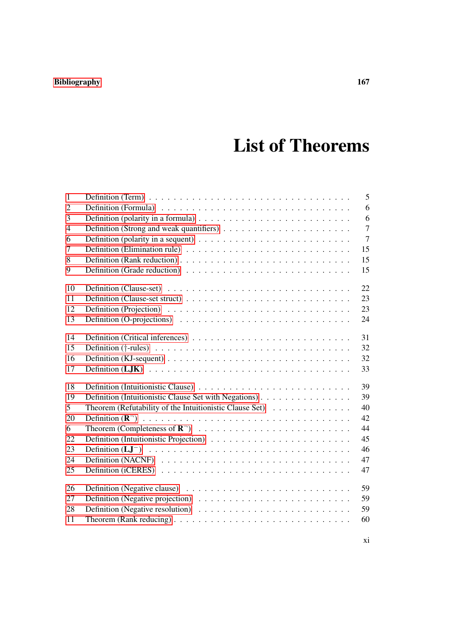### [Bibliography](#page-182-0) 167

### List of Theorems

<span id="page-14-0"></span>

| $\mathbf{1}$   |                                                                                                        | 5              |
|----------------|--------------------------------------------------------------------------------------------------------|----------------|
| $\overline{2}$ |                                                                                                        | 6              |
| 3              | Definition (polarity in a formula) $\ldots \ldots \ldots \ldots \ldots \ldots \ldots \ldots$           | 6              |
| $\overline{4}$ |                                                                                                        | $\overline{7}$ |
| 6              |                                                                                                        | $\overline{7}$ |
| $\tau$         |                                                                                                        | 15             |
| 8              |                                                                                                        | 15             |
| 9              |                                                                                                        | 15             |
| 10             |                                                                                                        | 22             |
| 11             |                                                                                                        | 23             |
| 12             |                                                                                                        | 23             |
| 13             | Definition (O-projections) $\ldots \ldots \ldots \ldots \ldots \ldots \ldots \ldots \ldots \ldots$     | 24             |
| 14             |                                                                                                        | 31             |
| 15             |                                                                                                        | 32             |
| 16             | Definition (KJ-sequent) $\ldots \ldots \ldots \ldots \ldots \ldots \ldots \ldots \ldots \ldots \ldots$ | 32             |
| 17             |                                                                                                        | 33             |
| 18             |                                                                                                        | 39             |
| 19             | Definition (Intuitionistic Clause Set with Negations)                                                  | 39             |
| $5^{\circ}$    | Theorem (Refutability of the Intuitionistic Clause Set)                                                | 40             |
| 20             |                                                                                                        | 42             |
| 6              |                                                                                                        | 44             |
| 22             |                                                                                                        | 45             |
| 23             |                                                                                                        | 46             |
| 24             |                                                                                                        | 47             |
| 25             |                                                                                                        | 47             |
| 26             | Definition (Negative clause) $\ldots \ldots \ldots \ldots \ldots \ldots \ldots \ldots \ldots$          | 59             |
| 27             | Definition (Negative projection) $\ldots \ldots \ldots \ldots \ldots \ldots \ldots \ldots$             | 59             |
| 28             |                                                                                                        | 59             |
| 11             | Theorem (Rank reducing) $\ldots \ldots \ldots \ldots \ldots \ldots \ldots \ldots \ldots \ldots$        | 60             |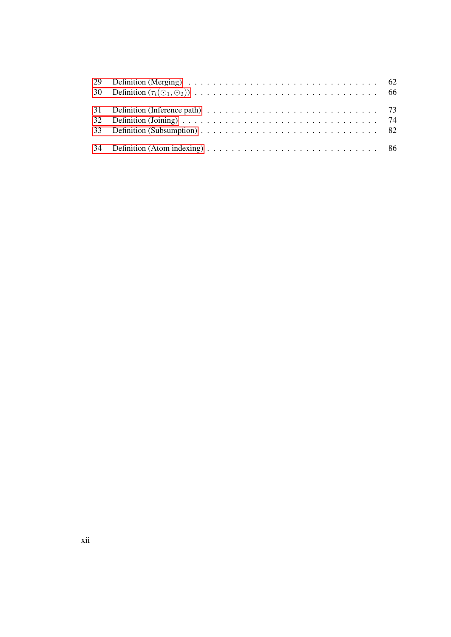| 32 Definition (Joining) $\ldots \ldots \ldots \ldots \ldots \ldots \ldots \ldots \ldots \ldots \ldots \ldots$ 74 |  |
|------------------------------------------------------------------------------------------------------------------|--|
|                                                                                                                  |  |
|                                                                                                                  |  |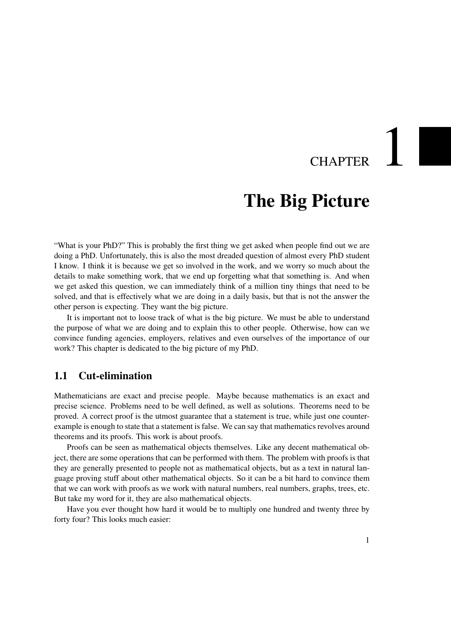## CHAPTER

### The Big Picture

<span id="page-16-0"></span>"What is your PhD?" This is probably the first thing we get asked when people find out we are doing a PhD. Unfortunately, this is also the most dreaded question of almost every PhD student I know. I think it is because we get so involved in the work, and we worry so much about the details to make something work, that we end up forgetting what that something is. And when we get asked this question, we can immediately think of a million tiny things that need to be solved, and that is effectively what we are doing in a daily basis, but that is not the answer the other person is expecting. They want the big picture.

It is important not to loose track of what is the big picture. We must be able to understand the purpose of what we are doing and to explain this to other people. Otherwise, how can we convince funding agencies, employers, relatives and even ourselves of the importance of our work? This chapter is dedicated to the big picture of my PhD.

#### <span id="page-16-1"></span>1.1 Cut-elimination

Mathematicians are exact and precise people. Maybe because mathematics is an exact and precise science. Problems need to be well defined, as well as solutions. Theorems need to be proved. A correct proof is the utmost guarantee that a statement is true, while just one counterexample is enough to state that a statement is false. We can say that mathematics revolves around theorems and its proofs. This work is about proofs.

Proofs can be seen as mathematical objects themselves. Like any decent mathematical object, there are some operations that can be performed with them. The problem with proofs is that they are generally presented to people not as mathematical objects, but as a text in natural language proving stuff about other mathematical objects. So it can be a bit hard to convince them that we can work with proofs as we work with natural numbers, real numbers, graphs, trees, etc. But take my word for it, they are also mathematical objects.

Have you ever thought how hard it would be to multiply one hundred and twenty three by forty four? This looks much easier: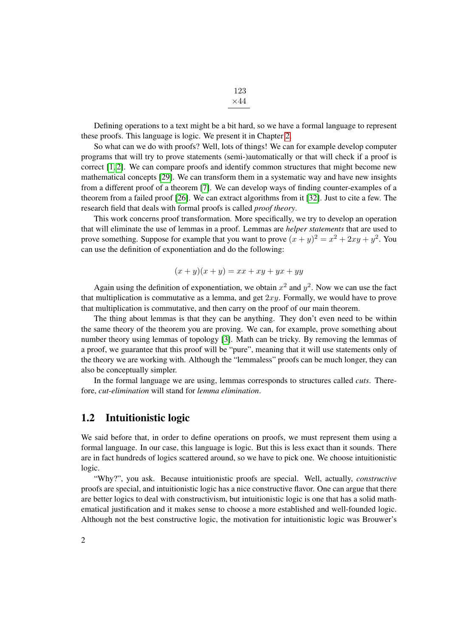Defining operations to a text might be a bit hard, so we have a formal language to represent these proofs. This language is logic. We present it in Chapter [2.](#page-20-0)

So what can we do with proofs? Well, lots of things! We can for example develop computer programs that will try to prove statements (semi-)automatically or that will check if a proof is correct [\[1,](#page-182-1) [2\]](#page-182-2). We can compare proofs and identify common structures that might become new mathematical concepts [\[29\]](#page-184-0). We can transform them in a systematic way and have new insights from a different proof of a theorem [\[7\]](#page-182-3). We can develop ways of finding counter-examples of a theorem from a failed proof [\[26\]](#page-183-0). We can extract algorithms from it [\[32\]](#page-184-1). Just to cite a few. The research field that deals with formal proofs is called *proof theory*.

This work concerns proof transformation. More specifically, we try to develop an operation that will eliminate the use of lemmas in a proof. Lemmas are *helper statements* that are used to prove something. Suppose for example that you want to prove  $(x+y)^2 = x^2 + 2xy + y^2$ . You can use the definition of exponentiation and do the following:

$$
(x+y)(x+y) = xx + xy + yx + yy
$$

Again using the definition of exponentiation, we obtain  $x^2$  and  $y^2$ . Now we can use the fact that multiplication is commutative as a lemma, and get  $2xy$ . Formally, we would have to prove that multiplication is commutative, and then carry on the proof of our main theorem.

The thing about lemmas is that they can be anything. They don't even need to be within the same theory of the theorem you are proving. We can, for example, prove something about number theory using lemmas of topology [\[3\]](#page-182-4). Math can be tricky. By removing the lemmas of a proof, we guarantee that this proof will be "pure", meaning that it will use statements only of the theory we are working with. Although the "lemmaless" proofs can be much longer, they can also be conceptually simpler.

In the formal language we are using, lemmas corresponds to structures called *cuts*. Therefore, *cut-elimination* will stand for *lemma elimination*.

#### <span id="page-17-0"></span>1.2 Intuitionistic logic

We said before that, in order to define operations on proofs, we must represent them using a formal language. In our case, this language is logic. But this is less exact than it sounds. There are in fact hundreds of logics scattered around, so we have to pick one. We choose intuitionistic logic.

"Why?", you ask. Because intuitionistic proofs are special. Well, actually, *constructive* proofs are special, and intuitionistic logic has a nice constructive flavor. One can argue that there are better logics to deal with constructivism, but intuitionistic logic is one that has a solid mathematical justification and it makes sense to choose a more established and well-founded logic. Although not the best constructive logic, the motivation for intuitionistic logic was Brouwer's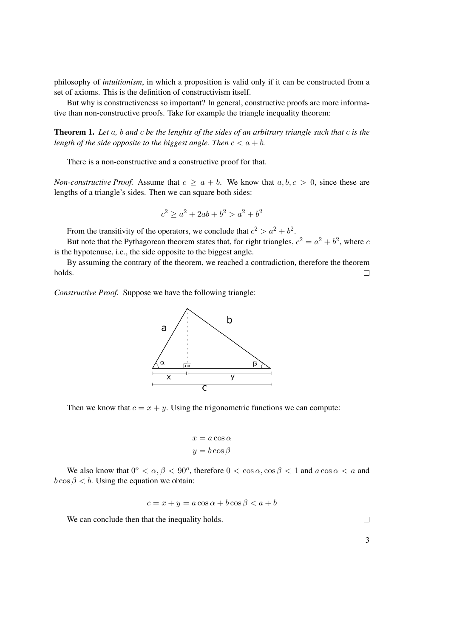philosophy of *intuitionism*, in which a proposition is valid only if it can be constructed from a set of axioms. This is the definition of constructivism itself.

But why is constructiveness so important? In general, constructive proofs are more informative than non-constructive proofs. Take for example the triangle inequality theorem:

Theorem 1. *Let* a*,* b *and* c *be the lenghts of the sides of an arbitrary triangle such that* c *is the length of the side opposite to the biggest angle. Then*  $c < a + b$ .

There is a non-constructive and a constructive proof for that.

*Non-constructive Proof.* Assume that  $c \ge a + b$ . We know that  $a, b, c > 0$ , since these are lengths of a triangle's sides. Then we can square both sides:

$$
c^2 \ge a^2 + 2ab + b^2 > a^2 + b^2
$$

From the transitivity of the operators, we conclude that  $c^2 > a^2 + b^2$ .

But note that the Pythagorean theorem states that, for right triangles,  $c^2 = a^2 + b^2$ , where c is the hypotenuse, i.e., the side opposite to the biggest angle.

By assuming the contrary of the theorem, we reached a contradiction, therefore the theorem holds.  $\Box$ 

*Constructive Proof.* Suppose we have the following triangle:



Then we know that  $c = x + y$ . Using the trigonometric functions we can compute:

$$
x = a \cos \alpha
$$

$$
y = b \cos \beta
$$

We also know that  $0^{\circ} < \alpha, \beta < 90^{\circ}$ , therefore  $0 < \cos \alpha, \cos \beta < 1$  and  $a \cos \alpha < a$  and  $b \cos \beta < b$ . Using the equation we obtain:

$$
c = x + y = a\cos\alpha + b\cos\beta < a + b
$$

We can conclude then that the inequality holds.

 $\Box$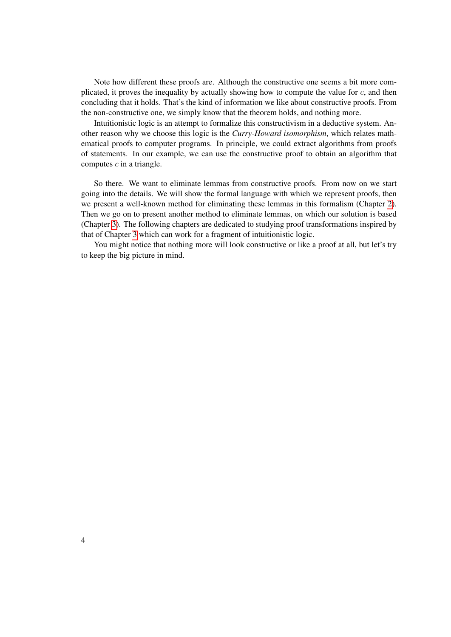Note how different these proofs are. Although the constructive one seems a bit more complicated, it proves the inequality by actually showing how to compute the value for  $c$ , and then concluding that it holds. That's the kind of information we like about constructive proofs. From the non-constructive one, we simply know that the theorem holds, and nothing more.

Intuitionistic logic is an attempt to formalize this constructivism in a deductive system. Another reason why we choose this logic is the *Curry-Howard isomorphism*, which relates mathematical proofs to computer programs. In principle, we could extract algorithms from proofs of statements. In our example, we can use the constructive proof to obtain an algorithm that computes  $c$  in a triangle.

So there. We want to eliminate lemmas from constructive proofs. From now on we start going into the details. We will show the formal language with which we represent proofs, then we present a well-known method for eliminating these lemmas in this formalism (Chapter [2\)](#page-20-0). Then we go on to present another method to eliminate lemmas, on which our solution is based (Chapter [3\)](#page-34-0). The following chapters are dedicated to studying proof transformations inspired by that of Chapter [3](#page-34-0) which can work for a fragment of intuitionistic logic.

You might notice that nothing more will look constructive or like a proof at all, but let's try to keep the big picture in mind.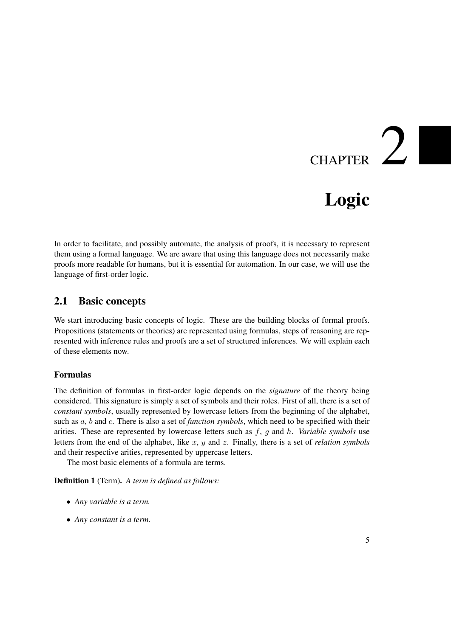# CHAPTER  $2$

### Logic

<span id="page-20-0"></span>In order to facilitate, and possibly automate, the analysis of proofs, it is necessary to represent them using a formal language. We are aware that using this language does not necessarily make proofs more readable for humans, but it is essential for automation. In our case, we will use the language of first-order logic.

#### <span id="page-20-1"></span>2.1 Basic concepts

We start introducing basic concepts of logic. These are the building blocks of formal proofs. Propositions (statements or theories) are represented using formulas, steps of reasoning are represented with inference rules and proofs are a set of structured inferences. We will explain each of these elements now.

#### Formulas

The definition of formulas in first-order logic depends on the *signature* of the theory being considered. This signature is simply a set of symbols and their roles. First of all, there is a set of *constant symbols*, usually represented by lowercase letters from the beginning of the alphabet, such as a, b and c. There is also a set of *function symbols*, which need to be specified with their arities. These are represented by lowercase letters such as f, g and h. *Variable symbols* use letters from the end of the alphabet, like x, y and z. Finally, there is a set of *relation symbols* and their respective arities, represented by uppercase letters.

The most basic elements of a formula are terms.

<span id="page-20-2"></span>Definition 1 (Term). *A term is defined as follows:*

- *Any variable is a term.*
- *Any constant is a term.*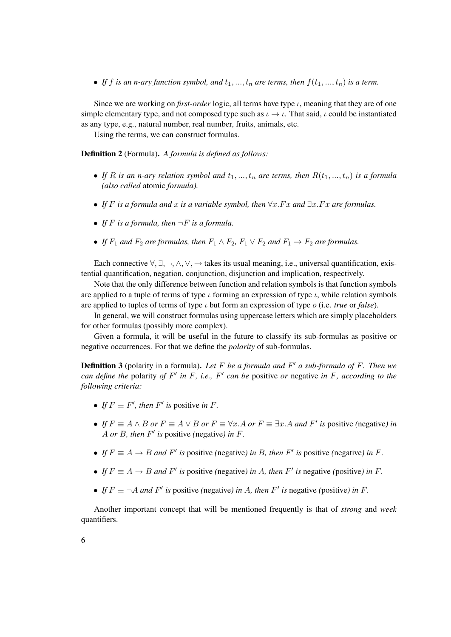• If f is an n-ary function symbol, and  $t_1, ..., t_n$  are terms, then  $f(t_1, ..., t_n)$  is a term.

Since we are working on *first-order* logic, all terms have type  $\iota$ , meaning that they are of one simple elementary type, and not composed type such as  $\iota \to \iota$ . That said,  $\iota$  could be instantiated as any type, e.g., natural number, real number, fruits, animals, etc.

Using the terms, we can construct formulas.

<span id="page-21-0"></span>Definition 2 (Formula). *A formula is defined as follows:*

- If R is an n-ary relation symbol and  $t_1, ..., t_n$  are terms, then  $R(t_1, ..., t_n)$  is a formula *(also called* atomic *formula).*
- *If* F *is a formula and* x *is a variable symbol, then* ∀x.F x *and* ∃x.F x *are formulas.*
- If  $F$  *is a formula, then*  $\neg F$  *is a formula.*
- *If*  $F_1$  *and*  $F_2$  *are formulas, then*  $F_1 \wedge F_2$ ,  $F_1 \vee F_2$  *and*  $F_1 \rightarrow F_2$  *are formulas.*

Each connective  $\forall$ ,  $\exists$ ,  $\neg$ ,  $\wedge$ ,  $\vee$ ,  $\rightarrow$  takes its usual meaning, i.e., universal quantification, existential quantification, negation, conjunction, disjunction and implication, respectively.

Note that the only difference between function and relation symbols is that function symbols are applied to a tuple of terms of type  $\iota$  forming an expression of type  $\iota$ , while relation symbols are applied to tuples of terms of type ι but form an expression of type o (i.e. *true* or *false*).

In general, we will construct formulas using uppercase letters which are simply placeholders for other formulas (possibly more complex).

Given a formula, it will be useful in the future to classify its sub-formulas as positive or negative occurrences. For that we define the *polarity* of sub-formulas.

<span id="page-21-1"></span>**Definition 3** (polarity in a formula). Let F be a formula and F' a sub-formula of F. Then we *can define the* polarity *of*  $F'$  *in*  $F$ *, i.e.,*  $F'$  *can be* positive *or* negative *in*  $F$ *, according to the following criteria:*

- *If*  $F \equiv F'$ *, then*  $F'$  *is* positive *in*  $F$ *.*
- *If*  $F \equiv A \land B$  *or*  $F \equiv A \lor B$  *or*  $F \equiv \forall x.A$  *or*  $F \equiv \exists x.A$  *and*  $F'$  *is* positive (negative) *in* A *or* B*, then* F 0 *is* positive *(*negative*) in* F*.*
- If  $F \equiv A \rightarrow B$  and  $F'$  is positive (negative) in B, then  $F'$  is positive (negative) in F.
- If  $F \equiv A \rightarrow B$  and  $F'$  is positive (negative) in A, then  $F'$  is negative (positive) in F.
- If  $F \equiv \neg A$  and  $F'$  is positive (negative) in A, then  $F'$  is negative (positive) in F.

Another important concept that will be mentioned frequently is that of *strong* and *week* quantifiers.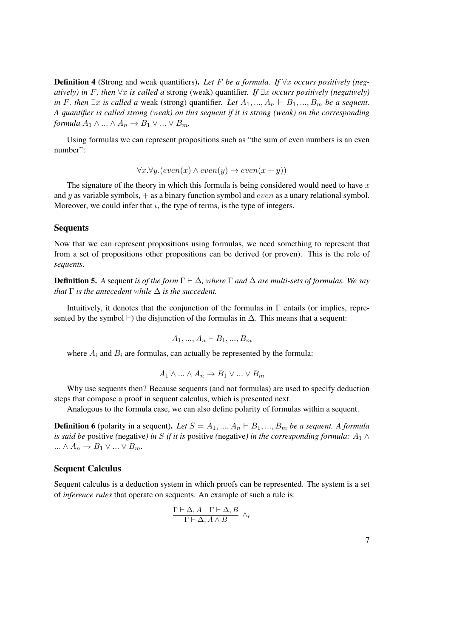<span id="page-22-0"></span>**Definition 4** (Strong and weak quantifiers). Let F be a formula. If  $\forall x$  occurs positively (neg*atively) in* F, then  $\forall x$  *is called a* strong (weak) quantifier. If  $\exists x$  *occurs positively (negatively) in* F, then  $\exists x$  *is called a* weak (strong) quantifier. Let  $A_1, ..., A_n \vdash B_1, ..., B_m$  be a sequent. *A quantifier is called strong (weak) on this sequent if it is strong (weak) on the corresponding formula*  $A_1 \wedge ... \wedge A_n \rightarrow B_1 \vee ... \vee B_m$ .

Using formulas we can represent propositions such as "the sum of even numbers is an even number":

 $\forall x. \forall y. (even(x) \land even(y) \rightarrow even(x + y))$ 

The signature of the theory in which this formula is being considered would need to have  $x$ and y as variable symbols,  $+$  as a binary function symbol and *even* as a unary relational symbol. Moreover, we could infer that  $\iota$ , the type of terms, is the type of integers.

#### Sequents

Now that we can represent propositions using formulas, we need something to represent that from a set of propositions other propositions can be derived (or proven). This is the role of *sequents*.

**Definition 5.** A sequent *is of the form*  $\Gamma \vdash \Delta$ *, where*  $\Gamma$  *and*  $\Delta$  *are multi-sets of formulas. We say that*  $\Gamma$  *is the antecedent while*  $\Delta$  *is the succedent.* 

Intuitively, it denotes that the conjunction of the formulas in  $\Gamma$  entails (or implies, represented by the symbol  $\vdash$ ) the disjunction of the formulas in  $\Delta$ . This means that a sequent:

$$
A_1, ..., A_n \vdash B_1, ..., B_m
$$

where  $A_i$  and  $B_i$  are formulas, can actually be represented by the formula:

$$
A_1 \wedge \ldots \wedge A_n \to B_1 \vee \ldots \vee B_m
$$

Why use sequents then? Because sequents (and not formulas) are used to specify deduction steps that compose a proof in sequent calculus, which is presented next.

Analogous to the formula case, we can also define polarity of formulas within a sequent.

<span id="page-22-1"></span>**Definition 6** (polarity in a sequent). Let  $S = A_1, ..., A_n \vdash B_1, ..., B_m$  be a sequent. A formula *is said be* positive (negative) in S if it is positive (negative) in the corresponding formula:  $A_1 \wedge$  $\ldots \wedge A_n \to B_1 \vee \ldots \vee B_m.$ 

#### Sequent Calculus

Sequent calculus is a deduction system in which proofs can be represented. The system is a set of *inference rules* that operate on sequents. An example of such a rule is:

$$
\frac{\Gamma\vdash\Delta,A\quad \Gamma\vdash\Delta,B}{\Gamma\vdash\Delta,A\land B}\ \land_r
$$

| ۰,<br>× |   |  |
|---------|---|--|
|         |   |  |
|         |   |  |
|         |   |  |
|         | I |  |
|         |   |  |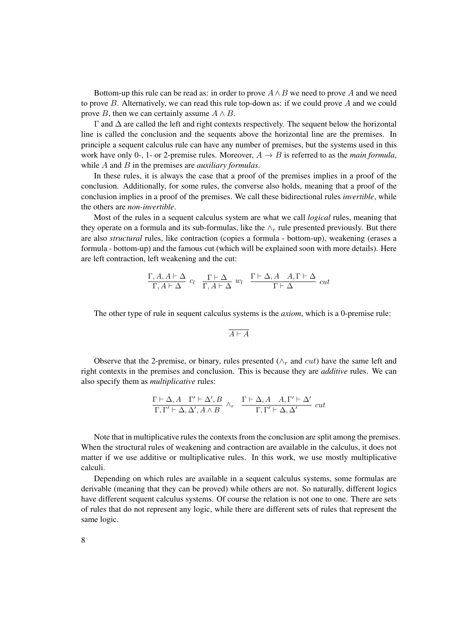Bottom-up this rule can be read as: in order to prove  $A \wedge B$  we need to prove A and we need to prove  $B$ . Alternatively, we can read this rule top-down as: if we could prove  $A$  and we could prove B, then we can certainly assume  $A \wedge B$ .

Γ and ∆ are called the left and right contexts respectively. The sequent below the horizontal line is called the conclusion and the sequents above the horizontal line are the premises. In principle a sequent calculus rule can have any number of premises, but the systems used in this work have only 0-, 1- or 2-premise rules. Moreover,  $A \rightarrow B$  is referred to as the *main formula*, while A and B in the premises are *auxiliary formulas*.

In these rules, it is always the case that a proof of the premises implies in a proof of the conclusion. Additionally, for some rules, the converse also holds, meaning that a proof of the conclusion implies in a proof of the premises. We call these bidirectional rules *invertible*, while the others are *non-invertible*.

Most of the rules in a sequent calculus system are what we call *logical* rules, meaning that they operate on a formula and its sub-formulas, like the  $\wedge_r$  rule presented previously. But there are also *structural* rules, like contraction (copies a formula - bottom-up), weakening (erases a formula - bottom-up) and the famous cut (which will be explained soon with more details). Here are left contraction, left weakening and the cut:

$$
\frac{\Gamma, A, A \vdash \Delta}{\Gamma, A \vdash \Delta} c_l \quad \frac{\Gamma \vdash \Delta}{\Gamma, A \vdash \Delta} w_l \quad \frac{\Gamma \vdash \Delta, A \quad A, \Gamma \vdash \Delta}{\Gamma \vdash \Delta} cut
$$

The other type of rule in sequent calculus systems is the *axiom*, which is a 0-premise rule:

$$
\overline{A \vdash A}
$$

Observe that the 2-premise, or binary, rules presented ( $\wedge_r$  and cut) have the same left and right contexts in the premises and conclusion. This is because they are *additive* rules. We can also specify them as *multiplicative* rules:

$$
\frac{\Gamma\vdash\Delta,A\quad \Gamma'\vdash\Delta',B}{\Gamma,\Gamma'\vdash\Delta,\Delta',A\wedge B}\,\,\wedge_r\ \ \, \frac{\Gamma\vdash\Delta,A\quad A,\Gamma'\vdash\Delta'}{\Gamma,\Gamma'\vdash\Delta,\Delta'}\, \,cut
$$

Note that in multiplicative rules the contexts from the conclusion are split among the premises. When the structural rules of weakening and contraction are available in the calculus, it does not matter if we use additive or multiplicative rules. In this work, we use mostly multiplicative calculi.

Depending on which rules are available in a sequent calculus systems, some formulas are derivable (meaning that they can be proved) while others are not. So naturally, different logics have different sequent calculus systems. Of course the relation is not one to one. There are sets of rules that do not represent any logic, while there are different sets of rules that represent the same logic.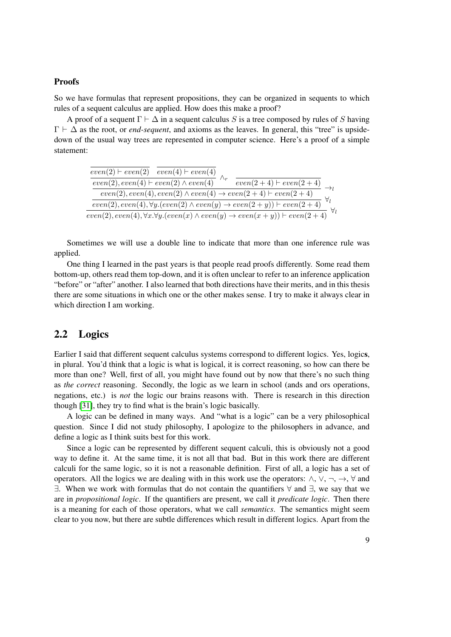#### **Proofs**

So we have formulas that represent propositions, they can be organized in sequents to which rules of a sequent calculus are applied. How does this make a proof?

A proof of a sequent  $\Gamma \vdash \Delta$  in a sequent calculus S is a tree composed by rules of S having  $\Gamma \vdash \Delta$  as the root, or *end-sequent*, and axioms as the leaves. In general, this "tree" is upsidedown of the usual way trees are represented in computer science. Here's a proof of a simple statement:

| $\frac{even(2)+even(2)-even(4)+even(4)}{even(2),even(4)+even(2)\wedge even(4)}$                                                                                                                                                                                                                                                                                                                                                                                                                                                                                                                                              |  | $\frac{even(2+4) \vdash even(2+4)}{\longrightarrow}$ |  |
|------------------------------------------------------------------------------------------------------------------------------------------------------------------------------------------------------------------------------------------------------------------------------------------------------------------------------------------------------------------------------------------------------------------------------------------------------------------------------------------------------------------------------------------------------------------------------------------------------------------------------|--|------------------------------------------------------|--|
| $\frac{even(2), even(4), even(2) \wedge even(4) \rightarrow even(2+4) \vdash even(2+4)}{even(2), even(4), \forall y.(even(2) \wedge even(y) \rightarrow even(2+y)) \vdash even(2+4)} \qquad \qquad \downarrow \qquad \downarrow \qquad \downarrow \qquad \downarrow \qquad \downarrow \qquad \downarrow \qquad \downarrow \qquad \downarrow \qquad \downarrow \qquad \downarrow \qquad \downarrow \qquad \downarrow \qquad \downarrow \qquad \downarrow \qquad \downarrow \qquad \downarrow \qquad \downarrow \qquad \downarrow \qquad \downarrow \qquad \downarrow \qquad \downarrow \qquad \downarrow \qquad \downarrow \$ |  |                                                      |  |
|                                                                                                                                                                                                                                                                                                                                                                                                                                                                                                                                                                                                                              |  |                                                      |  |
|                                                                                                                                                                                                                                                                                                                                                                                                                                                                                                                                                                                                                              |  |                                                      |  |

Sometimes we will use a double line to indicate that more than one inference rule was applied.

One thing I learned in the past years is that people read proofs differently. Some read them bottom-up, others read them top-down, and it is often unclear to refer to an inference application "before" or "after" another. I also learned that both directions have their merits, and in this thesis there are some situations in which one or the other makes sense. I try to make it always clear in which direction I am working.

#### <span id="page-24-0"></span>2.2 Logics

Earlier I said that different sequent calculus systems correspond to different logics. Yes, logics, in plural. You'd think that a logic is what is logical, it is correct reasoning, so how can there be more than one? Well, first of all, you might have found out by now that there's no such thing as *the correct* reasoning. Secondly, the logic as we learn in school (ands and ors operations, negations, etc.) is *not* the logic our brains reasons with. There is research in this direction though [\[31\]](#page-184-2), they try to find what is the brain's logic basically.

A logic can be defined in many ways. And "what is a logic" can be a very philosophical question. Since I did not study philosophy, I apologize to the philosophers in advance, and define a logic as I think suits best for this work.

Since a logic can be represented by different sequent calculi, this is obviously not a good way to define it. At the same time, it is not all that bad. But in this work there are different calculi for the same logic, so it is not a reasonable definition. First of all, a logic has a set of operators. All the logics we are dealing with in this work use the operators:  $\wedge$ ,  $\vee$ ,  $\neg$ ,  $\rightarrow$ ,  $\forall$  and ∃. When we work with formulas that do not contain the quantifiers ∀ and ∃, we say that we are in *propositional logic*. If the quantifiers are present, we call it *predicate logic*. Then there is a meaning for each of those operators, what we call *semantics*. The semantics might seem clear to you now, but there are subtle differences which result in different logics. Apart from the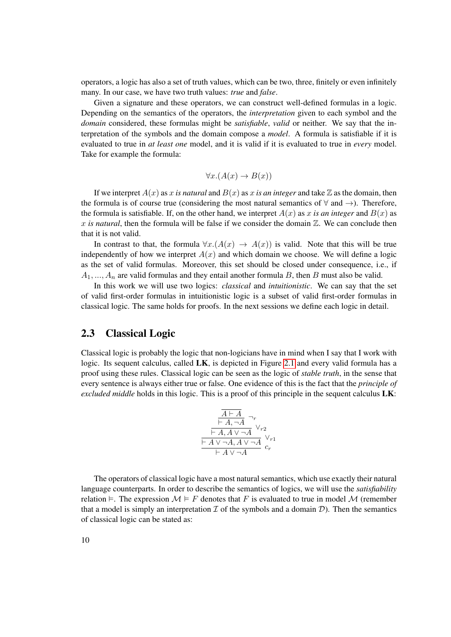operators, a logic has also a set of truth values, which can be two, three, finitely or even infinitely many. In our case, we have two truth values: *true* and *false*.

Given a signature and these operators, we can construct well-defined formulas in a logic. Depending on the semantics of the operators, the *interpretation* given to each symbol and the *domain* considered, these formulas might be *satisfiable*, *valid* or neither. We say that the interpretation of the symbols and the domain compose a *model*. A formula is satisfiable if it is evaluated to true in *at least one* model, and it is valid if it is evaluated to true in *every* model. Take for example the formula:

$$
\forall x. (A(x) \to B(x))
$$

If we interpret  $A(x)$  as x *is natural* and  $B(x)$  as x *is an integer* and take Z as the domain, then the formula is of course true (considering the most natural semantics of  $\forall$  and  $\rightarrow$ ). Therefore, the formula is satisfiable. If, on the other hand, we interpret  $A(x)$  as x is an integer and  $B(x)$  as x *is natural*, then the formula will be false if we consider the domain  $\mathbb{Z}$ . We can conclude then that it is not valid.

In contrast to that, the formula  $\forall x. (A(x) \rightarrow A(x))$  is valid. Note that this will be true independently of how we interpret  $A(x)$  and which domain we choose. We will define a logic as the set of valid formulas. Moreover, this set should be closed under consequence, i.e., if  $A_1, ..., A_n$  are valid formulas and they entail another formula B, then B must also be valid.

In this work we will use two logics: *classical* and *intuitionistic*. We can say that the set of valid first-order formulas in intuitionistic logic is a subset of valid first-order formulas in classical logic. The same holds for proofs. In the next sessions we define each logic in detail.

#### <span id="page-25-0"></span>2.3 Classical Logic

Classical logic is probably the logic that non-logicians have in mind when I say that I work with logic. Its sequent calculus, called LK, is depicted in Figure [2.1](#page-26-0) and every valid formula has a proof using these rules. Classical logic can be seen as the logic of *stable truth*, in the sense that every sentence is always either true or false. One evidence of this is the fact that the *principle of excluded middle* holds in this logic. This is a proof of this principle in the sequent calculus LK:

$$
\frac{\overline{A \vdash A}}{\vdash A, \neg A} \neg_r\n\frac{\vdash A, \neg A}{\vdash A, A \lor \neg A} \lor_{r2}\n\frac{\vdash A \lor \neg A, A \lor \neg A}{\vdash A \lor \neg A} \lor_{r1}\n}{c_r}
$$

The operators of classical logic have a most natural semantics, which use exactly their natural language counterparts. In order to describe the semantics of logics, we will use the *satisfiability* relation  $\vdash$ . The expression  $\mathcal{M} \models F$  denotes that F is evaluated to true in model  $\mathcal{M}$  (remember that a model is simply an interpretation  $\mathcal I$  of the symbols and a domain  $\mathcal D$ ). Then the semantics of classical logic can be stated as: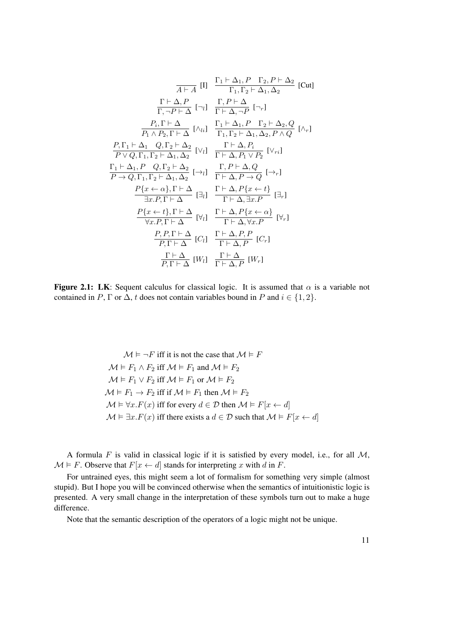$$
\frac{\Pi_{1} \vdash \Delta_{1}, P \quad \Gamma_{2}, P \vdash \Delta_{2}}{\Gamma, \neg P \vdash \Delta} [\text{Cut}]
$$
\n[Cut]\n
$$
\frac{\Gamma \vdash \Delta, P}{\Gamma, \neg P \vdash \Delta} [\neg_{l}] \quad \frac{\Gamma, P \vdash \Delta}{\Gamma \vdash \Delta, \neg P} [\neg_{r}]
$$
\n[KL]\n
$$
\frac{P_{i}, \Gamma \vdash \Delta}{P_{1} \land P_{2}, \Gamma \vdash \Delta} [\land_{li}] \quad \frac{\Gamma_{1} \vdash \Delta_{1}, P \quad \Gamma_{2} \vdash \Delta_{2}, Q}{\Gamma_{1}, \Gamma_{2} \vdash \Delta_{1}, \Delta_{2}, P \land Q} [\land_{r}]
$$
\n[KL]\n
$$
\frac{P_{i}, \Gamma \vdash \Delta_{1} Q_{i}, \Gamma_{2} \vdash \Delta_{2}}{P \lor Q_{i}, \Gamma_{1}, \Gamma_{2} \vdash \Delta_{1}, \Delta_{2}} [\lor_{l}] \quad \frac{\Gamma \vdash \Delta, P_{i}}{\Gamma \vdash \Delta, P_{1} \lor P_{2}} [\lor_{ri}]
$$
\n[KL]\n
$$
\frac{\Gamma_{1} \vdash \Delta_{1}, P \quad Q_{i}, \Gamma_{2} \vdash \Delta_{2}}{\Gamma \vdash \Delta, \Delta_{2}} [\neg_{l}] \quad \frac{\Gamma, P \vdash \Delta, Q}{\Gamma \vdash \Delta, P \to Q} [\neg_{r}]
$$
\n[KL]\n
$$
\frac{P\{x \leftarrow \alpha\}, \Gamma \vdash \Delta}{\exists x. P, \Gamma \vdash \Delta} [\exists_{l}] \quad \frac{\Gamma \vdash \Delta, P\{x \leftarrow t\}}{\Gamma \vdash \Delta, \exists x. P} [\exists_{r}]
$$
\n[KL]\n
$$
\frac{P\{x \leftarrow t\}, \Gamma \vdash \Delta}{\forall x. P, \Gamma \vdash \Delta} [\forall_{l}] \quad \frac{\Gamma \vdash \Delta, P\{x \leftarrow \alpha\}}{\Gamma \vdash \Delta, \forall x. P} [\forall_{r}]
$$
\n[KL]\n
$$
\frac{P, P, \Gamma \vdash \Delta}{P, \Gamma \vdash \Delta} [\text{C}_{l}] \quad \frac{\Gamma \vdash \Delta, P, P}{\Gamma \vdash \Delta, P} [\text{C}_{r}]
$$
\n[KL]\n
$$
\frac{\Gamma \vdash \Delta}{P, \Gamma \vd
$$

<span id="page-26-0"></span>Figure 2.1: LK: Sequent calculus for classical logic. It is assumed that  $\alpha$  is a variable not contained in P,  $\Gamma$  or  $\Delta$ , t does not contain variables bound in P and  $i \in \{1, 2\}$ .

 $\mathcal{M} \models \neg F$  iff it is not the case that  $\mathcal{M} \models F$  $\mathcal{M} \models F_1 \land F_2$  iff  $\mathcal{M} \models F_1$  and  $\mathcal{M} \models F_2$  $\mathcal{M} \models F_1 \lor F_2$  iff  $\mathcal{M} \models F_1$  or  $\mathcal{M} \models F_2$  $\mathcal{M} \models F_1 \rightarrow F_2$  iff if  $\mathcal{M} \models F_1$  then  $\mathcal{M} \models F_2$  $\mathcal{M} \models \forall x . F(x)$  iff for every  $d \in \mathcal{D}$  then  $\mathcal{M} \models F[x \leftarrow d]$  $\mathcal{M} \models \exists x . F(x)$  iff there exists a  $d \in \mathcal{D}$  such that  $\mathcal{M} \models F[x \leftarrow d]$ 

A formula  $F$  is valid in classical logic if it is satisfied by every model, i.e., for all  $M$ ,  $\mathcal{M} \models F$ . Observe that  $F[x \leftarrow d]$  stands for interpreting x with d in F.

For untrained eyes, this might seem a lot of formalism for something very simple (almost stupid). But I hope you will be convinced otherwise when the semantics of intuitionistic logic is presented. A very small change in the interpretation of these symbols turn out to make a huge difference.

Note that the semantic description of the operators of a logic might not be unique.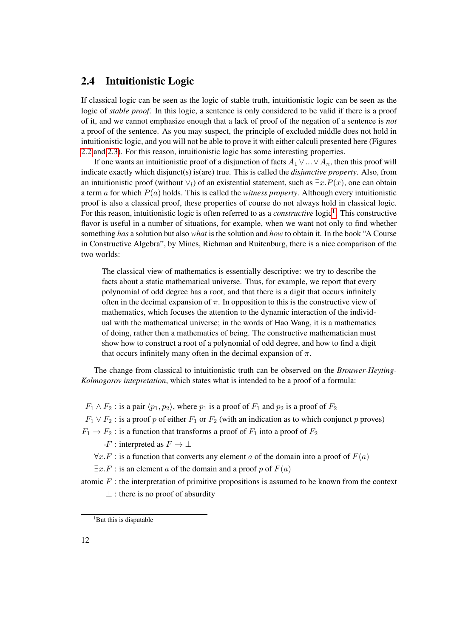#### <span id="page-27-0"></span>2.4 Intuitionistic Logic

If classical logic can be seen as the logic of stable truth, intuitionistic logic can be seen as the logic of *stable proof*. In this logic, a sentence is only considered to be valid if there is a proof of it, and we cannot emphasize enough that a lack of proof of the negation of a sentence is *not* a proof of the sentence. As you may suspect, the principle of excluded middle does not hold in intuitionistic logic, and you will not be able to prove it with either calculi presented here (Figures [2.2](#page-30-3) and [2.3\)](#page-31-0). For this reason, intuitionistic logic has some interesting properties.

If one wants an intuitionistic proof of a disjunction of facts  $A_1 \vee ... \vee A_n$ , then this proof will indicate exactly which disjunct(s) is(are) true. This is called the *disjunctive property*. Also, from an intuitionistic proof (without  $\vee_l$ ) of an existential statement, such as  $\exists x.P(x)$ , one can obtain a term a for which P(a) holds. This is called the *witness property*. Although every intuitionistic proof is also a classical proof, these properties of course do not always hold in classical logic. For this reason, intuitionistic logic is often referred to as a *constructive* logic<sup>[1](#page-27-1)</sup>. This constructive flavor is useful in a number of situations, for example, when we want not only to find whether something *has* a solution but also *what* is the solution and *how* to obtain it. In the book "A Course in Constructive Algebra", by Mines, Richman and Ruitenburg, there is a nice comparison of the two worlds:

The classical view of mathematics is essentially descriptive: we try to describe the facts about a static mathematical universe. Thus, for example, we report that every polynomial of odd degree has a root, and that there is a digit that occurs infinitely often in the decimal expansion of  $\pi$ . In opposition to this is the constructive view of mathematics, which focuses the attention to the dynamic interaction of the individual with the mathematical universe; in the words of Hao Wang, it is a mathematics of doing, rather then a mathematics of being. The constructive mathematician must show how to construct a root of a polynomial of odd degree, and how to find a digit that occurs infinitely many often in the decimal expansion of  $\pi$ .

The change from classical to intuitionistic truth can be observed on the *Brouwer-Heyting-Kolmogorov intepretation*, which states what is intended to be a proof of a formula:

 $F_1 \wedge F_2$ : is a pair  $\langle p_1, p_2 \rangle$ , where  $p_1$  is a proof of  $F_1$  and  $p_2$  is a proof of  $F_2$ 

 $F_1 \vee F_2$ : is a proof p of either  $F_1$  or  $F_2$  (with an indication as to which conjunct p proves)

 $F_1 \rightarrow F_2$ : is a function that transforms a proof of  $F_1$  into a proof of  $F_2$ 

 $\neg F$  : interpreted as  $F \to \bot$ 

 $\forall x . F :$  is a function that converts any element a of the domain into a proof of  $F(a)$ 

 $\exists x.F$ : is an element a of the domain and a proof p of  $F(a)$ 

atomic  $F$ : the interpretation of primitive propositions is assumed to be known from the context

 $\perp$ : there is no proof of absurdity

<span id="page-27-1"></span><sup>&</sup>lt;sup>1</sup>But this is disputable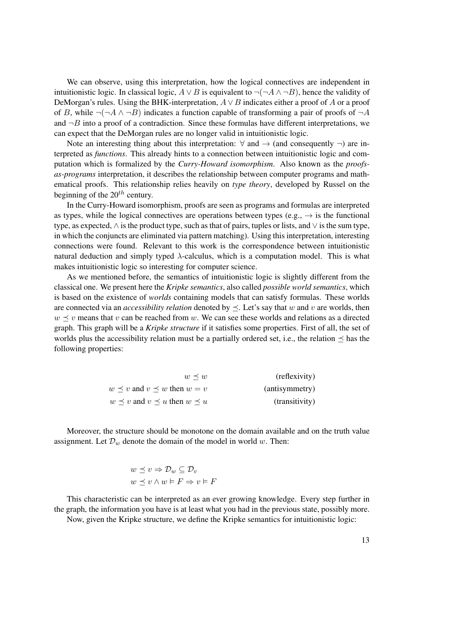We can observe, using this interpretation, how the logical connectives are independent in intuitionistic logic. In classical logic,  $A \lor B$  is equivalent to  $\neg(\neg A \land \neg B)$ , hence the validity of DeMorgan's rules. Using the BHK-interpretation,  $A \vee B$  indicates either a proof of A or a proof of B, while  $\neg(\neg A \land \neg B)$  indicates a function capable of transforming a pair of proofs of  $\neg A$ and  $\neg B$  into a proof of a contradiction. Since these formulas have different interpretations, we can expect that the DeMorgan rules are no longer valid in intuitionistic logic.

Note an interesting thing about this interpretation:  $\forall$  and  $\rightarrow$  (and consequently  $\neg$ ) are interpreted as *functions*. This already hints to a connection between intuitionistic logic and computation which is formalized by the *Curry-Howard isomorphism*. Also known as the *proofsas-programs* interpretation, it describes the relationship between computer programs and mathematical proofs. This relationship relies heavily on *type theory*, developed by Russel on the beginning of the  $20^{th}$  century.

In the Curry-Howard isomorphism, proofs are seen as programs and formulas are interpreted as types, while the logical connectives are operations between types (e.g.,  $\rightarrow$  is the functional type, as expected,  $\wedge$  is the product type, such as that of pairs, tuples or lists, and  $\vee$  is the sum type, in which the conjuncts are eliminated via pattern matching). Using this interpretation, interesting connections were found. Relevant to this work is the correspondence between intuitionistic natural deduction and simply typed  $\lambda$ -calculus, which is a computation model. This is what makes intuitionistic logic so interesting for computer science.

As we mentioned before, the semantics of intuitionistic logic is slightly different from the classical one. We present here the *Kripke semantics*, also called *possible world semantics*, which is based on the existence of *worlds* containing models that can satisfy formulas. These worlds are connected via an *accessibility relation* denoted by  $\prec$ . Let's say that w and v are worlds, then  $w \leq v$  means that v can be reached from w. We can see these worlds and relations as a directed graph. This graph will be a *Kripke structure* if it satisfies some properties. First of all, the set of worlds plus the accessibility relation must be a partially ordered set, i.e., the relation  $\preceq$  has the following properties:

| (reflexivity)  | $w \prec w$                                  |
|----------------|----------------------------------------------|
| (antisymmetry) | $w \prec v$ and $v \prec w$ then $w = v$     |
| (transitivity) | $w \prec v$ and $v \prec u$ then $w \prec u$ |

Moreover, the structure should be monotone on the domain available and on the truth value assignment. Let  $\mathcal{D}_w$  denote the domain of the model in world w. Then:

$$
w \preceq v \Rightarrow \mathcal{D}_w \subseteq \mathcal{D}_v
$$
  

$$
w \preceq v \land w \vDash F \Rightarrow v \vDash F
$$

This characteristic can be interpreted as an ever growing knowledge. Every step further in the graph, the information you have is at least what you had in the previous state, possibly more.

Now, given the Kripke structure, we define the Kripke semantics for intuitionistic logic: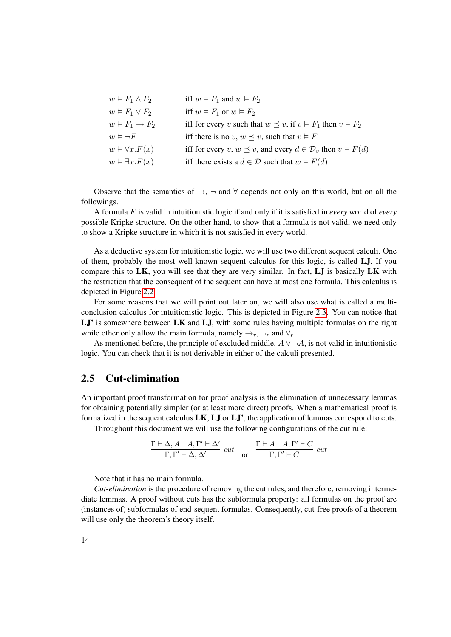| $w \vDash F_1 \wedge F_2$      | iff $w \models F_1$ and $w \models F_2$                                                |
|--------------------------------|----------------------------------------------------------------------------------------|
| $w \vDash F_1 \vee F_2$        | iff $w \models F_1$ or $w \models F_2$                                                 |
| $w \vDash F_1 \rightarrow F_2$ | iff for every v such that $w \preceq v$ , if $v \models F_1$ then $v \models F_2$      |
| $w \vDash \neg F$              | iff there is no v, $w \preceq v$ , such that $v \models F$                             |
| $w \models \forall x . F(x)$   | iff for every $v, w \preceq v$ , and every $d \in \mathcal{D}_v$ then $v \models F(d)$ |
| $w \vDash \exists x.F(x)$      | iff there exists a $d \in \mathcal{D}$ such that $w \models F(d)$                      |

Observe that the semantics of  $\rightarrow$ ,  $\neg$  and  $\forall$  depends not only on this world, but on all the followings.

A formula F is valid in intuitionistic logic if and only if it is satisfied in *every* world of *every* possible Kripke structure. On the other hand, to show that a formula is not valid, we need only to show a Kripke structure in which it is not satisfied in every world.

As a deductive system for intuitionistic logic, we will use two different sequent calculi. One of them, probably the most well-known sequent calculus for this logic, is called LJ. If you compare this to  $LK$ , you will see that they are very similar. In fact,  $LJ$  is basically  $LK$  with the restriction that the consequent of the sequent can have at most one formula. This calculus is depicted in Figure [2.2.](#page-30-3)

For some reasons that we will point out later on, we will also use what is called a multiconclusion calculus for intuitionistic logic. This is depicted in Figure [2.3.](#page-31-0) You can notice that LJ' is somewhere between LK and LJ, with some rules having multiple formulas on the right while other only allow the main formula, namely  $\rightarrow_r$ ,  $\neg_r$  and  $\forall_r$ .

As mentioned before, the principle of excluded middle,  $A \vee \neg A$ , is not valid in intuitionistic logic. You can check that it is not derivable in either of the calculi presented.

#### <span id="page-29-0"></span>2.5 Cut-elimination

An important proof transformation for proof analysis is the elimination of unnecessary lemmas for obtaining potentially simpler (or at least more direct) proofs. When a mathematical proof is formalized in the sequent calculus  $LK$ ,  $LJ$  or  $LJ'$ , the application of lemmas correspond to cuts.

Throughout this document we will use the following configurations of the cut rule:

$$
\frac{\Gamma\vdash\Delta,A\quad A,\Gamma'\vdash\Delta'}{\Gamma,\Gamma'\vdash\Delta,\Delta'}\;\; cut\quad\text{or}\quad\frac{\Gamma\vdash A\quad A,\Gamma'\vdash C}{\Gamma,\Gamma'\vdash C}\;\; cut
$$

Note that it has no main formula.

*Cut-elimination* is the procedure of removing the cut rules, and therefore, removing intermediate lemmas. A proof without cuts has the subformula property: all formulas on the proof are (instances of) subformulas of end-sequent formulas. Consequently, cut-free proofs of a theorem will use only the theorem's theory itself.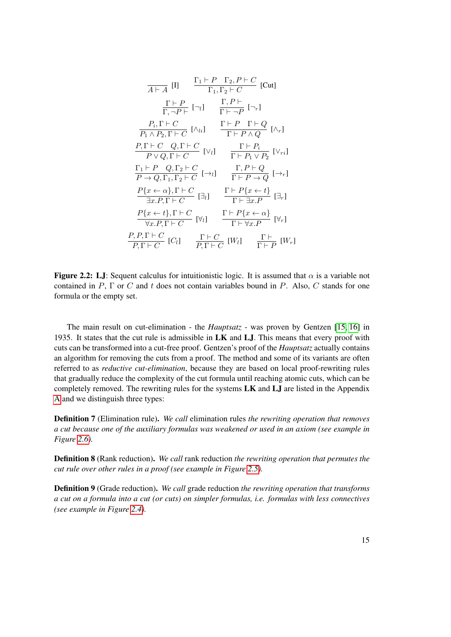$$
\frac{\Gamma_1 \vdash P \quad \Gamma_2, P \vdash C}{\Gamma_1, \Gamma_2 \vdash C} \quad [\text{Cut}]
$$
\n
$$
\frac{\Gamma \vdash P}{\Gamma, \neg P \vdash} \quad [\neg_i] \quad \frac{\Gamma, P \vdash}{\Gamma \vdash \neg P} \quad [\neg_r]
$$
\n
$$
\frac{P_i, \Gamma \vdash C}{P_1 \land P_2, \Gamma \vdash C} \quad [\land_{li}] \quad \frac{\Gamma \vdash P \quad \Gamma \vdash Q}{\Gamma \vdash P \land Q} \quad [\land_r]
$$
\n
$$
\frac{P, \Gamma \vdash C \quad Q, \Gamma \vdash C}{P \lor Q, \Gamma \vdash C} \quad [\lor_i] \quad \frac{\Gamma \vdash P_i}{\Gamma \vdash P_1 \lor P_2} \quad [\lor_{ri}]
$$
\n
$$
\frac{\Gamma_1 \vdash P \quad Q, \Gamma_2 \vdash C}{P \to Q, \Gamma_1, \Gamma_2 \vdash C} \quad [\neg_i] \quad \frac{\Gamma, P \vdash Q}{\Gamma \vdash P \to Q} \quad [\neg_r]
$$
\n
$$
\frac{P\{x \leftarrow \alpha\}, \Gamma \vdash C}{\exists x. P, \Gamma \vdash C} \quad [\exists_l] \quad \frac{\Gamma \vdash P\{x \leftarrow t\}}{\Gamma \vdash \exists x. P} \quad [\exists_r]
$$
\n
$$
\frac{P\{x \leftarrow t\}, \Gamma \vdash C}{\forall x. P, \Gamma \vdash C} \quad [\forall_l] \quad \frac{\Gamma \vdash P\{x \leftarrow \alpha\}}{\Gamma \vdash \forall x. P} \quad [\forall_r]
$$
\n
$$
\frac{P, P, \Gamma \vdash C}{P, \Gamma \vdash C} \quad [\forall_l] \quad \frac{\Gamma \vdash C}{P, \Gamma \vdash C} \quad [\forall_l] \quad \frac{\Gamma \vdash C}{\Gamma \vdash P} \quad [\forall_r]
$$

<span id="page-30-3"></span>**Figure 2.2:** LJ: Sequent calculus for intuitionistic logic. It is assumed that  $\alpha$  is a variable not contained in P,  $\Gamma$  or C and t does not contain variables bound in P. Also, C stands for one formula or the empty set.

The main result on cut-elimination - the *Hauptsatz* - was proven by Gentzen [\[15,](#page-183-1) [16\]](#page-183-2) in 1935. It states that the cut rule is admissible in  $LK$  and  $LJ$ . This means that every proof with cuts can be transformed into a cut-free proof. Gentzen's proof of the *Hauptsatz* actually contains an algorithm for removing the cuts from a proof. The method and some of its variants are often referred to as *reductive cut-elimination*, because they are based on local proof-rewriting rules that gradually reduce the complexity of the cut formula until reaching atomic cuts, which can be completely removed. The rewriting rules for the systems LK and LJ are listed in the Appendix [A](#page-114-0) and we distinguish three types:

<span id="page-30-0"></span>Definition 7 (Elimination rule). *We call* elimination rules *the rewriting operation that removes a cut because one of the auxiliary formulas was weakened or used in an axiom (see example in Figure [2.6\)](#page-32-0).*

<span id="page-30-1"></span>Definition 8 (Rank reduction). *We call* rank reduction *the rewriting operation that permutes the cut rule over other rules in a proof (see example in Figure [2.5\)](#page-32-1).*

<span id="page-30-2"></span>Definition 9 (Grade reduction). *We call* grade reduction *the rewriting operation that transforms a cut on a formula into a cut (or cuts) on simpler formulas, i.e. formulas with less connectives (see example in Figure [2.4\)](#page-31-1).*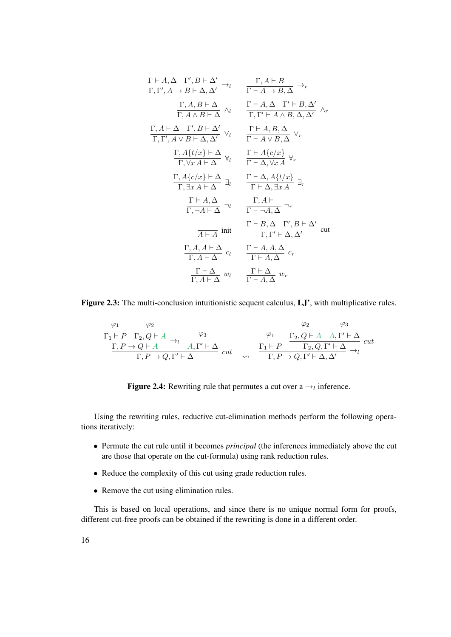$$
\frac{\Gamma \vdash A, \Delta \quad \Gamma', B \vdash \Delta'}{\Gamma, \Gamma', A \to B \vdash \Delta, \Delta'} \rightarrow_l \qquad \frac{\Gamma, A \vdash B}{\Gamma \vdash A \to B, \Delta} \rightarrow_r
$$
\n
$$
\frac{\Gamma, A, B \vdash \Delta}{\Gamma, A \land B \vdash \Delta} \land_l \qquad \frac{\Gamma \vdash A, \Delta \quad \Gamma' \vdash B, \Delta'}{\Gamma, \Gamma' \vdash A \land B, \Delta, \Delta'} \land_r
$$
\n
$$
\frac{\Gamma, A \vdash \Delta \quad \Gamma', B \vdash \Delta'}{\Gamma, \Gamma', A \lor B \vdash \Delta, \Delta'} \lor_l \qquad \frac{\Gamma \vdash A, B, \Delta}{\Gamma \vdash A \lor B, \Delta} \lor_r
$$
\n
$$
\frac{\Gamma, A\{t/x\} \vdash \Delta}{\Gamma, \forall x A \vdash \Delta} \forall_l \qquad \frac{\Gamma \vdash A\{c/x\}}{\Gamma \vdash \Delta, \forall x A} \forall_r
$$
\n
$$
\frac{\Gamma, A\{c/x\} \vdash \Delta}{\Gamma, \exists x A \vdash \Delta} \exists_l \qquad \frac{\Gamma \vdash \Delta, A\{t/x\}}{\Gamma \vdash \Delta, \exists x A} \exists_r
$$
\n
$$
\frac{\Gamma \vdash A, \Delta}{\Gamma, \neg A \vdash \Delta} \neg_l \qquad \frac{\Gamma, A \vdash}{\Gamma \vdash \neg A, \Delta} \neg_r
$$
\n
$$
\frac{\Gamma \vdash B, \Delta \quad \Gamma', B \vdash \Delta'}{\Gamma, \Gamma' \vdash \Delta, \Delta'} \text{ cut}
$$
\n
$$
\frac{\Gamma, A, A \vdash \Delta}{\Gamma, A \vdash \Delta} c_l \qquad \frac{\Gamma \vdash A, A, \Delta}{\Gamma \vdash A, \Delta} c_r
$$
\n
$$
\frac{\Gamma \vdash \Delta}{\Gamma, A \vdash \Delta} w_l \qquad \frac{\Gamma \vdash \Delta}{\Gamma \vdash A, \Delta} w_r
$$

Figure 2.3: The multi-conclusion intuitionistic sequent calculus, LJ', with multiplicative rules.

<span id="page-31-0"></span>
$$
\begin{array}{ccccc}\n\varphi_1 & \varphi_2 & & \varphi_3 \\
\frac{\Gamma_1 \vdash P & \Gamma_2, Q \vdash A}{\Gamma, P \to Q \vdash A} & \to_l & \varphi_3 & & \varphi_1 \\
\frac{\Gamma_1 \vdash P & \Gamma_2, Q \vdash A & A, \Gamma' \vdash \Delta}{\Gamma, P \to Q, \Gamma' \vdash \Delta} & cut & & \frac{\Gamma_1 \vdash P & \Gamma_2, Q, \Gamma' \vdash \Delta}{\Gamma, P \to Q, \Gamma' \vdash \Delta, \Delta'} & cut\n\end{array}
$$

<span id="page-31-1"></span>**Figure 2.4:** Rewriting rule that permutes a cut over a  $\rightarrow_l$  inference.

Using the rewriting rules, reductive cut-elimination methods perform the following operations iteratively:

- Permute the cut rule until it becomes *principal* (the inferences immediately above the cut are those that operate on the cut-formula) using rank reduction rules.
- Reduce the complexity of this cut using grade reduction rules.
- Remove the cut using elimination rules.

This is based on local operations, and since there is no unique normal form for proofs, different cut-free proofs can be obtained if the rewriting is done in a different order.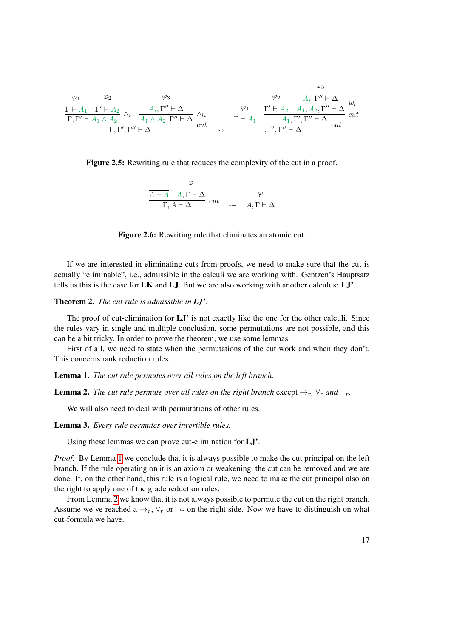$$
\varphi_1 \qquad \varphi_2 \qquad \varphi_3 \qquad \varphi_4 \qquad \varphi_5 \qquad \varphi_6
$$
\n
$$
\frac{\Gamma \vdash A_1 \quad \Gamma' \vdash A_2}{\Gamma, \Gamma' \vdash A_1 \land A_2} \land_r \qquad \frac{A_i, \Gamma'' \vdash \Delta}{A_1 \land A_2, \Gamma'' \vdash \Delta} \land_{li} \qquad \varphi_1 \qquad \frac{\varphi_2}{\Gamma \vdash A_1} \qquad \frac{A_i, \Gamma'' \vdash \Delta}{A_1, A_2, \Gamma'' \vdash \Delta} \quad \varphi_l}{\Gamma, \Gamma', \Gamma'' \vdash \Delta} \quad cut
$$

 $(2)$ 

Figure 2.5: Rewriting rule that reduces the complexity of the cut in a proof.

<span id="page-32-1"></span><span id="page-32-0"></span>
$$
\frac{\varphi}{A \vdash A \quad A, \Gamma \vdash \Delta} \quad cut \quad \varphi
$$
\n
$$
\Gamma, A \vdash \Delta \quad cut \quad \varphi
$$
\n
$$
A, \Gamma \vdash \Delta
$$



If we are interested in eliminating cuts from proofs, we need to make sure that the cut is actually "eliminable", i.e., admissible in the calculi we are working with. Gentzen's Hauptsatz tells us this is the case for LK and LJ. But we are also working with another calculus: LJ'.

Theorem 2. *The cut rule is admissible in LJ'.*

The proof of cut-elimination for  $LJ'$  is not exactly like the one for the other calculi. Since the rules vary in single and multiple conclusion, some permutations are not possible, and this can be a bit tricky. In order to prove the theorem, we use some lemmas.

First of all, we need to state when the permutations of the cut work and when they don't. This concerns rank reduction rules.

<span id="page-32-2"></span>Lemma 1. *The cut rule permutes over all rules on the left branch.*

<span id="page-32-3"></span>**Lemma 2.** *The cut rule permute over all rules on the right branch* except  $\rightarrow_r$ ,  $\forall_r$  *and*  $\neg_r$ *.* 

We will also need to deal with permutations of other rules.

<span id="page-32-4"></span>Lemma 3. *Every rule permutes over invertible rules.*

Using these lemmas we can prove cut-elimination for LJ'.

*Proof.* By Lemma [1](#page-32-2) we conclude that it is always possible to make the cut principal on the left branch. If the rule operating on it is an axiom or weakening, the cut can be removed and we are done. If, on the other hand, this rule is a logical rule, we need to make the cut principal also on the right to apply one of the grade reduction rules.

From Lemma [2](#page-32-3) we know that it is not always possible to permute the cut on the right branch. Assume we've reached a  $\rightarrow_r$ ,  $\forall_r$  or  $\neg_r$  on the right side. Now we have to distinguish on what cut-formula we have.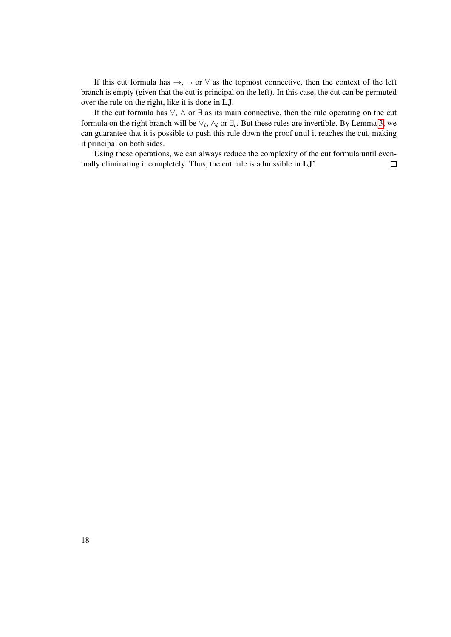If this cut formula has  $\rightarrow$ ,  $\neg$  or  $\forall$  as the topmost connective, then the context of the left branch is empty (given that the cut is principal on the left). In this case, the cut can be permuted over the rule on the right, like it is done in LJ.

If the cut formula has  $\vee$ ,  $\wedge$  or  $\exists$  as its main connective, then the rule operating on the cut formula on the right branch will be  $\vee_l$ ,  $\wedge_l$  or  $\exists_l$ . But these rules are invertible. By Lemma [3,](#page-32-4) we can guarantee that it is possible to push this rule down the proof until it reaches the cut, making it principal on both sides.

Using these operations, we can always reduce the complexity of the cut formula until eventually eliminating it completely. Thus, the cut rule is admissible in LJ'.  $\Box$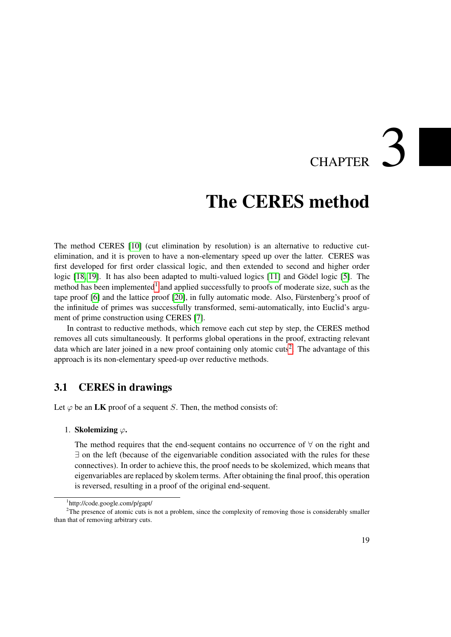## CHAPTER<sup>3</sup>

### The CERES method

<span id="page-34-0"></span>The method CERES [\[10\]](#page-182-5) (cut elimination by resolution) is an alternative to reductive cutelimination, and it is proven to have a non-elementary speed up over the latter. CERES was first developed for first order classical logic, and then extended to second and higher order logic [\[18,](#page-183-3) [19\]](#page-183-4). It has also been adapted to multi-valued logics [\[11\]](#page-182-6) and Gödel logic [\[5\]](#page-182-7). The method has been implemented<sup>[1](#page-34-2)</sup> and applied successfully to proofs of moderate size, such as the tape proof [\[6\]](#page-182-8) and the lattice proof [\[20\]](#page-183-5), in fully automatic mode. Also, Fürstenberg's proof of the infinitude of primes was successfully transformed, semi-automatically, into Euclid's argument of prime construction using CERES [\[7\]](#page-182-3).

In contrast to reductive methods, which remove each cut step by step, the CERES method removes all cuts simultaneously. It performs global operations in the proof, extracting relevant data which are later joined in a new proof containing only atomic cuts<sup>[2](#page-34-3)</sup>. The advantage of this approach is its non-elementary speed-up over reductive methods.

#### <span id="page-34-1"></span>3.1 CERES in drawings

Let  $\varphi$  be an LK proof of a sequent S. Then, the method consists of:

#### 1. Skolemizing  $\varphi$ .

The method requires that the end-sequent contains no occurrence of ∀ on the right and ∃ on the left (because of the eigenvariable condition associated with the rules for these connectives). In order to achieve this, the proof needs to be skolemized, which means that eigenvariables are replaced by skolem terms. After obtaining the final proof, this operation is reversed, resulting in a proof of the original end-sequent.

<span id="page-34-3"></span><span id="page-34-2"></span><sup>1</sup> http://code.google.com/p/gapt/

<sup>&</sup>lt;sup>2</sup>The presence of atomic cuts is not a problem, since the complexity of removing those is considerably smaller than that of removing arbitrary cuts.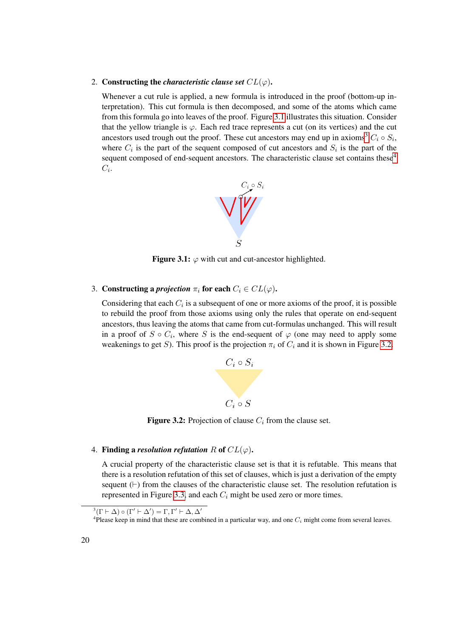#### 2. Constructing the *characteristic clause set*  $CL(\varphi)$ .

Whenever a cut rule is applied, a new formula is introduced in the proof (bottom-up interpretation). This cut formula is then decomposed, and some of the atoms which came from this formula go into leaves of the proof. Figure [3.1](#page-35-0) illustrates this situation. Consider that the yellow triangle is  $\varphi$ . Each red trace represents a cut (on its vertices) and the cut ancestors used trough out the proof. These cut ancestors may end up in axioms<sup>[3](#page-35-1)</sup>  $C_i \circ S_i$ , where  $C_i$  is the part of the sequent composed of cut ancestors and  $S_i$  is the part of the sequent composed of end-sequent ancestors. The characteristic clause set contains these<sup>[4](#page-35-2)</sup>  $C_i$ .



<span id="page-35-0"></span>Figure 3.1:  $\varphi$  with cut and cut-ancestor highlighted.

3. Constructing a *projection*  $\pi_i$  for each  $C_i \in CL(\varphi)$ .

Considering that each  $C_i$  is a subsequent of one or more axioms of the proof, it is possible to rebuild the proof from those axioms using only the rules that operate on end-sequent ancestors, thus leaving the atoms that came from cut-formulas unchanged. This will result in a proof of  $S \circ C_i$ , where S is the end-sequent of  $\varphi$  (one may need to apply some weakenings to get S). This proof is the projection  $\pi_i$  of  $C_i$  and it is shown in Figure [3.2.](#page-35-3)



<span id="page-35-3"></span>**Figure 3.2:** Projection of clause  $C_i$  from the clause set.

#### 4. Finding a *resolution refutation* R of  $CL(\varphi)$ .

A crucial property of the characteristic clause set is that it is refutable. This means that there is a resolution refutation of this set of clauses, which is just a derivation of the empty sequent  $(\vdash)$  from the clauses of the characteristic clause set. The resolution refutation is represented in Figure [3.3,](#page-36-1) and each  $C_i$  might be used zero or more times.

<span id="page-35-1"></span> $^{3}(\Gamma\vdash\Delta)\circ(\Gamma'\vdash\Delta')=\Gamma,\Gamma'\vdash\Delta,\Delta'$ 

<span id="page-35-2"></span><sup>&</sup>lt;sup>4</sup>Please keep in mind that these are combined in a particular way, and one  $C_i$  might come from several leaves.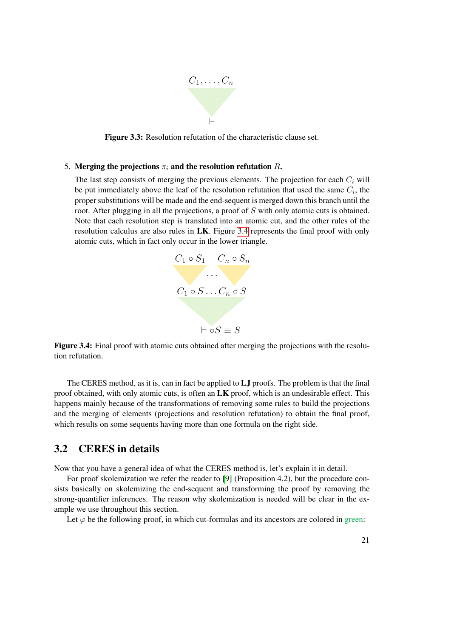

Figure 3.3: Resolution refutation of the characteristic clause set.

#### 5. Merging the projections  $\pi_i$  and the resolution refutation R.

The last step consists of merging the previous elements. The projection for each  $C_i$  will be put immediately above the leaf of the resolution refutation that used the same  $C_i$ , the proper substitutions will be made and the end-sequent is merged down this branch until the root. After plugging in all the projections, a proof of S with only atomic cuts is obtained. Note that each resolution step is translated into an atomic cut, and the other rules of the resolution calculus are also rules in LK. Figure [3.4](#page-36-0) represents the final proof with only atomic cuts, which in fact only occur in the lower triangle.



<span id="page-36-0"></span>Figure 3.4: Final proof with atomic cuts obtained after merging the projections with the resolution refutation.

The CERES method, as it is, can in fact be applied to LJ proofs. The problem is that the final proof obtained, with only atomic cuts, is often an  $LK$  proof, which is an undesirable effect. This happens mainly because of the transformations of removing some rules to build the projections and the merging of elements (projections and resolution refutation) to obtain the final proof, which results on some sequents having more than one formula on the right side.

#### 3.2 CERES in details

Now that you have a general idea of what the CERES method is, let's explain it in detail.

For proof skolemization we refer the reader to [\[9\]](#page-182-0) (Proposition 4.2), but the procedure consists basically on skolemizing the end-sequent and transforming the proof by removing the strong-quantifier inferences. The reason why skolemization is needed will be clear in the example we use throughout this section.

Let  $\varphi$  be the following proof, in which cut-formulas and its ancestors are colored in green: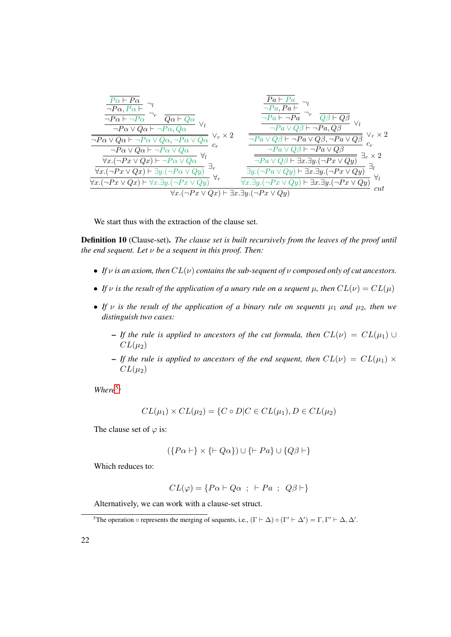$$
\frac{\frac{\overline{Pa} + \overline{Pa}}{\neg Pa, Pa} - \eta}{\frac{\neg Pa + \neg Pa}{\neg Pa \vee Qa + \neg Pa} - \eta} \rightarrow \frac{\frac{\overline{Pa} + \overline{Pa}}{\neg Pa, Pa + \neg Pa}}{\frac{\neg Pa + \neg Pa}{\neg Pa \vee Qb + \neg Pa} - \eta} \rightarrow \frac{\frac{\overline{Pa} + \overline{Pa}}{\neg Pa + \neg Pa} - \eta}{\frac{\neg Pa + \neg Pa}{\neg Pa \vee Qb + \neg Pa} - \eta} \rightarrow \frac{\frac{\overline{Pa} + \overline{Pa}}{\neg Pa \vee Q\beta + \overline{QR}}}{\frac{\neg Pa \vee Q\beta + \overline{QR}}{\neg Pa \vee Q\beta + \neg Pa \vee Q\beta} - \frac{\overline{Pa} \vee Q\beta + \overline{Pa} \vee Q\beta}{\neg Pa \vee Q\beta + \overline{Pa} \vee Q\beta} - \frac{\overline{Pa} \vee Q\beta}{\neg Pa \vee Q\beta + \overline{Pa} \vee Q\beta} \rightarrow \frac{\overline{Pa} \vee Q\beta}{\neg Pa \vee Q\beta + \overline{Pa} \vee Q\beta} \rightarrow \frac{\overline{Pa} \vee Q\beta}{\neg Pa \vee Q\beta + \overline{Pa} \vee Q\beta} \rightarrow \frac{\overline{Pa} \vee Q\beta}{\neg Pa \vee Q\beta + \overline{Pa} \vee Q\beta} \rightarrow \frac{\overline{Pa} \vee Q\beta}{\neg Pa \vee Q\beta + \overline{a} \vee Q\beta} \rightarrow \frac{\overline{Pa} \vee Q\beta}{\neg Pa \vee Q\beta + \overline{a} \vee Q\beta} \rightarrow \frac{\overline{a} \vee \overline{a} \vee \overline{a}}{\overline{a} \vee \overline{a} \vee \overline{a} \vee \overline{a} \vee \overline{a}}}{\forall x. (\neg Px \vee Qx) + \exists y. (\neg Px \vee Qy)} \rightarrow \frac{\overline{a} \vee \overline{a} \vee Q\beta + \overline{a} \vee Q\beta}{\forall x. \exists y. (\neg Px \vee Qy) + \overline{a} \vee a \vee Qy} \rightarrow \frac{\overline{a} \vee \overline{a} \vee Q\beta + \overline{a} \vee Q\beta}{\forall x. (\neg Px \vee Qx) + \forall x
$$

We start thus with the extraction of the clause set.

Definition 10 (Clause-set). *The clause set is built recursively from the leaves of the proof until the end sequent. Let* ν *be a sequent in this proof. Then:*

- *If*  $\nu$  *is an axiom, then*  $CL(\nu)$  *contains the sub-sequent of*  $\nu$  *composed only of cut ancestors.*
- *If*  $\nu$  *is the result of the application of a unary rule on a sequent*  $\mu$ *, then*  $CL(\nu) = CL(\mu)$
- If  $\nu$  *is the result of the application of a binary rule on sequents*  $\mu_1$  *and*  $\mu_2$ *, then we distinguish two cases:*
	- If the rule is applied to ancestors of the cut formula, then  $CL(\nu) = CL(\mu_1) \cup$  $CL(\mu_2)$
	- If the rule is applied to ancestors of the end sequent, then  $CL(\nu) = CL(\mu_1) \times$  $CL(\mu_2)$

*Where*[5](#page-37-0) *:*

$$
CL(\mu_1) \times CL(\mu_2) = \{C \circ D | C \in CL(\mu_1), D \in CL(\mu_2)
$$

The clause set of  $\varphi$  is:

$$
(\{P\alpha \vdash\} \times \{\vdash Q\alpha\}) \cup \{\vdash Pa\} \cup \{Q\beta \vdash\}
$$

Which reduces to:

$$
CL(\varphi) = \{ Pa \vdash Q\alpha \ ; \ \vdash Pa \ ; \ Q\beta \vdash \}
$$

Alternatively, we can work with a clause-set struct.

<span id="page-37-0"></span><sup>&</sup>lt;sup>5</sup>The operation  $\circ$  represents the merging of sequents, i.e.,  $(\Gamma \vdash \Delta) \circ (\Gamma' \vdash \Delta') = \Gamma, \Gamma' \vdash \Delta, \Delta'$ .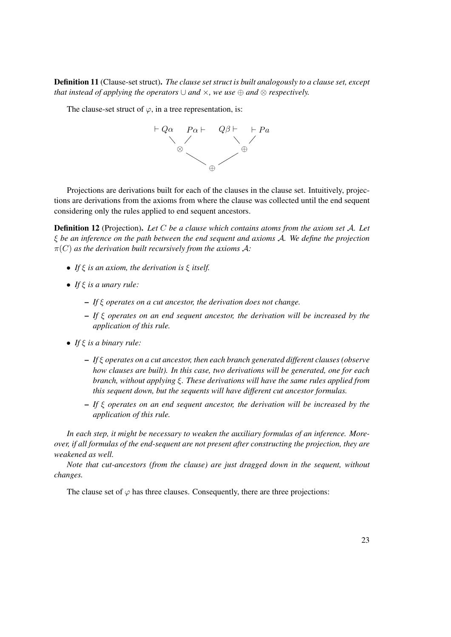Definition 11 (Clause-set struct). *The clause set struct is built analogously to a clause set, except that instead of applying the operators*  $\cup$  *and*  $\times$ *, we use*  $\oplus$  *and*  $\otimes$  *respectively.* 

The clause-set struct of  $\varphi$ , in a tree representation, is:



Projections are derivations built for each of the clauses in the clause set. Intuitively, projections are derivations from the axioms from where the clause was collected until the end sequent considering only the rules applied to end sequent ancestors.

<span id="page-38-0"></span>Definition 12 (Projection). *Let* C *be a clause which contains atoms from the axiom set* A*. Let* ξ *be an inference on the path between the end sequent and axioms* A*. We define the projection*  $\pi(C)$  *as the derivation built recursively from the axioms A:* 

- *If* ξ *is an axiom, the derivation is* ξ *itself.*
- *If* ξ *is a unary rule:*
	- *If* ξ *operates on a cut ancestor, the derivation does not change.*
	- *If* ξ *operates on an end sequent ancestor, the derivation will be increased by the application of this rule.*
- *If* ξ *is a binary rule:*
	- *If* ξ *operates on a cut ancestor, then each branch generated different clauses (observe how clauses are built). In this case, two derivations will be generated, one for each branch, without applying* ξ*. These derivations will have the same rules applied from this sequent down, but the sequents will have different cut ancestor formulas.*
	- *If* ξ *operates on an end sequent ancestor, the derivation will be increased by the application of this rule.*

*In each step, it might be necessary to weaken the auxiliary formulas of an inference. Moreover, if all formulas of the end-sequent are not present after constructing the projection, they are weakened as well.*

*Note that cut-ancestors (from the clause) are just dragged down in the sequent, without changes.*

The clause set of  $\varphi$  has three clauses. Consequently, there are three projections: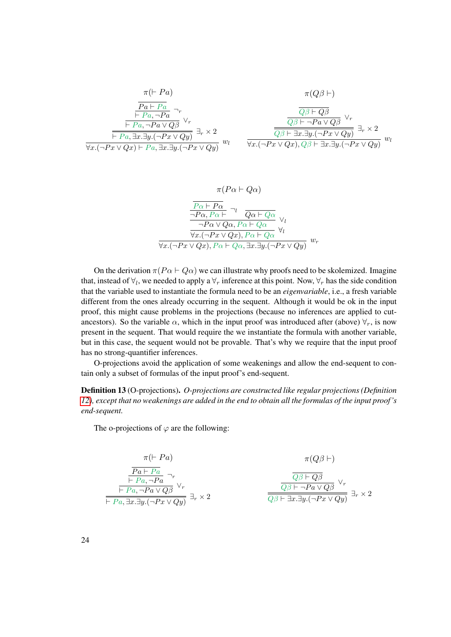$$
\frac{\pi(\vdash Pa)}{\frac{Pa \vdash Pa}{\vdash Pa, \neg Pa} \neg_r} \xrightarrow{\frac{\overline{Q}\beta \vdash Q\beta}{\downarrow \overline{P}a, \neg Pa} \neg_r} \frac{\overline{Q}\beta \vdash Q\beta}{\frac{\overline{Q}\beta \vdash Q\beta}{\downarrow \overline{P}a, \exists y.(\neg Px \lor Q\beta)} \lor_r} \xrightarrow{\frac{\overline{Q}\beta \vdash Q\beta}{\overline{Q}\beta \vdash \neg Pa \lor Q\beta} \lor_r} \frac{\overline{Q}\beta \vdash Q\beta}{\overline{Q}\beta \vdash \neg Pa \lor Q\beta} \lor_r} \frac{\overline{Q}\beta \vdash Q\beta}{\overline{Q}\beta \vdash \exists x. \exists y.(\neg Px \lor Qy)} \exists_r \times 2 \forall x.(\neg Px \lor Qy) \exists_r \lor Qy} \frac{\overline{Q}\beta \vdash \exists x. \exists y.(\neg Px \lor Qy)}{\forall x.(\neg Px \lor Qx), Q\beta \vdash \exists x. \exists y.(\neg Px \lor Qy)} \exists_r \times 2}
$$

$$
\pi(P\alpha \vdash Q\alpha)
$$
\n
$$
\frac{\overline{P\alpha \vdash P\alpha}}{\neg P\alpha, P\alpha \vdash} \neg_l \frac{\overline{Q\alpha \vdash Q\alpha}}{\neg P\alpha \vee Q\alpha, P\alpha \vdash Q\alpha} \vee_l
$$
\n
$$
\frac{\neg P\alpha \vee Q\alpha, P\alpha \vdash Q\alpha}{\forall x.(\neg P x \vee Qx), P\alpha \vdash Q\alpha} \forall_l
$$
\n
$$
\forall x.(\neg P x \vee Qx), P\alpha \vdash Q\alpha, \exists x. \exists y.(\neg P x \vee Qy)
$$

On the derivation  $\pi (P \alpha \vdash Q \alpha)$  we can illustrate why proofs need to be skolemized. Imagine that, instead of  $\forall_l$ , we needed to apply a  $\forall_r$  inference at this point. Now,  $\forall_r$  has the side condition that the variable used to instantiate the formula need to be an *eigenvariable*, i.e., a fresh variable different from the ones already occurring in the sequent. Although it would be ok in the input proof, this might cause problems in the projections (because no inferences are applied to cutancestors). So the variable  $\alpha$ , which in the input proof was introduced after (above)  $\forall_r$ , is now present in the sequent. That would require the we instantiate the formula with another variable, but in this case, the sequent would not be provable. That's why we require that the input proof has no strong-quantifier inferences.

O-projections avoid the application of some weakenings and allow the end-sequent to contain only a subset of formulas of the input proof's end-sequent.

Definition 13 (O-projections). *O-projections are constructed like regular projections (Definition [12\)](#page-38-0), except that no weakenings are added in the end to obtain all the formulas of the input proof 's end-sequent.*

The o-projections of  $\varphi$  are the following:

$$
\pi(\vdash Pa) \qquad \pi(Q\beta \vdash)
$$
\n
$$
\frac{\overline{Pa} \vdash Pa}{\vdash Pa, \neg Pa} \neg_r
$$
\n
$$
\frac{\overline{Q\beta} \vdash Q\beta}{\vdash Pa, \neg Pa \lor Q\beta} \lor_r
$$
\n
$$
\frac{\overline{Q\beta} \vdash Q\beta}{\overline{Q\beta} \vdash \neg Pa \lor Q\beta} \lor_r
$$
\n
$$
\overline{\vdash Pa, \exists x. \exists y. (\neg Px \lor Qy)} \exists_r \times 2
$$
\n
$$
\frac{\overline{Q\beta} \vdash \neg Pa \lor Q\beta}{\overline{Q\beta} \vdash \exists x. \exists y. (\neg Px \lor Qy)} \exists_r \times 2
$$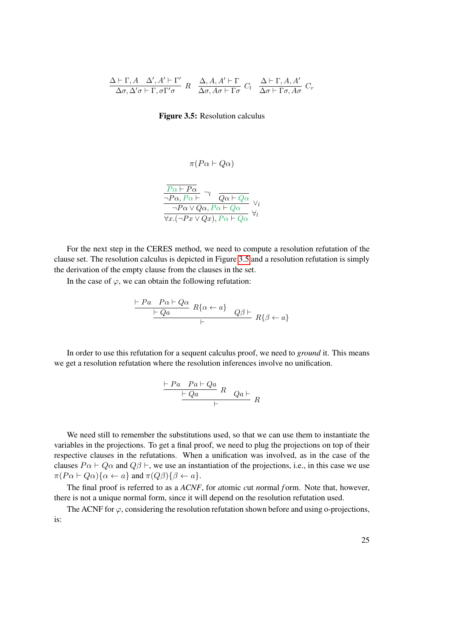$$
\frac{\Delta \vdash \Gamma, A \quad \Delta', A' \vdash \Gamma'}{\Delta \sigma, \Delta' \sigma \vdash \Gamma, \sigma \Gamma' \sigma} \quad R \quad \frac{\Delta, A, A' \vdash \Gamma}{\Delta \sigma, A \sigma \vdash \Gamma \sigma} \quad C_l \quad \frac{\Delta \vdash \Gamma, A, A'}{\Delta \sigma \vdash \Gamma \sigma, A \sigma} \quad C_r
$$

<span id="page-40-0"></span>Figure 3.5: Resolution calculus

$$
\pi(P\alpha \vdash Q\alpha)
$$
\n
$$
\frac{\overline{P\alpha \vdash P\alpha}}{\neg P\alpha, P\alpha \vdash} \neg_l \frac{\overline{Q\alpha \vdash Q\alpha}}{\overline{Q\alpha \vdash Q\alpha}} \vee_l
$$
\n
$$
\frac{\neg P\alpha \vee Q\alpha, P\alpha \vdash Q\alpha}{\forall x.(\neg P x \vee Qx), P\alpha \vdash Q\alpha} \forall_l
$$

For the next step in the CERES method, we need to compute a resolution refutation of the clause set. The resolution calculus is depicted in Figure [3.5](#page-40-0) and a resolution refutation is simply the derivation of the empty clause from the clauses in the set.

In the case of  $\varphi$ , we can obtain the following refutation:

$$
\frac{\vdash Pa \quad Pa \vdash Q\alpha}{\vdash Qa} \quad R\{\alpha \leftarrow a\} \quad Q\beta \vdash \newline R\{\beta \leftarrow a\}
$$

In order to use this refutation for a sequent calculus proof, we need to *ground* it. This means we get a resolution refutation where the resolution inferences involve no unification.

$$
\frac{\vdash Pa \quad Pa \vdash Qa}{\vdash Qa} \quad R \quad Qa \vdash
$$

We need still to remember the substitutions used, so that we can use them to instantiate the variables in the projections. To get a final proof, we need to plug the projections on top of their respective clauses in the refutations. When a unification was involved, as in the case of the clauses  $P\alpha \vdash Q\alpha$  and  $Q\beta \vdash$ , we use an instantiation of the projections, i.e., in this case we use  $\pi(P\alpha \vdash Q\alpha)\{\alpha \leftarrow a\}$  and  $\pi(Q\beta)\{\beta \leftarrow a\}.$ 

The final proof is referred to as a *ACNF*, for *a*tomic *c*ut *n*ormal *f* orm. Note that, however, there is not a unique normal form, since it will depend on the resolution refutation used.

The ACNF for  $\varphi$ , considering the resolution refutation shown before and using o-projections, is: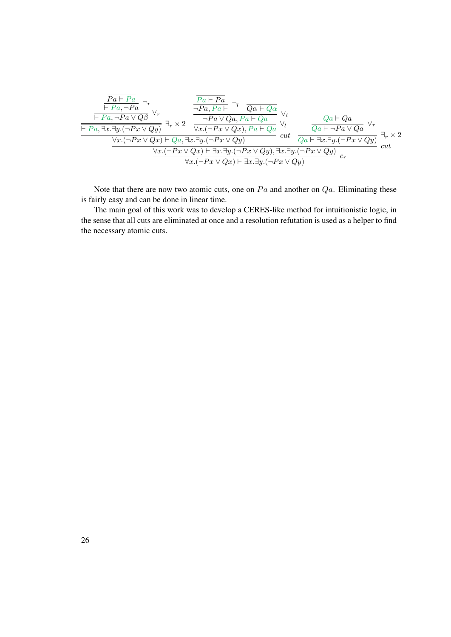$$
\frac{\frac{\overline{Pa} \vdash Pa}{\vdash Pa, \neg Pa} \rightarrow_r}{\frac{\vdash Pa, \neg Pa \lor Q\beta} \lor_r} \xrightarrow{\frac{\overline{Pa} \vdash Pa}{\neg Pa, Pa \vdash a} \neg l} \frac{\frac{\overline{Pa} \vdash Pa}{\neg Pa, Pa \vdash Qa}}{\neg Pa \lor Qa, Pa \vdash Qa} \lor_l \frac{\overline{Qa} \vdash Qa}{\neg Pa \lor Qa} \lor_r}{\frac{\vdash Pa, \exists x. \exists y. (\neg Px \lor Qy)}{\forall x. (\neg Px \lor Qy)} \exists_r \times 2} \frac{\frac{\overline{Pa} \vdash Pa}{\neg Pa \lor Qa, Pa \vdash Qa}}{\forall x. (\neg Px \lor Qx), Pa \vdash Qa} \lor_l \frac{\overline{Qa} \vdash Qa}{\forall u} \frac{\overline{Qa} \vdash Qa}{\overline{Qa} \vdash \neg Pa \lor Qa} \lor_r}{\frac{\forall x. (\neg Px \lor Qx) \vdash Qa, \exists x. \exists y. (\neg Px \lor Qy)}{\forall x. (\neg Px \lor Qx) \vdash \exists x. \exists y. (\neg Px \lor Qy)} \cdot \frac{\exists x. \exists y. (\neg Px \lor Qy)}{\exists x. \exists y. (\neg Px \lor Qy)} \cdot c_r} \frac{\exists r \times 2}{\forall x. (\neg Px \lor Qx) \vdash \exists x. \exists y. (\neg Px \lor Qy)} \cdot c_r
$$

Note that there are now two atomic cuts, one on  $Pa$  and another on  $Qa$ . Eliminating these is fairly easy and can be done in linear time.

The main goal of this work was to develop a CERES-like method for intuitionistic logic, in the sense that all cuts are eliminated at once and a resolution refutation is used as a helper to find the necessary atomic cuts.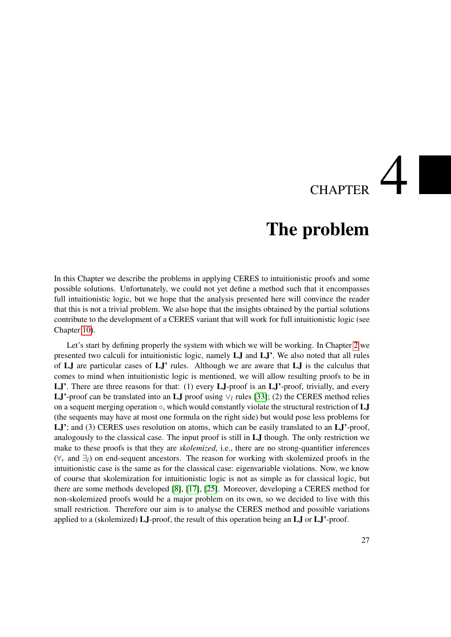# **CHAPTER**

### The problem

<span id="page-42-0"></span>In this Chapter we describe the problems in applying CERES to intuitionistic proofs and some possible solutions. Unfortunately, we could not yet define a method such that it encompasses full intuitionistic logic, but we hope that the analysis presented here will convince the reader that this is not a trivial problem. We also hope that the insights obtained by the partial solutions contribute to the development of a CERES variant that will work for full intuitionistic logic (see Chapter [10\)](#page-100-0).

Let's start by defining properly the system with which we will be working. In Chapter [2](#page-20-0) we presented two calculi for intuitionistic logic, namely LJ and LJ'. We also noted that all rules of LJ are particular cases of LJ' rules. Although we are aware that LJ is the calculus that comes to mind when intuitionistic logic is mentioned, we will allow resulting proofs to be in LJ'. There are three reasons for that: (1) every LJ-proof is an LJ'-proof, trivially, and every LJ'-proof can be translated into an LJ proof using  $\vee_l$  rules [\[33\]](#page-184-0); (2) the CERES method relies on a sequent merging operation  $\circ$ , which would constantly violate the structural restriction of  $LJ$ (the sequents may have at most one formula on the right side) but would pose less problems for LJ'; and (3) CERES uses resolution on atoms, which can be easily translated to an LJ'-proof, analogously to the classical case. The input proof is still in LJ though. The only restriction we make to these proofs is that they are *skolemized*, i.e., there are no strong-quantifier inferences  $(\forall_r$  and  $\exists_l$ ) on end-sequent ancestors. The reason for working with skolemized proofs in the intuitionistic case is the same as for the classical case: eigenvariable violations. Now, we know of course that skolemization for intuitionistic logic is not as simple as for classical logic, but there are some methods developed [\[8\]](#page-182-1), [\[17\]](#page-183-0), [\[25\]](#page-183-1). Moreover, developing a CERES method for non-skolemized proofs would be a major problem on its own, so we decided to live with this small restriction. Therefore our aim is to analyse the CERES method and possible variations applied to a (skolemized) LJ-proof, the result of this operation being an LJ or LJ'-proof.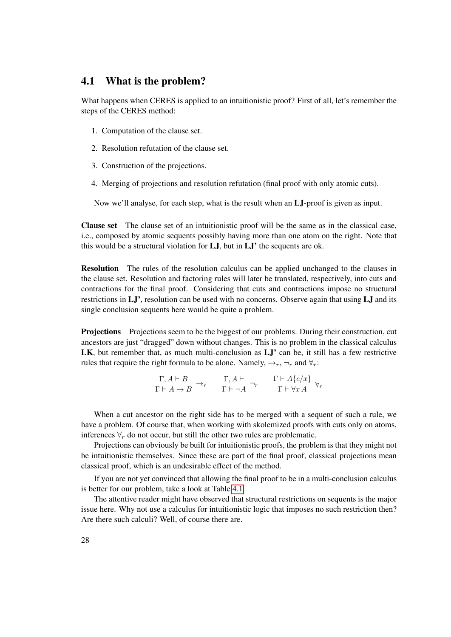#### <span id="page-43-0"></span>4.1 What is the problem?

What happens when CERES is applied to an intuitionistic proof? First of all, let's remember the steps of the CERES method:

- 1. Computation of the clause set.
- 2. Resolution refutation of the clause set.
- 3. Construction of the projections.
- 4. Merging of projections and resolution refutation (final proof with only atomic cuts).

Now we'll analyse, for each step, what is the result when an LJ-proof is given as input.

Clause set The clause set of an intuitionistic proof will be the same as in the classical case, i.e., composed by atomic sequents possibly having more than one atom on the right. Note that this would be a structural violation for LJ, but in LJ' the sequents are ok.

Resolution The rules of the resolution calculus can be applied unchanged to the clauses in the clause set. Resolution and factoring rules will later be translated, respectively, into cuts and contractions for the final proof. Considering that cuts and contractions impose no structural restrictions in LJ', resolution can be used with no concerns. Observe again that using LJ and its single conclusion sequents here would be quite a problem.

Projections Projections seem to be the biggest of our problems. During their construction, cut ancestors are just "dragged" down without changes. This is no problem in the classical calculus LK, but remember that, as much multi-conclusion as LJ' can be, it still has a few restrictive rules that require the right formula to be alone. Namely,  $\rightarrow_r$ ,  $\neg_r$  and  $\forall_r$ :

$$
\frac{\Gamma, A \vdash B}{\Gamma \vdash A \to B} \to_r \qquad \frac{\Gamma, A \vdash}{\Gamma \vdash \neg A} \neg_r \qquad \frac{\Gamma \vdash A\{c/x\}}{\Gamma \vdash \forall x A} \ \forall_r
$$

When a cut ancestor on the right side has to be merged with a sequent of such a rule, we have a problem. Of course that, when working with skolemized proofs with cuts only on atoms, inferences  $\forall_r$  do not occur, but still the other two rules are problematic.

Projections can obviously be built for intuitionistic proofs, the problem is that they might not be intuitionistic themselves. Since these are part of the final proof, classical projections mean classical proof, which is an undesirable effect of the method.

If you are not yet convinced that allowing the final proof to be in a multi-conclusion calculus is better for our problem, take a look at Table [4.1.](#page-44-0)

The attentive reader might have observed that structural restrictions on sequents is the major issue here. Why not use a calculus for intuitionistic logic that imposes no such restriction then? Are there such calculi? Well, of course there are.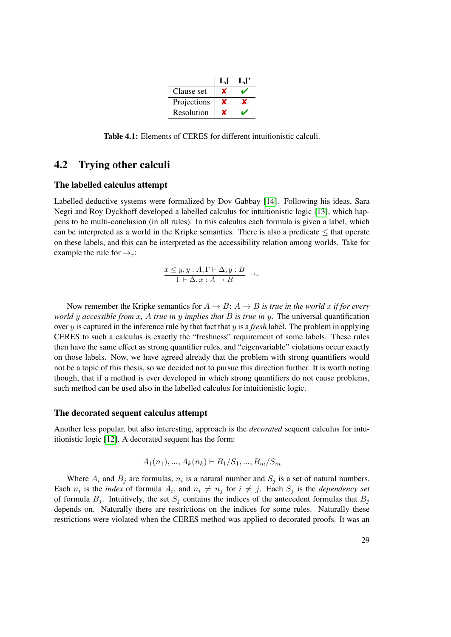|             | LJ |  |
|-------------|----|--|
| Clause set  |    |  |
| Projections |    |  |
| Resolution  |    |  |

<span id="page-44-0"></span>Table 4.1: Elements of CERES for different intuitionistic calculi.

#### 4.2 Trying other calculi

#### The labelled calculus attempt

Labelled deductive systems were formalized by Dov Gabbay [\[14\]](#page-183-2). Following his ideas, Sara Negri and Roy Dyckhoff developed a labelled calculus for intuitionistic logic [\[13\]](#page-183-3), which happens to be multi-conclusion (in all rules). In this calculus each formula is given a label, which can be interpreted as a world in the Kripke semantics. There is also a predicate  $\leq$  that operate on these labels, and this can be interpreted as the accessibility relation among worlds. Take for example the rule for  $\rightarrow_r$ :

$$
\frac{x \le y, y : A, \Gamma \vdash \Delta, y : B}{\Gamma \vdash \Delta, x : A \to B} \to_r
$$

Now remember the Kripke semantics for  $A \rightarrow B$ :  $A \rightarrow B$  *is true in the world x if for every world* y *accessible from* x*,* A *true in* y *implies that* B *is true in* y. The universal quantification over y is captured in the inference rule by that fact that y is a *fresh* label. The problem in applying CERES to such a calculus is exactly the "freshness" requirement of some labels. These rules then have the same effect as strong quantifier rules, and "eigenvariable" violations occur exactly on those labels. Now, we have agreed already that the problem with strong quantifiers would not be a topic of this thesis, so we decided not to pursue this direction further. It is worth noting though, that if a method is ever developed in which strong quantifiers do not cause problems, such method can be used also in the labelled calculus for intuitionistic logic.

#### The decorated sequent calculus attempt

Another less popular, but also interesting, approach is the *decorated* sequent calculus for intuitionistic logic [\[12\]](#page-182-2). A decorated sequent has the form:

$$
A_1(n_1),...,A_k(n_k) \vdash B_1/S_1,...,B_m/S_m
$$

Where  $A_i$  and  $B_j$  are formulas,  $n_i$  is a natural number and  $S_j$  is a set of natural numbers. Each  $n_i$  is the *index* of formula  $A_i$ , and  $n_i \neq n_j$  for  $i \neq j$ . Each  $S_j$  is the *dependency set* of formula  $B_i$ . Intuitively, the set  $S_i$  contains the indices of the antecedent formulas that  $B_i$ depends on. Naturally there are restrictions on the indices for some rules. Naturally these restrictions were violated when the CERES method was applied to decorated proofs. It was an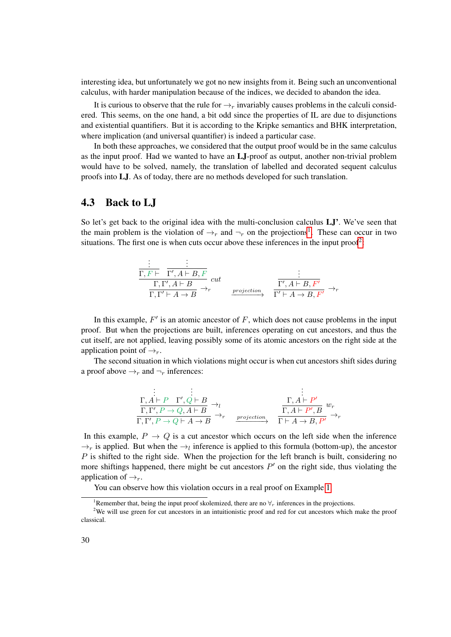interesting idea, but unfortunately we got no new insights from it. Being such an unconventional calculus, with harder manipulation because of the indices, we decided to abandon the idea.

It is curious to observe that the rule for  $\rightarrow_r$  invariably causes problems in the calculi considered. This seems, on the one hand, a bit odd since the properties of IL are due to disjunctions and existential quantifiers. But it is according to the Kripke semantics and BHK interpretation, where implication (and universal quantifier) is indeed a particular case.

In both these approaches, we considered that the output proof would be in the same calculus as the input proof. Had we wanted to have an LJ-proof as output, another non-trivial problem would have to be solved, namely, the translation of labelled and decorated sequent calculus proofs into LJ. As of today, there are no methods developed for such translation.

#### 4.3 Back to LJ

So let's get back to the original idea with the multi-conclusion calculus **LJ'**. We've seen that the main problem is the violation of  $\rightarrow_r$  and  $\neg_r$  on the projections<sup>[1](#page-45-0)</sup>. These can occur in two situations. The first one is when cuts occur above these inferences in the input proof<sup>[2](#page-45-1)</sup>:

$$
\begin{array}{cccc}\n\vdots & \vdots & \vdots \\
\hline\n\Gamma, F \vdash & \Gamma', A \vdash B, F \\
\hline\n\Gamma, \Gamma' \vdash A \to B & \xrightarrow{projection}\n\end{array}\n\quad\n\begin{array}{cccc}\n\vdots & \vdots \\
\Gamma', A \vdash B, F' \\
\hline\n\Gamma' \vdash A \to B, F' \\
\hline\n\Gamma' \vdash A \to B, F' \\
\end{array}\n\rightarrow_{r}
$$

In this example,  $F'$  is an atomic ancestor of  $F$ , which does not cause problems in the input proof. But when the projections are built, inferences operating on cut ancestors, and thus the cut itself, are not applied, leaving possibly some of its atomic ancestors on the right side at the application point of  $\rightarrow_r$ .

The second situation in which violations might occur is when cut ancestors shift sides during a proof above  $\rightarrow_r$  and  $\neg_r$  inferences:

$$
\begin{array}{ccc}\n\vdots & \vdots & \vdots \\
\Gamma, A \vdash P & \Gamma', Q \vdash B \rightarrow \iota \\
\hline\n\Gamma, \Gamma', P \rightarrow Q, A \vdash B & \rightarrow \iota \\
\Gamma, \Gamma', P \rightarrow Q \vdash A \rightarrow B & \rightarrow \iota\n\end{array}\n\quad\n\begin{array}{ccc}\n\Gamma, A \vdash P' & \cdots \\
\Gamma, A \vdash P', B & w \rightarrow \iota \\
\Gamma, A \vdash P', B & \rightarrow \iota\n\end{array}
$$

In this example,  $P \rightarrow Q$  is a cut ancestor which occurs on the left side when the inference  $\rightarrow_r$  is applied. But when the  $\rightarrow_l$  inference is applied to this formula (bottom-up), the ancestor  $P$  is shifted to the right side. When the projection for the left branch is built, considering no more shiftings happened, there might be cut ancestors  $P'$  on the right side, thus violating the application of  $\rightarrow_r$ .

You can observe how this violation occurs in a real proof on Example [1.](#page-46-0)

<span id="page-45-1"></span><span id="page-45-0"></span><sup>&</sup>lt;sup>1</sup>Remember that, being the input proof skolemized, there are no  $\forall r$  inferences in the projections.

<sup>&</sup>lt;sup>2</sup>We will use green for cut ancestors in an intuitionistic proof and red for cut ancestors which make the proof classical.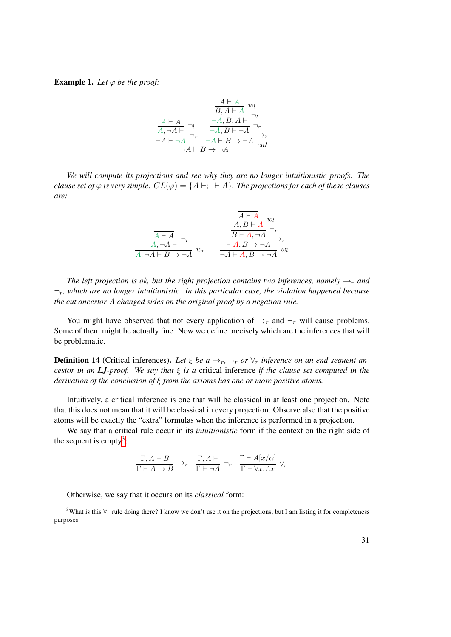#### <span id="page-46-0"></span>**Example 1.** *Let*  $\varphi$  *be the proof:*

$$
\frac{\frac{\overline{A \vdash A}}{B, A \vdash A} w_l}{\frac{\overline{A \vdash A}}{A, \neg A \vdash} \neg_l \qquad \frac{\neg A, B, A \vdash}{\neg A, B \vdash \neg A} \neg_r}{\frac{\neg A, B \vdash \neg A}{\neg A \vdash B \rightarrow \neg A} \qquad \overline{\qquad \qquad } \neg r}_{cut}
$$

*We will compute its projections and see why they are no longer intuitionistic proofs. The clause set of*  $\varphi$  *is very simple:*  $CL(\varphi) = \{A \vdash; \vdash A\}$ *. The projections for each of these clauses are:*

$$
\frac{\frac{A \vdash A}{A, B \vdash A} w_l}{\frac{A \vdash A}{A, \neg A \vdash} v_l} w_r \qquad \frac{\frac{A \vdash A}{B \vdash A, \neg A} w_r}{\frac{\vdash A, B \to \neg A}{\neg A \vdash A, B \to \neg A} w_l}
$$

*The left projection is ok, but the right projection contains two inferences, namely*  $\rightarrow_r$  *and* ¬r*, which are no longer intuitionistic. In this particular case, the violation happened because the cut ancestor* A *changed sides on the original proof by a negation rule.*

You might have observed that not every application of  $\rightarrow_r$  and  $\neg_r$  will cause problems. Some of them might be actually fine. Now we define precisely which are the inferences that will be problematic.

<span id="page-46-2"></span>**Definition 14** (Critical inferences). Let  $\xi$  be  $a \rightarrow_r$ ,  $\neg_r$  or  $\forall_r$  inference on an end-sequent an*cestor in an LJ-proof. We say that* ξ *is a* critical inference *if the clause set computed in the derivation of the conclusion of* ξ *from the axioms has one or more positive atoms.*

Intuitively, a critical inference is one that will be classical in at least one projection. Note that this does not mean that it will be classical in every projection. Observe also that the positive atoms will be exactly the "extra" formulas when the inference is performed in a projection.

We say that a critical rule occur in its *intuitionistic* form if the context on the right side of the sequent is empty<sup>[3](#page-46-1)</sup>:

$$
\frac{\Gamma, A \vdash B}{\Gamma \vdash A \to B} \to_r \frac{\Gamma, A \vdash}{\Gamma \vdash \neg A} \neg_r \frac{\Gamma \vdash A[x/\alpha]}{\Gamma \vdash \forall x. Ax} \forall_r
$$

<span id="page-46-1"></span>Otherwise, we say that it occurs on its *classical* form:

<sup>&</sup>lt;sup>3</sup>What is this  $\forall_r$  rule doing there? I know we don't use it on the projections, but I am listing it for completeness purposes.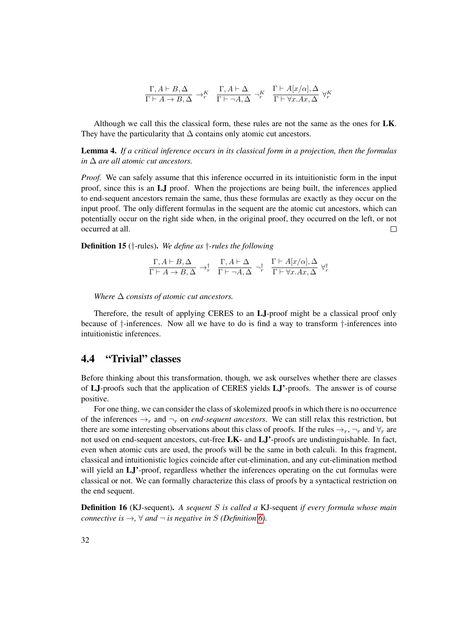$$
\frac{\Gamma, A \vdash B, \Delta}{\Gamma \vdash A \to B, \Delta} \to_r^K \frac{\Gamma, A \vdash \Delta}{\Gamma \vdash \neg A, \Delta} \neg_r^K \frac{\Gamma \vdash A[x/\alpha], \Delta}{\Gamma \vdash \forall x. Ax, \Delta} \forall_r^K
$$

Although we call this the classical form, these rules are not the same as the ones for LK. They have the particularity that  $\Delta$  contains only atomic cut ancestors.

Lemma 4. *If a critical inference occurs in its classical form in a projection, then the formulas in* ∆ *are all atomic cut ancestors.*

*Proof.* We can safely assume that this inference occurred in its intuitionistic form in the input proof, since this is an LJ proof. When the projections are being built, the inferences applied to end-sequent ancestors remain the same, thus these formulas are exactly as they occur on the input proof. The only different formulas in the sequent are the atomic cut ancestors, which can potentially occur on the right side when, in the original proof, they occurred on the left, or not occurred at all.  $\Box$ 

Definition 15 (†-rules). *We define as* †*-rules the following*

 $\Gamma, A \vdash B, \Delta$  $\frac{1}{\Gamma \vdash A \to B, \Delta} \to^{\dagger}_{r}$  $\Gamma, A \vdash \Delta$  $\frac{1}{\Gamma \vdash \neg A, \Delta} \neg^{\dagger}_{r}$  $\Gamma \vdash A[x/\alpha], \Delta$  $\frac{\Gamma + \lambda \Gamma[x/\alpha], \Delta}{\Gamma + \forall x. Ax, \Delta} \ \forall^{\dagger}_r$ 

*Where* ∆ *consists of atomic cut ancestors.*

Therefore, the result of applying CERES to an LJ-proof might be a classical proof only because of †-inferences. Now all we have to do is find a way to transform †-inferences into intuitionistic inferences.

#### 4.4 "Trivial" classes

Before thinking about this transformation, though, we ask ourselves whether there are classes of LJ-proofs such that the application of CERES yields LJ'-proofs. The answer is of course positive.

For one thing, we can consider the class of skolemized proofs in which there is no occurrence of the inferences  $\rightarrow_r$  and  $\neg_r$  on *end-sequent ancestors*. We can still relax this restriction, but there are some interesting observations about this class of proofs. If the rules  $\rightarrow_r$ ,  $\neg_r$  and  $\nforall_r$  are not used on end-sequent ancestors, cut-free LK- and LJ'-proofs are undistinguishable. In fact, even when atomic cuts are used, the proofs will be the same in both calculi. In this fragment, classical and intuitionistic logics coincide after cut-elimination, and any cut-elimination method will yield an LJ'-proof, regardless whether the inferences operating on the cut formulas were classical or not. We can formally characterize this class of proofs by a syntactical restriction on the end sequent.

Definition 16 (KJ-sequent). *A sequent* S *is called a* KJ-sequent *if every formula whose main connective is*  $\rightarrow$ ,  $\forall$  *and*  $\neg$  *is negative in S (Definition [6\)](#page-22-0).*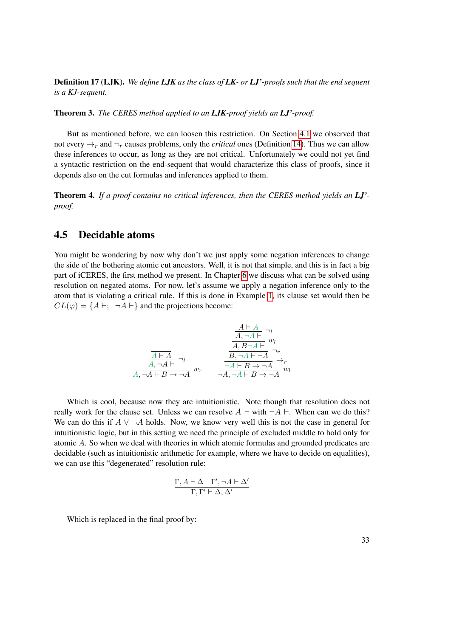Definition 17 (LJK). *We define LJK as the class of LK- or LJ'-proofs such that the end sequent is a KJ-sequent.*

Theorem 3. *The CERES method applied to an LJK-proof yields an LJ'-proof.*

But as mentioned before, we can loosen this restriction. On Section [4.1](#page-43-0) we observed that not every  $\rightarrow_r$  and  $\neg_r$  causes problems, only the *critical* ones (Definition [14\)](#page-46-2). Thus we can allow these inferences to occur, as long as they are not critical. Unfortunately we could not yet find a syntactic restriction on the end-sequent that would characterize this class of proofs, since it depends also on the cut formulas and inferences applied to them.

Theorem 4. *If a proof contains no critical inferences, then the CERES method yields an LJ' proof.*

#### 4.5 Decidable atoms

You might be wondering by now why don't we just apply some negation inferences to change the side of the bothering atomic cut ancestors. Well, it is not that simple, and this is in fact a big part of iCERES, the first method we present. In Chapter [6](#page-54-0) we discuss what can be solved using resolution on negated atoms. For now, let's assume we apply a negation inference only to the atom that is violating a critical rule. If this is done in Example [1,](#page-46-0) its clause set would then be  $CL(\varphi) = \{A \vdash; \neg A \vdash\}$  and the projections become:

$$
\frac{\frac{\overline{A \vdash A}}{A, \neg A \vdash} \neg_l}{\frac{\overline{A \vdash A}}{A, \neg A \vdash} \neg_l}
$$
\n
$$
\frac{\overline{A \vdash A}}{A, \neg A \vdash} \neg_l
$$
\n
$$
\frac{\overline{A \vdash A}}{A, \neg A \vdash B \rightarrow \neg A} w_r
$$
\n
$$
\frac{\overline{A \vdash A}}{\neg A \vdash B \rightarrow \neg A} \neg_r}{\neg A, \neg A \vdash B \rightarrow \neg A} w_l
$$

Which is cool, because now they are intuitionistic. Note though that resolution does not really work for the clause set. Unless we can resolve  $A \vdash \text{with } \neg A \vdash$ . When can we do this? We can do this if  $A \vee \neg A$  holds. Now, we know very well this is not the case in general for intuitionistic logic, but in this setting we need the principle of excluded middle to hold only for atomic A. So when we deal with theories in which atomic formulas and grounded predicates are decidable (such as intuitionistic arithmetic for example, where we have to decide on equalities), we can use this "degenerated" resolution rule:

$$
\frac{\Gamma, A \vdash \Delta \quad \Gamma', \neg A \vdash \Delta'}{\Gamma, \Gamma' \vdash \Delta, \Delta'}
$$

Which is replaced in the final proof by: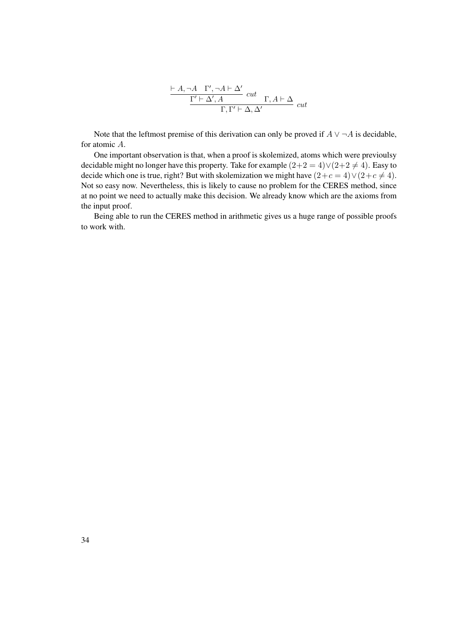$$
\frac{\vdash A,\neg A\quad \Gamma',\neg A\vdash \Delta' \quad cut \quad }{\Gamma'\vdash \Delta', A\qquad \qquad \vdots \quad \Gamma,\Gamma'\vdash \Delta,\Delta' \qquad cut}
$$

Note that the leftmost premise of this derivation can only be proved if  $A \vee \neg A$  is decidable, for atomic A.

One important observation is that, when a proof is skolemized, atoms which were previoulsy decidable might no longer have this property. Take for example  $(2+2 = 4) \vee (2+2 \neq 4)$ . Easy to decide which one is true, right? But with skolemization we might have  $(2+c=4) \vee (2+c \neq 4)$ . Not so easy now. Nevertheless, this is likely to cause no problem for the CERES method, since at no point we need to actually make this decision. We already know which are the axioms from the input proof.

Being able to run the CERES method in arithmetic gives us a huge range of possible proofs to work with.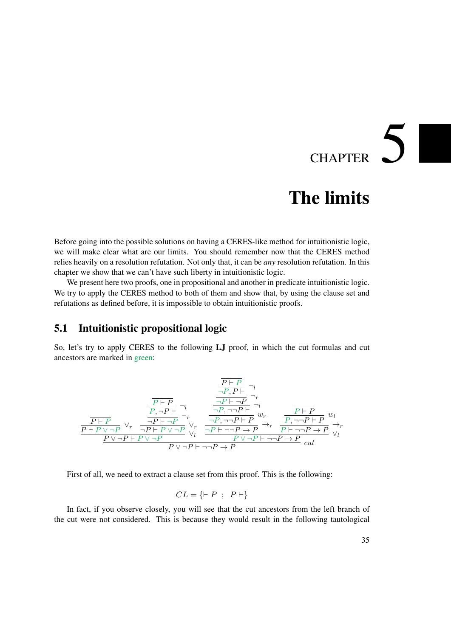# CHAPTER  $5$

## The limits

Before going into the possible solutions on having a CERES-like method for intuitionistic logic, we will make clear what are our limits. You should remember now that the CERES method relies heavily on a resolution refutation. Not only that, it can be *any* resolution refutation. In this chapter we show that we can't have such liberty in intuitionistic logic.

We present here two proofs, one in propositional and another in predicate intuitionistic logic. We try to apply the CERES method to both of them and show that, by using the clause set and refutations as defined before, it is impossible to obtain intuitionistic proofs.

#### 5.1 Intuitionistic propositional logic

So, let's try to apply CERES to the following LJ proof, in which the cut formulas and cut ancestors are marked in green:

$$
\frac{\frac{P\vdash P}{\neg P, P\vdash} \neg_l}{\frac{P\vdash P}{P\vdash P} \vee_{\neg P} \frac{\frac{P\vdash P}{\neg P\vdash \neg P}}{\neg P\vdash \neg P} \neg_r}}{\frac{P\vdash P}{P\vdash P \vee \neg P} \vee_r \frac{\frac{P\vdash P}{\neg P\vdash \neg P} \neg_r}{\neg P\vdash \neg P} \vee_r}{\frac{P\vdash P \vee \neg P}{\neg P\vdash P \vee \neg P} \vee_l \frac{\frac{P\vdash P}{\neg P\vdash \neg P\vdash} \neg_r}{\neg P\vdash \neg P\vdash P} \rightarrow_r}{\frac{P\vdash \neg P\vdash P}{P\vdash \neg P\vdash P} \vee_l}{\frac{P\vee \neg P\vdash P \vee \neg P}{P\vee \neg P\vdash \neg P\vdash P} \vee_l}
$$
 cut

First of all, we need to extract a clause set from this proof. This is the following:

$$
CL = \{ \vdash P \ ; \ P \vdash \}
$$

In fact, if you observe closely, you will see that the cut ancestors from the left branch of the cut were not considered. This is because they would result in the following tautological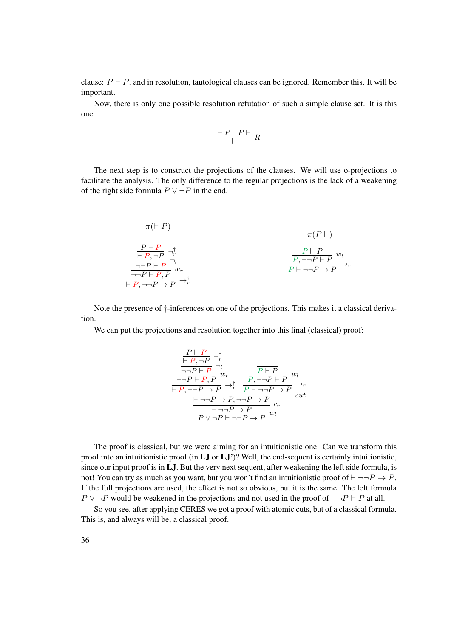clause:  $P \vdash P$ , and in resolution, tautological clauses can be ignored. Remember this. It will be important.

Now, there is only one possible resolution refutation of such a simple clause set. It is this one:

$$
\frac{\vdash P \quad P\vdash}{\vdash} \ R
$$

The next step is to construct the projections of the clauses. We will use o-projections to facilitate the analysis. The only difference to the regular projections is the lack of a weakening of the right side formula  $P \lor \neg P$  in the end.

$$
\pi(P \mid P)
$$
\n
$$
\frac{\overline{P \mid P}}{\frac{\overline{P \mid P}}{\neg P \mid P}, \neg P} \neg_r^{\dagger}
$$
\n
$$
\frac{\overline{P \mid P}}{\neg P \mid P, \neg P} \neg_l^{\dagger}
$$
\n
$$
\frac{\overline{P \mid P}}{\neg P \mid P, P} w_l^{\dagger}
$$
\n
$$
\overline{P \mid P, \neg P \rightarrow P} \rightarrow_r^{\dagger}
$$
\n
$$
\overline{P \mid P, \neg P \rightarrow P} \rightarrow_r^{\dagger}
$$
\n
$$
\overline{P \mid P, \neg P \rightarrow P} \rightarrow_r^{\dagger}
$$

Note the presence of †-inferences on one of the projections. This makes it a classical derivation.

We can put the projections and resolution together into this final (classical) proof:

$$
\frac{\frac{\overline{P \vdash P}}{\vdash P, \neg P} \neg_r^{\dagger}}{\frac{\neg \neg P \vdash P} \neg u_r^{\dagger}} w_r
$$
\n
$$
\frac{\overline{P \vdash P}}{\vdash P, \neg \neg P \rightarrow P} w_r^{\dagger} \frac{\overline{P \vdash P}}{\overline{P \vdash \neg \neg P \rightarrow P}} w_l}{\frac{\vdash P, \neg \neg P \rightarrow P} \neg r} \frac{\overline{P \vdash P}}{\overline{P \vdash \neg \neg P \rightarrow P}} w_l^{\dagger}
$$
\n
$$
\frac{\vdash \neg \neg P \rightarrow P, \neg \neg P \rightarrow P} \neg r}{\overline{P \vee \neg P \vdash \neg \neg P \rightarrow P}} w_l^{\dagger}
$$

The proof is classical, but we were aiming for an intuitionistic one. Can we transform this proof into an intuitionistic proof (in LJ or LJ')? Well, the end-sequent is certainly intuitionistic, since our input proof is in LJ. But the very next sequent, after weakening the left side formula, is not! You can try as much as you want, but you won't find an intuitionistic proof of  $\vdash \neg\neg P \rightarrow P$ . If the full projections are used, the effect is not so obvious, but it is the same. The left formula  $P \vee \neg P$  would be weakened in the projections and not used in the proof of  $\neg \neg P \vdash P$  at all.

So you see, after applying CERES we got a proof with atomic cuts, but of a classical formula. This is, and always will be, a classical proof.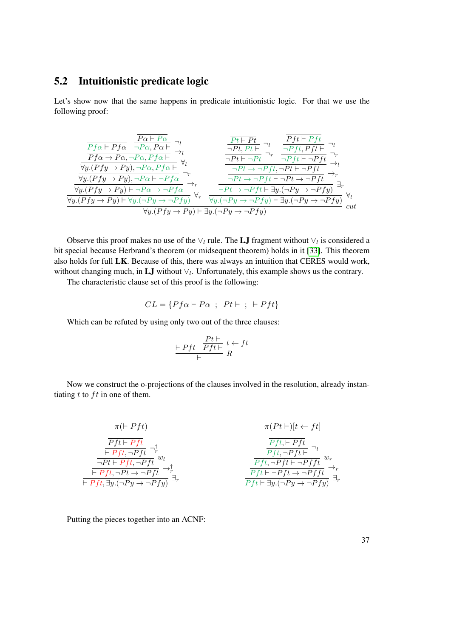#### 5.2 Intuitionistic predicate logic

Let's show now that the same happens in predicate intuitionistic logic. For that we use the following proof:

$$
\frac{\frac{\overline{Pa} + P_{\alpha}}{Pf \alpha + Pf \alpha} \xrightarrow[\gamma]{P_{\alpha} + P_{\alpha}, P_{\alpha} + \gamma}_{\alpha} \rightarrow l \qquad \frac{\overline{Pt} + Pt}{\neg Pt, Pt} \rightarrow l \qquad \frac{\overline{Pt} + Pt}{\neg Pt, Pt} \rightarrow l \qquad \frac{\overline{Pt} + Pt}{\neg Pt + \neg Pt} \rightarrow l \qquad \frac{\overline{Pt} + Pt}{\neg Pt + \neg Pt} \rightarrow l \qquad \frac{\overline{Pt} + Pf t}{\neg Pt + \neg Pt} \rightarrow l \qquad \frac{\overline{Pt} + Pf t}{\neg Pt + \neg Pt} \rightarrow l \qquad \frac{\overline{Pt} + Pf t}{\neg Pt + \neg Pt} \rightarrow l \qquad \frac{\overline{Pt} + \overline{Pt}}{\neg Pt + \neg Pt + \neg Pt} \rightarrow l \qquad \frac{\overline{Pt} + \overline{Pt} + \overline{Pt}}{\neg Pt + \neg Pt + \neg Pt} \rightarrow l \qquad \frac{\overline{Pt} + \overline{Pt} + \overline{Pt}}{\neg Pt + \neg Pt + \neg Pt} \rightarrow l \qquad \frac{\overline{Pt} + \overline{Pt} + \overline{Pt}}{\neg Pt + \neg Pt + \overline{Pt} + \overline{Pt} + \overline{Pt} \qquad \frac{\overline{Pt} + \overline{Pt}}{\neg Pt + \overline{Pt} + \overline{Pt} + \overline{Pt} + \overline{Pt} \qquad \frac{\overline{Pt} + \overline{Pt}}{\neg Pt + \overline{Pt} + \overline{Pt} + \overline{Pt} + \overline{Pt} \qquad \frac{\overline{Pt} + \overline{Pt}}{\neg Pt + \overline{Pt} + \overline{Pt} + \overline{Pt} + \overline{Pt} \qquad \frac{\overline{Pt} + \overline{Pt} + \overline{Pt} \qquad \frac{\overline{Pt} + \overline{Pt} + \overline{Pt} \qquad \frac{\overline{Pt} + \overline{Pt} + \overline{Pt} \qquad \frac{\overline{Pt} + \overline{Pt} \qquad \frac{\overline{Pt} + \overline{Pt} \qquad \frac{\overline{Pt} + \overline{Pt} \qquad \frac{\overline{Pt} + \overline{Pt} \qquad \frac{\overline{Pt} + \overline{Pt} \qquad \frac{\overline{Pt} + \overline{Pt} \qquad \frac{\overline{Pt} + \overline{Pt} \qquad \frac{\
$$

Observe this proof makes no use of the  $\vee_l$  rule. The LJ fragment without  $\vee_l$  is considered a bit special because Herbrand's theorem (or midsequent theorem) holds in it [\[33\]](#page-184-0). This theorem also holds for full LK. Because of this, there was always an intuition that CERES would work, without changing much, in **LJ** without  $\vee_l$ . Unfortunately, this example shows us the contrary.

The characteristic clause set of this proof is the following:

$$
CL = \{Pf\alpha \vdash P\alpha ; Pt \vdash ; \vdash Pft\}
$$

Which can be refuted by using only two out of the three clauses:

$$
\frac{\mid\hspace{-.05cm}Pft\mid\hspace{-.05cm}Pft\mid\hspace{-.05cm}+\hspace{-.05cm}t}{\mid\hspace{-.05cm}Pft\mid\hspace{-.05cm}+\hspace{-.05cm}t}\hspace{.05cm}t \leftarrow ft
$$

Now we construct the o-projections of the clauses involved in the resolution, already instantiating  $t$  to  $ft$  in one of them.

$$
\pi(\vdash Pft) \qquad \pi(Pt \vdash)[t \leftarrow ft]
$$
\n
$$
\frac{\overline{Pft \vdash Pft}}{\overline{Pft \vdash Pft, \neg Pft} \qquad w_l} \qquad \qquad \frac{\overline{Pft \vdash Pft}}{\overline{Pft \vdash Pft, \neg Pft} \qquad w_r} \qquad \qquad \frac{\overline{Pft \vdash Pft}}{\overline{Pft \vdash Pft \vdash \neg Pft} \qquad w_r} \qquad \qquad \frac{\overline{Pft \vdash Pft}}{\overline{Pft \vdash \neg Pft \rightarrow \neg Pft} \qquad w_r} \qquad \qquad \frac{\overline{Pft \vdash Pft} \qquad w_r}{\overline{Pft \vdash \neg Pft \rightarrow \neg Pft} \qquad w_r}} \qquad \qquad \frac{\overline{Pft \vdash \neg Pft} \qquad w_r}{\overline{Pft \vdash \neg Pft \rightarrow \neg Pft} \qquad w_r}} \qquad \qquad \frac{\overline{Pft \vdash \neg Pft} \qquad w_r}{\overline{Pft \vdash \exists y.(\neg Py \rightarrow \neg Pfy)} \qquad \exists r}
$$

Putting the pieces together into an ACNF: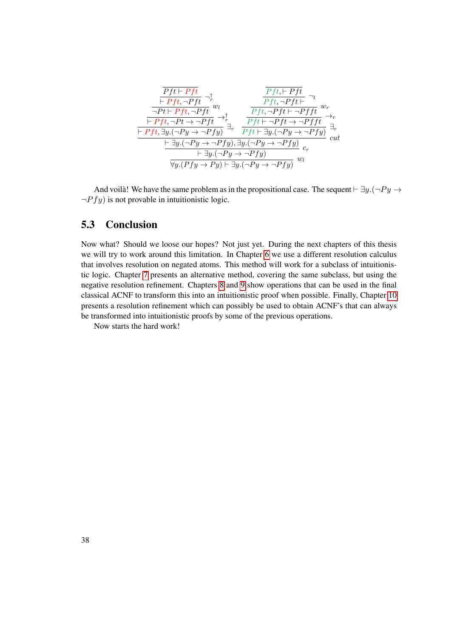| $\overrightarrow{Pft} \rightarrow \overrightarrow{Fft}$ | $\overrightarrow{Pft} \rightarrow \overrightarrow{Fft}$                                  | $\overrightarrow{Pft} \rightarrow \overrightarrow{Pft}$ | $\overrightarrow{Pft} \rightarrow \overrightarrow{Pft}$ | $\overrightarrow{Pft} \rightarrow \overrightarrow{Pft}$ | $\overrightarrow{Pft} \rightarrow \overrightarrow{Pft}$ | $\overrightarrow{Pft} \rightarrow \overrightarrow{Pft} \rightarrow \overrightarrow{Pft}$ | $\overrightarrow{Pft} \rightarrow \overrightarrow{Pft} \rightarrow \overrightarrow{Pft}$ | $\overrightarrow{Pft} \rightarrow \overrightarrow{Pft} \rightarrow \overrightarrow{Pft}$ | $\overrightarrow{Pft} \rightarrow \overrightarrow{Pft} \rightarrow \overrightarrow{Pft}$ | $\overrightarrow{Pft} \rightarrow \overrightarrow{Pft} \rightarrow \overrightarrow{Pft}$ | $\overrightarrow{Pft} \rightarrow \overrightarrow{Pft}$ | $\overrightarrow{Pft} \rightarrow \overrightarrow{Pft}$ | $\overrightarrow{Pft} \rightarrow \overrightarrow{Pft}$ | $\overrightarrow{Pft} \rightarrow \overrightarrow{Pft}$ | $\overrightarrow{Pft} \rightarrow \overrightarrow{Pft}$ | $\overrightarrow{Pft} \rightarrow \overrightarrow{Pft}$ | $\overrightarrow{Pft} \rightarrow \overrightarrow{Pft}$ |
|---------------------------------------------------------|------------------------------------------------------------------------------------------|---------------------------------------------------------|---------------------------------------------------------|---------------------------------------------------------|---------------------------------------------------------|------------------------------------------------------------------------------------------|------------------------------------------------------------------------------------------|------------------------------------------------------------------------------------------|------------------------------------------------------------------------------------------|------------------------------------------------------------------------------------------|---------------------------------------------------------|---------------------------------------------------------|---------------------------------------------------------|---------------------------------------------------------|---------------------------------------------------------|---------------------------------------------------------|---------------------------------------------------------|
| $\overrightarrow{Pft} \rightarrow \overrightarrow{Pft}$ | $\overrightarrow{Pft} \rightarrow \overrightarrow{Pft} \rightarrow \overrightarrow{Pft}$ | $\overrightarrow{Pft} \rightarrow \overrightarrow{Pft}$ | $\overrightarrow{Pft} \rightarrow \overrightarrow{Pft}$ |                                                         |                                                         |                                                                                          |                                                                                          |                                                                                          |                                                                                          |                                                                                          |                                                         |                                                         |                                                         |                                                         |                                                         |                                                         |                                                         |
| $\overrightarrow{Pft} \rightarrow \overrightarrow{Pft}$ | $\overrightarrow{Pft} \rightarrow \overrightarrow{Pft}$                                  |                                                         |                                                         |                                                         |                                                         |                                                                                          |                                                                                          |                                                                                          |                                                                                          |                                                                                          |                                                         |                                                         |                                                         |                                                         |                                                         |                                                         |                                                         |
| $\overrightarrow{Pft} \rightarrow \overrightarrow{Pft}$ | $\overrightarrow{Pft} \rightarrow \overrightarrow{Pft}$                                  | $\overrightarrow{Pft} \rightarrow \overrightarrow{Pft}$ |                                                         |                                                         |                                                         |                                                                                          |                                                                                          |                                                                                          |                                                                                          |                                                                                          |                                                         |                                                         |                                                         |                                                         |                                                         |                                                         |                                                         |
| $\overrightarrow{Pft} \rightarrow \overrightarrow{Pft}$ | <                                                                                        |                                                         |                                                         |                                                         |                                                         |                                                                                          |                                                                                          |                                                                                          |                                                                                          |                                                                                          |                                                         |                                                         |                                                         |                                                         |                                                         |                                                         |                                                         |

And voilà! We have the same problem as in the propositional case. The sequent  $\vdash \exists y.(\neg Py \rightarrow \neg$  $\neg P f y$ ) is not provable in intuitionistic logic.

#### 5.3 Conclusion

Now what? Should we loose our hopes? Not just yet. During the next chapters of this thesis we will try to work around this limitation. In Chapter [6](#page-54-0) we use a different resolution calculus that involves resolution on negated atoms. This method will work for a subclass of intuitionistic logic. Chapter [7](#page-70-0) presents an alternative method, covering the same subclass, but using the negative resolution refinement. Chapters [8](#page-76-0) and [9](#page-88-0) show operations that can be used in the final classical ACNF to transform this into an intuitionistic proof when possible. Finally, Chapter [10](#page-100-0) presents a resolution refinement which can possibly be used to obtain ACNF's that can always be transformed into intuitionistic proofs by some of the previous operations.

Now starts the hard work!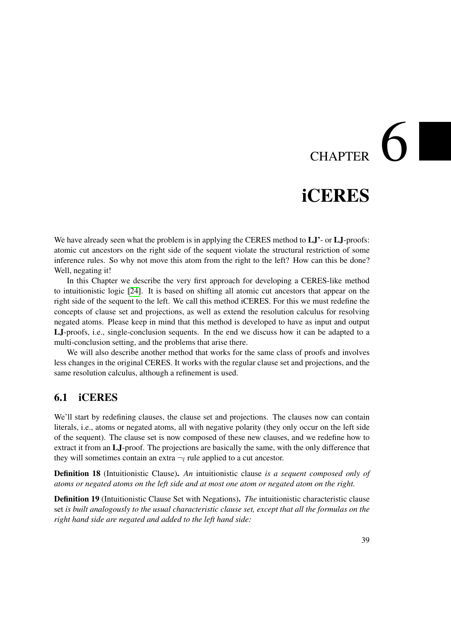# $CHAPTER$   $\bigcirc$

## iCERES

<span id="page-54-0"></span>We have already seen what the problem is in applying the CERES method to  $LJ'$ - or  $LJ$ -proofs: atomic cut ancestors on the right side of the sequent violate the structural restriction of some inference rules. So why not move this atom from the right to the left? How can this be done? Well, negating it!

In this Chapter we describe the very first approach for developing a CERES-like method to intuitionistic logic [\[24\]](#page-183-4). It is based on shifting all atomic cut ancestors that appear on the right side of the sequent to the left. We call this method iCERES. For this we must redefine the concepts of clause set and projections, as well as extend the resolution calculus for resolving negated atoms. Please keep in mind that this method is developed to have as input and output LJ-proofs, i.e., single-conclusion sequents. In the end we discuss how it can be adapted to a multi-conclusion setting, and the problems that arise there.

We will also describe another method that works for the same class of proofs and involves less changes in the original CERES. It works with the regular clause set and projections, and the same resolution calculus, although a refinement is used.

#### 6.1 iCERES

We'll start by redefining clauses, the clause set and projections. The clauses now can contain literals, i.e., atoms or negated atoms, all with negative polarity (they only occur on the left side of the sequent). The clause set is now composed of these new clauses, and we redefine how to extract it from an LJ-proof. The projections are basically the same, with the only difference that they will sometimes contain an extra  $\neg_l$  rule applied to a cut ancestor.

<span id="page-54-2"></span>Definition 18 (Intuitionistic Clause). *An* intuitionistic clause *is a sequent composed only of atoms or negated atoms on the left side and at most one atom or negated atom on the right.*

<span id="page-54-1"></span>Definition 19 (Intuitionistic Clause Set with Negations). *The* intuitionistic characteristic clause set *is built analogously to the usual characteristic clause set, except that all the formulas on the right hand side are negated and added to the left hand side:*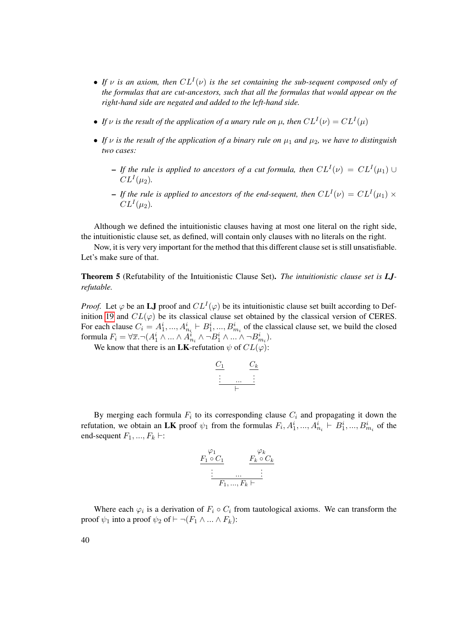- If  $\nu$  is an axiom, then  $CL^{I}(\nu)$  is the set containing the sub-sequent composed only of *the formulas that are cut-ancestors, such that all the formulas that would appear on the right-hand side are negated and added to the left-hand side.*
- If  $\nu$  is the result of the application of a unary rule on  $\mu$ , then  $CL^{I}(\nu) = CL^{I}(\mu)$
- If  $\nu$  is the result of the application of a binary rule on  $\mu_1$  and  $\mu_2$ , we have to distinguish *two cases:*
	- $-$  If the rule is applied to ancestors of a cut formula, then  $CL^{I}(\nu) = CL^{I}(\mu_1) \cup$  $CL^{I}(\mu_2)$ .
	- $-$  If the rule is applied to ancestors of the end-sequent, then  $CL^{I}(\nu) = CL^{I}(\mu_{1}) \times$  $CL^{I}(\mu_2)$ .

Although we defined the intuitionistic clauses having at most one literal on the right side, the intuitionistic clause set, as defined, will contain only clauses with no literals on the right.

Now, it is very very important for the method that this different clause set is still unsatisfiable. Let's make sure of that.

<span id="page-55-0"></span>Theorem 5 (Refutability of the Intuitionistic Clause Set). *The intuitionistic clause set is LJrefutable.*

*Proof.* Let  $\varphi$  be an LJ proof and  $CL^{I}(\varphi)$  be its intuitionistic clause set built according to Def-inition [19](#page-54-1) and  $CL(\varphi)$  be its classical clause set obtained by the classical version of CERES. For each clause  $C_i = A_1^i, ..., A_{n_i}^i \vdash B_1^i, ..., B_{m_i}^i$  of the classical clause set, we build the closed formula  $F_i = \forall \overline{x} . \neg (A_1^i \land ... \land A_{n_i}^i \land \neg B_1^i \land ... \land \neg B_{m_i}^i)$ .

We know that there is an **LK**-refutation  $\psi$  of  $CL(\varphi)$ :

|   | k |
|---|---|
|   |   |
|   |   |
| . |   |
|   |   |

By merging each formula  $F_i$  to its corresponding clause  $C_i$  and propagating it down the refutation, we obtain an LK proof  $\psi_1$  from the formulas  $F_i$ ,  $A_1^i$ , ...,  $A_{n_i}^i \vdash B_1^i$ , ...,  $B_{m_i}^i$  of the end-sequent  $F_1, ..., F_k \vdash$ :

$$
\frac{F_1 \circ C_1}{\vdots} \qquad \frac{F_k \circ C_k}{\vdots}
$$
  
F\_1, ..., F\_k \vdash

Where each  $\varphi_i$  is a derivation of  $F_i \circ C_i$  from tautological axioms. We can transform the proof  $\psi_1$  into a proof  $\psi_2$  of  $\vdash \neg (F_1 \land ... \land F_k)$ :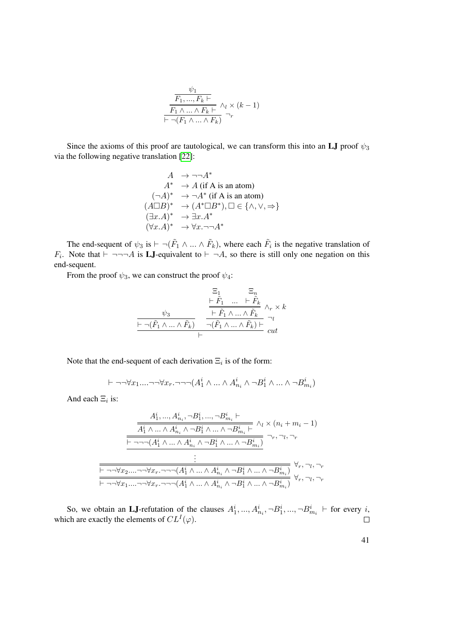$$
\frac{\psi_1}{\frac{F_1, ..., F_k \vdash}{F_1 \land ... \land F_k \vdash} \land_l \times (k-1)} \\
 \vdash \neg(F_1 \land ... \land F_k) \neg_r
$$

Since the axioms of this proof are tautological, we can transform this into an LJ proof  $\psi_3$ via the following negative translation [\[22\]](#page-183-5):

$$
A \rightarrow \neg\neg A^*
$$
  
\n
$$
A^* \rightarrow A \text{ (if A is an atom)}
$$
  
\n
$$
(\neg A)^* \rightarrow \neg A^* \text{ (if A is an atom)}
$$
  
\n
$$
(A \Box B)^* \rightarrow (A^* \Box B^*), \Box \in \{\land, \lor, \Rightarrow\}
$$
  
\n
$$
(\exists x.A)^* \rightarrow \exists x.A^*
$$
  
\n
$$
(\forall x.A)^* \rightarrow \forall x.\neg\neg A^*
$$

The end-sequent of  $\psi_3$  is  $\vdash \neg(\tilde{F}_1 \wedge ... \wedge \tilde{F}_k)$ , where each  $\tilde{F}_i$  is the negative translation of  $F_i$ . Note that  $\vdash \neg \neg \neg A$  is **LJ**-equivalent to  $\vdash \neg A$ , so there is still only one negation on this end-sequent.

From the proof  $\psi_3$ , we can construct the proof  $\psi_4$ :

$$
\begin{array}{ccccc}&&\Xi_1&\Xi_n\\ \psi_3&&\dfrac{\vdash \tilde{F_1}&\ldots&\vdash \tilde{F_k}\\ \hline &\vdash \tilde{F_1}\wedge\ldots\wedge \tilde{F_k}\\\hline &\vdash \neg(\tilde{F_1}\wedge\ldots\wedge \tilde{F_k})&\neg(\tilde{F_1}\wedge\ldots\wedge \tilde{F_k})\vdash\\ \hline &\vdash&&\neg u\\ \end{array} \text{ } \begin{array}{c}\Xi_n\\ \hline \vdash \tilde{F_1}\wedge\ldots\wedge \tilde{F_k}\\\hline \neg(\tilde{F_1}\wedge\ldots\wedge \tilde{F_k})\vdash\\ \vdots\\ \end{array} \text{ } \begin{array}{c}\Xi_n\\ \hline \vdots\\ \end{array}
$$

Note that the end-sequent of each derivation  $\Xi_i$  is of the form:

$$
\vdash \neg\neg\forall x_1 \dots \neg\neg\forall x_r \dots \neg\neg(A_1^i \land \dots \land A_{n_i}^i \land \neg B_1^i \land \dots \land \neg B_{m_i}^i)
$$

And each  $\Xi_i$  is:

$$
\frac{A_1^i, ..., A_{n_i}^i, \neg B_1^i, ..., \neg B_{m_i}^i \vdash}{\overline{A_1^i \land ... \land A_{n_i}^i \land \neg B_1^i \land ... \land \neg B_{m_i}^i \vdash} \land_l \times (n_i + m_i - 1)}
$$
\n
$$
\frac{\overline{A_1^i \land ... \land A_{n_i}^i \land \neg B_1^i \land ... \land \neg B_{m_i}^i \vdash}}{\vdots}
$$
\n
$$
\frac{\vdots}{\vdots}
$$
\n
$$
\frac{\neg \neg \forall x_2 ... \neg \neg \forall x_r . \neg \neg (A_1^i \land ... \land A_{n_i}^i \land \neg B_1^i \land ... \land \neg B_{m_i}^i)}{\forall r, \neg l, \neg r}
$$
\n
$$
\forall r, \neg l, \neg r}
$$
\n
$$
\frac{\forall r, \neg l, \neg r}
$$
\n
$$
\frac{\forall r, \neg l, \neg r}
$$
\n
$$
\frac{\forall r, \neg l, \neg r}
$$

So, we obtain an LJ-refutation of the clauses  $A_1^i, ..., A_{n_i}^i, \neg B_1^i, ..., \neg B_{m_i}^i$   $\vdash$  for every i, which are exactly the elements of  $CL^{I}(\varphi)$ .  $\Box$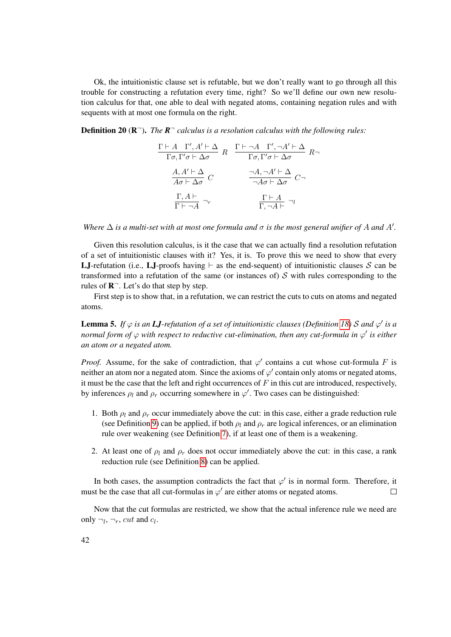Ok, the intuitionistic clause set is refutable, but we don't really want to go through all this trouble for constructing a refutation every time, right? So we'll define our own new resolution calculus for that, one able to deal with negated atoms, containing negation rules and with sequents with at most one formula on the right.

**Definition 20** ( $\mathbb{R}^-$ ). The  $\mathbb{R}^-$  calculus is a resolution calculus with the following rules:

$$
\frac{\Gamma \vdash A \quad \Gamma', A' \vdash \Delta}{\Gamma \sigma, \Gamma' \sigma \vdash \Delta \sigma} \quad R \quad \frac{\Gamma \vdash \neg A \quad \Gamma', \neg A' \vdash \Delta}{\Gamma \sigma, \Gamma' \sigma \vdash \Delta \sigma} \quad R \neg A
$$
\n
$$
\frac{A, A' \vdash \Delta}{A \sigma \vdash \Delta \sigma} \quad C \qquad \frac{\neg A, \neg A' \vdash \Delta}{\neg A \sigma \vdash \Delta \sigma} \quad C \neg A
$$
\n
$$
\frac{\Gamma, A \vdash}{\Gamma \vdash \neg A} \neg r \qquad \frac{\Gamma \vdash A}{\Gamma, \neg A \vdash} \neg l
$$

*Where*  $\Delta$  *is a multi-set with at most one formula and*  $\sigma$  *is the most general unifier of* A and A'.

Given this resolution calculus, is it the case that we can actually find a resolution refutation of a set of intuitionistic clauses with it? Yes, it is. To prove this we need to show that every **LJ**-refutation (i.e., LJ-proofs having  $\vdash$  as the end-sequent) of intuitionistic clauses S can be transformed into a refutation of the same (or instances of)  $S$  with rules corresponding to the rules of  $\mathbb{R}^{-}$ . Let's do that step by step.

First step is to show that, in a refutation, we can restrict the cuts to cuts on atoms and negated atoms.

<span id="page-57-0"></span>**Lemma 5.** If  $\varphi$  is an **LJ**-refutation of a set of intuitionistic clauses (Definition [18\)](#page-54-2) S and  $\varphi'$  is a *normal form of*  $\varphi$  *with respect to reductive cut-elimination, then any cut-formula in*  $\varphi'$  *is either an atom or a negated atom.*

*Proof.* Assume, for the sake of contradiction, that  $\varphi'$  contains a cut whose cut-formula F is neither an atom nor a negated atom. Since the axioms of  $\varphi'$  contain only atoms or negated atoms, it must be the case that the left and right occurrences of  $F$  in this cut are introduced, respectively, by inferences  $\rho_l$  and  $\rho_r$  occurring somewhere in  $\varphi'$ . Two cases can be distinguished:

- 1. Both  $\rho_l$  and  $\rho_r$  occur immediately above the cut: in this case, either a grade reduction rule (see Definition [9\)](#page-30-0) can be applied, if both  $\rho_l$  and  $\rho_r$  are logical inferences, or an elimination rule over weakening (see Definition [7\)](#page-30-1), if at least one of them is a weakening.
- 2. At least one of  $\rho_l$  and  $\rho_r$  does not occur immediately above the cut: in this case, a rank reduction rule (see Definition [8\)](#page-30-2) can be applied.

In both cases, the assumption contradicts the fact that  $\varphi'$  is in normal form. Therefore, it must be the case that all cut-formulas in  $\varphi'$  are either atoms or negated atoms.  $\Box$ 

Now that the cut formulas are restricted, we show that the actual inference rule we need are only  $\neg_l$ ,  $\neg_r$ , cut and  $c_l$ .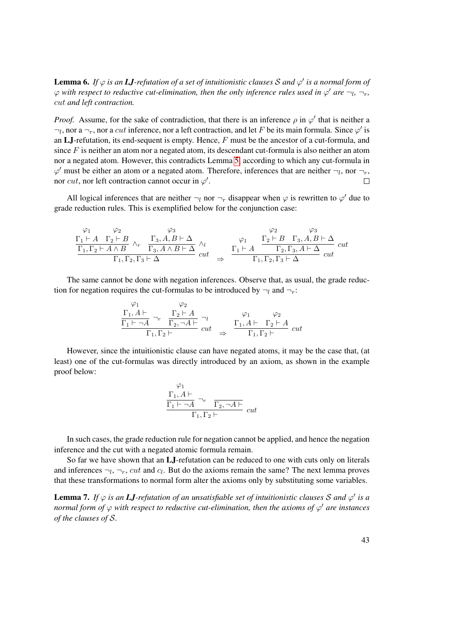<span id="page-58-0"></span>**Lemma 6.** If  $\varphi$  is an **LJ**-refutation of a set of intuitionistic clauses S and  $\varphi'$  is a normal form of  $\varphi$  with respect to reductive cut-elimination, then the only inference rules used in  $\varphi'$  are  $\neg_l$ ,  $\neg_r$ , cut *and left contraction.*

*Proof.* Assume, for the sake of contradiction, that there is an inference  $\rho$  in  $\varphi'$  that is neither a  $\neg_l$ , nor a  $\neg_r$ , nor a cut inference, nor a left contraction, and let F be its main formula. Since  $\varphi'$  is an  $LJ$ -refutation, its end-sequent is empty. Hence,  $F$  must be the ancestor of a cut-formula, and since  $F$  is neither an atom nor a negated atom, its descendant cut-formula is also neither an atom nor a negated atom. However, this contradicts Lemma [5,](#page-57-0) according to which any cut-formula in  $\varphi'$  must be either an atom or a negated atom. Therefore, inferences that are neither  $\neg_l$ , nor  $\neg_r$ , nor cut, nor left contraction cannot occur in  $\varphi'$ .  $\Box$ 

All logical inferences that are neither  $\neg_l$  nor  $\neg_r$  disappear when  $\varphi$  is rewritten to  $\varphi'$  due to grade reduction rules. This is exemplified below for the conjunction case:

$$
\frac{\begin{array}{ccccc}\n\varphi_1 & \varphi_2 & \varphi_3 & \varphi_2 & \varphi_3 \\
\Gamma_1 \vdash A & \Gamma_2 \vdash B & \wedge_r & \Gamma_3, A, B \vdash \Delta \\
\hline\n\Gamma_1, \Gamma_2 \vdash A \land B & \Gamma_3, A \land B \vdash \Delta & cut \\
\Gamma_1, \Gamma_2, \Gamma_3 \vdash \Delta & \end{array}\n\quad\n\begin{array}{ccccc}\n\varphi_1 & \Gamma_2 \vdash B & \Gamma_3, A, B \vdash \Delta \\
\varphi_1 & \Gamma_2 \vdash B & \Gamma_3, A \land B \vdash \Delta \\
\hline\n\Gamma_1 \vdash A & \Gamma_2, \Gamma_3, A \vdash \Delta & cut\n\end{array} cut
$$

The same cannot be done with negation inferences. Observe that, as usual, the grade reduction for negation requires the cut-formulas to be introduced by  $\neg_l$  and  $\neg_r$ :

 $\lambda$ 

 $\overline{10}$ 

$$
\frac{\Gamma_1, A \vdash}{\Gamma_1 \vdash \neg A} \neg_r \quad \frac{\Gamma_2 \vdash A}{\Gamma_2, \neg A \vdash} \neg_l \qquad \varphi_1 \qquad \varphi_2
$$
\n
$$
\frac{\Gamma_1 \vdash \neg A}{\Gamma_1, \Gamma_2 \vdash} \qquad cut \qquad \Rightarrow \qquad \frac{\Gamma_1, A \vdash \Gamma_2 \vdash A}{\Gamma_1, \Gamma_2 \vdash} \quad cut
$$

However, since the intuitionistic clause can have negated atoms, it may be the case that, (at least) one of the cut-formulas was directly introduced by an axiom, as shown in the example proof below:

$$
\frac{\Gamma_1, A \vdash}{\Gamma_1 \vdash \neg A} \neg r \quad \overline{\Gamma_2, \neg A \vdash}
$$
  

$$
\Gamma_1, \Gamma_2 \vdash
$$
 cut

In such cases, the grade reduction rule for negation cannot be applied, and hence the negation inference and the cut with a negated atomic formula remain.

So far we have shown that an LJ-refutation can be reduced to one with cuts only on literals and inferences  $\neg_l, \neg_r, cut$  and  $c_l$ . But do the axioms remain the same? The next lemma proves that these transformations to normal form alter the axioms only by substituting some variables.

<span id="page-58-1"></span>**Lemma 7.** If  $\varphi$  is an **LJ**-refutation of an unsatisfiable set of intuitionistic clauses S and  $\varphi'$  is a *normal form of*  $\varphi$  *with respect to reductive cut-elimination, then the axioms of*  $\varphi'$  *are instances of the clauses of* S*.*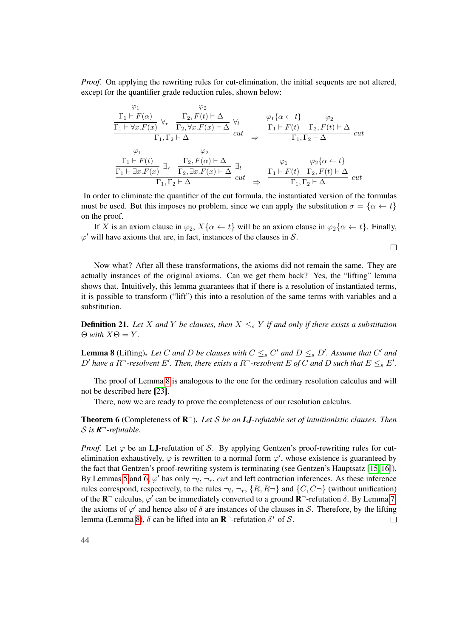*Proof.* On applying the rewriting rules for cut-elimination, the initial sequents are not altered, except for the quantifier grade reduction rules, shown below:

$$
\frac{\varphi_1}{\Gamma_1 \vdash F(\alpha)} \quad \frac{\varphi_2}{\Gamma_2, F(x)} \quad \frac{\Gamma_2, F(t) \vdash \Delta}{\Gamma_1, \Gamma_2 \vdash \Delta} \quad \frac{\varphi_1 \{\alpha \leftarrow t\}}{\alpha} \quad \frac{\varphi_2}{\Gamma_1 \vdash F(t)} \quad \frac{\varphi_2}{\Gamma_2, F(t) \vdash \Delta} \quad \frac{\varphi_1 \{\alpha \leftarrow t\}}{\alpha} \quad \frac{\varphi_2 \Gamma_1 \vdash F(t)}{\Gamma_1, \Gamma_2 \vdash \Delta} \quad \frac{\varphi_2}{\alpha} \quad \frac{\varphi_2}{\Gamma_1, \Gamma_2 \vdash \Delta} \quad \frac{\varphi_2}{\Gamma_1 \vdash F(t)} \quad \frac{\varphi_2}{\Gamma_1 \vdash \Delta} \quad \frac{\varphi_2 \{\alpha \leftarrow t\}}{\Gamma_1 \vdash \exists x. F(x)} \quad \frac{\varphi_2 \{\alpha \leftarrow t\}}{\Gamma_2, \exists x. F(x) \vdash \Delta} \quad \frac{\varphi_2 \{\alpha \leftarrow t\}}{\alpha} \quad \frac{\varphi_2 \{\alpha \leftarrow t\}}{\Gamma_1, \Gamma_2 \vdash \Delta} \quad \frac{\varphi_2 \{\alpha \leftarrow t\}}{\Gamma_1, \Gamma_2 \vdash \Delta} \quad \frac{\varphi_2 \{\alpha \leftarrow t\}}{\Gamma_1, \Gamma_2 \vdash \Delta} \quad \frac{\varphi_2 \{\alpha \leftarrow t\}}{\alpha} \quad \frac{\varphi_2 \{\alpha \leftarrow t\}}{\alpha} \quad \frac{\varphi_2 \{\alpha \leftarrow t\}}{\alpha} \quad \frac{\varphi_2 \{\alpha \leftarrow t\}}{\alpha} \quad \frac{\varphi_2 \{\alpha \leftarrow t\}}{\alpha} \quad \frac{\varphi_2 \{\alpha \leftarrow t\}}{\alpha} \quad \frac{\varphi_2 \{\alpha \leftarrow t\}}{\alpha} \quad \frac{\varphi_2 \{\alpha \leftarrow t\}}{\alpha} \quad \frac{\varphi_2 \{\alpha \leftarrow t\}}{\alpha} \quad \frac{\varphi_2 \{\alpha \leftarrow t\}}{\alpha} \quad \frac{\varphi_2 \{\alpha \leftarrow t\}}{\alpha} \quad \frac{\varphi_2 \{\alpha \leftarrow t\}}{\alpha} \quad \frac{\varphi_2 \{\alpha \leftarrow t\}}{\alpha} \quad \frac{\varphi_2 \{\alpha \leftarrow t\}}{\alpha} \quad \frac{\varphi_2 \
$$

In order to eliminate the quantifier of the cut formula, the instantiated version of the formulas must be used. But this imposes no problem, since we can apply the substitution  $\sigma = {\alpha \leftarrow t}$ on the proof.

If X is an axiom clause in  $\varphi_2$ ,  $X\{\alpha \leftarrow t\}$  will be an axiom clause in  $\varphi_2\{\alpha \leftarrow t\}$ . Finally,  $\varphi'$  will have axioms that are, in fact, instances of the clauses in S.

 $\Box$ 

Now what? After all these transformations, the axioms did not remain the same. They are actually instances of the original axioms. Can we get them back? Yes, the "lifting" lemma shows that. Intuitively, this lemma guarantees that if there is a resolution of instantiated terms, it is possible to transform ("lift") this into a resolution of the same terms with variables and a substitution.

**Definition 21.** Let X and Y be clauses, then  $X \leq_{s} Y$  if and only if there exists a substitution  $\Theta$  *with*  $X\Theta = Y$ *.* 

<span id="page-59-0"></span>**Lemma 8** (Lifting). Let C and D be clauses with  $C \leq_s C'$  and  $D \leq_s D'$ . Assume that C' and  $D'$  have a R<sup>-</sup>-resolvent E'. Then, there exists a R<sup>-</sup>-resolvent E of C and D such that  $E \leq_{s} E'$ .

The proof of Lemma [8](#page-59-0) is analogous to the one for the ordinary resolution calculus and will not be described here [\[23\]](#page-183-6).

There, now we are ready to prove the completeness of our resolution calculus.

<span id="page-59-1"></span>Theorem 6 (Completeness of R <sup>¬</sup>). *Let* S *be an LJ-refutable set of intuitionistic clauses. Then* S *is R* <sup>¬</sup>*-refutable.*

*Proof.* Let  $\varphi$  be an LJ-refutation of S. By applying Gentzen's proof-rewriting rules for cutelimination exhaustively,  $\varphi$  is rewritten to a normal form  $\varphi'$ , whose existence is guaranteed by the fact that Gentzen's proof-rewriting system is terminating (see Gentzen's Hauptsatz [\[15,](#page-183-7) [16\]](#page-183-8)). By Lemmas [5](#page-57-0) and [6,](#page-58-0)  $\varphi'$  has only  $\neg_l, \neg_r, cut$  and left contraction inferences. As these inference rules correspond, respectively, to the rules  $\neg_l$ ,  $\neg_r$ ,  $\{R, R\neg\}$  and  $\{C, C\neg\}$  (without unification) of the  $\mathbf{R}^-$  calculus,  $\varphi'$  can be immediately converted to a ground  $\mathbf{R}^-$ -refutation  $\delta$ . By Lemma [7,](#page-58-1) the axioms of  $\varphi'$  and hence also of  $\delta$  are instances of the clauses in S. Therefore, by the lifting lemma (Lemma [8\)](#page-59-0),  $\delta$  can be lifted into an **R**<sup>-</sup>-refutation  $\delta^*$  of S.  $\Box$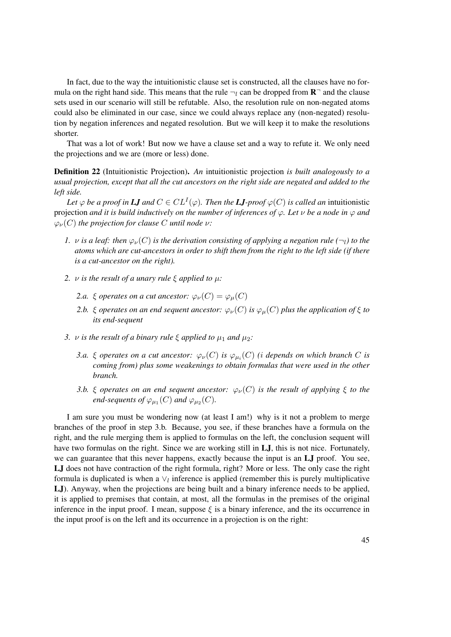In fact, due to the way the intuitionistic clause set is constructed, all the clauses have no formula on the right hand side. This means that the rule  $\neg_l$  can be dropped from  $\mathbb{R}^-$  and the clause sets used in our scenario will still be refutable. Also, the resolution rule on non-negated atoms could also be eliminated in our case, since we could always replace any (non-negated) resolution by negation inferences and negated resolution. But we will keep it to make the resolutions shorter.

That was a lot of work! But now we have a clause set and a way to refute it. We only need the projections and we are (more or less) done.

<span id="page-60-0"></span>Definition 22 (Intuitionistic Projection). *An* intuitionistic projection *is built analogously to a usual projection, except that all the cut ancestors on the right side are negated and added to the left side.*

Let  $\varphi$  *be a proof in LJ and*  $C \in CL^I(\varphi)$ *. Then the LJ-proof*  $\varphi(C)$  *is called an* intuitionistic projection *and it is build inductively on the number of inferences of*  $\varphi$ *. Let*  $\nu$  *be a node in*  $\varphi$  *and*  $\varphi_{\nu}(C)$  *the projection for clause C until node*  $\nu$ *:* 

- *1.*  $\nu$  *is a leaf: then*  $\varphi_{\nu}(C)$  *is the derivation consisting of applying a negation rule* ( $\neg$ *l*) *to the atoms which are cut-ancestors in order to shift them from the right to the left side (if there is a cut-ancestor on the right).*
- *2.* ν *is the result of a unary rule* ξ *applied to* µ*:*
	- *2.a.*  $\xi$  *operates on a cut ancestor:*  $\varphi_{\nu}(C) = \varphi_{\mu}(C)$
	- 2.b.  $\xi$  *operates on an end sequent ancestor:*  $\varphi_{\nu}(C)$  *is*  $\varphi_{\mu}(C)$  *plus the application of*  $\xi$  *to its end-sequent*
- *3. v is the result of a binary rule*  $\xi$  *applied to*  $\mu_1$  *and*  $\mu_2$ *:* 
	- *3.a.*  $\xi$  *operates on a cut ancestor:*  $\varphi_{\nu}(C)$  *is*  $\varphi_{\mu_i}(C)$  *(i depends on which branch C is coming from) plus some weakenings to obtain formulas that were used in the other branch.*
	- *3.b.*  $\xi$  *operates on an end sequent ancestor:*  $\varphi_{\nu}(C)$  *is the result of applying*  $\xi$  *to the end-sequents of*  $\varphi_{\mu_1}(C)$  *and*  $\varphi_{\mu_2}(C)$ *.*

I am sure you must be wondering now (at least I am!) why is it not a problem to merge branches of the proof in step 3.b. Because, you see, if these branches have a formula on the right, and the rule merging them is applied to formulas on the left, the conclusion sequent will have two formulas on the right. Since we are working still in LJ, this is not nice. Fortunately, we can guarantee that this never happens, exactly because the input is an LJ proof. You see, LJ does not have contraction of the right formula, right? More or less. The only case the right formula is duplicated is when a  $\vee_l$  inference is applied (remember this is purely multiplicative LJ). Anyway, when the projections are being built and a binary inference needs to be applied, it is applied to premises that contain, at most, all the formulas in the premises of the original inference in the input proof. I mean, suppose  $\xi$  is a binary inference, and the its occurrence in the input proof is on the left and its occurrence in a projection is on the right: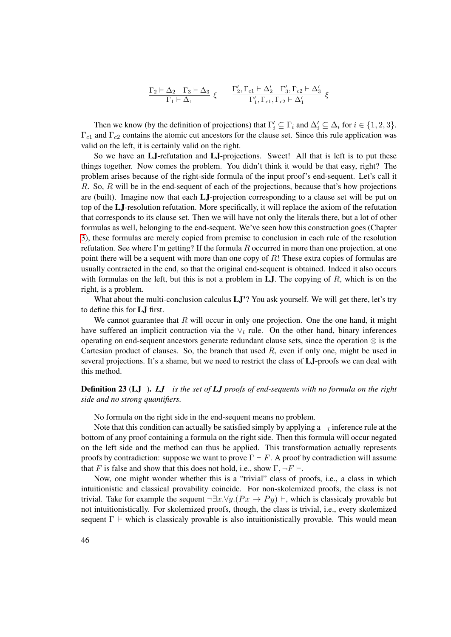$$
\begin{array}{cc}\n\Gamma_2 \vdash \Delta_2 & \Gamma_3 \vdash \Delta_3 \\
\hline\n\Gamma_1 \vdash \Delta_1\n\end{array} \xi \qquad\n\begin{array}{cc}\n\Gamma_2', \Gamma_{c1} \vdash \Delta_2' & \Gamma_3', \Gamma_{c2} \vdash \Delta_3' \\
\Gamma_1', \Gamma_{c1}, \Gamma_{c2} \vdash \Delta_1'\n\end{array} \xi\n\end{array}
$$

Then we know (by the definition of projections) that  $\Gamma'_i \subseteq \Gamma_i$  and  $\Delta'_i \subseteq \Delta_i$  for  $i \in \{1, 2, 3\}$ .  $\Gamma_{c1}$  and  $\Gamma_{c2}$  contains the atomic cut ancestors for the clause set. Since this rule application was valid on the left, it is certainly valid on the right.

So we have an LJ-refutation and LJ-projections. Sweet! All that is left is to put these things together. Now comes the problem. You didn't think it would be that easy, right? The problem arises because of the right-side formula of the input proof's end-sequent. Let's call it R. So, R will be in the end-sequent of each of the projections, because that's how projections are (built). Imagine now that each LJ-projection corresponding to a clause set will be put on top of the LJ-resolution refutation. More specifically, it will replace the axiom of the refutation that corresponds to its clause set. Then we will have not only the literals there, but a lot of other formulas as well, belonging to the end-sequent. We've seen how this construction goes (Chapter [3\)](#page-34-0), these formulas are merely copied from premise to conclusion in each rule of the resolution refutation. See where I'm getting? If the formula R occurred in more than one projection, at one point there will be a sequent with more than one copy of  $R!$  These extra copies of formulas are usually contracted in the end, so that the original end-sequent is obtained. Indeed it also occurs with formulas on the left, but this is not a problem in  $LJ$ . The copying of R, which is on the right, is a problem.

What about the multi-conclusion calculus LJ'? You ask yourself. We will get there, let's try to define this for LJ first.

We cannot guarantee that  $R$  will occur in only one projection. One the one hand, it might have suffered an implicit contraction via the  $\vee_l$  rule. On the other hand, binary inferences operating on end-sequent ancestors generate redundant clause sets, since the operation  $\otimes$  is the Cartesian product of clauses. So, the branch that used  $R$ , even if only one, might be used in several projections. It's a shame, but we need to restrict the class of LJ-proofs we can deal with this method.

#### <span id="page-61-0"></span>Definition 23 (LJ−). *LJ*<sup>−</sup> *is the set of LJ proofs of end-sequents with no formula on the right side and no strong quantifiers.*

No formula on the right side in the end-sequent means no problem.

Note that this condition can actually be satisfied simply by applying a  $\neg_l$  inference rule at the bottom of any proof containing a formula on the right side. Then this formula will occur negated on the left side and the method can thus be applied. This transformation actually represents proofs by contradiction: suppose we want to prove  $\Gamma \vdash F$ . A proof by contradiction will assume that F is false and show that this does not hold, i.e., show  $\Gamma$ ,  $\neg F \vdash$ .

Now, one might wonder whether this is a "trivial" class of proofs, i.e., a class in which intuitionistic and classical provability coincide. For non-skolemized proofs, the class is not trivial. Take for example the sequent  $\neg \exists x. \forall y. (Px \rightarrow Py) \vdash$ , which is classicaly provable but not intuitionistically. For skolemized proofs, though, the class is trivial, i.e., every skolemized sequent  $\Gamma \vdash$  which is classicaly provable is also intuitionistically provable. This would mean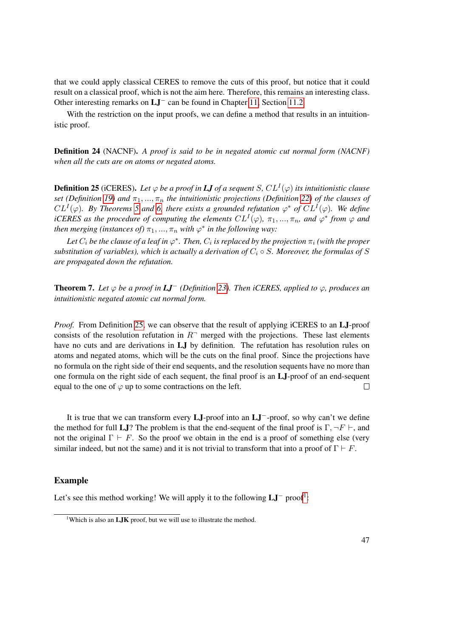that we could apply classical CERES to remove the cuts of this proof, but notice that it could result on a classical proof, which is not the aim here. Therefore, this remains an interesting class. Other interesting remarks on LJ<sup>−</sup> can be found in Chapter [11,](#page-106-0) Section [11.2.](#page-108-0)

With the restriction on the input proofs, we can define a method that results in an intuitionistic proof.

Definition 24 (NACNF). *A proof is said to be in negated atomic cut normal form (NACNF) when all the cuts are on atoms or negated atoms.*

<span id="page-62-0"></span>**Definition 25** (iCERES). Let  $\varphi$  be a proof in **LJ** of a sequent S,  $CL^{I}(\varphi)$  its intuitionistic clause *set (Definition [19\)](#page-54-1)* and  $\pi_1, ..., \pi_n$  *the intuitionistic projections (Definition [22\)](#page-60-0) of the clauses of*  $CL^{I}(\varphi)$ . By Theorems [5](#page-55-0) and [6,](#page-59-1) there exists a grounded refutation  $\varphi^*$  of  $CL^{I}(\varphi)$ . We define *iCERES as the procedure of computing the elements*  $CL^{I}(\varphi)$ ,  $\pi_1, ..., \pi_n$ , and  $\varphi^*$  from  $\varphi$  and *then merging (instances of)*  $\pi_1, ..., \pi_n$  *with*  $\varphi^*$  *in the following way:* 

Let  $C_i$  be the clause of a leaf in  $\varphi^*$ . Then,  $C_i$  is replaced by the projection  $\pi_i$  (with the proper *substitution of variables), which is actually a derivation of*  $C_i \circ S$ *. Moreover, the formulas of* S *are propagated down the refutation.*

**Theorem 7.** Let  $\varphi$  be a proof in  $LI^-$  (Definition [23\)](#page-61-0). Then iCERES, applied to  $\varphi$ , produces an *intuitionistic negated atomic cut normal form.*

*Proof.* From Definition [25,](#page-62-0) we can observe that the result of applying iCERES to an LJ-proof consists of the resolution refutation in  $R<sup>-</sup>$  merged with the projections. These last elements have no cuts and are derivations in LJ by definition. The refutation has resolution rules on atoms and negated atoms, which will be the cuts on the final proof. Since the projections have no formula on the right side of their end sequents, and the resolution sequents have no more than one formula on the right side of each sequent, the final proof is an LJ-proof of an end-sequent equal to the one of  $\varphi$  up to some contractions on the left.  $\Box$ 

It is true that we can transform every LJ-proof into an LJ−-proof, so why can't we define the method for full LJ? The problem is that the end-sequent of the final proof is  $\Gamma, \neg F \vdash$ , and not the original  $\Gamma \vdash F$ . So the proof we obtain in the end is a proof of something else (very similar indeed, but not the same) and it is not trivial to transform that into a proof of  $\Gamma \vdash F$ .

#### Example

Let's see this method working! We will apply it to the following  $LI^-$  proof<sup>[1](#page-62-1)</sup>:

<span id="page-62-1"></span><sup>&</sup>lt;sup>1</sup>Which is also an **LJK** proof, but we will use to illustrate the method.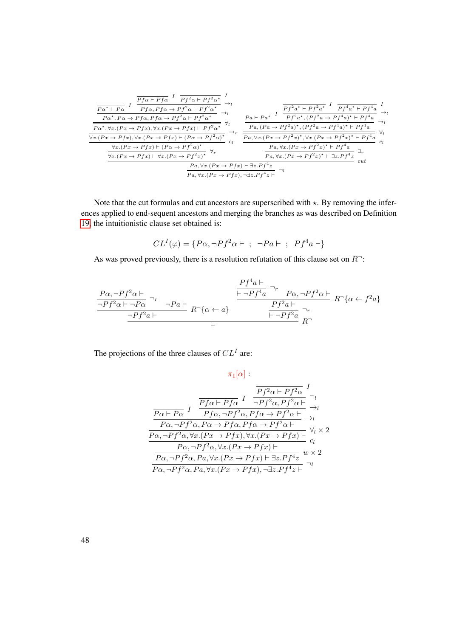$$
\frac{\frac{p_{\alpha^*} + p_{\alpha} I}{P_{f\alpha} + P_{f\alpha} P_{f\alpha} + P_{f\alpha} P_{f\alpha} + P_{f\alpha} P_{f\alpha} P_{f\alpha} + P_{f\alpha} P_{f\alpha} P_{f\alpha} P_{f\alpha} P_{f\alpha} P_{f\alpha} P_{f\alpha} P_{f\alpha} P_{f\alpha} P_{f\alpha} P_{f\alpha} P_{f\alpha} P_{f\alpha} P_{f\alpha} P_{f\alpha} P_{f\alpha} P_{f\alpha} P_{f\alpha} P_{f\alpha} P_{f\alpha} P_{f\alpha} P_{f\alpha} P_{f\alpha} P_{f\alpha} P_{f\alpha} P_{f\alpha} P_{f\alpha} P_{f\alpha} P_{f\alpha} P_{f\alpha} P_{f\alpha} P_{f\alpha} P_{f\alpha} P_{f\alpha} P_{f\alpha} P_{f\alpha} P_{f\alpha} P_{f\alpha} P_{f\alpha} P_{f\alpha} P_{f\alpha} P_{f\alpha} P_{f\alpha} P_{f\alpha} P_{f\alpha} P_{f\alpha} P_{f\alpha} P_{f\alpha} P_{f\alpha} P_{f\alpha} P_{f\alpha} P_{f\alpha} P_{f\alpha} P_{f\alpha} P_{f\alpha} P_{f\alpha} P_{f\alpha} P_{f\alpha} P_{f\alpha} P_{f\alpha} P_{f\alpha} P_{f\alpha} P_{f\alpha} P_{f\alpha} P_{f\alpha} P_{f\alpha} P_{f\alpha} P_{f\alpha} P_{f\alpha} P_{f\alpha} P_{f\alpha} P_{f\alpha} P_{f\alpha} P_{f\alpha} P_{f\alpha} P_{f\alpha} P_{f\alpha} P_{f\alpha} P_{f\alpha} P_{f\alpha} P_{f\alpha} P_{f\alpha} P_{f\alpha} P_{f\alpha} P_{f\alpha} P_{f\alpha} P_{f\alpha} P_{f\alpha} P_{f\alpha} P_{f\alpha} P_{f\alpha} P_{f\alpha} P_{f\alpha} P_{f\alpha} P_{f\alpha} P_{f\alpha} P_{f\alpha} P_{f\alpha} P_{f\alpha} P_{f\alpha} P_{f\alpha} P_{f\alpha} P_{f\alpha} P_{f\alpha} P_{f\alpha} P_{f\alpha} P_{f\alpha} P_{f\alpha} P_{f\alpha} P_{f\alpha} P_{f\alpha} P_{f\alpha} P_{f\alpha} P_{f\alpha} P_{f\
$$

Note that the cut formulas and cut ancestors are superscribed with  $\star$ . By removing the inferences applied to end-sequent ancestors and merging the branches as was described on Definition [19,](#page-54-1) the intuitionistic clause set obtained is:

$$
CL^{I}(\varphi) = \{P\alpha, \neg Pf^{2}\alpha \vdash ; \neg Pa \vdash ; Pf^{4}a \vdash\}
$$

As was proved previously, there is a resolution refutation of this clause set on  $R^-$ :

$$
\frac{Pf^{2}\alpha \vdash}{\neg Pf^{2}\alpha \vdash \neg Pg} \neg_r \qquad \neg Pa \vdash \qquad R \neg \{a \leftarrow a\} \qquad \frac{Pf^{4}a \vdash}{\neg Pf^{2}a \vdash} \neg Pg^{2}\alpha \vdash R \neg \{a \leftarrow f^{2}a\} \qquad \frac{Pf^{2}a \vdash}{\vdash \neg Pf^{2}a \vdash} \neg r} \qquad R \neg \{a \leftarrow f^{2}a\} \qquad \vdash
$$

The projections of the three clauses of  $CL^{I}$  are:

 $\pi_1[\alpha]$  :

$$
\frac{\frac{\overline{Pf^2\alpha \vdash Pf^2\alpha}}{P\alpha \vdash P\alpha} \underset{I}{I} \xrightarrow{\overline{Pf^2\alpha \vdash Pf^2\alpha} \underset{I}{I}} \underset{\gamma}{\overline{Pf^2\alpha \vdash Pf^2\alpha \vdash f^2\alpha \vdash}} \rightarrow_l
$$
\n
$$
\frac{\overline{P\alpha \vdash P\alpha} \underset{I}{I} \xrightarrow{I} \underset{I}{I} \underset{\gamma}{I} \xrightarrow{\gamma} \underset{\gamma}{I} \xrightarrow{\gamma} \underset{\gamma}{I}} \underset{\gamma}{\overline{P\alpha, \neg Pf^2\alpha, P\alpha \rightarrow Pf\alpha, Pf\alpha \rightarrow Pf^2\alpha \vdash}} \rightarrow_l
$$
\n
$$
\frac{\overline{P\alpha, \neg Pf^2\alpha, \forall x. (Px \rightarrow Pfx), \forall x. (Px \rightarrow Pfx) \vdash}}{\overline{P\alpha, \neg Pf^2\alpha, \forall x. (Px \rightarrow Pfx) \vdash}} \underset{\gamma}{\overline{P\alpha, \neg Pf^2\alpha, P\alpha, \forall x. (Px \rightarrow Pfx) \vdash \exists z. Pf^4z}} \overset{\gamma}{\approx} \frac{\overline{P\alpha, \neg Pf^2\alpha, P\alpha, \forall x. (Px \rightarrow Pfx) \vdash \exists z. Pf^4z}}{\overline{P\alpha, \neg Pf^2\alpha, P\alpha, \forall x. (Px \rightarrow Pfx) \vdash \exists z. Pf^4z}} \overset{\gamma}{\approx}
$$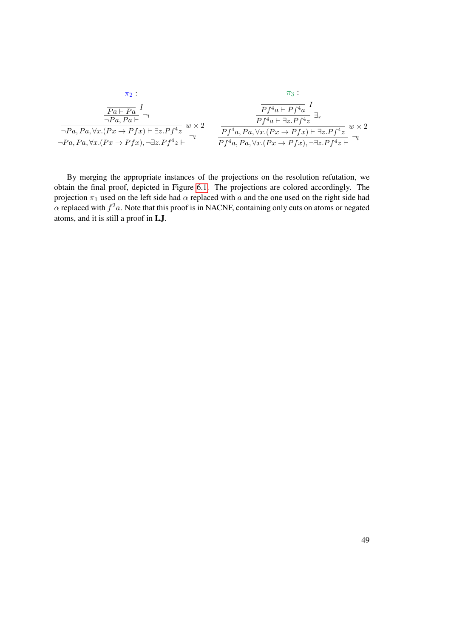$$
\pi_2: \qquad \pi_3: \\
\frac{\overline{Pa} + \overline{Pa}}{\neg Pa, Pa} \xrightarrow{I} \qquad \qquad \frac{\overline{Pf^4a + Pf^4a}}{\neg Pa, Pa, \forall x. (Px \to Pfx) \land \exists z. Pf^4z} \wedge \frac{\overline{Pf^4a + Pf^4a}}{\neg y} \xrightarrow{I} \qquad \frac{\overline{Pf^4a + \exists z. Pf^4z}}{\overline{Pf^4a, Pa, \forall x. (Px \to Pfx) \land \exists z. Pf^4z}} \wedge \frac{\overline{Pf^4a + \exists z. Pf^4z}}{\overline{Pf^4a, Pa, \forall x. (Px \to Pfx) \land \exists z. Pf^4z}} \wedge \frac{\overline{Pf^4a + \exists z. Pf^4z}}{\overline{Pf^4a, Pa, \forall x. (Px \to Pfx) \land \exists z. Pf^4z}} \wedge \frac{\overline{Pf^4a + \exists z. Pf^4z}}{\overline{Pf^4a, Pa, \forall x. (Px \to Pfx) \land \exists z. Pf^4z}} \wedge \frac{\overline{Pf^4a + \exists z. Pf^4z}}{\overline{Pf^4a, Pa, \forall x. (Px \to Pfx) \land \exists z. Pf^4z}} \wedge \frac{\overline{Pf^4a + \exists z. Pf^4z}}{\overline{Pf^4a, Pa, \forall x. (Px \to Pfx) \land \exists z. Pf^4z}} \wedge \frac{\overline{Pf^4a + \exists z. Pf^4z}}{\overline{Pf^4a, Pa, \forall x. (Px \to Pfx) \land \exists z. Pf^4z}} \wedge \frac{\overline{Pf^4a + \exists z. Pf^4z}}{\overline{Pf^4a, Pa, \forall x. (Px \to Pfx) \land \exists z. Pf^4z}} \wedge \frac{\overline{Pf^4a + \exists z. Pf^4z}}{\overline{Pf^4a, Pa, \forall x. (Px \to Pfx) \land \exists z. Pf^4z}} \wedge \frac{\overline{Pf^4a + \exists z. Pf^4z}}{\overline{Pf^4a, Pa, \forall x. (Px \to Pfx) \land \exists z. Pf^4z}} \wedge \frac{\overline{Pf^4a + \exists z. Pf^4z}}{\overline{Pf^4a, Pa, \forall x. (Px \to Pfx) \land \exists z. Pf^4
$$

By merging the appropriate instances of the projections on the resolution refutation, we obtain the final proof, depicted in Figure [6.1.](#page-65-0) The projections are colored accordingly. The projection  $\pi_1$  used on the left side had  $\alpha$  replaced with a and the one used on the right side had  $\alpha$  replaced with  $f^2a$ . Note that this proof is in NACNF, containing only cuts on atoms or negated atoms, and it is still a proof in LJ.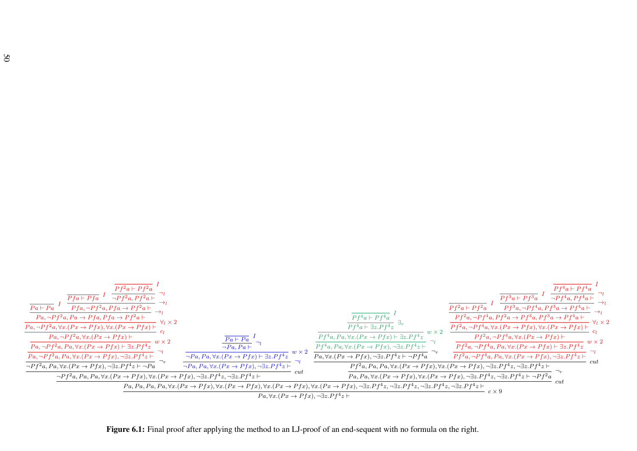<span id="page-65-0"></span>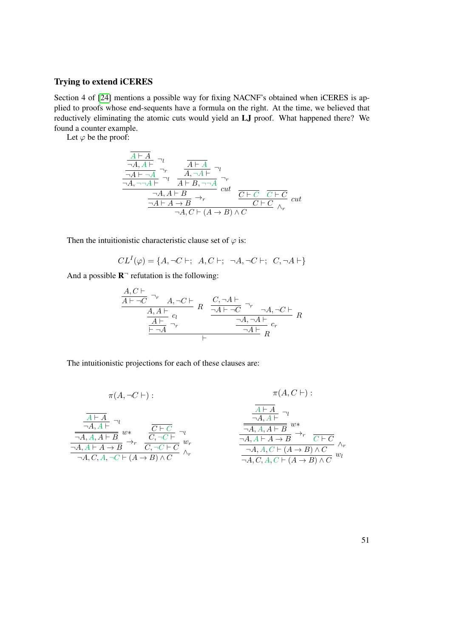#### Trying to extend iCERES

Section 4 of [\[24\]](#page-183-4) mentions a possible way for fixing NACNF's obtained when iCERES is applied to proofs whose end-sequents have a formula on the right. At the time, we believed that reductively eliminating the atomic cuts would yield an LJ proof. What happened there? We found a counter example.

Let  $\varphi$  be the proof:

$$
\frac{\frac{\overline{A \vdash A}}{\neg A, A \vdash} \neg_l}{\frac{\neg A \vdash \neg A}{\neg A, \neg \neg A \vdash} \neg_l} \frac{\frac{\overline{A \vdash A}}{\neg A, \neg A \vdash} \neg_l}{\frac{\neg A, A \vdash B}{A \vdash B, \neg \neg A}} \cdot \frac{\neg r}{\text{cut}}}{\frac{\neg A, A \vdash B}{\frac{\neg A \vdash A \rightarrow B}{\neg A \vdash B} \rightarrow_r} \cdot \frac{\overline{C \vdash C}}{\overline{C \vdash C}} \cdot \frac{\overline{C \vdash C}}{\land_r} \cdot \frac{\overline{C \vdash C}}{\land_r} \cdot \frac{\overline{C \vdash C}}{\land_r} \cdot \frac{\overline{C \vdash C}}{\land_r} \cdot \frac{\overline{C \vdash C}}{\land_r} \cdot \frac{\overline{C \vdash C}}{\land_r} \cdot \frac{\overline{C \vdash C}}{\land_r} \cdot \frac{\overline{C \vdash C}}{\land_r} \cdot \frac{\overline{C \vdash C}}{\land_r} \cdot \frac{\overline{C \vdash C}}{\land_r} \cdot \frac{\overline{C \vdash C}}{\land_r} \cdot \frac{\overline{C \vdash C}}{\land_r} \cdot \frac{\overline{C \vdash C}}{\land_r} \cdot \frac{\overline{C \vdash C}}{\land_r} \cdot \frac{\overline{C \vdash C}}{\land_r} \cdot \frac{\overline{C \vdash C}}{\land_r} \cdot \frac{\overline{C \vdash C}}{\land_r} \cdot \frac{\overline{C \vdash C}}{\land_r} \cdot \frac{\overline{C \vdash C}}{\land_r} \cdot \frac{\overline{C \vdash C}}{\land_r} \cdot \frac{\overline{C \vdash C}}{\land_r} \cdot \frac{\overline{C \vdash C}}{\land_r} \cdot \frac{\overline{C \vdash C}}{\land_r} \cdot \frac{\overline{C \vdash C}}{\land_r} \cdot \frac{\overline{C \vdash C}}{\land_r} \cdot \frac{\overline{C \vdash C}}{\land_r} \cdot \frac{\overline{C \vdash C}}{\land_r} \cdot \frac{\overline{C \vdash C}}{\land_r} \cdot \frac{\overline{C \vdash C}}{\land_r} \cdot \frac{\overline{C \vdash C}}{\land_r} \cdot \frac{\overline{C \vdash C}}{\land_r} \cdot \frac{\overline{C \vdash C}}{\land_r}
$$

Then the intuitionistic characteristic clause set of  $\varphi$  is:

$$
CL^{I}(\varphi) = \{A, \neg C \vdash; A, C \vdash; \neg A, \neg C \vdash; C, \neg A \vdash\}
$$

And a possible  $\mathbb{R}$ <sup>-</sup> refutation is the following:

$$
\frac{A, C \vdash \neg C \neg r \quad A, \neg C \vdash}{\frac{A, A \vdash}{\frac{A \vdash}{\neg A} \neg r}} R \quad \frac{C, \neg A \vdash}{\frac{\neg A \vdash \neg C}{\frac{\neg A, \neg A \vdash}{\neg A} \neg r}} R \quad \frac{A, \neg C \vdash}{\frac{\neg A, \neg A \vdash}{\neg A} \neg r} R
$$

The intuitionistic projections for each of these clauses are:

$$
\pi(A, C \vdash):
$$
\n
$$
\pi(A, C \vdash):
$$
\n
$$
\frac{\frac{\overline{A \vdash A}}{\neg A, A \vdash A} \neg \iota}{\frac{\overline{A \vdash A}}{\neg A, A, A \vdash B} w *_{\overline{C}, \neg C \vdash C} \neg \iota}}_{\neg A, A, A \vdash A \to B} \xrightarrow{\overline{C \vdash C}} \frac{\overline{C \vdash C}}{\neg C, \neg C \vdash C} w_r
$$
\n
$$
\pi(A, C \vdash):
$$
\n
$$
\frac{\overline{A \vdash A}}{\neg A, A, A \vdash B} w *_{\overline{C}, \neg C \vdash C} \neg \iota}{\frac{\neg A, A \vdash A \to B}{\neg A, A, C \vdash (A \to B) \land C} \land_r}
$$
\n
$$
\pi(A, C \vdash):
$$
\n
$$
\pi(A, C \vdash):
$$
\n
$$
\pi(A, C \vdash):
$$
\n
$$
\pi(A, C \vdash):
$$
\n
$$
\pi(A, C \vdash):
$$
\n
$$
\pi(A, C \vdash):
$$
\n
$$
\pi(A, C \vdash):
$$
\n
$$
\pi(A, C \vdash):
$$
\n
$$
\pi(A, C \vdash):
$$
\n
$$
\pi(A, C \vdash):
$$
\n
$$
\pi(A, C \vdash):
$$
\n
$$
\pi(A, C \vdash):
$$
\n
$$
\pi(A, C \vdash):
$$
\n
$$
\pi(A, C \vdash):
$$
\n
$$
\pi(A, C \vdash):
$$
\n
$$
\pi(A, C \vdash):
$$
\n
$$
\pi(A, C \vdash):
$$
\n
$$
\pi(A, C \vdash):
$$
\n
$$
\pi(A, C \vdash):
$$
\n
$$
\pi(A, C \vdash):
$$
\n
$$
\pi(A, C \vdash):
$$
\n
$$
\pi(A, C \vdash):
$$
\n
$$
\pi(A, C \vdash):
$$
\n
$$
\pi(A, C \vdash):
$$
\n
$$
\pi(A, C \vdash):
$$
\n
$$
\pi(A, C \vdash):
$$
\n
$$
\pi(A
$$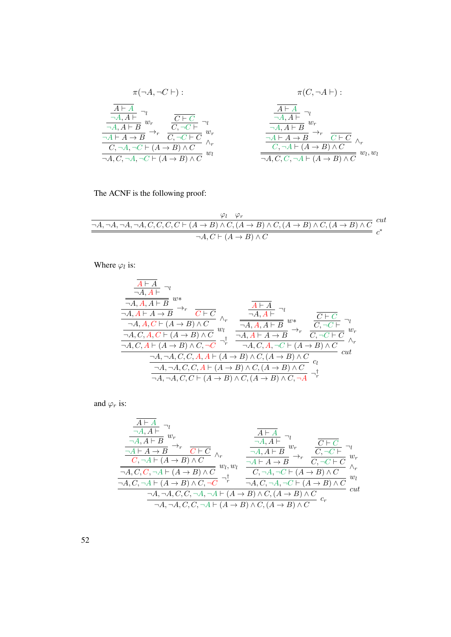$$
\pi(\neg A, \neg C \vdash) : \pi(C, \neg A \vdash) : \n\frac{\overline{A \vdash A}}{\neg A, A \vdash B} \neg v \qquad \frac{\overline{C \vdash C}}{\neg C, \neg C \vdash C} \neg v \qquad \frac{\overline{A \vdash A}}{\neg A, A \vdash B} \neg v \qquad \frac{\overline{A \vdash A}}{\neg A, A \vdash B} \neg v \qquad \frac{\overline{A \vdash A}}{\neg A, A \vdash B} \neg v \qquad \frac{\overline{A \vdash A}}{\neg A, A \vdash B} \neg v \qquad \frac{\overline{A \vdash A}}{\neg A, A \vdash B} \neg v \qquad \frac{\overline{A \vdash A}}{\neg A, A \vdash B} \neg v \qquad \frac{\overline{A \vdash A}}{\neg A, A \vdash B} \neg v \qquad \frac{\overline{A \vdash A}}{\neg A, A \vdash B} \neg v \qquad \frac{\overline{A \vdash A}}{\neg A, A \vdash B} \neg v \qquad \frac{\overline{A \vdash A}}{\neg A, A \vdash B} \neg v \qquad \frac{\overline{A \vdash A}}{\neg A, A \vdash B} \neg v \qquad \frac{\overline{A \vdash A}}{\neg A, A \vdash B} \neg v \qquad \frac{\overline{A \vdash A}}{\neg A, A \vdash B} \neg v \qquad \frac{\overline{A \vdash A}}{\neg A, A \vdash B} \neg v \qquad \frac{\overline{A \vdash A}}{\neg A, A \vdash B} \neg v \qquad \frac{\overline{A \vdash A}}{\neg A, A \vdash B} \neg v \qquad \frac{\overline{A \vdash A}}{\neg A, A \vdash B} \neg v \qquad \frac{\overline{A \vdash A}}{\neg A, A \vdash B} \neg v \qquad \frac{\overline{A \vdash A}}{\neg A, A \vdash B} \neg v \qquad \frac{\overline{A \vdash A}}{\neg A, A \vdash B} \neg v \qquad \frac{\overline{A \vdash A}}{\neg A, A \vdash B} \neg v \qquad \frac{\overline{A \vdash A}}{\neg A, A \vdash B} \neg v \qquad \frac{\overline{A \vdash A}}{\neg A, A \vdash B} \neg v \qquad \frac{\overline{A \vdash A}}{\neg A, A \vdash B} \neg v \qquad
$$

The ACNF is the following proof:

$$
\frac{\varphi_l \quad \varphi_r}{\neg A, \neg A, \neg A, \neg A, C, C, C, C \vdash (A \to B) \land C, (A \to B) \land C, (A \to B) \land C, (A \to B) \land C} \text{ cut } \neg A, C \vdash (A \to B) \land C
$$

Where  $\varphi_l$  is:

$$
\frac{\overline{A \vdash A}}{\neg A, A \vdash A \vdash B} \neg v
$$
\n
$$
\frac{\overline{A \vdash A}}{\neg A, A \vdash A \to B} \rightarrow_{r} \frac{\overline{A \vdash A}}{\overline{C \vdash C}} \wedge_{r} \frac{\overline{A \vdash A}}{\neg A, A \vdash B} \neg v
$$
\n
$$
\frac{\neg A, A \vdash A \to B}{\neg A, C, A, C \vdash (A \to B) \land C} \wedge_{r} \frac{\overline{A \vdash A}}{\neg A, A, A \vdash B} \neg v
$$
\n
$$
\frac{\overline{A \vdash A}}{\neg A, C, A \vdash (A \to B) \land C} \rightarrow_{r} \frac{\overline{A \vdash A}}{\neg A, A \vdash A \to B} \rightarrow_{r} \frac{\overline{C \vdash C}}{\overline{C}, \neg C \vdash C} \neg v
$$
\n
$$
\frac{\neg A, \neg A, C, A \vdash (A \to B) \land C, \neg C}{\neg A, \neg A, C, C, A, A \vdash (A \to B) \land C, (A \to B) \land C} \wedge_{r} \neg A
$$
\n
$$
\frac{\neg A, \neg A, C, C, A \vdash (A \to B) \land C, (A \to B) \land C}{\neg A, \neg A, C, C \vdash (A \to B) \land C, (A \to B) \land C} \rightarrow_{r} \frac{\overline{A}}{\vdash} \frac{\overline{A}}{\vdash} \frac{\overline{A}}{\vdash} \frac{\overline{A}}{\vdash} \frac{\overline{A}}{\vdash} \frac{\overline{A}}{\vdash} \frac{\overline{A}}{\vdash} \frac{\overline{A}}{\vdash} \frac{\overline{A}}{\vdash} \frac{\overline{A}}{\vdash} \frac{\overline{A}}{\vdash} \frac{\overline{A}}{\vdash} \frac{\overline{A}}{\vdash} \frac{\overline{A}}{\vdash} \frac{\overline{A}}{\vdash} \frac{\overline{A}}{\vdash} \frac{\overline{A}}{\vdash} \frac{\overline{A}}{\vdash} \frac{\overline{A}}{\vdash} \frac{\overline{A}}{\vdash} \frac{\overline{A}}{\vdash} \frac{\overline{A}}{\vdash} \frac{\overline{A}}{\vdash} \frac{\overline{A
$$

and  $\varphi_r$  is:

$$
\frac{\frac{\overline{A\vdash A}}{\neg A,A\vdash B} \neg v}{\frac{\neg A\vdash A\rightarrow B}{\neg C\vdash A\rightarrow B} \rightarrow_r \frac{\overline{A\vdash A}}{\neg C\vdash C} \land_r} \xrightarrow[\frac{\neg A,A\vdash B}{\neg A,A\vdash B} \psi_r]{\frac{\neg A,A\vdash B}{\neg A,A\vdash B} \psi_r} \frac{\frac{\overline{C\vdash C}}{\neg C,\neg C\vdash} \neg v}{\frac{\neg A,\neg C\vdash C}{\neg C,\neg C\vdash C} \psi_r} \wedge_r}{\frac{\neg A,C,C,\neg A\vdash (A\rightarrow B) \land C}{\neg A,\neg C,\neg C} \rightarrow^{\dagger}_{\neg A,\neg C\vdash (A\rightarrow B) \land C} \frac{\overline{C}\vdash C}{\land r} \lor_r}{\frac{\neg A,\neg C\vdash (A\rightarrow B) \land C}{\neg A,\neg C\vdash (A\rightarrow B) \land C}} \frac{\overline{C}\vdash C}{\land r}} \wedge_r}{\frac{\neg A,\neg A,\neg A,\neg C,\neg A,\neg C\vdash (A\rightarrow B) \land C}{\neg A,\neg A,\neg C,\neg A,\neg C\vdash (A\rightarrow B) \land C} \cdot c_r} \text{ cut}
$$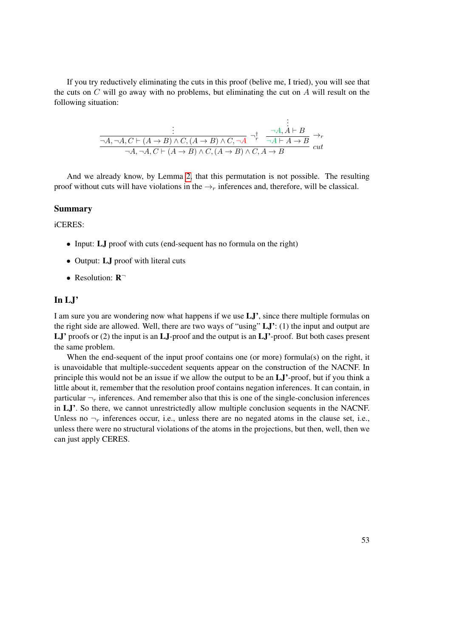If you try reductively eliminating the cuts in this proof (belive me, I tried), you will see that the cuts on  $C$  will go away with no problems, but eliminating the cut on  $A$  will result on the following situation:

$$
\frac{\vdots}{\neg A, \neg A, C \vdash (A \to B) \land C, (A \to B) \land C, \neg A} \neg^{\dagger}_{r} \quad \frac{\neg A, A \vdash B}{\neg A \vdash A \to B} \rightarrow_{r}
$$
\n
$$
\frac{\vdots}{\neg A, \neg A, C \vdash (A \to B) \land C, (A \to B) \land C, A \to B} \cdot \text{cut}
$$

And we already know, by Lemma [2,](#page-32-0) that this permutation is not possible. The resulting proof without cuts will have violations in the  $\rightarrow_r$  inferences and, therefore, will be classical.

#### Summary

iCERES:

- Input: **LJ** proof with cuts (end-sequent has no formula on the right)
- Output: **LJ** proof with literal cuts
- Resolution: R<sup>-1</sup>

#### In LJ'

I am sure you are wondering now what happens if we use LJ', since there multiple formulas on the right side are allowed. Well, there are two ways of "using"  $LJ'$ : (1) the input and output are LJ' proofs or (2) the input is an LJ-proof and the output is an LJ'-proof. But both cases present the same problem.

When the end-sequent of the input proof contains one (or more) formula(s) on the right, it is unavoidable that multiple-succedent sequents appear on the construction of the NACNF. In principle this would not be an issue if we allow the output to be an LJ'-proof, but if you think a little about it, remember that the resolution proof contains negation inferences. It can contain, in particular  $\neg_r$  inferences. And remember also that this is one of the single-conclusion inferences in LJ'. So there, we cannot unrestrictedly allow multiple conclusion sequents in the NACNF. Unless no  $\neg_r$  inferences occur, i.e., unless there are no negated atoms in the clause set, i.e., unless there were no structural violations of the atoms in the projections, but then, well, then we can just apply CERES.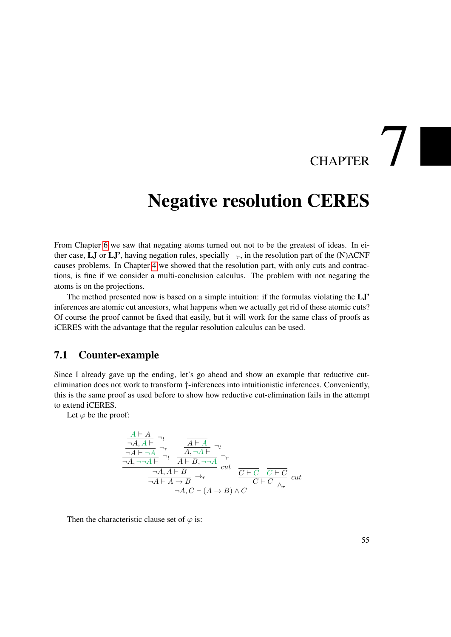# $\overline{C}$ HAPTER

## <span id="page-70-0"></span>Negative resolution CERES

From Chapter [6](#page-54-0) we saw that negating atoms turned out not to be the greatest of ideas. In either case, LJ or LJ', having negation rules, specially  $\neg_r$ , in the resolution part of the (N)ACNF causes problems. In Chapter [4](#page-42-0) we showed that the resolution part, with only cuts and contractions, is fine if we consider a multi-conclusion calculus. The problem with not negating the atoms is on the projections.

The method presented now is based on a simple intuition: if the formulas violating the LJ' inferences are atomic cut ancestors, what happens when we actually get rid of these atomic cuts? Of course the proof cannot be fixed that easily, but it will work for the same class of proofs as iCERES with the advantage that the regular resolution calculus can be used.

#### 7.1 Counter-example

Since I already gave up the ending, let's go ahead and show an example that reductive cutelimination does not work to transform †-inferences into intuitionistic inferences. Conveniently, this is the same proof as used before to show how reductive cut-elimination fails in the attempt to extend iCERES.

Let  $\varphi$  be the proof:

$$
\frac{\frac{\overline{A \vdash A}}{\neg A, A \vdash} \neg \iota}{\frac{\neg A \vdash \neg A}{\neg A, \neg \neg A \vdash} \neg \iota} \quad \frac{\overline{A \vdash A}}{A \vdash B, \neg \neg A} \neg \iota}{\frac{\neg A, A \vdash B}{A \vdash B, \neg \neg A}} \cdot \frac{\neg \iota}{\mathit{cut}} \quad \frac{\neg \iota}{\mathit{cut}}}{\frac{\neg A, A \vdash B}{\neg A \vdash A \to B} \rightarrow r} \quad \frac{\overline{C \vdash C}}{\mathit{C \vdash C}} \quad \frac{\overline{C \vdash C}}{\land_r} \quad cut
$$

Then the characteristic clause set of  $\varphi$  is: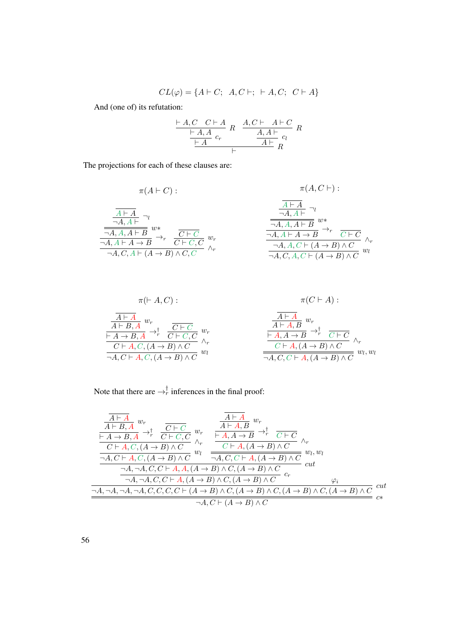$$
CL(\varphi) = \{A \vdash C; A, C \vdash; \vdash A, C; C \vdash A\}
$$

And (one of) its refutation:

$$
\frac{\vdash A, C \quad C \vdash A \quad R \quad \frac{A, C \vdash A \vdash C}{A, A \vdash c_i} \quad R}{\frac{\vdash A \quad c_r}{\vdash A \quad \frac{A, A \vdash}{A \vdash} c_l} R}
$$

The projections for each of these clauses are:

$$
\pi(A \vdash C) : \n\begin{array}{c}\n\pi(A \vdash C) : \\
\frac{\overline{A \vdash A}}{\neg A, A \vdash A} \neg \iota \\
\frac{\overline{A \vdash A}}{\neg A, A \vdash B} w * \\
\frac{\overline{A \vdash A}}{\neg A, A \vdash A \rightarrow B} \rightarrow_r \frac{\overline{C \vdash C}}{\overline{C \vdash C, C}} w_r \\
\frac{\overline{A \vdash A}}{\neg A, A \vdash A \rightarrow B} \rightarrow_r \frac{\overline{A \vdash A}}{\neg A, A \vdash A \rightarrow B} \rightarrow_r \frac{\overline{A \vdash B}}{\overline{A \vdash A \vdash A \rightarrow B} \rightarrow_r \frac{\overline{C \vdash C}}{\neg A, A \vdash (A \rightarrow B) \land C}} \wedge_r \\
\frac{\overline{A \vdash A}}{\neg A, C, A \vdash (A \rightarrow B) \land C} w_l\n\end{array}
$$

$$
\pi(F \mid A, C): \qquad \pi(C \vdash A):
$$
\n
$$
\frac{\overline{A \vdash A}}{A \vdash B, A} w_r
$$
\n
$$
\frac{\overline{A \vdash A}}{A \rightarrow B, A} \rightarrow_r^{\dagger} \frac{\overline{C \vdash C}}{C \vdash C, C} w_r
$$
\n
$$
\frac{\overline{A \vdash A}}{A \vdash A, B} w_r
$$
\n
$$
\frac{\overline{A \vdash A}}{A \vdash A, B} \rightarrow_r^{\dagger} \frac{\overline{C \vdash C}}{C \vdash A, (A \rightarrow B) \land C} \land_r
$$
\n
$$
\frac{\overline{A \vdash A}}{C \vdash A, (A \rightarrow B) \land C} w_l
$$
\n
$$
\frac{\overline{A \vdash A}}{A, C, C \vdash A, (A \rightarrow B) \land C} w_l, w_l
$$

Note that there are  $\rightarrow_r^{\dagger}$  inferences in the final proof:

$$
\frac{\overline{A \vdash A}}{\overline{A \vdash B, A}} w_r
$$
\n
$$
\frac{\overline{A \vdash A}}{\overline{A \vdash A \rightarrow B, A}} w_r
$$
\n
$$
\frac{\overline{A \vdash A}}{\overline{C \vdash A \rightarrow B, A}} w_r
$$
\n
$$
\frac{\overline{A \vdash A}}{\overline{C \vdash A, C, (A \rightarrow B) \land C}} w_r
$$
\n
$$
\frac{\overline{A \vdash A}}{\overline{A, A \rightarrow B}} \rightarrow^{\dagger}_{r} \frac{\overline{C \vdash C}}{\overline{C \vdash A, (A \rightarrow B) \land C}} \land_r
$$
\n
$$
\frac{\overline{C \vdash A, (A \rightarrow B) \land C}}{\neg A, C \vdash A, C, (A \rightarrow B) \land C} w_l
$$
\n
$$
\frac{\overline{A \vdash A}}{\neg A, C, C \vdash A, (A \rightarrow B) \land C} w_l
$$
\n
$$
\frac{\overline{C \vdash A, (A \rightarrow B) \land C}}{\neg A, \neg A, C, C \vdash A, (A \rightarrow B) \land C, (A \rightarrow B) \land C} c_r
$$
\n
$$
\frac{\neg A, \neg A, \neg A, C, C \vdash A, (A \rightarrow B) \land C, (A \rightarrow B) \land C}{\neg A, C \vdash (A \rightarrow B) \land C, (A \rightarrow B) \land C, (A \rightarrow B) \land C, (A \rightarrow B) \land C}
$$
\n
$$
\frac{\neg A, C \vdash (A \rightarrow B) \land C}{\neg A, C \vdash (A \rightarrow B) \land C} w_l
$$
\n
$$
\frac{\overline{C \vdash A, (A \rightarrow B) \land C}}{\neg A, C \vdash (A \rightarrow B) \land C} w_l
$$
\n
$$
\frac{\overline{C \vdash A, (A \rightarrow B) \land C}}}{\neg A, C \vdash (A \rightarrow B) \land C} w_l
$$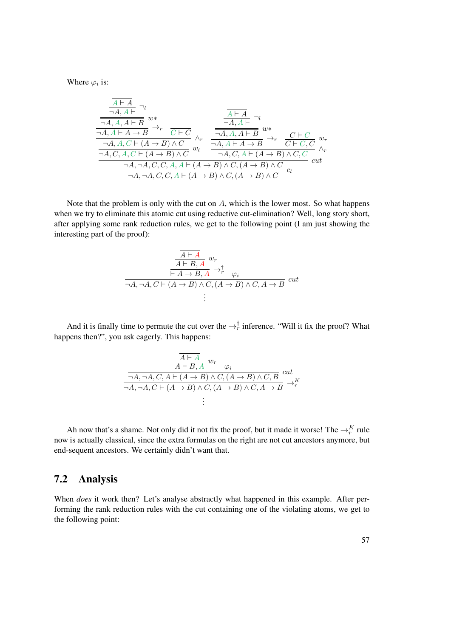Where  $\varphi_i$  is:

$$
\frac{A \vdash A}{\neg A, A \vdash B} \neg v
$$
\n
$$
\frac{A \vdash A}{\neg A, A \vdash A \vdash B} \rightarrow_r \frac{\frac{A \vdash A}{\neg A, A \vdash} \neg v}{\frac{A, A \vdash B}{\neg A, A \vdash B}} \lor v
$$
\n
$$
\frac{A \vdash A}{\neg A, A \vdash A \vdash B} \lor v
$$
\n
$$
\frac{A \vdash A}{\neg A, A \vdash B} \lor v
$$
\n
$$
\frac{A \vdash A}{\neg A, A \vdash A \vdash B} \lor v
$$
\n
$$
\frac{A \vdash A}{\neg A, A \vdash A \vdash B} \lor v
$$
\n
$$
\frac{A \vdash A}{\neg A, A \vdash A \vdash B} \lor v
$$
\n
$$
\frac{C \vdash C}{\neg A, A \vdash A \vdash B} \lor v
$$
\n
$$
\frac{C \vdash C}{\neg A, A \vdash A \vdash B} \lor v
$$
\n
$$
\frac{C \vdash C}{\neg A, A \vdash A \vdash B} \lor v
$$
\n
$$
\frac{C \vdash C}{\neg A, A \vdash B} \lor v
$$
\n
$$
\frac{C \vdash C}{\neg A, A \vdash B} \lor v
$$
\n
$$
\frac{C \vdash C}{\neg A, A \vdash B} \lor v
$$
\n
$$
\frac{C \vdash C}{\neg A, A \vdash B} \lor v
$$
\n
$$
\frac{C \vdash C}{\neg A, A \vdash B} \lor v
$$
\n
$$
\frac{C \vdash C}{\neg A, A \vdash B} \lor v
$$
\n
$$
\frac{C \vdash C}{\neg A, A \vdash B} \lor v
$$
\n
$$
\frac{C \vdash C}{\neg A, B \vdash B} \lor v
$$
\n
$$
\frac{C \vdash C}{\neg A, B \vdash B} \lor v
$$
\n
$$
\frac{C \vdash C}{\neg A, B \vdash B} \lor v
$$

Note that the problem is only with the cut on  $A$ , which is the lower most. So what happens when we try to eliminate this atomic cut using reductive cut-elimination? Well, long story short, after applying some rank reduction rules, we get to the following point (I am just showing the interesting part of the proof):

$$
\frac{\frac{\overline{A \vdash A}}{A \vdash B, A} w_r}{\frac{\overline{A \vdash A} \rightarrow B, A}{\vdash A \rightarrow B, A} \rightarrow_r^{\dagger} \varphi_i}
$$
\n
$$
\neg A, \neg A, C \vdash (A \rightarrow B) \land C, (A \rightarrow B) \land C, A \rightarrow B \quad cut
$$
\n
$$
\vdots
$$

And it is finally time to permute the cut over the  $\rightarrow_{r}^{\dagger}$  inference. "Will it fix the proof? What happens then?", you ask eagerly. This happens:

$$
\frac{\overline{A \vdash A} \quad w_r}{\neg A, \neg A, C, A \vdash (A \to B) \land C, (A \to B) \land C, B} \quad cut
$$
  

$$
\overline{\neg A, \neg A, C \vdash (A \to B) \land C, (A \to B) \land C, A \to B} \rightarrow^K_r
$$
  

$$
\vdots
$$

Ah now that's a shame. Not only did it not fix the proof, but it made it worse! The  $\rightarrow_r^K$  rule now is actually classical, since the extra formulas on the right are not cut ancestors anymore, but end-sequent ancestors. We certainly didn't want that.

#### 7.2 Analysis

When *does* it work then? Let's analyse abstractly what happened in this example. After performing the rank reduction rules with the cut containing one of the violating atoms, we get to the following point: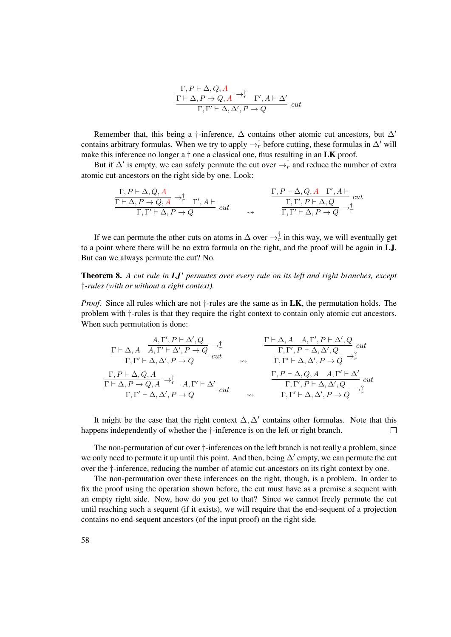$$
\frac{\Gamma, P \vdash \Delta, Q, A}{\Gamma \vdash \Delta, P \to Q, A} \to_r^{\dagger} \Gamma', A \vdash \Delta' \Gamma, \Gamma' \vdash \Delta, \Delta', P \to Q
$$
 cut

Remember that, this being a †-inference,  $\Delta$  contains other atomic cut ancestors, but  $\Delta'$ contains arbitrary formulas. When we try to apply  $\rightarrow_{r}^{\dagger}$  before cutting, these formulas in  $\Delta'$  will make this inference no longer a  $\dagger$  one a classical one, thus resulting in an **LK** proof.

But if  $\Delta'$  is empty, we can safely permute the cut over  $\rightarrow_{r}^{\dagger}$  and reduce the number of extra atomic cut-ancestors on the right side by one. Look:

$$
\frac{\Gamma, P\vdash \Delta, Q, A}{\Gamma\vdash \Delta, P\to Q, A}\rightarrow^{\dagger}_{r}\quad \Gamma', A\vdash
$$
\n
$$
\frac{\Gamma, P\vdash \Delta, Q, A\quad \Gamma', A\vdash}{\Gamma, \Gamma'\vdash \Delta, P\to Q}\quad cut
$$
\n
$$
\sim \qquad \frac{\Gamma, P\vdash \Delta, Q, A\quad \Gamma', A\vdash}{\Gamma, \Gamma'\vdash \Delta, P\to Q}\quad cut
$$

If we can permute the other cuts on atoms in  $\Delta$  over  $\rightarrow_{r}^{\dagger}$  in this way, we will eventually get to a point where there will be no extra formula on the right, and the proof will be again in LJ. But can we always permute the cut? No.

<span id="page-73-0"></span>Theorem 8. *A cut rule in LJ' permutes over every rule on its left and right branches, except* †*-rules (with or without a right context).*

*Proof.* Since all rules which are not  $\dagger$ -rules are the same as in **LK**, the permutation holds. The problem with †-rules is that they require the right context to contain only atomic cut ancestors. When such permutation is done:

$$
\begin{array}{ccc}\n\frac{A, \Gamma', P \vdash \Delta', Q}{\Gamma, \Gamma' \vdash \Delta, A \quad A, \Gamma' \vdash \Delta', P \rightarrow Q} \rightarrow_r^{\dagger} & \frac{\Gamma \vdash \Delta, A \quad A, \Gamma', P \vdash \Delta', Q}{\Gamma, \Gamma' \vdash \Delta, \Delta', P \rightarrow Q} \text{ cut} \\
\frac{\Gamma, P \vdash \Delta, Q, A}{\Gamma \vdash \Delta, P \rightarrow Q, A} \rightarrow_r^{\dagger} & A, \Gamma' \vdash \Delta' & \frac{\Gamma, P \vdash \Delta, \Delta', P \rightarrow Q}{\Gamma, \Gamma' \vdash \Delta, \Delta', P \rightarrow Q} \rightarrow_r^{\dagger} \\
\frac{\Gamma, P \vdash \Delta, Q, A \quad A, \Gamma' \vdash \Delta'}{\Gamma, \Gamma' \vdash \Delta, \Delta', Q} & \frac{\Gamma, P \vdash \Delta, Q, A \quad A, \Gamma' \vdash \Delta'}{\Gamma, \Gamma' \vdash \Delta, \Delta', Q} \text{ cut} \\
\frac{\Gamma, P \vdash \Delta, Q, A \quad A, \Gamma' \vdash \Delta'}{\Gamma, \Gamma' \vdash \Delta, \Delta', Q} & \frac{\Gamma, P \vdash \Delta, Q, A \quad A, \Gamma' \vdash \Delta'}{\Gamma, \Gamma' \vdash \Delta, \Delta', Q} \text{ cut} \\
\end{array}
$$

It might be the case that the right context  $\Delta, \Delta'$  contains other formulas. Note that this happens independently of whether the  $\dagger$ -inference is on the left or right branch.  $\Box$ 

The non-permutation of cut over †-inferences on the left branch is not really a problem, since we only need to permute it up until this point. And then, being  $\Delta'$  empty, we can permute the cut over the †-inference, reducing the number of atomic cut-ancestors on its right context by one.

The non-permutation over these inferences on the right, though, is a problem. In order to fix the proof using the operation shown before, the cut must have as a premise a sequent with an empty right side. Now, how do you get to that? Since we cannot freely permute the cut until reaching such a sequent (if it exists), we will require that the end-sequent of a projection contains no end-sequent ancestors (of the input proof) on the right side.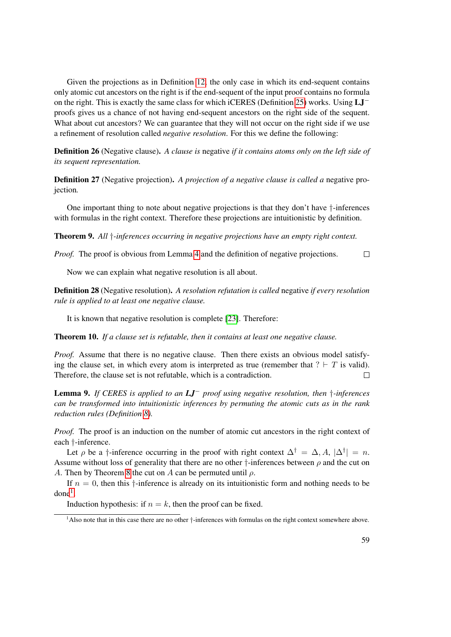Given the projections as in Definition [12,](#page-38-0) the only case in which its end-sequent contains only atomic cut ancestors on the right is if the end-sequent of the input proof contains no formula on the right. This is exactly the same class for which iCERES (Definition [25\)](#page-62-0) works. Using LJ<sup>−</sup> proofs gives us a chance of not having end-sequent ancestors on the right side of the sequent. What about cut ancestors? We can guarantee that they will not occur on the right side if we use a refinement of resolution called *negative resolution*. For this we define the following:

Definition 26 (Negative clause). *A clause is* negative *if it contains atoms only on the left side of its sequent representation.*

Definition 27 (Negative projection). *A projection of a negative clause is called a* negative projection*.*

One important thing to note about negative projections is that they don't have †-inferences with formulas in the right context. Therefore these projections are intuitionistic by definition.

Theorem 9. *All* †*-inferences occurring in negative projections have an empty right context.*

*Proof.* The proof is obvious from Lemma [4](#page-47-0) and the definition of negative projections.  $\Box$ 

Now we can explain what negative resolution is all about.

Definition 28 (Negative resolution). *A resolution refutation is called* negative *if every resolution rule is applied to at least one negative clause.*

It is known that negative resolution is complete [\[23\]](#page-183-0). Therefore:

Theorem 10. *If a clause set is refutable, then it contains at least one negative clause.*

*Proof.* Assume that there is no negative clause. Then there exists an obvious model satisfying the clause set, in which every atom is interpreted as true (remember that  $? \vdash T$  is valid). Therefore, the clause set is not refutable, which is a contradiction.  $\Box$ 

<span id="page-74-1"></span>Lemma 9. *If CERES is applied to an LJ*<sup>−</sup> *proof using negative resolution, then* †*-inferences can be transformed into intuitionistic inferences by permuting the atomic cuts as in the rank reduction rules (Definition [8\)](#page-30-0).*

*Proof.* The proof is an induction on the number of atomic cut ancestors in the right context of each †-inference.

Let  $\rho$  be a †-inference occurring in the proof with right context  $\Delta^{\dagger} = \Delta, A, |\Delta^{\dagger}| = n$ . Assume without loss of generality that there are no other  $\dagger$ -inferences between  $\rho$  and the cut on A. Then by Theorem [8](#page-73-0) the cut on A can be permuted until  $\rho$ .

If  $n = 0$ , then this  $\dagger$ -inference is already on its intuitionistic form and nothing needs to be  $done<sup>1</sup>$  $done<sup>1</sup>$  $done<sup>1</sup>$ .

Induction hypothesis: if  $n = k$ , then the proof can be fixed.

<span id="page-74-0"></span><sup>&</sup>lt;sup>1</sup>Also note that in this case there are no other  $\dagger$ -inferences with formulas on the right context somewhere above.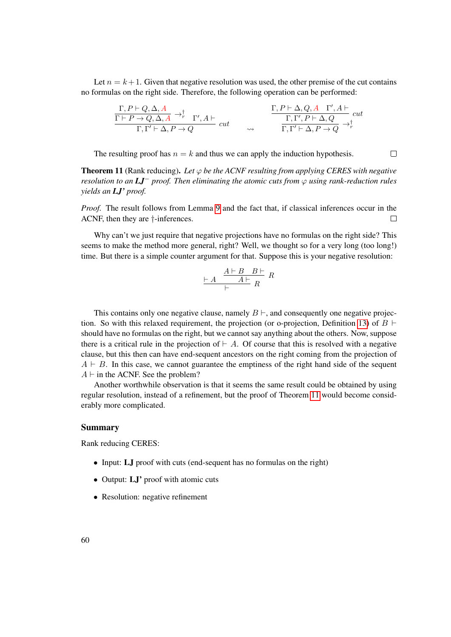Let  $n = k + 1$ . Given that negative resolution was used, the other premise of the cut contains no formulas on the right side. Therefore, the following operation can be performed:

$$
\frac{\Gamma, P\vdash Q, \Delta, A}{\Gamma\vdash P\to Q, \Delta, A}\to^{\dagger}_{r}\Gamma', A\vdash
$$
\n
$$
\frac{\Gamma, P\vdash \Delta, Q, A\quad \Gamma', A\vdash}{\Gamma, \Gamma'\vdash \Delta, P\to Q}\quad cut \qquad \searrow \qquad \frac{\Gamma, P\vdash \Delta, Q, A\quad \Gamma', A\vdash}{\Gamma, \Gamma'\vdash \Delta, P\to Q}\, cut
$$

The resulting proof has  $n = k$  and thus we can apply the induction hypothesis.

<span id="page-75-0"></span>**Theorem 11** (Rank reducing). Let  $\varphi$  be the ACNF resulting from applying CERES with negative *resolution to an LJ*<sup>−</sup> *proof. Then eliminating the atomic cuts from* ϕ *using rank-reduction rules yields an LJ' proof.*

 $\Box$ 

*Proof.* The result follows from Lemma [9](#page-74-1) and the fact that, if classical inferences occur in the ACNF, then they are †-inferences.  $\Box$ 

Why can't we just require that negative projections have no formulas on the right side? This seems to make the method more general, right? Well, we thought so for a very long (too long!) time. But there is a simple counter argument for that. Suppose this is your negative resolution:

$$
\frac{A \vdash B \quad B \vdash}{\vdash} \quad R
$$

This contains only one negative clause, namely  $B \vdash$ , and consequently one negative projec-tion. So with this relaxed requirement, the projection (or o-projection, Definition [13\)](#page-39-0) of  $B \vdash$ should have no formulas on the right, but we cannot say anything about the others. Now, suppose there is a critical rule in the projection of  $\vdash A$ . Of course that this is resolved with a negative clause, but this then can have end-sequent ancestors on the right coming from the projection of  $A \vdash B$ . In this case, we cannot guarantee the emptiness of the right hand side of the sequent  $A \vdash$  in the ACNF. See the problem?

Another worthwhile observation is that it seems the same result could be obtained by using regular resolution, instead of a refinement, but the proof of Theorem [11](#page-75-0) would become considerably more complicated.

#### Summary

Rank reducing CERES:

- Input: **LJ** proof with cuts (end-sequent has no formulas on the right)
- Output: **LJ**' proof with atomic cuts
- Resolution: negative refinement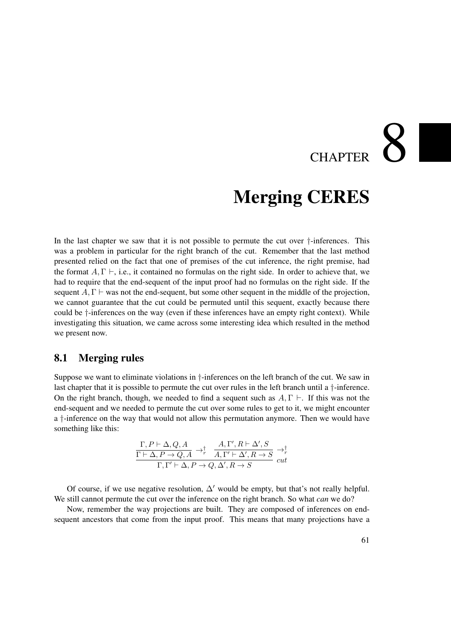# **CHAPTER**

## Merging CERES

In the last chapter we saw that it is not possible to permute the cut over †-inferences. This was a problem in particular for the right branch of the cut. Remember that the last method presented relied on the fact that one of premises of the cut inference, the right premise, had the format  $A, \Gamma \vdash$ , i.e., it contained no formulas on the right side. In order to achieve that, we had to require that the end-sequent of the input proof had no formulas on the right side. If the sequent  $A, \Gamma \vdash$  was not the end-sequent, but some other sequent in the middle of the projection, we cannot guarantee that the cut could be permuted until this sequent, exactly because there could be †-inferences on the way (even if these inferences have an empty right context). While investigating this situation, we came across some interesting idea which resulted in the method we present now.

#### 8.1 Merging rules

Suppose we want to eliminate violations in †-inferences on the left branch of the cut. We saw in last chapter that it is possible to permute the cut over rules in the left branch until a †-inference. On the right branch, though, we needed to find a sequent such as  $A, \Gamma \vdash$ . If this was not the end-sequent and we needed to permute the cut over some rules to get to it, we might encounter a †-inference on the way that would not allow this permutation anymore. Then we would have something like this:

$$
\frac{\Gamma, P \vdash \Delta, Q, A}{\Gamma \vdash \Delta, P \to Q, A} \to_r^{\dagger} \frac{A, \Gamma', R \vdash \Delta', S}{A, \Gamma' \vdash \Delta', R \to S} \to_r^{\dagger}
$$
  

$$
\Gamma, \Gamma' \vdash \Delta, P \to Q, \Delta', R \to S
$$
 cut

Of course, if we use negative resolution,  $\Delta'$  would be empty, but that's not really helpful. We still cannot permute the cut over the inference on the right branch. So what *can* we do?

Now, remember the way projections are built. They are composed of inferences on endsequent ancestors that come from the input proof. This means that many projections have a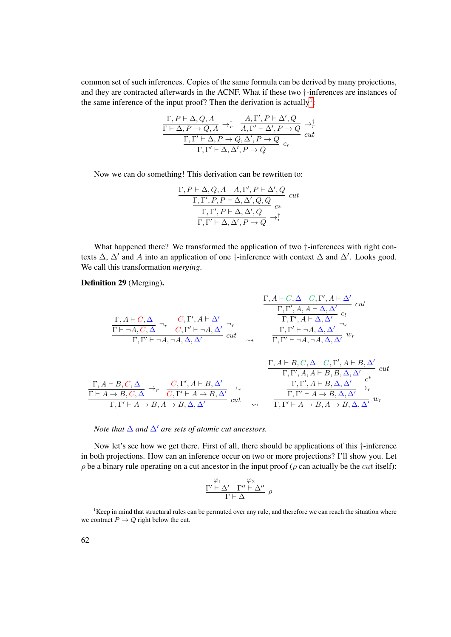common set of such inferences. Copies of the same formula can be derived by many projections, and they are contracted afterwards in the ACNF. What if these two †-inferences are instances of the same inference of the input proof? Then the derivation is actually<sup>[1](#page-77-0)</sup>:

$$
\frac{\Gamma, P\vdash \Delta, Q, A}{\Gamma\vdash \Delta, P\to Q, A}\to^{\dagger}_{r}\frac{A, \Gamma', P\vdash \Delta', Q}{A, \Gamma'\vdash \Delta', P\to Q}\to^{\dagger}_{r}\frac{\Gamma, \Gamma'\vdash \Delta, P\to Q, \Delta', P\to Q}{\Gamma, \Gamma'\vdash \Delta, \Delta', P\to Q}\;^{cut}_{c_{r}}
$$

Now we can do something! This derivation can be rewritten to:

$$
\frac{\Gamma, P \vdash \Delta, Q, A \quad A, \Gamma', P \vdash \Delta', Q}{\frac{\Gamma, \Gamma', P, P \vdash \Delta, \Delta', Q, Q}{\Gamma, \Gamma', P \vdash \Delta, \Delta', Q}} \text{ cut}
$$
\n
$$
\frac{\Gamma, \Gamma', P \vdash \Delta, \Delta', Q}{\Gamma, \Gamma' \vdash \Delta, \Delta', P \to Q} \to^{\dagger}_{r}
$$

What happened there? We transformed the application of two  $\dagger$ -inferences with right contexts  $\Delta$ ,  $\Delta'$  and A into an application of one †-inference with context  $\Delta$  and  $\Delta'$ . Looks good. We call this transformation *merging*.

#### Definition 29 (Merging).

$$
\frac{\Gamma, A \vdash C, \Delta \quad C, \Gamma', A \vdash \Delta'}{\Gamma \vdash \neg A, C, \Delta} \neg_r \quad \frac{C, \Gamma', A \vdash \Delta'}{C, \Gamma' \vdash \neg A, \Delta'} \neg_r\n\frac{\Gamma, \Gamma', A, A \vdash \Delta, \Delta'}{\Gamma, \Gamma' \vdash \neg A, \neg A, \Delta, \Delta'} \quad cut\n\frac{\Gamma, \Gamma', A \vdash \Delta, \Delta'}{\Gamma, \Gamma' \vdash \neg A, \neg A, \Delta, \Delta'} \quad cut\n\frac{\Gamma, A \vdash B, C, \Delta \quad \neg_r}{\Gamma, \Gamma' \vdash \neg A, \neg A, \Delta, \Delta'} \quad \frac{\Gamma, A \vdash B, C, \Delta \quad C, \Gamma', A \vdash B, \Delta'}{\Gamma, \Gamma' \vdash \neg A, \neg A, \Delta, \Delta'} \quad \frac{\Gamma, A \vdash B, C, \Delta \quad C, \Gamma', A \vdash B, \Delta'}{\Gamma, \Gamma', A, A \vdash B, B, \Delta, \Delta'} \quad cut\n\frac{\Gamma, A \vdash B, C, \Delta \quad C, \Gamma', A \vdash B, \Delta, \Delta'}{\Gamma \vdash A \rightarrow B, C, \Delta} \rightarrow_r\n\frac{C, \Gamma', A \vdash B, \Delta'}{\Gamma, \Gamma' \vdash A \rightarrow B, \Delta, \Delta'} \rightarrow_r\n\frac{\Gamma, \Gamma', A \vdash B, \Delta, \Delta'}{\Gamma, \Gamma' \vdash A \rightarrow B, \Delta, \Delta'} \rightarrow_r\n\frac{\Gamma, \Gamma', A \vdash B, \Delta, \Delta'}{\Gamma, \Gamma' \vdash A \rightarrow B, \Delta, \Delta'} \rightarrow_r\n\frac{\Gamma, \Gamma', A \vdash B, \Delta, \Delta'}{\Gamma, \Gamma' \vdash A \rightarrow B, \Delta, \Delta'} \rightarrow_r\n\frac{\Gamma, \Gamma', A \vdash B, \Delta, \Delta'}{\Gamma, \Gamma' \vdash A \rightarrow B, \Delta, \Delta'} \rightarrow_r\n\frac{\Gamma, \Gamma', A \vdash B, \Delta, \Delta'}{\Gamma, \Gamma' \vdash A \rightarrow B, \Delta, \Delta'} \rightarrow_r\n\frac{\Gamma, \Gamma', A \vdash B, \Delta, \Delta'}{\Gamma, \Gamma' \vdash A \rightarrow B, \Delta, \Delta'} \rightarrow_r\n\frac{\Gamma, \Gamma', A \vdash B, \Delta, \Delta'}{\Gamma, \Gamma' \vdash A \rightarrow B, \Delta, \Delta'}
$$

#### *Note that*  $\Delta$  *and*  $\Delta'$  *are sets of atomic cut ancestors.*

 $\Gamma, \Gamma' \vdash A \rightarrow B, A \rightarrow B, \Delta, \Delta'$  cut

Now let's see how we get there. First of all, there should be applications of this †-inference in both projections. How can an inference occur on two or more projections? I'll show you. Let  $\rho$  be a binary rule operating on a cut ancestor in the input proof ( $\rho$  can actually be the *cut* itself):

 $\frac{1}{\Gamma,\Gamma'+A\rightarrow B,A\rightarrow B,\Delta,\Delta'} w_r$ 

$$
\frac{\begin{array}{c}\varphi_1 \\ \Gamma' \vdash \Delta' \quad \Gamma'' \vdash \Delta''\end{array} \rho}{\begin{array}{c}\Gamma \vdash \Delta \end{array}} \rho
$$

<span id="page-77-0"></span> $1$ Keep in mind that structural rules can be permuted over any rule, and therefore we can reach the situation where we contract  $P \to Q$  right below the cut.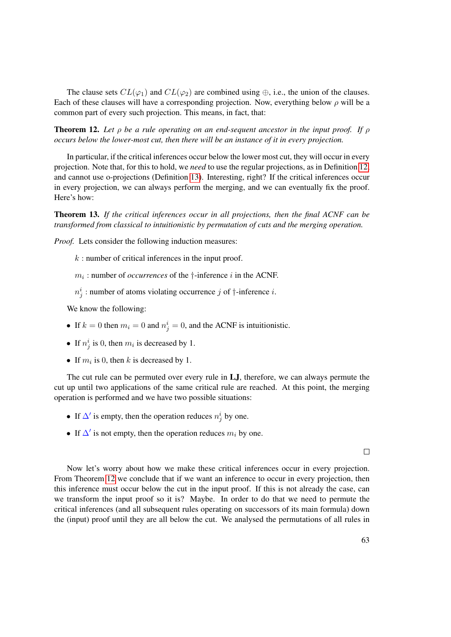The clause sets  $CL(\varphi_1)$  and  $CL(\varphi_2)$  are combined using  $\oplus$ , i.e., the union of the clauses. Each of these clauses will have a corresponding projection. Now, everything below  $\rho$  will be a common part of every such projection. This means, in fact, that:

<span id="page-78-0"></span>Theorem 12. *Let* ρ *be a rule operating on an end-sequent ancestor in the input proof. If* ρ *occurs below the lower-most cut, then there will be an instance of it in every projection.*

In particular, if the critical inferences occur below the lower most cut, they will occur in every projection. Note that, for this to hold, we *need* to use the regular projections, as in Definition [12,](#page-38-0) and cannot use o-projections (Definition [13\)](#page-39-0). Interesting, right? If the critical inferences occur in every projection, we can always perform the merging, and we can eventually fix the proof. Here's how:

Theorem 13. *If the critical inferences occur in all projections, then the final ACNF can be transformed from classical to intuitionistic by permutation of cuts and the merging operation.*

*Proof.* Lets consider the following induction measures:

 $k$ : number of critical inferences in the input proof.

 $m_i$ : number of *occurrences* of the  $\dagger$ -inference *i* in the ACNF.

 $n_j^i$ : number of atoms violating occurrence j of  $\dagger$ -inference i.

We know the following:

- If  $k = 0$  then  $m_i = 0$  and  $n_j^i = 0$ , and the ACNF is intuitionistic.
- If  $n_j^i$  is 0, then  $m_i$  is decreased by 1.
- If  $m_i$  is 0, then k is decreased by 1.

The cut rule can be permuted over every rule in LJ, therefore, we can always permute the cut up until two applications of the same critical rule are reached. At this point, the merging operation is performed and we have two possible situations:

- If  $\Delta'$  is empty, then the operation reduces  $n_j^i$  by one.
- If  $\Delta'$  is not empty, then the operation reduces  $m_i$  by one.

 $\Box$ 

Now let's worry about how we make these critical inferences occur in every projection. From Theorem [12](#page-78-0) we conclude that if we want an inference to occur in every projection, then this inference must occur below the cut in the input proof. If this is not already the case, can we transform the input proof so it is? Maybe. In order to do that we need to permute the critical inferences (and all subsequent rules operating on successors of its main formula) down the (input) proof until they are all below the cut. We analysed the permutations of all rules in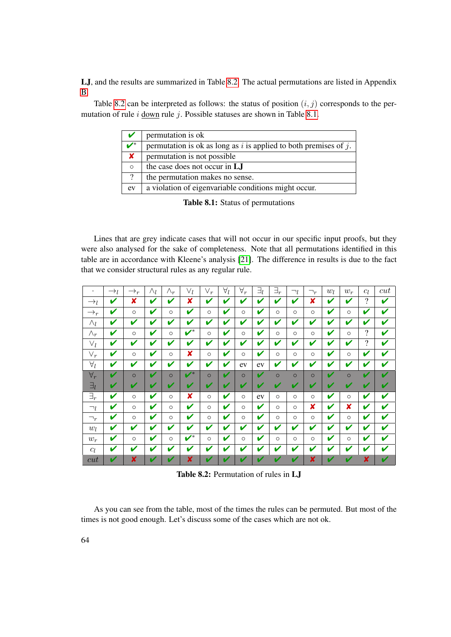LJ, and the results are summarized in Table [8.2.](#page-79-0) The actual permutations are listed in Appendix [B.](#page-122-0)

Table [8.2](#page-79-0) can be interpreted as follows: the status of position  $(i, j)$  corresponds to the permutation of rule  $i$  down rule  $j$ . Possible statuses are shown in Table [8.1.](#page-79-1)

| V                    | permutation is ok                                                     |
|----------------------|-----------------------------------------------------------------------|
| $\boldsymbol{\nu}^*$ | permutation is ok as long as $i$ is applied to both premises of $j$ . |
| ×                    | permutation is not possible                                           |
| $\circ$              | the case does not occur in LJ                                         |
| $\overline{?}$       | the permutation makes no sense.                                       |
| ev                   | a violation of eigenvariable conditions might occur.                  |
|                      |                                                                       |

<span id="page-79-1"></span>Table 8.1: Status of permutations

Lines that are grey indicate cases that will not occur in our specific input proofs, but they were also analysed for the sake of completeness. Note that all permutations identified in this table are in accordance with Kleene's analysis [\[21\]](#page-183-1). The difference in results is due to the fact that we consider structural rules as any regular rule.

| ٠               | $\rightarrow_l$ | $\rightarrow_r$ | $\wedge_l$ | $\wedge_r$ | $\vee_l$                  | $\vee_r$ | $\forall_l$ | $\forall_r$ | $\exists_l$ | $\exists_r$ | $\neg_l$ | $\neg_r$ | $w_l$       | $w_r$   | $c_l$ | cut |
|-----------------|-----------------|-----------------|------------|------------|---------------------------|----------|-------------|-------------|-------------|-------------|----------|----------|-------------|---------|-------|-----|
| $\rightarrow_l$ | V               | x               | V          | V          | X                         | V        | V           | V           | V           | V           | V        | x        | V           | V       | ?     | V   |
| $\rightarrow_r$ | V               | $\circ$         | V          | $\circ$    | V                         | $\circ$  | V           | $\circ$     | V           | $\circ$     | $\circ$  | $\circ$  | V           | $\circ$ | V     | V   |
| $\wedge_l$      | V               | V               | V          | V          | V                         | V        | V           | V           | V           | V           | V        | V        | V           | V       | V     | V   |
| $\wedge_r$      | V               | $\circ$         | V          | $\circ$    | $\overline{\mathbf{v}^*}$ | $\circ$  | V           | $\circ$     | V           | $\circ$     | $\circ$  | $\circ$  | V           | $\circ$ | ?     | V   |
| $\vee_l$        | V               | V               | V          | V          | V                         | V        | V           | V           | V           | V           | V        | V        | V           | V       | 9     | V   |
| $\vee_r$        | ✔               | $\circ$         | V          | $\circ$    | x                         | $\circ$  | V           | $\circ$     | V           | $\circ$     | $\circ$  | $\circ$  | V           | $\circ$ | V     | V   |
| $\forall_l$     | V               | V               | V          | V          | V                         | V        | V           | ev          | ev          | V           | V        | V        | V           | V       | V     | V   |
| $\forall_r$     | V               | $\circ$         | V          | $\Omega$   | $\boldsymbol{V}^*$        | $\circ$  | ✔           | $\circ$     | ✔           | $\circ$     | $\circ$  | $\circ$  | ✔           | $\circ$ | V     | ✔   |
| $\exists_l$     | V               | V               | V          | V          | V                         | v        | v           | v           | V           | v           | v        | v        | V           | V       | V     | ✔   |
| $\exists_r$     | V               | $\circ$         | V          | $\circ$    | x                         | $\circ$  | V           | $\circ$     | ev          | $\circ$     | $\circ$  | $\circ$  | V           | $\circ$ | V     | V   |
| $\neg_l$        | V               | $\circ$         | V          | $\circ$    | V                         | $\circ$  | V           | O           | V           | $\circ$     | $\circ$  | ×        | V           | ×       | V     | V   |
| $\neg_r$        | V               | $\circ$         | V          | $\circ$    | V                         | $\circ$  | V           | $\circ$     | V           | $\circ$     | $\circ$  | $\circ$  | V           | $\circ$ | V     | V   |
| $w_l$           | V               | V               | V          | V          | V                         | V        | V           | V           | V           | V           | V        | V        | V           | V       | V     | V   |
| $w_r$           | V               | $\circ$         | V          | $\circ$    | $\overline{\mathbf{v}^*}$ | $\circ$  | V           | $\circ$     | V           | $\circ$     | $\circ$  | $\circ$  | V           | $\circ$ | V     | V   |
| $c_l$           | V               | V               | V          | V          | V                         | V        | V           | V           | V           | V           | V        | V        | V           | V       | v     | V   |
| cut             | ✔               | X               | V          | v          | $\boldsymbol{x}$          | v        | v           | v           | V           | V           | v        | X        | $\mathbf v$ | v       | X     | ✔   |

<span id="page-79-0"></span>Table 8.2: Permutation of rules in LJ

As you can see from the table, most of the times the rules can be permuted. But most of the times is not good enough. Let's discuss some of the cases which are not ok.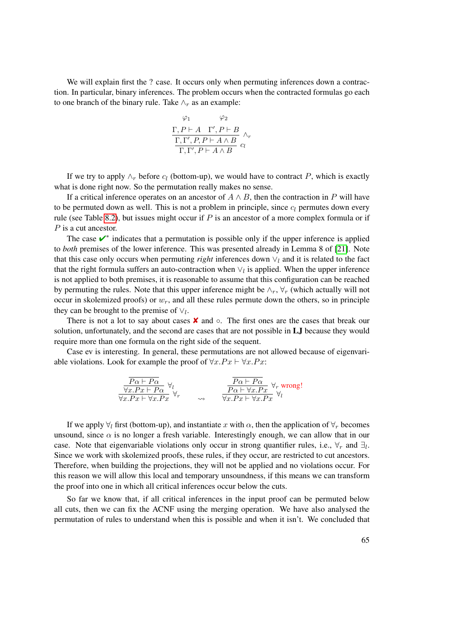We will explain first the ? case. It occurs only when permuting inferences down a contraction. In particular, binary inferences. The problem occurs when the contracted formulas go each to one branch of the binary rule. Take  $\wedge_r$  as an example:

$$
\frac{\varphi_1}{\Gamma, P \vdash A \quad \Gamma', P \vdash B} \wedge_r
$$
  

$$
\frac{\Gamma, \Gamma', P, P \vdash A \wedge B}{\Gamma, \Gamma', P \vdash A \wedge B} c_l
$$

If we try to apply  $\wedge_r$  before  $c_l$  (bottom-up), we would have to contract P, which is exactly what is done right now. So the permutation really makes no sense.

If a critical inference operates on an ancestor of  $A \wedge B$ , then the contraction in P will have to be permuted down as well. This is not a problem in principle, since  $c_l$  permutes down every rule (see Table [8.2\)](#page-79-0), but issues might occur if  $P$  is an ancestor of a more complex formula or if P is a cut ancestor.

The case v<sup>\*</sup> indicates that a permutation is possible only if the upper inference is applied to *both* premises of the lower inference. This was presented already in Lemma 8 of [\[21\]](#page-183-1). Note that this case only occurs when permuting *right* inferences down  $\vee_l$  and it is related to the fact that the right formula suffers an auto-contraction when  $\vee_l$  is applied. When the upper inference is not applied to both premises, it is reasonable to assume that this configuration can be reached by permuting the rules. Note that this upper inference might be  $\wedge_r$ ,  $\forall_r$  (which actually will not occur in skolemized proofs) or  $w_r$ , and all these rules permute down the others, so in principle they can be brought to the premise of  $\vee_l$ .

There is not a lot to say about cases  $\times$  and  $\circ$ . The first ones are the cases that break our solution, unfortunately, and the second are cases that are not possible in LJ because they would require more than one formula on the right side of the sequent.

Case ev is interesting. In general, these permutations are not allowed because of eigenvariable violations. Look for example the proof of  $\forall x.Px \vdash \forall x.Px$ :

$$
\frac{\overline{P\alpha \vdash P\alpha}}{\forall x.Px \vdash P\alpha} \forall_l \qquad \qquad \frac{\overline{P\alpha \vdash P\alpha}}{\forall x.Px \vdash \forall x.Px} \forall_r \text{ wrong!}
$$
\n
$$
\frac{\overline{P\alpha \vdash P\alpha}}{\forall x.Px \vdash \forall x.Px} \forall_l
$$

If we apply  $\forall_l$  first (bottom-up), and instantiate x with  $\alpha$ , then the application of  $\forall_r$  becomes unsound, since  $\alpha$  is no longer a fresh variable. Interestingly enough, we can allow that in our case. Note that eigenvariable violations only occur in strong quantifier rules, i.e.,  $\forall_r$  and  $\exists_l$ . Since we work with skolemized proofs, these rules, if they occur, are restricted to cut ancestors. Therefore, when building the projections, they will not be applied and no violations occur. For this reason we will allow this local and temporary unsoundness, if this means we can transform the proof into one in which all critical inferences occur below the cuts.

So far we know that, if all critical inferences in the input proof can be permuted below all cuts, then we can fix the ACNF using the merging operation. We have also analysed the permutation of rules to understand when this is possible and when it isn't. We concluded that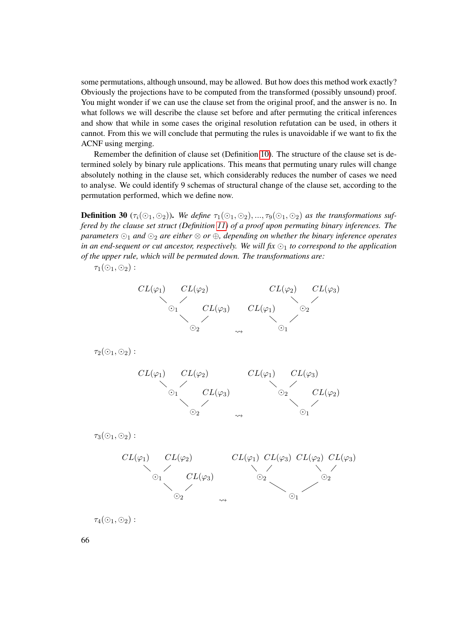some permutations, although unsound, may be allowed. But how does this method work exactly? Obviously the projections have to be computed from the transformed (possibly unsound) proof. You might wonder if we can use the clause set from the original proof, and the answer is no. In what follows we will describe the clause set before and after permuting the critical inferences and show that while in some cases the original resolution refutation can be used, in others it cannot. From this we will conclude that permuting the rules is unavoidable if we want to fix the ACNF using merging.

Remember the definition of clause set (Definition [10\)](#page-37-0). The structure of the clause set is determined solely by binary rule applications. This means that permuting unary rules will change absolutely nothing in the clause set, which considerably reduces the number of cases we need to analyse. We could identify 9 schemas of structural change of the clause set, according to the permutation performed, which we define now.

**Definition 30** ( $\tau_i(\odot_1, \odot_2)$ ). We define  $\tau_1(\odot_1, \odot_2)$ , ...,  $\tau_9(\odot_1, \odot_2)$  as the transformations suf*fered by the clause set struct (Definition [11\)](#page-38-1) of a proof upon permuting binary inferences. The parameters*  $\odot$ <sub>1</sub> *and*  $\odot$ <sub>2</sub> *are either*  $\otimes$  *or*  $\oplus$ *, depending on whether the binary inference operates* in an end-sequent or cut ancestor, respectively. We will fix  $\odot$ <sub>1</sub> to correspond to the application *of the upper rule, which will be permuted down. The transformations are:*

 $\tau_1$ ( $\odot$ <sub>1</sub>,  $\odot$ <sub>2</sub>) :



 $\tau_4(\odot_1, \odot_2)$ :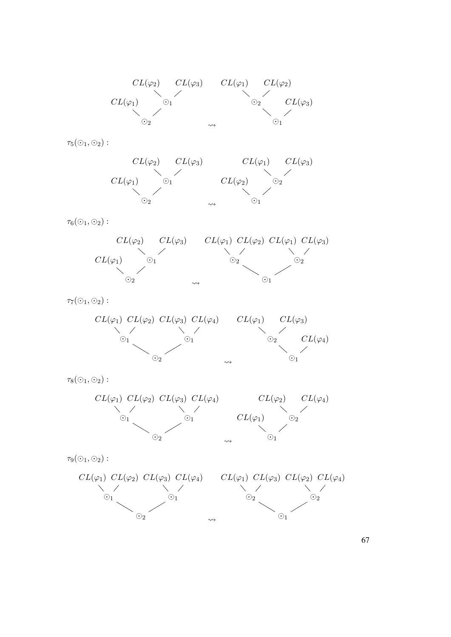

 $\tau_5(\odot_1,\odot_2)$  :



 $\tau_6(\odot_1,\odot_2)$  :



 $\tau_7(\odot_1,\odot_2)$  :



 $\tau_8(\odot_1, \odot_2)$  :



 $\tau_9(\odot_1,\odot_2)$  :



67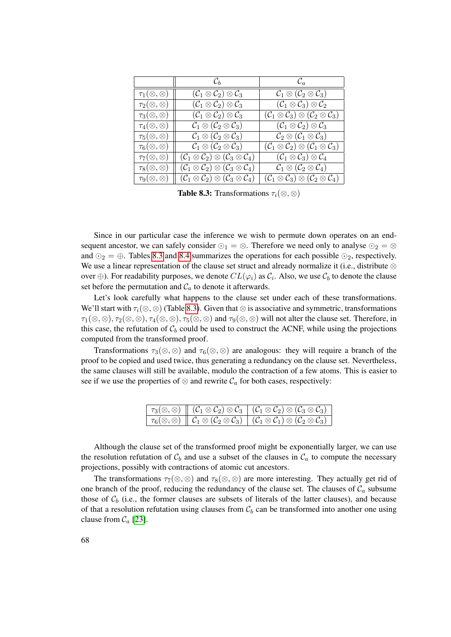|                             | $\mathcal{C}_b$                                                                       | $\mathcal{C}_a$                                                                       |
|-----------------------------|---------------------------------------------------------------------------------------|---------------------------------------------------------------------------------------|
| $\tau_1(\otimes,\otimes)$   | $(\mathcal{C}_1 \otimes \mathcal{C}_2) \otimes \mathcal{C}_3$                         | $\mathcal{C}_1 \otimes (\mathcal{C}_2 \otimes \mathcal{C}_3)$                         |
| $\tau_2(\otimes,\otimes)$   | $(\mathcal{C}_1 \otimes \mathcal{C}_2) \otimes \mathcal{C}_3$                         | $(\mathcal{C}_1 \otimes \mathcal{C}_3) \otimes \mathcal{C}_2$                         |
| $\tau_3(\otimes,\otimes)$   | $(\mathcal{C}_1 \otimes \mathcal{C}_2) \otimes \mathcal{C}_3$                         | $(\mathcal{C}_1 \otimes \mathcal{C}_3) \otimes (\mathcal{C}_2 \otimes \mathcal{C}_3)$ |
| $\tau_4(\otimes,\otimes)$   | $\mathcal{C}_1 \otimes (\mathcal{C}_2 \otimes \mathcal{C}_3)$                         | $(\mathcal{C}_1 \otimes \mathcal{C}_2) \otimes \mathcal{C}_3$                         |
| $\tau_{5}(\otimes,\otimes)$ | $\mathcal{C}_1 \otimes (\mathcal{C}_2 \otimes \mathcal{C}_3)$                         | $\mathcal{C}_2 \otimes (\mathcal{C}_1 \otimes \mathcal{C}_3)$                         |
| $\tau_6(\otimes,\otimes)$   | $\mathcal{C}_1 \otimes (\mathcal{C}_2 \otimes \mathcal{C}_3)$                         | $(\mathcal{C}_1 \otimes \mathcal{C}_2) \otimes (\mathcal{C}_1 \otimes \mathcal{C}_3)$ |
| $\tau_7(\otimes,\otimes)$   | $(\mathcal{C}_1 \otimes \mathcal{C}_2) \otimes (\mathcal{C}_3 \otimes \mathcal{C}_4)$ | $(\mathcal{C}_1 \otimes \mathcal{C}_3) \otimes \mathcal{C}_4$                         |
| $\tau_8(\otimes,\otimes)$   | $(\mathcal{C}_1 \otimes \mathcal{C}_2) \otimes (\mathcal{C}_3 \otimes \mathcal{C}_4)$ | $\mathcal{C}_1 \otimes (\mathcal{C}_2 \otimes \mathcal{C}_4)$                         |
| $\tau_{9}(\otimes,\otimes)$ | $(\mathcal{C}_1 \otimes \mathcal{C}_2) \otimes (\mathcal{C}_3 \otimes \mathcal{C}_4)$ | $(\mathcal{C}_1 \otimes \mathcal{C}_3) \otimes (\mathcal{C}_2 \otimes \mathcal{C}_4)$ |

<span id="page-83-0"></span>**Table 8.3:** Transformations  $\tau_i(\otimes,\otimes)$ 

Since in our particular case the inference we wish to permute down operates on an endsequent ancestor, we can safely consider  $\odot$ <sub>1</sub> =  $\otimes$ . Therefore we need only to analyse  $\odot$ <sub>2</sub> =  $\otimes$ and  $\odot$ <sub>2</sub> =  $\oplus$ . Tables [8.3](#page-83-0) and [8.4](#page-84-0) summarizes the operations for each possible  $\odot$ <sub>2</sub>, respectively. We use a linear representation of the clause set struct and already normalize it (i.e., distribute  $\otimes$ over  $\oplus$ ). For readability purposes, we denote  $CL(\varphi_i)$  as  $\mathcal{C}_i$ . Also, we use  $\mathcal{C}_b$  to denote the clause set before the permutation and  $C_a$  to denote it afterwards.

Let's look carefully what happens to the clause set under each of these transformations. We'll start with  $\tau_i(\otimes,\otimes)$  (Table [8.3\)](#page-83-0). Given that  $\otimes$  is associative and symmetric, transformations  $\tau_1(\otimes,\otimes), \tau_2(\otimes,\otimes), \tau_4(\otimes,\otimes), \tau_5(\otimes,\otimes)$  and  $\tau_9(\otimes,\otimes)$  will not alter the clause set. Therefore, in this case, the refutation of  $C_b$  could be used to construct the ACNF, while using the projections computed from the transformed proof.

Transformations  $\tau_3(\otimes,\otimes)$  and  $\tau_6(\otimes,\otimes)$  are analogous: they will require a branch of the proof to be copied and used twice, thus generating a redundancy on the clause set. Nevertheless, the same clauses will still be available, modulo the contraction of a few atoms. This is easier to see if we use the properties of  $\otimes$  and rewrite  $\mathcal{C}_a$  for both cases, respectively:

|  | $\begin{array}{ c c c c c }\hline \tau_3 (\otimes, \otimes) & (\mathcal C_1 \otimes \mathcal C_2) \otimes \mathcal C_3 & (\mathcal C_1 \otimes \mathcal C_2) \otimes (\mathcal C_3 \otimes \mathcal C_3) \hline \end{array}$ |
|--|------------------------------------------------------------------------------------------------------------------------------------------------------------------------------------------------------------------------------|
|  | $\left\ \;\tau_6(\otimes,\otimes)\;\right\ \;\mathcal{C}_1\otimes(\mathcal{C}_2\otimes\mathcal{C}_3)\;\left\ \;(\mathcal{C}_1\otimes\mathcal{C}_1)\otimes(\mathcal{C}_2\otimes\mathcal{C}_3)\;\right\ $                      |

Although the clause set of the transformed proof might be exponentially larger, we can use the resolution refutation of  $C_b$  and use a subset of the clauses in  $C_a$  to compute the necessary projections, possibly with contractions of atomic cut ancestors.

The transformations  $\tau_7(\otimes,\otimes)$  and  $\tau_8(\otimes,\otimes)$  are more interesting. They actually get rid of one branch of the proof, reducing the redundancy of the clause set. The clauses of  $\mathcal{C}_a$  subsume those of  $C_b$  (i.e., the former clauses are subsets of literals of the latter clauses), and because of that a resolution refutation using clauses from  $C_b$  can be transformed into another one using clause from  $C_a$  [\[23\]](#page-183-0).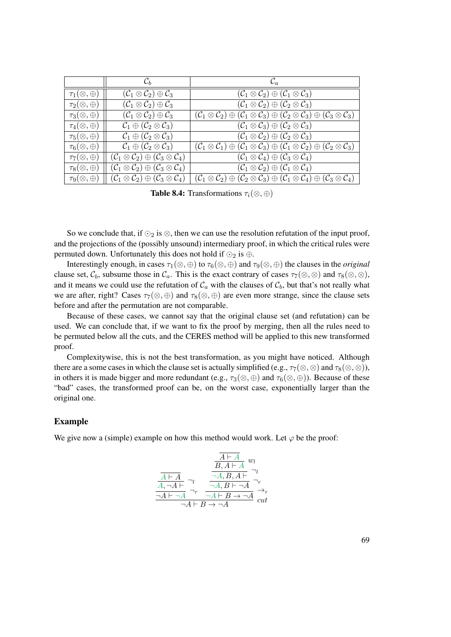|                          | $\mathcal{C}_h$                                                                       | $\mathcal{C}_a$                                                                                                                                                                |
|--------------------------|---------------------------------------------------------------------------------------|--------------------------------------------------------------------------------------------------------------------------------------------------------------------------------|
| $\tau_1(\otimes,\oplus)$ | $(\mathcal{C}_1 \otimes \mathcal{C}_2) \oplus \mathcal{C}_3$                          | $(\mathcal{C}_1 \otimes \mathcal{C}_2) \oplus (\mathcal{C}_1 \otimes \mathcal{C}_3)$                                                                                           |
| $\tau_2(\otimes,\oplus)$ | $(\mathcal{C}_1 \otimes \mathcal{C}_2) \oplus \mathcal{C}_3$                          | $(\mathcal{C}_1 \otimes \mathcal{C}_2) \oplus (\mathcal{C}_2 \otimes \mathcal{C}_3)$                                                                                           |
| $\tau_3(\otimes,\oplus)$ | $(\mathcal{C}_1 \otimes \mathcal{C}_2) \oplus \mathcal{C}_3$                          | $(\mathcal{C}_1 \otimes \mathcal{C}_2) \oplus (\mathcal{C}_1 \otimes \mathcal{C}_3) \oplus (\mathcal{C}_2 \otimes \mathcal{C}_3) \oplus (\mathcal{C}_3 \otimes \mathcal{C}_3)$ |
| $\tau_4(\otimes,\oplus)$ | $\mathcal{C}_1 \oplus (\mathcal{C}_2 \otimes \mathcal{C}_3)$                          | $(\mathcal{C}_1 \otimes \mathcal{C}_3) \oplus (\mathcal{C}_2 \otimes \mathcal{C}_3)$                                                                                           |
| $\tau_5(\otimes,\oplus)$ | $\mathcal{C}_1 \oplus (\mathcal{C}_2 \otimes \mathcal{C}_3)$                          | $(\mathcal{C}_1 \otimes \mathcal{C}_2) \oplus (\mathcal{C}_2 \otimes \mathcal{C}_3)$                                                                                           |
| $\tau_6(\otimes,\oplus)$ | $\mathcal{C}_1 \oplus (\mathcal{C}_2 \otimes \mathcal{C}_3)$                          | $(\mathcal{C}_1 \otimes \mathcal{C}_1) \oplus (\mathcal{C}_1 \otimes \mathcal{C}_3) \oplus (\mathcal{C}_1 \otimes \mathcal{C}_2) \oplus (\mathcal{C}_2 \otimes \mathcal{C}_3)$ |
| $\tau_7(\otimes,\oplus)$ | $(\mathcal{C}_1 \otimes \mathcal{C}_2) \oplus (\mathcal{C}_3 \otimes \mathcal{C}_4)$  | $(\mathcal{C}_1 \otimes \mathcal{C}_4) \oplus (\mathcal{C}_3 \otimes \mathcal{C}_4)$                                                                                           |
| $\tau_8(\otimes,\oplus)$ | $(\mathcal{C}_1 \otimes \mathcal{C}_2) \oplus (\mathcal{C}_3 \otimes \mathcal{C}_4)$  | $(\mathcal{C}_1 \otimes \mathcal{C}_2) \oplus (\mathcal{C}_1 \otimes \mathcal{C}_4)$                                                                                           |
| $\tau_9(\otimes,\oplus)$ | $(\mathcal{C}_1 \otimes \mathcal{C}_2) \oplus (\mathcal{C}_3 \otimes \mathcal{C}_4).$ | $(\mathcal{C}_1 \otimes \mathcal{C}_2) \oplus (\mathcal{C}_2 \otimes \mathcal{C}_3) \oplus (\mathcal{C}_1 \otimes \mathcal{C}_4) \oplus (\mathcal{C}_3 \otimes \mathcal{C}_4)$ |

<span id="page-84-0"></span>**Table 8.4:** Transformations  $\tau_i(\otimes,\oplus)$ 

So we conclude that, if  $\odot_2$  is  $\otimes$ , then we can use the resolution refutation of the input proof, and the projections of the (possibly unsound) intermediary proof, in which the critical rules were permuted down. Unfortunately this does not hold if  $\odot$ <sub>2</sub> is  $\oplus$ .

Interestingly enough, in cases  $\tau_1(\otimes,\oplus)$  to  $\tau_6(\otimes,\oplus)$  and  $\tau_9(\otimes,\oplus)$  the clauses in the *original* clause set,  $C_b$ , subsume those in  $C_a$ . This is the exact contrary of cases  $\tau_7(\otimes,\otimes)$  and  $\tau_8(\otimes,\otimes)$ , and it means we could use the refutation of  $C_a$  with the clauses of  $C_b$ , but that's not really what we are after, right? Cases  $\tau_7(\otimes,\oplus)$  and  $\tau_8(\otimes,\oplus)$  are even more strange, since the clause sets before and after the permutation are not comparable.

Because of these cases, we cannot say that the original clause set (and refutation) can be used. We can conclude that, if we want to fix the proof by merging, then all the rules need to be permuted below all the cuts, and the CERES method will be applied to this new transformed proof.

Complexitywise, this is not the best transformation, as you might have noticed. Although there are a some cases in which the clause set is actually simplified (e.g.,  $\tau_7(\otimes,\otimes)$  and  $\tau_8(\otimes,\otimes)$ ), in others it is made bigger and more redundant (e.g.,  $\tau_3(\otimes,\oplus)$ ) and  $\tau_6(\otimes,\oplus)$ ). Because of these "bad" cases, the transformed proof can be, on the worst case, exponentially larger than the original one.

#### Example

We give now a (simple) example on how this method would work. Let  $\varphi$  be the proof:

$$
\frac{\frac{\overline{A \vdash A}}{B, A \vdash A} w_l}{\frac{\overline{A \vdash A}}{A, \neg A \vdash} \neg_l \qquad \frac{\neg A, B, A \vdash}{\neg A, B \vdash \neg A} \neg_r}{\frac{\neg A, B \vdash \neg A}{\neg A \vdash B \rightarrow \neg A} \qquad \overline{\neg A}}}
$$
\n
$$
\frac{\neg A \vdash A}{\neg A \vdash B \rightarrow \neg A} w_l
$$
\n
$$
w_l
$$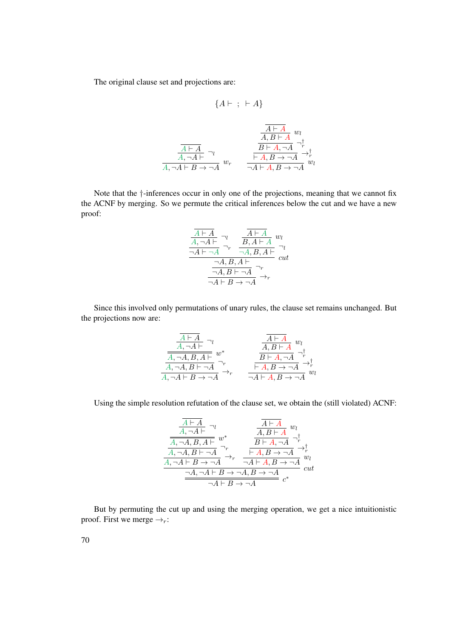The original clause set and projections are:

$$
\{A \vdash \; ; \; \vdash A\}
$$

$$
\frac{\frac{\overline{A \vdash A}}{A, B \vdash A} w_l}{\frac{\overline{A \vdash A}}{A, \neg A \vdash} \neg_l}
$$
\n
$$
\frac{\overline{A \vdash A}}{\overline{A, A \vdash B \rightarrow \neg A}} w_r
$$
\n
$$
\frac{\overline{A \vdash A}}{\neg A \vdash A, B \rightarrow \neg A} \rightarrow_p^{\dagger} w_l
$$
\n
$$
\frac{\overline{A \vdash A}}{\neg A \vdash A, B \rightarrow \neg A} w_l
$$

Note that the †-inferences occur in only one of the projections, meaning that we cannot fix the ACNF by merging. So we permute the critical inferences below the cut and we have a new proof:

$$
\frac{\overline{A \vdash A}}{A, \neg A \vdash} \neg_l \quad \frac{\overline{A \vdash A}}{\neg A, B, A \vdash A} w_l
$$
\n
$$
\frac{\neg A \vdash \neg A}{\neg A, B, A \vdash} \neg_l
$$
\n
$$
\frac{\neg A, B, A \vdash}{\neg A, B \vdash \neg A} \neg_r
$$
\n
$$
\frac{\neg A, B \vdash \neg A}{\neg A \vdash B \to \neg A} \rightarrow_r
$$

Since this involved only permutations of unary rules, the clause set remains unchanged. But the projections now are:

$$
\frac{\overline{A \vdash A}}{A, \neg A \vdash B} \neg_l \qquad \qquad \frac{\overline{A \vdash A}}{A, B \vdash A} w_l
$$
\n
$$
\overline{A, \neg A, B, A \vdash w^*}
$$
\n
$$
\overline{A, \neg A, B \vdash \neg A} \neg_r
$$
\n
$$
\overline{A, A, A \vdash B \rightarrow A} \neg_r
$$
\n
$$
\overline{A, A, B \vdash A} \neg_r
$$
\n
$$
\overline{A, A, B \rightarrow A} \neg_r^{\uparrow}
$$
\n
$$
\overline{A, A, B \rightarrow A} w_l
$$
\n
$$
\overline{A, A, B \rightarrow A} w_l
$$
\n
$$
\overline{A, A, B \rightarrow A} w_l
$$

Using the simple resolution refutation of the clause set, we obtain the (still violated) ACNF:

$$
\frac{\frac{\overline{A \vdash A}}{A, \neg A \vdash} \neg_l}{\frac{\overline{A}, \neg A, B, A \vdash}{A, \neg A, B \vdash \neg A}} w^*_{\overline{B \vdash A, \neg A}} \xrightarrow{\overline{A \vdash A}} \frac{\overline{A \vdash A}}{\overline{B \vdash A, \neg A}} \neg_r^{\dagger}_{\overline{A}} \rightarrow \frac{\overline{A \vdash A}}{\overline{A, \neg A \vdash B \rightarrow \neg A}} \neg_r^{\dagger}_{\neg A \vdash A, B \rightarrow \neg A} \neg_r^{\dagger}_{\neg A} w_l
$$
\n
$$
\frac{\neg A, \neg A \vdash B \rightarrow \neg A, B \rightarrow \neg A}{\neg A \vdash B \rightarrow \neg A} c^*
$$

But by permuting the cut up and using the merging operation, we get a nice intuitionistic proof. First we merge  $\rightarrow_r$ :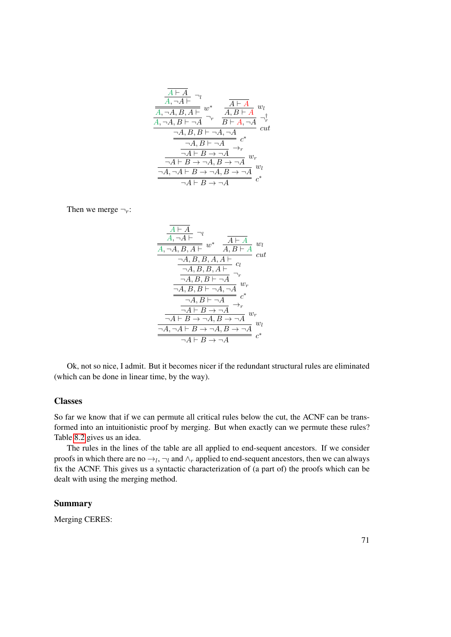$$
\frac{\frac{\overline{A \vdash A}}{A, \neg A \vdash} \neg_l}{\frac{\overline{A}, \neg A, B, A \vdash}{A, \neg A, B \vdash \neg A}} w_l
$$
\n
$$
\frac{\overline{A \vdash A}}{A, \neg A, B \vdash \neg A} \neg_r \frac{\overline{A \vdash A}}{B \vdash A, \neg A} \neg_r^{\dagger}
$$
\n
$$
\frac{\neg A, B, B \vdash \neg A, \neg A}{\neg A, B \vdash \neg A} c^*
$$
\n
$$
\frac{\neg A \vdash B \rightarrow \neg A}{\neg A \vdash B \rightarrow \neg A, B \rightarrow \neg A} w_r}{\neg A \vdash B \rightarrow \neg A, B \rightarrow \neg A} w_l
$$
\n
$$
\frac{\neg A, \neg A \vdash B \rightarrow \neg A, B \rightarrow \neg A}{\neg A \vdash B \rightarrow \neg A} c^*
$$

Then we merge  $\neg_r$ :

$$
\frac{\frac{A\vdash A}{A,\neg A\vdash} \neg_l}{\frac{A,A,\neg A,B,A\vdash}{A,B\vdash A} w_l} \quad \frac{A\vdash A}{A,B\vdash A} w_l
$$
\n
$$
\frac{\neg A,B,B,A,A\vdash}{\neg A,B,B,A\vdash} c_l
$$
\n
$$
\frac{\neg A,B,B\vdash\neg A}{\neg A,B,B\vdash\neg A}\neg_r
$$
\n
$$
\frac{\neg A,B\vdash\neg A}{\neg A\vdash B\rightarrow\neg A} c^*
$$
\n
$$
\frac{\neg A\vdash B\rightarrow\neg A}{\neg A\vdash B\rightarrow\neg A,B\rightarrow\neg A} w_r
$$
\n
$$
\frac{\neg A\vdash B\rightarrow\neg A}{\neg A\vdash B\rightarrow\neg A,B\rightarrow\neg A} w_l
$$
\n
$$
\frac{\neg A\vdash B\rightarrow\neg A}{\neg A\vdash B\rightarrow\neg A} c^*
$$

Ok, not so nice, I admit. But it becomes nicer if the redundant structural rules are eliminated (which can be done in linear time, by the way).

#### **Classes**

So far we know that if we can permute all critical rules below the cut, the ACNF can be transformed into an intuitionistic proof by merging. But when exactly can we permute these rules? Table [8.2](#page-79-0) gives us an idea.

The rules in the lines of the table are all applied to end-sequent ancestors. If we consider proofs in which there are no  $\rightarrow_l, \neg_l$  and  $\land_r$  applied to end-sequent ancestors, then we can always fix the ACNF. This gives us a syntactic characterization of (a part of) the proofs which can be dealt with using the merging method.

#### Summary

Merging CERES: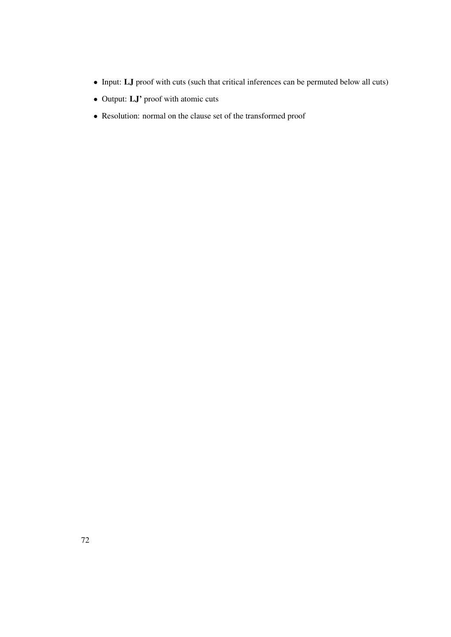- Input: LJ proof with cuts (such that critical inferences can be permuted below all cuts)
- Output: LJ' proof with atomic cuts
- Resolution: normal on the clause set of the transformed proof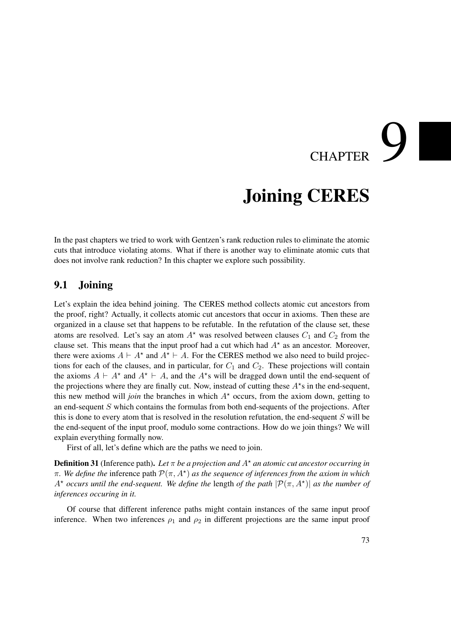# CHAPTER

## Joining CERES

<span id="page-88-0"></span>In the past chapters we tried to work with Gentzen's rank reduction rules to eliminate the atomic cuts that introduce violating atoms. What if there is another way to eliminate atomic cuts that does not involve rank reduction? In this chapter we explore such possibility.

#### 9.1 Joining

Let's explain the idea behind joining. The CERES method collects atomic cut ancestors from the proof, right? Actually, it collects atomic cut ancestors that occur in axioms. Then these are organized in a clause set that happens to be refutable. In the refutation of the clause set, these atoms are resolved. Let's say an atom  $A^*$  was resolved between clauses  $C_1$  and  $C_2$  from the clause set. This means that the input proof had a cut which had  $A^*$  as an ancestor. Moreover, there were axioms  $A \vdash A^*$  and  $A^* \vdash A$ . For the CERES method we also need to build projections for each of the clauses, and in particular, for  $C_1$  and  $C_2$ . These projections will contain the axioms  $A \vdash A^*$  and  $A^* \vdash A$ , and the  $A^*$ s will be dragged down until the end-sequent of the projections where they are finally cut. Now, instead of cutting these  $A^*s$  in the end-sequent, this new method will *join* the branches in which  $A^*$  occurs, from the axiom down, getting to an end-sequent S which contains the formulas from both end-sequents of the projections. After this is done to every atom that is resolved in the resolution refutation, the end-sequent  $S$  will be the end-sequent of the input proof, modulo some contractions. How do we join things? We will explain everything formally now.

First of all, let's define which are the paths we need to join.

**Definition 31** (Inference path). Let  $\pi$  be a projection and  $A^*$  an atomic cut ancestor occurring in  $\pi$ . We define the inference path  $\mathcal{P}(\pi, A^{\star})$  as the sequence of inferences from the axiom in which  $A^*$  *occurs until the end-sequent. We define the length of the path*  $|\mathcal{P}(\pi, A^*)|$  *as the number of inferences occuring in it.*

Of course that different inference paths might contain instances of the same input proof inference. When two inferences  $\rho_1$  and  $\rho_2$  in different projections are the same input proof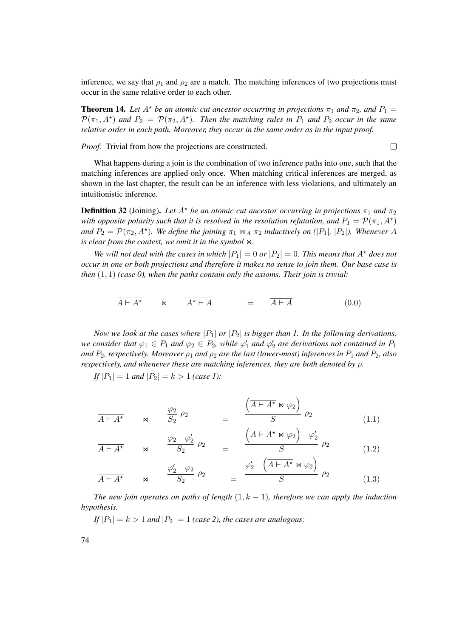inference, we say that  $\rho_1$  and  $\rho_2$  are a match. The matching inferences of two projections must occur in the same relative order to each other.

**Theorem 14.** Let  $A^*$  be an atomic cut ancestor occurring in projections  $\pi_1$  and  $\pi_2$ , and  $P_1 =$  $\mathcal{P}(\pi_1, A^*)$  and  $P_2 = \mathcal{P}(\pi_2, A^*)$ . Then the matching rules in  $P_1$  and  $P_2$  occur in the same *relative order in each path. Moreover, they occur in the same order as in the input proof.*

 $\Box$ 

*Proof.* Trivial from how the projections are constructed.

What happens during a join is the combination of two inference paths into one, such that the matching inferences are applied only once. When matching critical inferences are merged, as shown in the last chapter, the result can be an inference with less violations, and ultimately an intuitionistic inference.

<span id="page-89-0"></span>**Definition 32** (Joining). Let  $A^*$  be an atomic cut ancestor occurring in projections  $\pi_1$  and  $\pi_2$ *with opposite polarity such that it is resolved in the resolution refutation, and*  $P_1 = \mathcal{P}(\pi_1, A^{\star})$ *and*  $P_2 = \mathcal{P}(\pi_2, A^*)$ *. We define the joining*  $\pi_1 \bowtie_A \pi_2$  *inductively on* (|P<sub>1</sub>|*,* |P<sub>2</sub>|*). Whenever* A *is clear from the context, we omit it in the symbol*  $\bowtie$ *.* 

*We will not deal with the cases in which*  $|P_1| = 0$  *or*  $|P_2| = 0$ *. This means that*  $A^*$  *does not occur in one or both projections and therefore it makes no sense to join them. Our base case is then* (1, 1) *(case 0), when the paths contain only the axioms. Their join is trivial:*

$$
\overline{A \vdash A^{\star}} \qquad \bowtie \qquad \overline{A^{\star} \vdash A} \qquad \qquad = \qquad \overline{A \vdash A} \tag{0.0}
$$

*Now we look at the cases where*  $|P_1|$  *or*  $|P_2|$  *is bigger than 1. In the following derivations, we consider that*  $\varphi_1 \in P_1$  *and*  $\varphi_2 \in P_2$ *, while*  $\varphi'_1$  *and*  $\varphi'_2$  *are derivations not contained in*  $P_1$ *and*  $P_2$ *, respectively. Moreover*  $\rho_1$  *and*  $\rho_2$  *are the last (lower-most) inferences in*  $P_1$  *and*  $P_2$ *, also respectively, and whenever these are matching inferences, they are both denoted by* ρ*.*

*If*  $|P_1| = 1$  *and*  $|P_2| = k > 1$  *(case 1):* 

$$
\overline{A \vdash A^{\star}} \qquad \bowtie \qquad \frac{\varphi_2}{S_2} \; \rho_2 \qquad \qquad = \qquad \frac{\left(\overline{A \vdash A^{\star} \bowtie \varphi_2}\right)}{S} \; \rho_2 \tag{1.1}
$$

$$
\overline{A \vdash A^{\star}} \qquad \bowtie \qquad \frac{\varphi_2 \quad \varphi_2'}{S_2} \quad \rho_2 \qquad = \qquad \frac{\left(\overline{A \vdash A^{\star} \bowtie \varphi_2}\right) \quad \varphi_2'}{S} \quad \rho_2 \tag{1.2}
$$

$$
\overline{A \vdash A^{\star}} \qquad \bowtie \qquad \frac{\varphi_2' \quad \varphi_2}{S_2} \quad \rho_2 \qquad \qquad = \qquad \frac{\varphi_2' \quad (\overline{A \vdash A^{\star} \bowtie \varphi_2})}{S} \quad \rho_2 \tag{1.3}
$$

*The new join operates on paths of length*  $(1, k - 1)$ *, therefore we can apply the induction hypothesis.*

 $If |P_1| = k > 1$  *and*  $|P_2| = 1$  *(case 2), the cases are analogous:*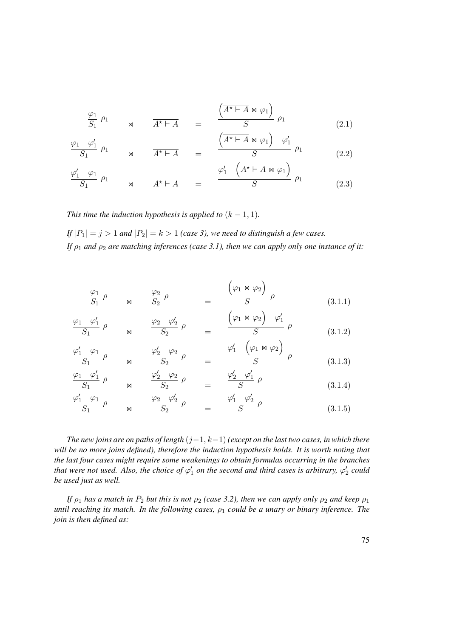$$
\frac{\varphi_1}{S_1} \rho_1 \qquad \qquad \mathsf{M} \qquad \frac{A^* \vdash A}{A^* \vdash A} \qquad = \qquad \frac{\left(\overline{A^* \vdash A} \bowtie \varphi_1\right)}{S} \rho_1 \tag{2.1}
$$

$$
\frac{\varphi_1 \varphi_1'}{S_1} \rho_1 \qquad \qquad \mathsf{M} \qquad \frac{A^* \vdash A}{A^* \vdash A} \qquad = \qquad \frac{\left(\overline{A^* \vdash A \bowtie \varphi_1}\right) \varphi_1'}{S} \rho_1 \tag{2.2}
$$

$$
\frac{\varphi_1' \varphi_1}{S_1} \rho_1 \qquad \qquad \mathsf{M} \qquad \frac{\varphi_1' \left( \overline{A^* \vdash A} \otimes \varphi_1 \right)}{S} \rho_1 \qquad (2.3)
$$

*This time the induction hypothesis is applied to*  $(k - 1, 1)$ *.* 

*If*  $|P_1| = j > 1$  *and*  $|P_2| = k > 1$  *(case 3), we need to distinguish a few cases. If*  $\rho_1$  *and*  $\rho_2$  *are matching inferences (case 3.1), then we can apply only one instance of it:* 

$$
\frac{\varphi_1}{S_1} \rho \qquad \qquad \mathbf{M} \qquad \frac{\varphi_2}{S_2} \rho \qquad \qquad = \qquad \frac{\left(\varphi_1 \otimes \varphi_2\right)}{S} \rho \qquad (3.1.1)
$$

$$
\frac{\varphi_1 \varphi_1'}{S_1} \rho \qquad \qquad \varphi_2 \qquad \frac{\varphi_2}{S_2} \rho \qquad = \qquad \frac{\left(\varphi_1 \bowtie \varphi_2\right) \varphi_1'}{S} \rho \qquad (3.1.2)
$$

$$
\frac{\varphi_1' \varphi_1}{S_1} \rho \qquad \qquad \varphi_2' \qquad \varphi_2 \qquad \varphi_2 \qquad \varphi_3 \qquad \varphi_4' \qquad \left(\varphi_1 \bowtie \varphi_2\right) \qquad \varphi_5 \qquad \qquad \varphi_5' \qquad \varphi_6 \qquad \qquad \varphi_7 \qquad \varphi_8 \qquad \qquad \varphi_9 \qquad \qquad \varphi_9 \qquad \qquad \varphi_9 \qquad \qquad \varphi_9 \qquad \qquad \varphi_9 \qquad \qquad \varphi_9 \qquad \qquad \varphi_9 \qquad \qquad \varphi_9 \qquad \qquad \varphi_9 \qquad \qquad \varphi_9 \qquad \qquad \varphi_9 \qquad \qquad \varphi_9 \qquad \qquad \varphi_9 \qquad \qquad \varphi_9 \qquad \qquad \varphi_9 \qquad \qquad \varphi_9 \qquad \qquad \varphi_9 \qquad \qquad \varphi_9 \qquad \qquad \varphi_9 \qquad \qquad \varphi_9 \qquad \qquad \varphi_9 \qquad \qquad \varphi_9 \qquad \qquad \varphi_9 \qquad \qquad \varphi_9 \qquad \qquad \varphi_9 \qquad \qquad \varphi_9 \qquad \qquad \varphi_9 \qquad \qquad \varphi_9 \qquad \qquad \varphi_9 \qquad \qquad \varphi_9 \qquad \qquad \varphi_9 \qquad \qquad \varphi_9 \qquad \qquad \varphi_9 \qquad \qquad \varphi_9 \qquad \qquad \varphi_9 \qquad \qquad \varphi_9 \qquad \qquad \varphi_9 \qquad \qquad \varphi_9 \qquad \qquad \varphi_9 \qquad \qquad \varphi_9 \qquad \qquad \varphi_9 \qquad \qquad \varphi_9 \qquad \qquad \varphi_9 \qquad \qquad \varphi_9 \qquad \qquad \varphi_9 \qquad \qquad \varphi_9 \qquad \qquad \varphi_9 \qquad \qquad \varphi_9 \qquad \qquad \varphi_9 \qquad \qquad \varphi_9 \qquad \qquad \varphi_9 \qquad \qquad \varphi_9 \qquad \qquad \varphi_9 \qquad \qquad \varphi_9 \qquad \qquad \varphi_9 \qquad \qquad \varphi_9 \qquad \qquad \varphi_9
$$

$$
\frac{\varphi_1}{S_1} \rho \qquad \qquad \varphi_2' \qquad \varphi_2 \qquad \rho \qquad \qquad = \qquad \frac{\varphi_2' \qquad \varphi_1'}{S} \rho \qquad \qquad (3.1.4)
$$

$$
\frac{\varphi_1' \quad \varphi_1}{S_1} \quad \rho \qquad \qquad \mathsf{M} \qquad \frac{\varphi_2 \quad \varphi_2'}{S_2} \quad \rho \qquad = \qquad \frac{\varphi_1' \quad \varphi_2'}{S} \quad \rho \tag{3.1.5}
$$

*The new joins are on paths of length* (j−1, k−1) *(except on the last two cases, in which there will be no more joins defined), therefore the induction hypothesis holds. It is worth noting that the last four cases might require some weakenings to obtain formulas occurring in the branches that were not used. Also, the choice of*  $\varphi_1'$  *on the second and third cases is arbitrary,*  $\varphi_2'$  *could be used just as well.*

*If*  $\rho_1$  *has a match in*  $P_2$  *but this is not*  $\rho_2$  *(case 3.2), then we can apply only*  $\rho_2$  *and keep*  $\rho_1$ *until reaching its match. In the following cases,*  $\rho_1$  *could be a unary or binary inference. The join is then defined as:*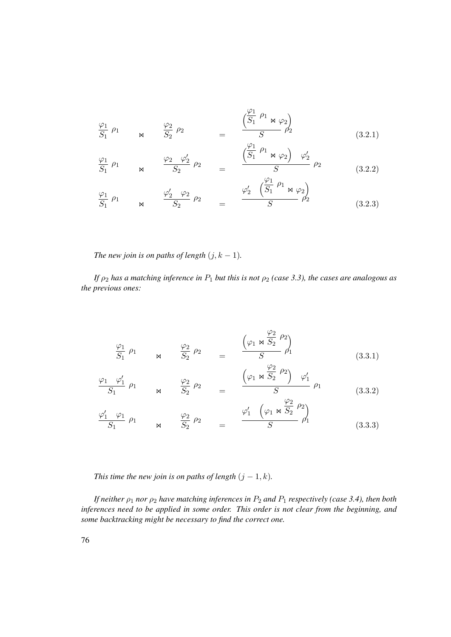$$
\frac{\varphi_1}{S_1} \rho_1 \qquad \qquad \mathbf{M} \qquad \qquad \frac{\varphi_2}{S_2} \rho_2 \qquad \qquad = \qquad \frac{\left(\frac{\varphi_1}{S_1} \rho_1 \otimes \varphi_2\right)}{S} \qquad \qquad \mathbf{M} \qquad (3.2.1)
$$

$$
\frac{\varphi_1}{S_1} \rho_1 \qquad \qquad \mathsf{M} \qquad \frac{\varphi_2 \varphi_2'}{S_2} \rho_2 \qquad = \qquad \frac{\left(\frac{\varphi_1}{S_1} \rho_1 \otimes \varphi_2\right) \varphi_2'}{S} \rho_2 \qquad (3.2.2)
$$

$$
\frac{\varphi_1}{S_1} \rho_1 \qquad \qquad \varphi_2 \qquad \varphi_2 \qquad \rho_2 \qquad = \qquad \frac{\varphi_2' \quad (\frac{\varphi_1}{S_1} \rho_1 \otimes \varphi_2)}{S} \qquad (3.2.3)
$$

*The new join is on paths of length*  $(j, k - 1)$ *.* 

*If*  $\rho_2$  *has a matching inference in*  $P_1$  *but this is not*  $\rho_2$  *(case 3.3), the cases are analogous as the previous ones:*

$$
\frac{\varphi_1}{S_1} \rho_1 \qquad \qquad \mathbb{M} \qquad \frac{\varphi_2}{S_2} \rho_2 \qquad = \qquad \frac{\left(\varphi_1 \bowtie \frac{\varphi_2}{S_2} \rho_2\right)}{S} \qquad \qquad \mathbb{M} \qquad (3.3.1)
$$

$$
\frac{\varphi_1 \quad \varphi_1'}{S_1} \quad \rho_1 \qquad \qquad \varphi_2 \qquad \varphi_2 \qquad \qquad = \qquad \frac{\left(\varphi_1 \bowtie \frac{\varphi_2}{S_2} \quad \rho_2\right) \quad \varphi_1'}{S} \quad \varphi_1 \qquad \qquad (3.3.2)
$$

$$
\frac{\varphi_1' \quad \varphi_1}{S_1} \quad \rho_1 \qquad \qquad \varphi_2 \qquad \varphi_2 \qquad \varphi_2 \qquad \qquad \varphi_1' \quad \left(\varphi_1 \bowtie \frac{\varphi_2}{S_2} \quad \varphi_2\right) \qquad (3.3.3)
$$

*This time the new join is on paths of length*  $(j - 1, k)$ *.* 

*If neither*  $\rho_1$  *nor*  $\rho_2$  *have matching inferences in*  $P_2$  *and*  $P_1$  *respectively (case 3.4), then both inferences need to be applied in some order. This order is not clear from the beginning, and some backtracking might be necessary to find the correct one.*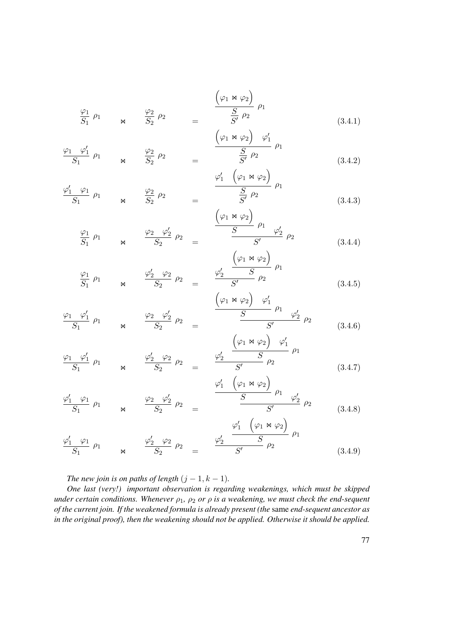$$
\frac{\varphi_1}{S_1} \rho_1 \qquad \bowtie \qquad \frac{\varphi_2}{S_2} \rho_2 \qquad = \qquad \frac{\left(\varphi_1 \bowtie \varphi_2\right)}{S'} \rho_1 \qquad (3.4.1)
$$

$$
\frac{\varphi_1 \quad \varphi_1'}{S_1} \quad \rho_1 \qquad \qquad \mathbb{A} \qquad \frac{\varphi_2}{S_2} \quad \rho_2 \qquad \qquad = \qquad \frac{\left(\varphi_1 \bowtie \varphi_2\right) \quad \varphi_1'}{S'} \quad \rho_1
$$
\n
$$
\tag{3.4.2}
$$

$$
\frac{\varphi_1' \quad \varphi_1}{S_1} \quad \rho_1 \qquad \qquad \mathbb{M} \qquad \frac{\varphi_2}{S_2} \quad \rho_2 \qquad \qquad = \qquad \frac{\varphi_1' \quad (\varphi_1 \bowtie \varphi_2)}{S'} \quad \rho_1 \qquad \qquad (3.4.3)
$$

$$
\frac{\varphi_1}{S_1} \rho_1 \qquad \qquad \mathsf{M} \qquad \frac{\varphi_2 \varphi_2'}{S_2} \rho_2 \qquad = \qquad \frac{\left(\varphi_1 \otimes \varphi_2\right)}{S} \rho_1 \qquad \qquad \varphi_2' \qquad \qquad \mathsf{M} \qquad (3.4.4)
$$

$$
\frac{\varphi_1}{S_1} \rho_1 \qquad \qquad \bowtie \qquad \frac{\varphi_2' \quad \varphi_2}{S_2} \rho_2 \qquad = \qquad \frac{\varphi_2' \quad \frac{(\varphi_1 \bowtie \varphi_2)}{S} \rho_1}{(\varphi_1 \bowtie \varphi_2) \quad \varphi_1'} \qquad (3.4.5)
$$

$$
\frac{\varphi_1 \quad \varphi_1'}{S_1} \quad \rho_1 \qquad \qquad \varphi_2 \qquad \frac{\varphi_2 \quad \varphi_2'}{S_2} \quad \rho_2 \qquad = \qquad \qquad \frac{S}{S} \qquad \qquad \frac{\rho_1 \quad \varphi_2'}{S'} \quad \rho_2 \qquad (3.4.6)
$$

$$
\frac{\varphi_1 \quad \varphi_1'}{S_1} \quad \rho_1 \qquad \qquad \varphi_2' \quad \varphi_2 \qquad \rho_2 \qquad = \qquad \frac{\varphi_2' \quad \varphi_2 \quad \varphi_1'}{S'} \quad \rho_1 \qquad \qquad \varphi_2 \qquad \varphi_2 \qquad \qquad \varphi_1 \qquad (3.4.7)
$$

$$
\frac{\varphi_1' \quad \varphi_1}{S_1} \quad \rho_1 \qquad \qquad \varphi_2 \qquad \varphi_2' \qquad \rho_2 \qquad \qquad \frac{\varphi_1' \quad (\varphi_1 \bowtie \varphi_2)}{S} \quad \rho_1 \qquad \varphi_2' \qquad \rho_2 \qquad \qquad (3.4.8)
$$
\n
$$
\varphi_1' \quad (\varphi_1 \bowtie \varphi_2)
$$

$$
\frac{\varphi_1' \varphi_1}{S_1} \rho_1 \qquad \qquad \varphi_2' \qquad \frac{\varphi_2' \varphi_2}{S_2} \rho_2 \qquad = \qquad \frac{\varphi_2' \qquad S}{S'} \rho_2 \qquad \qquad \varphi_1' \qquad (3.4.9)
$$

*The new join is on paths of length*  $(j - 1, k - 1)$ *.* 

*One last (very!) important observation is regarding weakenings, which must be skipped under certain conditions. Whenever*  $\rho_1$ ,  $\rho_2$  *or*  $\rho$  *is a weakening, we must check the end-sequent of the current join. If the weakened formula is already present (the* same *end-sequent ancestor as in the original proof), then the weakening should not be applied. Otherwise it should be applied.*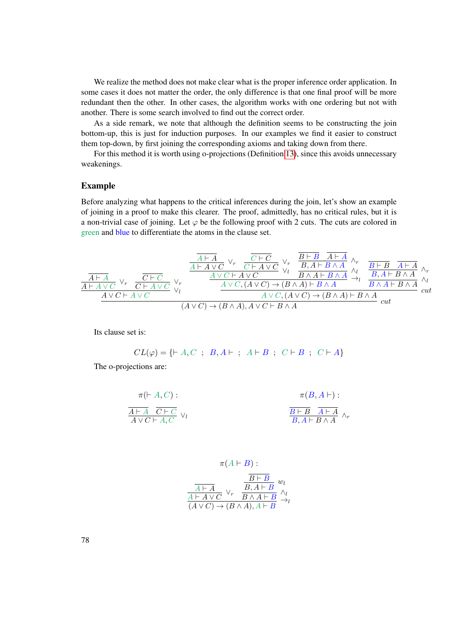We realize the method does not make clear what is the proper inference order application. In some cases it does not matter the order, the only difference is that one final proof will be more redundant then the other. In other cases, the algorithm works with one ordering but not with another. There is some search involved to find out the correct order.

As a side remark, we note that although the definition seems to be constructing the join bottom-up, this is just for induction purposes. In our examples we find it easier to construct them top-down, by first joining the corresponding axioms and taking down from there.

For this method it is worth using o-projections (Definition [13\)](#page-39-0), since this avoids unnecessary weakenings.

#### Example

Before analyzing what happens to the critical inferences during the join, let's show an example of joining in a proof to make this clearer. The proof, admittedly, has no critical rules, but it is a non-trivial case of joining. Let  $\varphi$  be the following proof with 2 cuts. The cuts are colored in green and blue to differentiate the atoms in the clause set.

$$
\frac{\frac{\overline{A \vdash A}}{A \vdash A \lor C} \lor_r \quad \overline{C \vdash A \lor C} \lor_r \quad \overline{B \vdash B} \quad \overline{A \vdash A}}{A \vdash A \lor C \lor_r \quad \overline{C \vdash A \lor C} \lor_r \quad \overline{B \land A \vdash B \land A} \land_r \quad \overline{B \vdash B} \quad \overline{A \vdash A} \land_r}{B \land A \vdash B \land A} \land_r}{\frac{\overline{A \vdash A \lor C} \lor_r \quad \overline{C \vdash A \lor C} \lor_r}{C \vdash A \lor C} \lor_r \quad \overline{A \lor C \vdash A \lor C} \lor_r}{A \lor C \vdash A \lor C \land A \lor C) \rightarrow (B \land A) \vdash B \land A}
$$
\n
$$
\frac{\overline{A \vdash A} \land_r}{B \land A \vdash B \land A} \land_r}{A \lor C \vdash A \lor C} \land_r}{A \lor C \vdash B \land A \lor C \vdash B \land A}
$$
\n
$$
\frac{\overline{A \lor C \vdash A \lor C} \lor_r}{A \lor C \vdash A \lor C} \land_r}{A \lor C \vdash B \land A \lor C \vdash B \land A}
$$

Its clause set is:

$$
CL(\varphi) = \{ \vdash A, C \; ; \; B, A \vdash ; \; A \vdash B \; ; \; C \vdash B \; ; \; C \vdash A \}
$$

The o-projections are:

$$
\pi(F A, C): \qquad \pi(B, A \vdash):
$$
\n
$$
\frac{\overline{A \vdash A} \quad \overline{C \vdash C}}{\overline{A \lor C \vdash A, C}} \vee_l
$$
\n
$$
\frac{\overline{B \vdash B} \quad \overline{A \vdash A}}{\overline{B}, A \vdash B \land A} \wedge_r
$$

$$
\pi(A \vdash B) : \newline \frac{\overline{B \vdash B}}{\overline{A \vdash A} \vee \overline{C}} \vee_r \frac{\overline{B \vdash B}}{\overline{B \land A \vdash B}} \vee_{\begin{array}{c} \wedge_l \\ \wedge \\ \wedge \\ \wedge \\ \wedge \wedge \vee C \end{array}} \forall r, \ \overline{B \land A \vdash B} \leftrightarrow_l
$$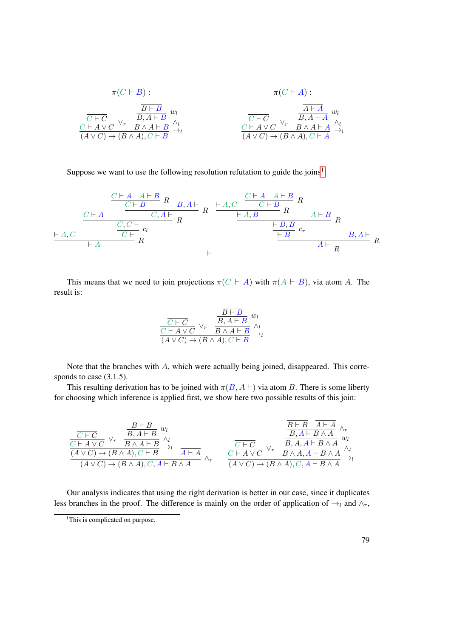$$
\pi(C \vdash B) : \pi(C \vdash A) : \n\frac{\overline{B \vdash B}}{\overline{C \vdash A \lor C}} \vee_r \frac{\overline{B} \vdash B}{\overline{B} \land A \vdash B} w_l \wedge_l \frac{\overline{C \vdash C}}{\overline{C \vdash A \lor C} \lor_r \frac{\overline{B} \land A \vdash A}{\overline{B} \land A \vdash A} w_l}{\overline{C \vdash A \lor C} \lor_r \frac{\overline{B} \land A \vdash A}{\overline{B} \land A \vdash A} \rightarrow_l} \wedge_l
$$
\n
$$
(A \lor C) \rightarrow (B \land A), C \vdash B \rightarrow l
$$

Suppose we want to use the following resolution refutation to guide the joins<sup>[1](#page-94-0)</sup>:

` A, C C ` A C ` A A ` B C ` B <sup>R</sup> B, <sup>A</sup> ` C, A ` R C, C ` R C ` cl ` A R ` A, C C ` A A ` B C ` B R ` A, B <sup>R</sup> <sup>A</sup> ` <sup>B</sup> ` B, B R ` B cr B, A ` A ` R ` R

This means that we need to join projections  $\pi(C \vdash A)$  with  $\pi(A \vdash B)$ , via atom A. The result is:

$$
\frac{\frac{B \vdash B}{C \vdash C} \vee_r \quad \frac{B \vdash B}{B \land A \vdash B} w_l}{(A \lor C) \to (B \land A), C \vdash B} \stackrel{\wedge_l}{\to_l}
$$

Note that the branches with A, which were actually being joined, disappeared. This corresponds to case  $(3.1.5)$ .

This resulting derivation has to be joined with  $\pi(B, A \vdash)$  via atom B. There is some liberty for choosing which inference is applied first, we show here two possible results of this join:

$$
\frac{\frac{\overline{B\vdash B}}{C\vdash A\vee C}\vee_{r} \quad \frac{\overline{B\vdash B}}{B\land A\vdash B}\vee_{l}}{\frac{(\overline{A}\vee C)\rightarrow(B\land A),C\vdash B}\wedge_{l}}{\frac{(\overline{A}\vee C)\rightarrow(B\land A),C\vdash B}\wedge_{l}}\wedge_{r} \qquad \frac{\overline{C\vdash C}}{A\vdash A}\wedge_{r} \qquad \frac{\overline{C\vdash C}}{C\vdash A\vee C}\vee_{r} \quad \frac{\overline{B},A\land B\land A}{B\land A,A\vdash B\land A}\vee_{l}}{\frac{\overline{C\vdash A}\vee C}\wedge_{r}\wedge_{r}}\wedge_{\frac{\overline{B}\land A,A\vdash B\land A}{B\land A,A\vdash B\land A}\wedge_{l}}\wedge_{l}}\wedge_{l}
$$

Our analysis indicates that using the right derivation is better in our case, since it duplicates less branches in the proof. The difference is mainly on the order of application of  $\rightarrow_l$  and  $\wedge_r$ ,

<span id="page-94-0"></span><sup>&</sup>lt;sup>1</sup>This is complicated on purpose.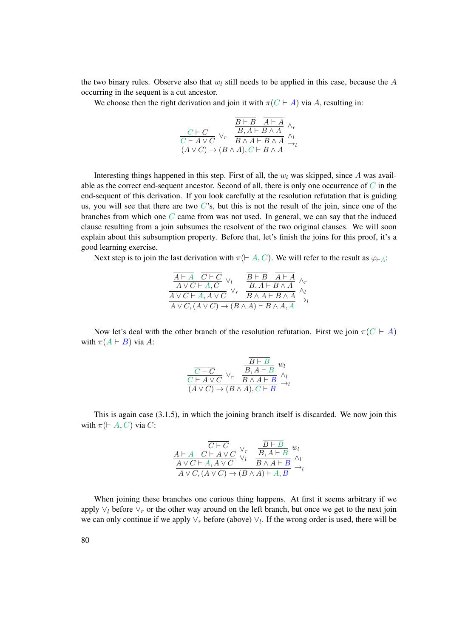the two binary rules. Observe also that  $w_l$  still needs to be applied in this case, because the A occurring in the sequent is a cut ancestor.

We choose then the right derivation and join it with  $\pi(C \vdash A)$  via A, resulting in:

$$
\frac{\overline{B \vdash B} \quad \overline{A \vdash A}}{\frac{C \vdash C}{(A \lor C)} \lor_r \quad B \land A \vdash B \land A} \land_r}{\frac{B \land A \vdash B \land A}{(A \lor C) \to (B \land A), C \vdash B \land A} \to_l}
$$

Interesting things happened in this step. First of all, the  $w_l$  was skipped, since A was available as the correct end-sequent ancestor. Second of all, there is only one occurrence of  $C$  in the end-sequent of this derivation. If you look carefully at the resolution refutation that is guiding us, you will see that there are two  $C$ 's, but this is not the result of the join, since one of the branches from which one  $C$  came from was not used. In general, we can say that the induced clause resulting from a join subsumes the resolvent of the two original clauses. We will soon explain about this subsumption property. Before that, let's finish the joins for this proof, it's a good learning exercise.

Next step is to join the last derivation with  $\pi$ ( $\vdash A, C$ ). We will refer to the result as  $\varphi_{\vdash A}$ :

| $\frac{\overline{A \vdash A} \quad \overline{C \vdash C} \quad \vee_l}{A \vee C \vdash A, C} \vee_l$<br>$\overline{A \vee C \vdash A, A \vee C}$ | $\frac{B\vdash B\quad A\vdash A}{B,A\vdash B\land A}\,\underset{\land_I}{\land_F}\,\,\\ \overline{B\land A\vdash B\land A}\,\underset{\tiny\land\,I}\,\,\\ \land\,$ |  |
|--------------------------------------------------------------------------------------------------------------------------------------------------|---------------------------------------------------------------------------------------------------------------------------------------------------------------------|--|
| $A \vee C$ , $(A \vee C) \rightarrow (B \wedge \overline{A}) \vdash B \wedge A, \overline{A}$                                                    |                                                                                                                                                                     |  |

Now let's deal with the other branch of the resolution refutation. First we join  $\pi(C \vdash A)$ with  $\pi(A \vdash B)$  via A:

$$
\frac{\overline{C \vdash C}}{\overline{C \vdash A \lor C}} \vee_r \frac{\overline{B} \vdash B}{\overline{B} \land A \vdash B} w_l
$$
  
\n
$$
\overline{(A \lor C) \rightarrow (B \land A), C \vdash B} \overset{\wedge_l}{\rightarrow_l}
$$

This is again case (3.1.5), in which the joining branch itself is discarded. We now join this with  $\pi$ ( $\vdash$  A, C) via C:

$$
\frac{\overline{C \vdash C}}{A \lor C \vdash A \land C} \lor_{V} \frac{\overline{B \vdash B}}{\lor_{V} \lor B \land A \vdash B} w_l
$$
\n
$$
\frac{A \lor C \vdash A, A \lor C}{A \lor C, (A \lor C) \to (B \land A) \vdash A, B} \land_{V}
$$

When joining these branches one curious thing happens. At first it seems arbitrary if we apply  $\vee_l$  before  $\vee_r$  or the other way around on the left branch, but once we get to the next join we can only continue if we apply  $\vee_r$  before (above)  $\vee_l$ . If the wrong order is used, there will be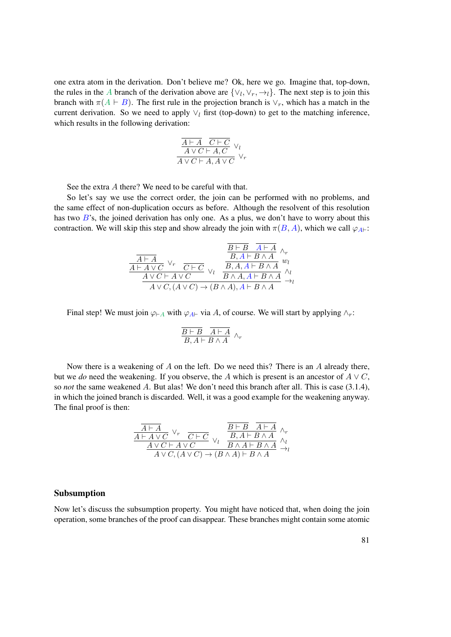one extra atom in the derivation. Don't believe me? Ok, here we go. Imagine that, top-down, the rules in the A branch of the derivation above are  $\{\vee_l, \vee_r, \to_l\}$ . The next step is to join this branch with  $\pi(A \vdash B)$ . The first rule in the projection branch is  $\vee_r$ , which has a match in the current derivation. So we need to apply  $\vee_l$  first (top-down) to get to the matching inference, which results in the following derivation:

$$
\frac{\overline{A \vdash A} \quad \overline{C \vdash C} \quad \vee_l}{A \lor C \vdash A, C} \lor_l
$$
  

$$
\overline{A \lor C \vdash A, A \lor C} \lor_r
$$

See the extra A there? We need to be careful with that.

So let's say we use the correct order, the join can be performed with no problems, and the same effect of non-duplication occurs as before. Although the resolvent of this resolution has two  $B$ 's, the joined derivation has only one. As a plus, we don't have to worry about this contraction. We will skip this step and show already the join with  $\pi(B, A)$ , which we call  $\varphi_{A\vdash}$ :

$$
\frac{\frac{\overline{B \vdash B} \quad \overline{A \vdash A}}{\overline{A \vdash A \vee C}} \vee_r \quad \overline{C \vdash C}}{\overline{A \vdash A \vee C \vdash A \vee C}} \vee_l \quad \frac{\overline{B \vdash B} \quad \overline{A \vdash A}}{\overline{B, A, A \vdash B \wedge A}} \vee_l
$$
\n
$$
\xrightarrow{A \vee C \vdash A \vee C} \vee_l \quad \overline{B \wedge A, A \vdash B \wedge A} \wedge_l
$$
\n
$$
\xrightarrow{A \vee C, (A \vee C) \to (B \wedge A), A \vdash B \wedge A} \xrightarrow{\wedge_l}
$$

Final step! We must join  $\varphi_{A}$  with  $\varphi_{A}$  via A, of course. We will start by applying  $\wedge_r$ :

$$
\frac{\overline{B \vdash B} \quad \overline{A \vdash A}}{B, A \vdash B \land A} \land_r
$$

Now there is a weakening of  $A$  on the left. Do we need this? There is an  $A$  already there, but we *do* need the weakening. If you observe, the A which is present is an ancestor of  $A \vee C$ , so *not* the same weakened A. But alas! We don't need this branch after all. This is case (3.1.4), in which the joined branch is discarded. Well, it was a good example for the weakening anyway. The final proof is then:

$$
\frac{\overline{A \vdash A} \quad \vee_r \quad \overline{C \vdash C} \quad \vee_l \quad \overline{B \vdash B \quad A \vdash A} \quad \wedge_r}{\frac{A \vdash A \lor C \vdash A \lor C} \quad \vee_l \quad \overline{B \land A \vdash B \land A} \quad \wedge_l}{\frac{A \lor C \vdash A \lor C}{A \lor C, (A \lor C) \to (B \land A) \vdash B \land A} \quad \to_l}
$$

#### Subsumption

Now let's discuss the subsumption property. You might have noticed that, when doing the join operation, some branches of the proof can disappear. These branches might contain some atomic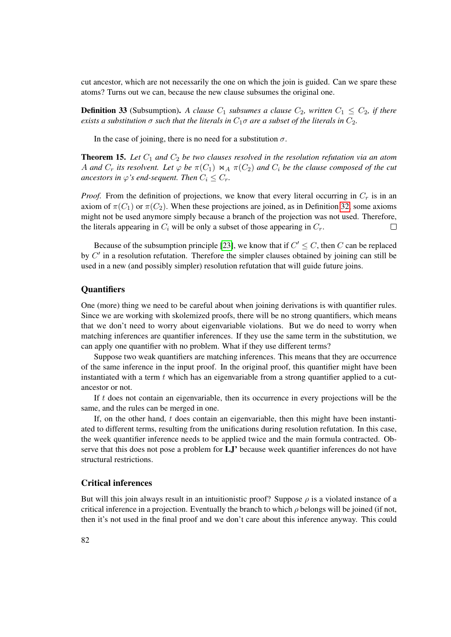cut ancestor, which are not necessarily the one on which the join is guided. Can we spare these atoms? Turns out we can, because the new clause subsumes the original one.

**Definition 33** (Subsumption). A clause  $C_1$  subsumes a clause  $C_2$ , written  $C_1 \le C_2$ , if there *exists a substitution*  $\sigma$  *such that the literals in*  $C_1\sigma$  *are a subset of the literals in*  $C_2$ *.* 

In the case of joining, there is no need for a substitution  $\sigma$ .

**Theorem 15.** Let  $C_1$  and  $C_2$  be two clauses resolved in the resolution refutation via an atom A and  $C_r$  its resolvent. Let  $\varphi$  be  $\pi(C_1) \bowtie_A \pi(C_2)$  and  $C_i$  be the clause composed of the cut *ancestors in*  $\varphi$ *'s end-sequent. Then*  $C_i \leq C_r$ .

*Proof.* From the definition of projections, we know that every literal occurring in  $C_r$  is in an axiom of  $\pi(C_1)$  or  $\pi(C_2)$ . When these projections are joined, as in Definition [32,](#page-89-0) some axioms might not be used anymore simply because a branch of the projection was not used. Therefore, the literals appearing in  $C_i$  will be only a subset of those appearing in  $C_r$ .  $\Box$ 

Because of the subsumption principle [\[23\]](#page-183-0), we know that if  $C' \leq C$ , then C can be replaced by  $C'$  in a resolution refutation. Therefore the simpler clauses obtained by joining can still be used in a new (and possibly simpler) resolution refutation that will guide future joins.

#### **Quantifiers**

One (more) thing we need to be careful about when joining derivations is with quantifier rules. Since we are working with skolemized proofs, there will be no strong quantifiers, which means that we don't need to worry about eigenvariable violations. But we do need to worry when matching inferences are quantifier inferences. If they use the same term in the substitution, we can apply one quantifier with no problem. What if they use different terms?

Suppose two weak quantifiers are matching inferences. This means that they are occurrence of the same inference in the input proof. In the original proof, this quantifier might have been instantiated with a term  $t$  which has an eigenvariable from a strong quantifier applied to a cutancestor or not.

If  $t$  does not contain an eigenvariable, then its occurrence in every projections will be the same, and the rules can be merged in one.

If, on the other hand,  $t$  does contain an eigenvariable, then this might have been instantiated to different terms, resulting from the unifications during resolution refutation. In this case, the week quantifier inference needs to be applied twice and the main formula contracted. Observe that this does not pose a problem for LJ' because week quantifier inferences do not have structural restrictions.

#### Critical inferences

But will this join always result in an intuitionistic proof? Suppose  $\rho$  is a violated instance of a critical inference in a projection. Eventually the branch to which  $\rho$  belongs will be joined (if not, then it's not used in the final proof and we don't care about this inference anyway. This could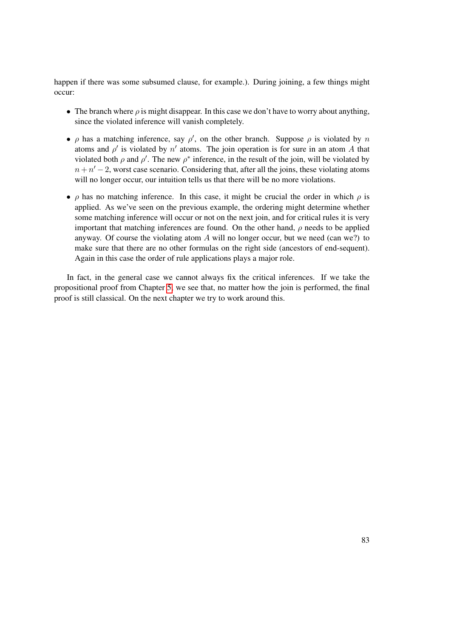happen if there was some subsumed clause, for example.). During joining, a few things might occur:

- The branch where  $\rho$  is might disappear. In this case we don't have to worry about anything, since the violated inference will vanish completely.
- $\rho$  has a matching inference, say  $\rho'$ , on the other branch. Suppose  $\rho$  is violated by n atoms and  $\rho'$  is violated by  $n'$  atoms. The join operation is for sure in an atom A that violated both  $\rho$  and  $\rho'$ . The new  $\rho^*$  inference, in the result of the join, will be violated by  $n + n' - 2$ , worst case scenario. Considering that, after all the joins, these violating atoms will no longer occur, our intuition tells us that there will be no more violations.
- $\rho$  has no matching inference. In this case, it might be crucial the order in which  $\rho$  is applied. As we've seen on the previous example, the ordering might determine whether some matching inference will occur or not on the next join, and for critical rules it is very important that matching inferences are found. On the other hand,  $\rho$  needs to be applied anyway. Of course the violating atom  $A$  will no longer occur, but we need (can we?) to make sure that there are no other formulas on the right side (ancestors of end-sequent). Again in this case the order of rule applications plays a major role.

In fact, in the general case we cannot always fix the critical inferences. If we take the propositional proof from Chapter [5,](#page-50-0) we see that, no matter how the join is performed, the final proof is still classical. On the next chapter we try to work around this.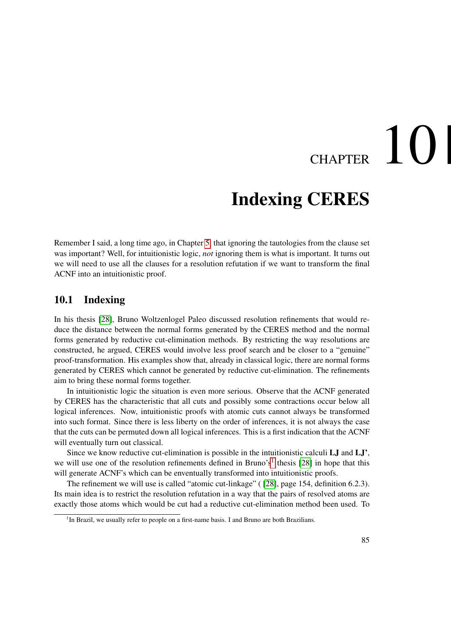# CHAPTER  $10$

### Indexing CERES

Remember I said, a long time ago, in Chapter [5,](#page-50-0) that ignoring the tautologies from the clause set was important? Well, for intuitionistic logic, *not* ignoring them is what is important. It turns out we will need to use all the clauses for a resolution refutation if we want to transform the final ACNF into an intuitionistic proof.

#### 10.1 Indexing

In his thesis [\[28\]](#page-184-0), Bruno Woltzenlogel Paleo discussed resolution refinements that would reduce the distance between the normal forms generated by the CERES method and the normal forms generated by reductive cut-elimination methods. By restricting the way resolutions are constructed, he argued, CERES would involve less proof search and be closer to a "genuine" proof-transformation. His examples show that, already in classical logic, there are normal forms generated by CERES which cannot be generated by reductive cut-elimination. The refinements aim to bring these normal forms together.

In intuitionistic logic the situation is even more serious. Observe that the ACNF generated by CERES has the characteristic that all cuts and possibly some contractions occur below all logical inferences. Now, intuitionistic proofs with atomic cuts cannot always be transformed into such format. Since there is less liberty on the order of inferences, it is not always the case that the cuts can be permuted down all logical inferences. This is a first indication that the ACNF will eventually turn out classical.

Since we know reductive cut-elimination is possible in the intuitionistic calculi LJ and LJ', we will use one of the resolution refinements defined in Bruno's<sup>[1](#page-100-0)</sup> thesis [\[28\]](#page-184-0) in hope that this will generate ACNF's which can be enventually transformed into intuitionistic proofs.

The refinement we will use is called "atomic cut-linkage" ( [\[28\]](#page-184-0), page 154, definition 6.2.3). Its main idea is to restrict the resolution refutation in a way that the pairs of resolved atoms are exactly those atoms which would be cut had a reductive cut-elimination method been used. To

<span id="page-100-0"></span><sup>&</sup>lt;sup>1</sup>In Brazil, we usually refer to people on a first-name basis. I and Bruno are both Brazilians.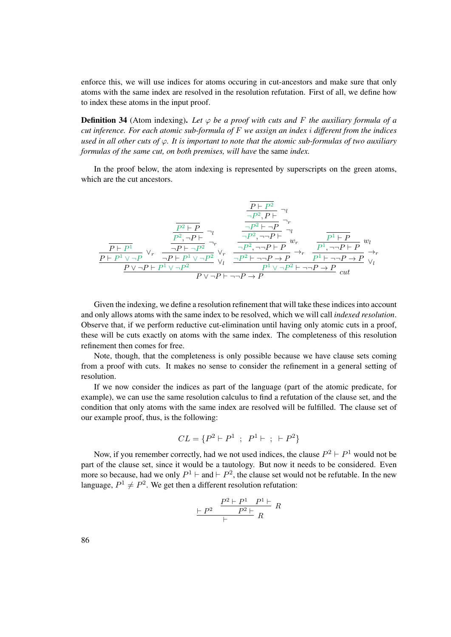enforce this, we will use indices for atoms occuring in cut-ancestors and make sure that only atoms with the same index are resolved in the resolution refutation. First of all, we define how to index these atoms in the input proof.

**Definition 34** (Atom indexing). Let  $\varphi$  be a proof with cuts and F the auxiliary formula of a *cut inference. For each atomic sub-formula of* F *we assign an index* i *different from the indices used in all other cuts of* ϕ*. It is important to note that the atomic sub-formulas of two auxiliary formulas of the same cut, on both premises, will have* the same *index.*

In the proof below, the atom indexing is represented by superscripts on the green atoms, which are the cut ancestors.

$$
\frac{\frac{\overline{P} \vdash P^2}{\neg P^2, P \vdash} \neg_l}{\frac{\overline{P} \vdash P^1}{\neg P \vdash P^1} \neg_l} \neg_r}{\frac{\frac{\overline{P} \vdash P^1}{\neg P^2, \neg P \vdash} \neg_l}{\neg P \vdash \neg P^2} \neg_r} \frac{\frac{\overline{P^2} \vdash P}{\neg P^2, \neg P \vdash} \neg_l}{\neg P^2, \neg P \vdash P} w_l}{\frac{\overline{P^2} \vdash P^1 \vee \neg P^2}{\neg P \vdash \neg P^2} \vee_r} \frac{\frac{\overline{P^2} \vdash \neg P}{\neg P^2, \neg P \vdash P} w_l}{\neg P^2, \neg P \vdash P} w_l}{\frac{\overline{P^2} \vdash \neg P \vdash P}{\neg P \vdash \neg P \vdash P} w_l}{\frac{\overline{P^2} \vdash \neg P \vdash P}{\neg P \vdash \neg P \vdash P} \vee_l} \rightarrow_r \frac{\overline{P^1} \vdash \neg P \vdash P}{\overline{P^1} \vdash \neg P \vdash P} w_l}{\frac{\overline{P^1} \vee \neg P \vdash P}{\neg P \vdash \neg P \vdash P} \vee_l} \rightarrow_r
$$

Given the indexing, we define a resolution refinement that will take these indices into account and only allows atoms with the same index to be resolved, which we will call *indexed resolution*. Observe that, if we perform reductive cut-elimination until having only atomic cuts in a proof, these will be cuts exactly on atoms with the same index. The completeness of this resolution refinement then comes for free.

Note, though, that the completeness is only possible because we have clause sets coming from a proof with cuts. It makes no sense to consider the refinement in a general setting of resolution.

If we now consider the indices as part of the language (part of the atomic predicate, for example), we can use the same resolution calculus to find a refutation of the clause set, and the condition that only atoms with the same index are resolved will be fulfilled. The clause set of our example proof, thus, is the following:

$$
CL = \{P^2 \vdash P^1 ; P^1 \vdash ; \vdash P^2\}
$$

Now, if you remember correctly, had we not used indices, the clause  $P^2 \vdash P^1$  would not be part of the clause set, since it would be a tautology. But now it needs to be considered. Even more so because, had we only  $P^1$   $\vdash$  and  $\vdash P^2$ , the clause set would not be refutable. In the new language,  $P^1 \neq P^2$ . We get then a different resolution refutation:

$$
\frac{P^2 + P^1 \quad P^1 \vdash P}{\vdash} R
$$
\n
$$
\frac{P^2 + P^1 \quad P^2 \vdash}{\vdash} R
$$

86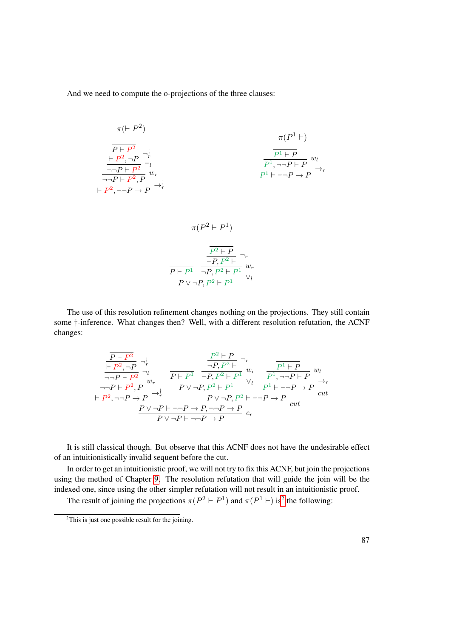And we need to compute the o-projections of the three clauses:

$$
\pi(\vdash P^2)
$$
\n
$$
\frac{\overline{P \vdash P^2}}{\frac{\vdash P^2, \neg P}{\neg \neg P \vdash P^2}} \neg_r^{\uparrow}
$$
\n
$$
\frac{\overline{P^1 \vdash P}}{\neg \neg P \vdash P^2} \neg_l^{\uparrow}
$$
\n
$$
\frac{\overline{P^1 \vdash P}}{\overline{P^1}, \neg \neg P \vdash P} w_l^{\uparrow}
$$
\n
$$
\frac{\overline{P^1 \vdash P}}{\overline{P^1 \vdash \neg P \vdash P}} \rightarrow_r^{\uparrow}
$$
\n
$$
\overline{P^1 \vdash \neg P \vdash P} \rightarrow_r^{\uparrow}
$$

$$
\pi(P^2 \vdash P^1)
$$
\n
$$
\frac{\frac{P^2 \vdash P}{\neg P, P^2 \vdash} \neg_r}{\frac{P \vdash P^1}{\neg P, P^2 \vdash P^1} w_r}
$$
\n
$$
\frac{P \vdash P^1}{P \lor \neg P, P^2 \vdash P^1} \lor_l
$$

The use of this resolution refinement changes nothing on the projections. They still contain some †-inference. What changes then? Well, with a different resolution refutation, the ACNF changes:

$$
\frac{\frac{\overline{P} \vdash P^2}{\vdash P^2, \neg P} \neg_r^{\dagger}}{\frac{\neg P \vdash P^2}{\neg P \vdash P^2} \neg v} \qquad \frac{\frac{\overline{P^2} \vdash P}{\neg P, P^2 \vdash} \neg_r}{\neg P, P^2 \vdash P} w_r}{\frac{\overline{P^2} \vdash P^2}{\vdash P^2, \neg P \vdash P^2} \psi_r} \qquad \frac{\overline{P^2} \vdash P}{\frac{\overline{P \vdash P^2}}{\neg P, P^2 \vdash P^1} \vee \overline{P^2} \neg P \vdash P} w_l}{\frac{\overline{P \vdash P^2} \vdash P \vdash P}{\neg P \vdash P \vdash P} \neg P, P^2 \vdash P} \vee \frac{\overline{P^1} \vdash P}{\overline{P^1} \vdash \neg P \vdash P} w_l}{\frac{\overline{P \vdash P \vdash P \vdash P}}{\neg P \vdash P} \vee \overline{P^2} \vdash \neg P \vdash P} w_l}{\frac{\overline{P \vee \neg P \vdash P \vdash P} \neg P \vdash P}{\neg P \vdash P} w_l}{\overline{P \vee \neg P \vdash \neg P \vdash P} w_l}
$$

It is still classical though. But observe that this ACNF does not have the undesirable effect of an intuitionistically invalid sequent before the cut.

In order to get an intuitionistic proof, we will not try to fix this ACNF, but join the projections using the method of Chapter [9.](#page-88-0) The resolution refutation that will guide the join will be the indexed one, since using the other simpler refutation will not result in an intuitionistic proof.

The result of joining the projections  $\pi(P^2 \vdash P^1)$  $\pi(P^2 \vdash P^1)$  $\pi(P^2 \vdash P^1)$  and  $\pi(P^1 \vdash)$  is<sup>2</sup> the following:

<span id="page-102-0"></span> $2$ This is just one possible result for the joining.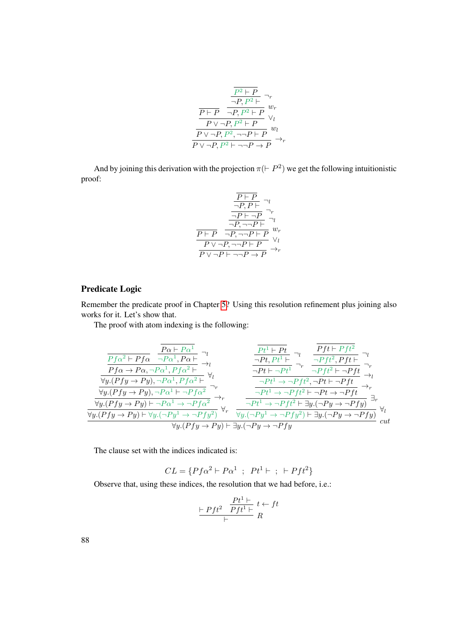$$
\frac{\frac{\overline{P^2 \vdash P}}{\neg P, P^2 \vdash} \neg_r}{\frac{\overline{P \vdash P}}{\neg P, P^2 \vdash P} w_r}
$$
\n
$$
\frac{\overline{P \lor \neg P, P^2 \vdash P}}{\frac{\overline{P \lor \neg P, P^2}, \neg \neg P \vdash P} w_l}{\overline{P \lor \neg P, P^2 \vdash \neg \neg P \rightarrow P} \rightarrow_r}
$$

And by joining this derivation with the projection  $\pi$ ( $\vdash P^2$ ) we get the following intuitionistic proof:

$$
\frac{\frac{\overline{P} \vdash P}{\neg P, P \vdash} \neg_l}{\frac{\neg P \vdash \neg P}{\neg P, \neg \neg P \vdash} \neg_l}
$$
\n
$$
\frac{\overline{P \vdash P} \neg P, \neg \neg P \vdash P} \neg r}{\frac{\overline{P \vdash P} \neg P, \neg \neg P \vdash P} \vee_l}{\frac{\overline{P \vee \neg P, \neg \neg P \vdash P}}{\overline{P \vee \neg P \vdash \neg \neg P \rightarrow P} \rightarrow_P}
$$

#### Predicate Logic

Remember the predicate proof in Chapter [5?](#page-50-0) Using this resolution refinement plus joining also works for it. Let's show that.

The proof with atom indexing is the following:

$$
\frac{\overline{Pf\alpha^2 \vdash Pf\alpha} \quad \overline{\neg P\alpha^1, P\alpha \vdash}}{\overline{Pf\alpha \rightarrow P\alpha, \neg P\alpha^1, Pf\alpha^2 \vdash}} \quad \overline{\neg Pf \rightarrow Pf\alpha} \quad \overline{\neg Pf\alpha \rightarrow P\alpha, \neg P\alpha^1, Pf\alpha^2 \vdash}} \quad \overline{\neg Pf \rightarrow Pf\alpha} \quad \overline{\neg Pf\alpha \rightarrow Pf\alpha} \quad \overline{\neg Pf\alpha \rightarrow Pf\alpha \vdash} \quad \overline{\neg Pf\alpha \rightarrow Pf\alpha \vdash} \quad \overline{\neg Pf\alpha \vdash} \quad \overline{\neg Pf\alpha \vdash} \quad \overline{\neg Pf\alpha \vdash} \quad \overline{\neg Pf\alpha \vdash} \quad \overline{\neg Pf\alpha \vdash} \quad \overline{\neg Pf\alpha \vdash} \quad \overline{\neg Pf\alpha \vdash} \quad \overline{\neg Pf\alpha \vdash} \quad \overline{\neg Pf\alpha \vdash} \quad \overline{\neg Pf\alpha \vdash} \quad \overline{\neg Pf\alpha \vdash} \quad \overline{\neg Pf\alpha \vdash} \quad \overline{\neg Pf\alpha \vdash} \quad \overline{\neg Pf\alpha \vdash} \quad \overline{\neg Pf\alpha \vdash} \quad \overline{\neg Pf\alpha \vdash} \quad \overline{\neg Pf\alpha \vdash} \quad \overline{\neg Pf\alpha \vdash} \quad \overline{\neg Pf\alpha \vdash} \quad \overline{\neg Pf\alpha \vdash} \quad \overline{\neg Pf\alpha \vdash} \quad \overline{\neg Pf\alpha \vdash} \quad \overline{\neg Pf\alpha \vdash} \quad \overline{\neg Pf\alpha \vdash} \quad \overline{\neg Pf\alpha \vdash} \quad \overline{\neg Pf\alpha \vdash} \quad \overline{\neg Pf\alpha \vdash} \quad \overline{\neg Pf\alpha \vdash} \quad \overline{\neg Pf\alpha \vdash} \quad \overline{\neg Pf\alpha \vdash} \quad \overline{\neg Pf\alpha \vdash} \quad \overline{\neg Pf\alpha \vdash} \quad \overline{\neg Pf\alpha \vdash} \quad \overline{\neg Pf\alpha \vdash} \quad \overline{\neg Pf\alpha \vdash} \quad \overline{\neg Pf\alpha \vdash} \quad \overline{\neg Pf\alpha \vdash} \quad \overline{\neg
$$

The clause set with the indices indicated is:

$$
CL = \{Pf\alpha^2 \vdash P\alpha^1 \ ; \ Pt^1 \vdash \ ; \ \vdash Pft^2\}
$$

Observe that, using these indices, the resolution that we had before, i.e.:

$$
\frac{\mid Pft^2 \mid Pft^1 \mid}{\mid Fft^1 \mid} \frac{t \leftarrow ft}{R}
$$

88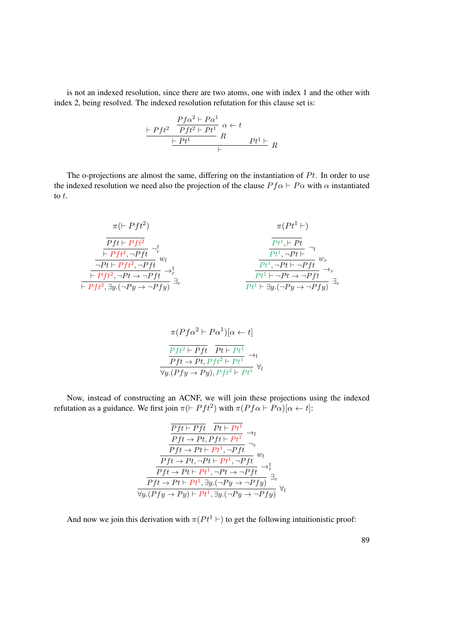is not an indexed resolution, since there are two atoms, one with index 1 and the other with index 2, being resolved. The indexed resolution refutation for this clause set is:

$$
\frac{\vdash Pft^2 \quad \frac{Pfc^2 \vdash Pa^1}{Pft^2 \vdash Pt^1} \quad \alpha \leftarrow t}{\vdash Pt^1 \quad R} \quad \frac{\vdash t}{Pt^1 \vdash R}
$$

The o-projections are almost the same, differing on the instantiation of  $Pt$ . In order to use the indexed resolution we need also the projection of the clause  $P f \alpha \vdash P \alpha$  with  $\alpha$  instantiated to t.

$$
\pi(Pt^1 \vdash)
$$
\n
$$
\frac{Pft \vdash Pft^2}{\frac{\vdash Pft^2, \neg Pft}{\neg Pt + Pft^2, \neg Pft}} \neg^{\dagger}_{w_l}
$$
\n
$$
\frac{\frac{Pft \vdash Pft^2}{\neg Pt + Pft^2, \neg Pft}}{\frac{\vdash Pft^2, \neg Pt \rightarrow \neg Pft}{\neg Pt + Pft^2, \neg Pt \rightarrow \neg Pft}} \neg^{\dagger}_{w_l}
$$
\n
$$
\frac{Pt^1, \neg Pt \vdash \neg Y}{\frac{Pt^1, \neg Pt \vdash \neg Pft}{\neg Pt + Pft^2, \neg Pft}} \neg^{\dagger}_{w_r}
$$
\n
$$
\frac{Pt^1, \neg Pt \vdash \neg Pft}{\frac{Pt^1 \vdash \neg Pt \rightarrow \neg Pft}{\neg Pft^2, \neg Pft}} \neg^{\dagger}_{w_r}
$$

$$
\pi(Pf\alpha^2 \vdash P\alpha^1)[\alpha \leftarrow t]
$$
\n
$$
\frac{Pft^2 \vdash Pft}{Pft \rightarrow Pt, Pft^2 \vdash Pt^1} \rightarrow_l
$$
\n
$$
\frac{Fft \rightarrow Pt, Pft^2 \vdash Pt^1}{\forall y.(Pfy \rightarrow Py), Pft^2 \vdash Pt^1} \forall_l
$$

Now, instead of constructing an ACNF, we will join these projections using the indexed refutation as a guidance. We first join  $\pi$ ( $\vdash Pft^2$ ) with  $\pi(Pf\alpha \vdash P\alpha)[\alpha \leftarrow t]$ :

$$
\frac{\overline{Pft \vdash Pft} \quad \overline{Pt \vdash Pt^1} \rightarrow_l}{\overline{Pft \rightarrow Pt, Pft \vdash Pt^1} \rightarrow_l}
$$
\n
$$
\frac{\overline{Pft \rightarrow Pt \vdash Pt^1, \neg Pft} \land_r}{\overline{Pft \rightarrow Pt, \neg Pt \vdash Pt^1, \neg Pft} \land_r}
$$
\n
$$
\frac{\overline{Pft \rightarrow Pt \vdash Pt^1, \neg Pt \rightarrow \neg Pft} \rightarrow_r^{\dagger}}{\overline{Pft \rightarrow Pt \vdash Pt^1, \exists y.(\neg Py \rightarrow \neg Pfy)} \exists_r}
$$
\n
$$
\forall y. (Pfy \rightarrow Py) \vdash Pt^1, \exists y.(\neg Py \rightarrow \neg Pfy) \forall l
$$

And now we join this derivation with  $\pi (P t^1 \vdash)$  to get the following intuitionistic proof: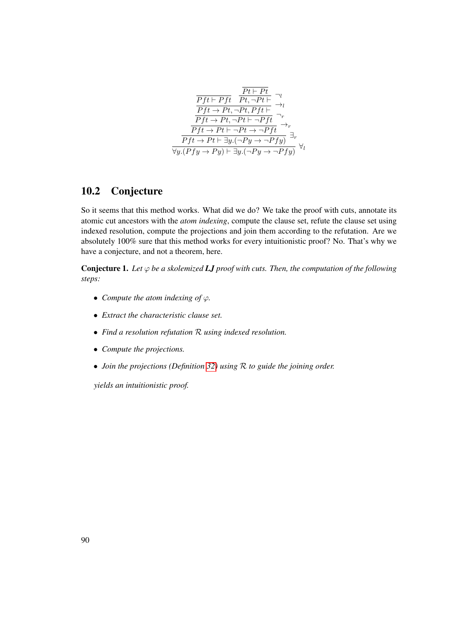

#### 10.2 Conjecture

So it seems that this method works. What did we do? We take the proof with cuts, annotate its atomic cut ancestors with the *atom indexing*, compute the clause set, refute the clause set using indexed resolution, compute the projections and join them according to the refutation. Are we absolutely 100% sure that this method works for every intuitionistic proof? No. That's why we have a conjecture, and not a theorem, here.

Conjecture 1. Let  $\varphi$  *be a skolemized LJ proof with cuts. Then, the computation of the following steps:*

- *Compute the atom indexing of*  $\varphi$ *.*
- *Extract the characteristic clause set.*
- *Find a resolution refutation* R *using indexed resolution.*
- *Compute the projections.*
- *Join the projections (Definition [32\)](#page-89-0) using* R *to guide the joining order.*

*yields an intuitionistic proof.*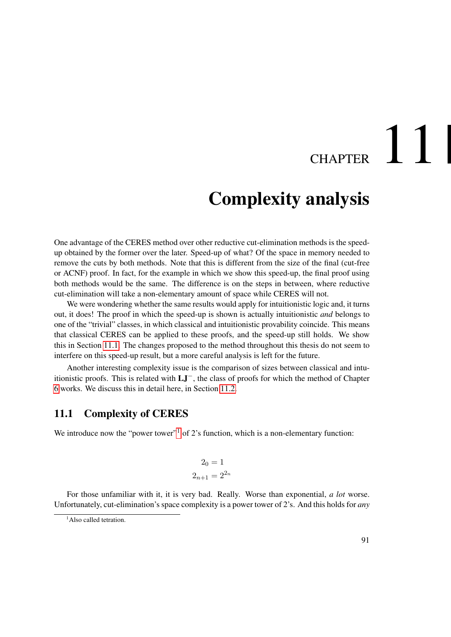## CHAPTER 11

### Complexity analysis

One advantage of the CERES method over other reductive cut-elimination methods is the speedup obtained by the former over the later. Speed-up of what? Of the space in memory needed to remove the cuts by both methods. Note that this is different from the size of the final (cut-free or ACNF) proof. In fact, for the example in which we show this speed-up, the final proof using both methods would be the same. The difference is on the steps in between, where reductive cut-elimination will take a non-elementary amount of space while CERES will not.

We were wondering whether the same results would apply for intuitionistic logic and, it turns out, it does! The proof in which the speed-up is shown is actually intuitionistic *and* belongs to one of the "trivial" classes, in which classical and intuitionistic provability coincide. This means that classical CERES can be applied to these proofs, and the speed-up still holds. We show this in Section [11.1.](#page-106-0) The changes proposed to the method throughout this thesis do not seem to interfere on this speed-up result, but a more careful analysis is left for the future.

Another interesting complexity issue is the comparison of sizes between classical and intuitionistic proofs. This is related with LJ−, the class of proofs for which the method of Chapter [6](#page-54-0) works. We discuss this in detail here, in Section [11.2.](#page-108-0)

#### <span id="page-106-0"></span>11.1 Complexity of CERES

We introduce now the "power tower"<sup>[1](#page-106-1)</sup> of 2's function, which is a non-elementary function:

$$
2_0 = 1
$$

$$
2_{n+1} = 2^{2_n}
$$

For those unfamiliar with it, it is very bad. Really. Worse than exponential, *a lot* worse. Unfortunately, cut-elimination's space complexity is a power tower of 2's. And this holds for *any*

<span id="page-106-1"></span><sup>&</sup>lt;sup>1</sup>Also called tetration.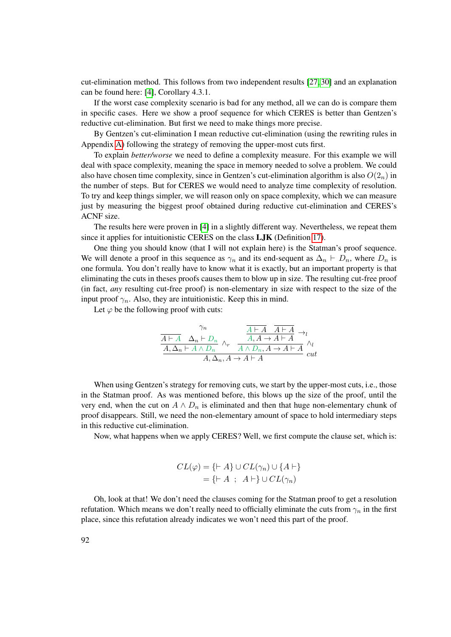cut-elimination method. This follows from two independent results [\[27,](#page-184-1) [30\]](#page-184-2) and an explanation can be found here: [\[4\]](#page-182-0), Corollary 4.3.1.

If the worst case complexity scenario is bad for any method, all we can do is compare them in specific cases. Here we show a proof sequence for which CERES is better than Gentzen's reductive cut-elimination. But first we need to make things more precise.

By Gentzen's cut-elimination I mean reductive cut-elimination (using the rewriting rules in Appendix [A\)](#page-114-0) following the strategy of removing the upper-most cuts first.

To explain *better/worse* we need to define a complexity measure. For this example we will deal with space complexity, meaning the space in memory needed to solve a problem. We could also have chosen time complexity, since in Gentzen's cut-elimination algorithm is also  $O(2<sub>n</sub>)$  in the number of steps. But for CERES we would need to analyze time complexity of resolution. To try and keep things simpler, we will reason only on space complexity, which we can measure just by measuring the biggest proof obtained during reductive cut-elimination and CERES's ACNF size.

The results here were proven in [\[4\]](#page-182-0) in a slightly different way. Nevertheless, we repeat them since it applies for intuitionistic CERES on the class LJK (Definition [17\)](#page-48-0).

One thing you should know (that I will not explain here) is the Statman's proof sequence. We will denote a proof in this sequence as  $\gamma_n$  and its end-sequent as  $\Delta_n \vdash D_n$ , where  $D_n$  is one formula. You don't really have to know what it is exactly, but an important property is that eliminating the cuts in theses proofs causes them to blow up in size. The resulting cut-free proof (in fact, *any* resulting cut-free proof) is non-elementary in size with respect to the size of the input proof  $\gamma_n$ . Also, they are intuitionistic. Keep this in mind.

Let  $\varphi$  be the following proof with cuts:

$$
\frac{\frac{\gamma_n}{A \vdash A} \quad \Delta_n \vdash D_n}{A, \Delta_n \vdash A \land D_n} \land_r \quad \frac{\frac{A \vdash A}{A, A \to A \vdash A} \to_l}{A \land D_n, A \to A \vdash A} \land_l}{A, \Delta_n, A \to A \vdash A} \text{ cut}
$$

When using Gentzen's strategy for removing cuts, we start by the upper-most cuts, i.e., those in the Statman proof. As was mentioned before, this blows up the size of the proof, until the very end, when the cut on  $A \wedge D_n$  is eliminated and then that huge non-elementary chunk of proof disappears. Still, we need the non-elementary amount of space to hold intermediary steps in this reductive cut-elimination.

Now, what happens when we apply CERES? Well, we first compute the clause set, which is:

$$
CL(\varphi) = \{\vdash A\} \cup CL(\gamma_n) \cup \{A \vdash\}
$$

$$
= \{\vdash A \; ; \; A \vdash\} \cup CL(\gamma_n)
$$

Oh, look at that! We don't need the clauses coming for the Statman proof to get a resolution refutation. Which means we don't really need to officially eliminate the cuts from  $\gamma_n$  in the first place, since this refutation already indicates we won't need this part of the proof.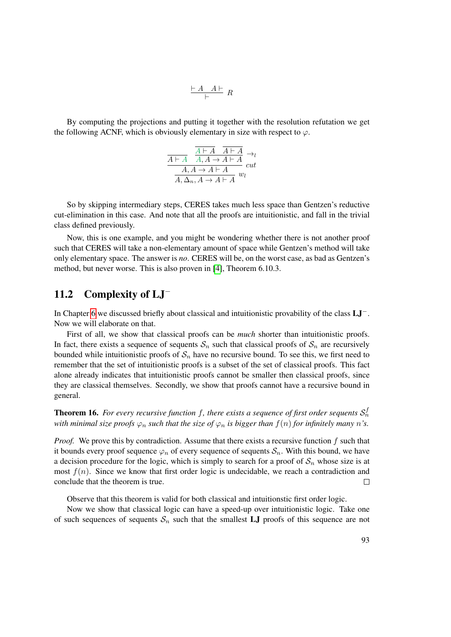$$
\frac{\vdash A\quad A\vdash}{\vdash} R
$$

By computing the projections and putting it together with the resolution refutation we get the following ACNF, which is obviously elementary in size with respect to  $\varphi$ .

$$
\frac{\overline{A \vdash A} \quad \overline{A \vdash A}}{A, A \to A \vdash A} \to_l
$$
\n
$$
\frac{A, A \to A \vdash A}{A, \Delta_n, A \to A \vdash A} \quad \text{but}
$$

So by skipping intermediary steps, CERES takes much less space than Gentzen's reductive cut-elimination in this case. And note that all the proofs are intuitionistic, and fall in the trivial class defined previously.

Now, this is one example, and you might be wondering whether there is not another proof such that CERES will take a non-elementary amount of space while Gentzen's method will take only elementary space. The answer is *no*. CERES will be, on the worst case, as bad as Gentzen's method, but never worse. This is also proven in [\[4\]](#page-182-0), Theorem 6.10.3.

#### 11.2 Complexity of LJ<sup>−</sup>

In Chapter [6](#page-54-0) we discussed briefly about classical and intuitionistic provability of the class LJ−. Now we will elaborate on that.

First of all, we show that classical proofs can be *much* shorter than intuitionistic proofs. In fact, there exists a sequence of sequents  $S_n$  such that classical proofs of  $S_n$  are recursively bounded while intuitionistic proofs of  $S_n$  have no recursive bound. To see this, we first need to remember that the set of intuitionistic proofs is a subset of the set of classical proofs. This fact alone already indicates that intuitionistic proofs cannot be smaller then classical proofs, since they are classical themselves. Secondly, we show that proofs cannot have a recursive bound in general.

<span id="page-108-0"></span>**Theorem 16.** For every recursive function f, there exists a sequence of first order sequents  $\mathcal{S}_n^f$ *with minimal size proofs*  $\varphi_n$  *such that the size of*  $\varphi_n$  *is bigger than*  $f(n)$  *for infinitely many n's.* 

*Proof.* We prove this by contradiction. Assume that there exists a recursive function f such that it bounds every proof sequence  $\varphi_n$  of every sequence of sequents  $\mathcal{S}_n$ . With this bound, we have a decision procedure for the logic, which is simply to search for a proof of  $S_n$  whose size is at most  $f(n)$ . Since we know that first order logic is undecidable, we reach a contradiction and conclude that the theorem is true.  $\Box$ 

Observe that this theorem is valid for both classical and intuitionstic first order logic.

Now we show that classical logic can have a speed-up over intuitionistic logic. Take one of such sequences of sequents  $S_n$  such that the smallest LJ proofs of this sequence are not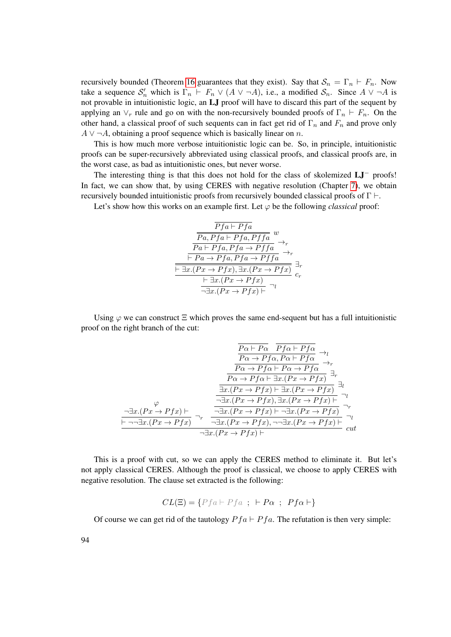recursively bounded (Theorem [16](#page-108-0) guarantees that they exist). Say that  $S_n = \Gamma_n \vdash F_n$ . Now take a sequence  $S'_n$  which is  $\Gamma_n \vdash F_n \lor (A \lor \neg A)$ , i.e., a modified  $S_n$ . Since  $A \lor \neg A$  is not provable in intuitionistic logic, an LJ proof will have to discard this part of the sequent by applying an  $\vee_r$  rule and go on with the non-recursively bounded proofs of  $\Gamma_n \vdash F_n$ . On the other hand, a classical proof of such sequents can in fact get rid of  $\Gamma_n$  and  $F_n$  and prove only  $A \vee \neg A$ , obtaining a proof sequence which is basically linear on n.

This is how much more verbose intuitionistic logic can be. So, in principle, intuitionistic proofs can be super-recursively abbreviated using classical proofs, and classical proofs are, in the worst case, as bad as intuitionistic ones, but never worse.

The interesting thing is that this does not hold for the class of skolemized LJ<sup>−</sup> proofs! In fact, we can show that, by using CERES with negative resolution (Chapter [7\)](#page-70-0), we obtain recursively bounded intuitionistic proofs from recursively bounded classical proofs of  $\Gamma \vdash$ .

Let's show how this works on an example first. Let  $\varphi$  be the following *classical* proof:

$$
\frac{\overline{Pfa \vdash Pfa}}{\overline{Pa, Pfa \vdash Pfa, Pffa}} \xrightarrow{w} \rightarrow_r
$$
\n
$$
\frac{\overline{Pa \vdash Pfa, Pfa \rightarrow Pffa}}{\overline{\vdash Pa \rightarrow Pfa, Pfa \rightarrow Pffa}} \rightarrow_r
$$
\n
$$
\frac{\overline{\vdash \exists x.(Px \rightarrow Pfx), \exists x.(Px \rightarrow Pfx)}}{\overline{\vdash \exists x.(Px \rightarrow Pfx), \exists x.(Px \rightarrow Pfx)}} \xrightarrow{a} \neg r}
$$
\n
$$
\frac{\overline{\vdash \exists x.(Px \rightarrow Pfx)}}{\neg \exists x.(Px \rightarrow Pfx)} \neg r
$$

Using  $\varphi$  we can construct  $\Xi$  which proves the same end-sequent but has a full intuitionistic proof on the right branch of the cut:

$$
\frac{\overline{P\alpha \vdash P\alpha} \quad \overline{Pf\alpha \vdash Pf\alpha}}{\overline{P\alpha \rightarrow Pf\alpha, P\alpha \vdash Pf\alpha}} \rightarrow_l
$$
\n
$$
\frac{\overline{P\alpha \rightarrow Pf\alpha, P\alpha \vdash Pf\alpha}}{\overline{P\alpha \rightarrow Pf\alpha \vdash P\alpha \rightarrow Pf\alpha}} \rightarrow_r
$$
\n
$$
\frac{\overline{P\alpha \rightarrow Pf\alpha \vdash \exists x.(Px \rightarrow Pf\alpha)}}{\exists x.(Px \rightarrow Pf\alpha) \vdash \exists x.(Px \rightarrow Pf\alpha)} \exists_l
$$
\n
$$
\frac{\exists x.(Px \rightarrow Pf\alpha), \exists x.(Px \rightarrow Pf\alpha)}{\neg \exists x.(Px \rightarrow Pf\alpha), \exists x.(Px \rightarrow Pf\alpha)} \rightarrow_r
$$
\n
$$
\frac{\neg \exists x.(Px \rightarrow Pf\alpha) \vdash \neg \exists x.(Px \rightarrow Pf\alpha)}{\neg \exists x.(Px \rightarrow Pf\alpha), \neg \exists x.(Px \rightarrow Pf\alpha)} \rightarrow_r
$$
\n
$$
\frac{\neg \exists x.(Px \rightarrow Pf\alpha) \vdash \neg \exists x.(Px \rightarrow Pf\alpha) \vdash \neg \exists x.(Px \rightarrow Pf\alpha)}{\neg \exists x.(Px \rightarrow Pf\alpha) \vdash} \quad cut
$$

This is a proof with cut, so we can apply the CERES method to eliminate it. But let's not apply classical CERES. Although the proof is classical, we choose to apply CERES with negative resolution. The clause set extracted is the following:

$$
CL(\Xi) = \{Pfa \vdash Pfa \ ; \ \vdash Pa \ ; \ Pfa \vdash\}
$$

Of course we can get rid of the tautology  $P f a \vdash P f a$ . The refutation is then very simple: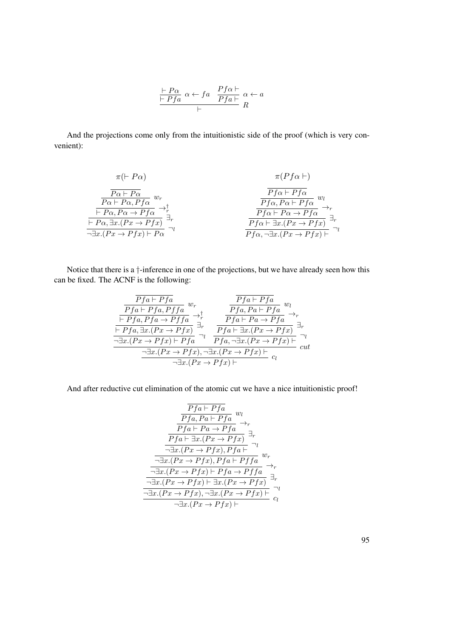$$
\frac{\vdash P\alpha \quad \alpha \leftarrow fa \quad \frac{Pf\alpha \vdash}{Pfa \vdash} \alpha \leftarrow a}{\vdash} \frac{\alpha \vdash a}{R}
$$

And the projections come only from the intuitionistic side of the proof (which is very convenient):

$$
\pi(\vdash P\alpha) \qquad \pi(Pf\alpha \vdash)
$$
\n
$$
\frac{P\alpha \vdash P\alpha}{P\alpha \vdash P\alpha, Pf\alpha} w_r \qquad \qquad \frac{Pf\alpha \vdash Pf\alpha}{Pf\alpha \vdash P\alpha} w_l
$$
\n
$$
\frac{\vdash P\alpha, P\alpha \rightarrow Pf\alpha}{\vdash P\alpha, \exists x.(Px \rightarrow Pfx)} \exists_r}{\vdash P\alpha, \exists x.(Px \rightarrow Pfx)} \qquad \qquad \frac{Pf\alpha \vdash Pf\alpha}{Pf\alpha \vdash \exists x.(Px \rightarrow Pfx)} \exists_r}{\frac{Pf\alpha \vdash \exists x.(Px \rightarrow Pfx)}{Pf\alpha \vdash \exists x.(Px \rightarrow Pfx)} \exists_r}{\neg \exists x.(Px \rightarrow Pfx)} \qquad \qquad \frac{Pf\alpha \vdash \exists x.(Px \rightarrow Pfx)}{Pf\alpha \vdash \exists x.(Px \rightarrow Pfx)} \exists_r}{\neg \exists x.(Px \rightarrow Pfx)} \qquad \qquad \frac{Pf\alpha \vdash \exists x.(Px \rightarrow Pfx)}{Pf\alpha \vdash \exists x.(Px \rightarrow Pfx)} \qquad \qquad \frac{Pf\alpha \vdash \exists x.(Px \rightarrow Pfx)}{Pf\alpha \vdash \exists x.(Px \rightarrow Pfx)} \qquad \qquad \frac{Pf\alpha \vdash \exists x.(Px \rightarrow Pfx)}{Pf\alpha \vdash \exists x.(Px \rightarrow Pfx)} \qquad \qquad \frac{Pf\alpha \vdash \exists x.(Px \rightarrow Pfx)}{Pf\alpha \vdash \exists x.(Px \rightarrow Pfx)} \qquad \qquad \frac{Pf\alpha \vdash \exists x.(Px \rightarrow Pfx)}{Pf\alpha \vdash \exists x.(Px \rightarrow Pfx)} \qquad \qquad \frac{Pf\alpha \vdash \exists x.(Px \rightarrow Pfx)}{Pf\alpha \vdash \exists x.(Px \rightarrow Pfx)} \qquad \qquad \frac{Pf\alpha \vdash \exists x.(Px \rightarrow Pfx)}{Pf\alpha \vdash \exists x.(Px \rightarrow Pfx)} \qquad \frac{Pf\alpha \vdash \exists x.(Px \rightarrow Pfx)}{Pf\alpha \vdash \exists x.(Px \rightarrow Pfx)} \qquad \frac{Pf\alpha \vdash \exists x.(Px \rightarrow Pfx)}{Pf\alpha \vdash \exists x.(Px \rightarrow Pfx)} \qquad \frac{Pf\alpha \vdash \exists x.(Px \rightarrow Pfx)}{Pf\alpha \vdash \exists x.(Px \rightarrow Pfx)} \qquad \frac{Pf\alpha \vdash
$$

Notice that there is a †-inference in one of the projections, but we have already seen how this can be fixed. The ACNF is the following:

$$
\frac{\overline{Pfa} \vdash Pfa}{\overline{Pfa} \vdash Pfa, Pfa \rightarrow Pffa} w_r \qquad \frac{\overline{Pfa} \vdash Pfa}{\overline{Pfa}, Pa \vdash Pfa} w_l
$$
\n
$$
\frac{\overline{Pfa} \vdash Pfa, Pfa \rightarrow Pffa}{\overline{Pfa} \vdash Pa \rightarrow Pfa} \xrightarrow{\rightarrow_r} \frac{\overline{Pfa} \vdash Pa \rightarrow Pfa}{\overline{Pfa} \vdash Pa \rightarrow Pfa} \xrightarrow{\rightarrow_r} \frac{\overline{Pfa} \vdash Pa \rightarrow Pfa}{\overline{Pfa} \vdash \exists x.(Px \rightarrow Pfx)} \exists_r}{\neg \exists x.(Px \rightarrow Pfx) \vdash Pfa, \neg \exists x.(Px \rightarrow Pfx) \vdash} \neg \frac{\neg \exists x.(Px \rightarrow Pfx) \vdash}{\neg \exists x.(Px \rightarrow Pfx) \vdash} c_l
$$

And after reductive cut elimination of the atomic cut we have a nice intuitionistic proof!

$$
\frac{\overline{Pfa} \vdash Pfa}{Pfa, Pa \vdash Pfa} w_l
$$
\n
$$
\frac{\overline{Pfa} \vdash Pa \rightarrow r}{Pfa \vdash Pa \rightarrow Pfa} \rightarrow_r
$$
\n
$$
\frac{\overline{Pfa} \vdash \exists x.(Px \rightarrow Pfx)}{\neg \exists x.(Px \rightarrow Pfx), Pfa \vdash} \neg_l
$$
\n
$$
\frac{\neg \exists x.(Px \rightarrow Pfx), Pfa \vdash Pffa}{\neg \exists x.(Px \rightarrow Pfx), Pfa \rightarrow Pffa} w_r
$$
\n
$$
\frac{\neg \exists x.(Px \rightarrow Pfx) \vdash Pfa \rightarrow Pffa}{\neg \exists x.(Px \rightarrow Pfx) \vdash \exists x.(Px \rightarrow Pfx)} \exists_r
$$
\n
$$
\frac{\neg \exists x.(Px \rightarrow Pfx), \neg \exists x.(Px \rightarrow Pfx)}{\neg \exists x.(Px \rightarrow Pfx) \vdash} c_l
$$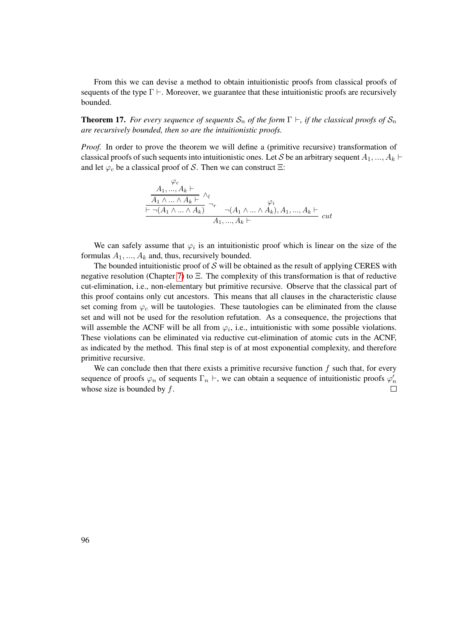From this we can devise a method to obtain intuitionistic proofs from classical proofs of sequents of the type  $\Gamma \vdash$ . Moreover, we guarantee that these intuitionistic proofs are recursively bounded.

**Theorem 17.** *For every sequence of sequents*  $S_n$  *of the form*  $\Gamma \vdash$ , *if the classical proofs of*  $S_n$ *are recursively bounded, then so are the intuitionistic proofs.*

*Proof.* In order to prove the theorem we will define a (primitive recursive) transformation of classical proofs of such sequents into intuitionistic ones. Let S be an arbitrary sequent  $A_1, ..., A_k \vdash$ and let  $\varphi_c$  be a classical proof of S. Then we can construct  $\Xi$ :

$$
\frac{A_1, ..., A_k \vdash}{A_1 \land ... \land A_k \vdash} \land_l
$$
\n
$$
\frac{A_1 \land ... \land A_k \vdash}{\vdash \neg(A_1 \land ... \land A_k)} \neg_r \neg(A_1 \land ... \land A_k), A_1, ..., A_k \vdash}{A_1, ..., A_k \vdash} cut
$$

We can safely assume that  $\varphi_i$  is an intuitionistic proof which is linear on the size of the formulas  $A_1, ..., A_k$  and, thus, recursively bounded.

The bounded intuitionistic proof of  $S$  will be obtained as the result of applying CERES with negative resolution (Chapter [7\)](#page-70-0) to Ξ. The complexity of this transformation is that of reductive cut-elimination, i.e., non-elementary but primitive recursive. Observe that the classical part of this proof contains only cut ancestors. This means that all clauses in the characteristic clause set coming from  $\varphi_c$  will be tautologies. These tautologies can be eliminated from the clause set and will not be used for the resolution refutation. As a consequence, the projections that will assemble the ACNF will be all from  $\varphi_i$ , i.e., intuitionistic with some possible violations. These violations can be eliminated via reductive cut-elimination of atomic cuts in the ACNF, as indicated by the method. This final step is of at most exponential complexity, and therefore primitive recursive.

We can conclude then that there exists a primitive recursive function  $f$  such that, for every sequence of proofs  $\varphi_n$  of sequents  $\Gamma_n \vdash$ , we can obtain a sequence of intuitionistic proofs  $\varphi'_n$ whose size is bounded by  $f$ .  $\Box$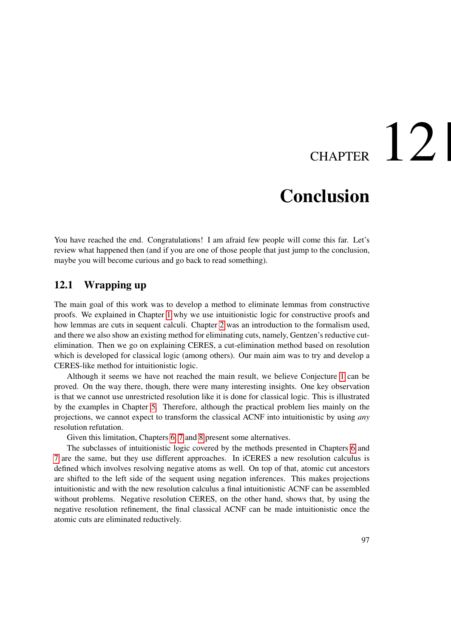# CHAPTER  $12$

# **Conclusion**

You have reached the end. Congratulations! I am afraid few people will come this far. Let's review what happened then (and if you are one of those people that just jump to the conclusion, maybe you will become curious and go back to read something).

#### 12.1 Wrapping up

The main goal of this work was to develop a method to eliminate lemmas from constructive proofs. We explained in Chapter [1](#page-16-0) why we use intuitionistic logic for constructive proofs and how lemmas are cuts in sequent calculi. Chapter [2](#page-20-0) was an introduction to the formalism used, and there we also show an existing method for eliminating cuts, namely, Gentzen's reductive cutelimination. Then we go on explaining CERES, a cut-elimination method based on resolution which is developed for classical logic (among others). Our main aim was to try and develop a CERES-like method for intuitionistic logic.

Although it seems we have not reached the main result, we believe Conjecture [1](#page-105-0) can be proved. On the way there, though, there were many interesting insights. One key observation is that we cannot use unrestricted resolution like it is done for classical logic. This is illustrated by the examples in Chapter [5.](#page-50-0) Therefore, although the practical problem lies mainly on the projections, we cannot expect to transform the classical ACNF into intuitionistic by using *any* resolution refutation.

Given this limitation, Chapters [6,](#page-54-0) [7](#page-70-0) and [8](#page-76-0) present some alternatives.

The subclasses of intuitionistic logic covered by the methods presented in Chapters [6](#page-54-0) and [7](#page-70-0) are the same, but they use different approaches. In iCERES a new resolution calculus is defined which involves resolving negative atoms as well. On top of that, atomic cut ancestors are shifted to the left side of the sequent using negation inferences. This makes projections intuitionistic and with the new resolution calculus a final intuitionistic ACNF can be assembled without problems. Negative resolution CERES, on the other hand, shows that, by using the negative resolution refinement, the final classical ACNF can be made intuitionistic once the atomic cuts are eliminated reductively.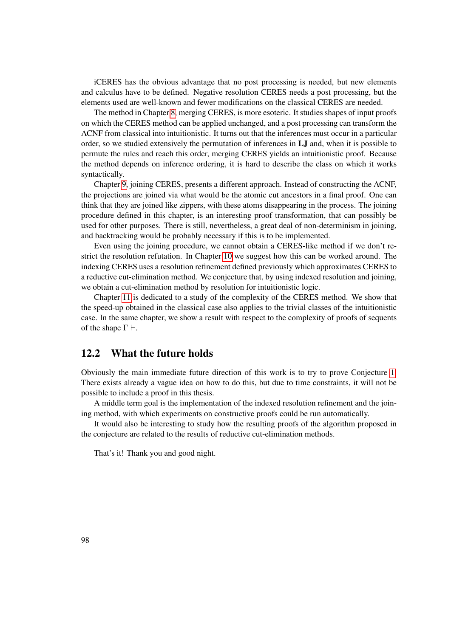iCERES has the obvious advantage that no post processing is needed, but new elements and calculus have to be defined. Negative resolution CERES needs a post processing, but the elements used are well-known and fewer modifications on the classical CERES are needed.

The method in Chapter [8,](#page-76-0) merging CERES, is more esoteric. It studies shapes of input proofs on which the CERES method can be applied unchanged, and a post processing can transform the ACNF from classical into intuitionistic. It turns out that the inferences must occur in a particular order, so we studied extensively the permutation of inferences in LJ and, when it is possible to permute the rules and reach this order, merging CERES yields an intuitionistic proof. Because the method depends on inference ordering, it is hard to describe the class on which it works syntactically.

Chapter [9,](#page-88-0) joining CERES, presents a different approach. Instead of constructing the ACNF, the projections are joined via what would be the atomic cut ancestors in a final proof. One can think that they are joined like zippers, with these atoms disappearing in the process. The joining procedure defined in this chapter, is an interesting proof transformation, that can possibly be used for other purposes. There is still, nevertheless, a great deal of non-determinism in joining, and backtracking would be probably necessary if this is to be implemented.

Even using the joining procedure, we cannot obtain a CERES-like method if we don't restrict the resolution refutation. In Chapter [10](#page-100-0) we suggest how this can be worked around. The indexing CERES uses a resolution refinement defined previously which approximates CERES to a reductive cut-elimination method. We conjecture that, by using indexed resolution and joining, we obtain a cut-elimination method by resolution for intuitionistic logic.

Chapter [11](#page-106-0) is dedicated to a study of the complexity of the CERES method. We show that the speed-up obtained in the classical case also applies to the trivial classes of the intuitionistic case. In the same chapter, we show a result with respect to the complexity of proofs of sequents of the shape  $\Gamma \vdash$ .

#### 12.2 What the future holds

Obviously the main immediate future direction of this work is to try to prove Conjecture [1.](#page-105-0) There exists already a vague idea on how to do this, but due to time constraints, it will not be possible to include a proof in this thesis.

A middle term goal is the implementation of the indexed resolution refinement and the joining method, with which experiments on constructive proofs could be run automatically.

It would also be interesting to study how the resulting proofs of the algorithm proposed in the conjecture are related to the results of reductive cut-elimination methods.

That's it! Thank you and good night.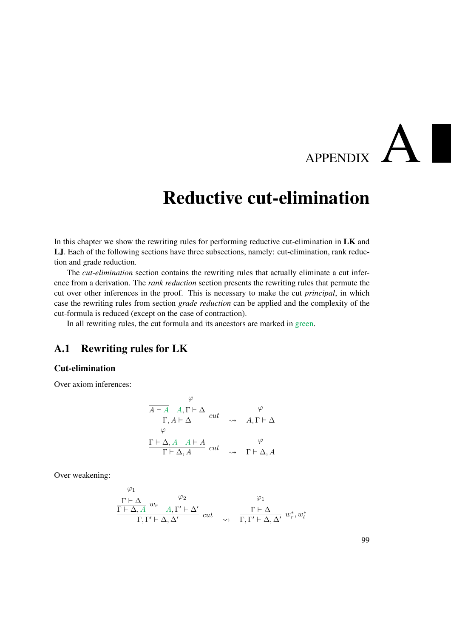# APPENDIX P

# Reductive cut-elimination

In this chapter we show the rewriting rules for performing reductive cut-elimination in LK and LJ. Each of the following sections have three subsections, namely: cut-elimination, rank reduction and grade reduction.

The *cut-elimination* section contains the rewriting rules that actually eliminate a cut inference from a derivation. The *rank reduction* section presents the rewriting rules that permute the cut over other inferences in the proof. This is necessary to make the cut *principal*, in which case the rewriting rules from section *grade reduction* can be applied and the complexity of the cut-formula is reduced (except on the case of contraction).

In all rewriting rules, the cut formula and its ancestors are marked in green.

#### A.1 Rewriting rules for LK

#### Cut-elimination

Over axiom inferences:

$$
\begin{array}{ccc}\n\varphi & \varphi \\
\hline\n\Gamma, A \vdash \Delta & cut & \varphi \\
\hline\n\Gamma, A \vdash \Delta & cut & \varphi \\
\hline\n\Gamma \vdash \Delta, A & \overline{A \vdash A} & cut & \varphi \\
\hline\n\Gamma \vdash \Delta, A & cut & \varphi & \Gamma \vdash \Delta, A\n\end{array}
$$

Over weakening:

$$
\begin{array}{ccc}\n\varphi_1 & & \varphi_2 & \varphi_1 \\
\frac{\Gamma \vdash \Delta}{\Gamma \vdash \Delta, A} w_r & A, \Gamma' \vdash \Delta' & cut & \varphi_1 \\
\frac{\Gamma \vdash \Delta}{\Gamma, \Gamma' \vdash \Delta, \Delta'} & cut & \varphi_2 & \frac{\Gamma \vdash \Delta}{\Gamma, \Gamma' \vdash \Delta, \Delta'} w_r^*, w_l^* \n\end{array}
$$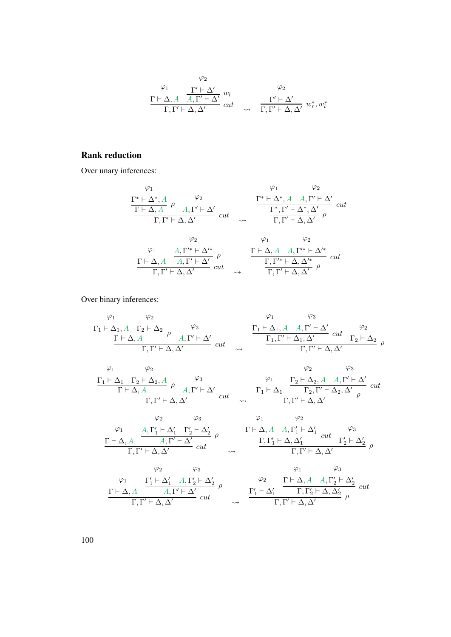$$
\begin{array}{cc}\n\varphi_2 & \varphi_2 \\
\Gamma \vdash \Delta, A & A, \Gamma' \vdash \Delta' \\
\hline\n\Gamma, \Gamma' \vdash \Delta, \Delta' & cut & \varphi_2 \\
\end{array} \quad \begin{array}{cc}\n\varphi_2 \\
\downarrow & \Gamma' \vdash \Delta' \\
\hline\n\Gamma, \Gamma' \vdash \Delta, \Delta' & w^*, w^*_l\n\end{array}
$$

#### Rank reduction

Over unary inferences:

$$
\begin{array}{ccccc}\n\varphi_1 & & \varphi_2 \\
\frac{\Gamma^* \vdash \Delta^*, A}{\Gamma \vdash \Delta, A} & \rho & A, \Gamma' \vdash \Delta' \\
\frac{\Gamma^* \vdash \Delta^*, A & A, \Gamma' \vdash \Delta'}{\Gamma, \Gamma' \vdash \Delta, \Delta'} & cut & \frac{\Gamma^* \vdash \Gamma \vdash \Delta^*, A & A, \Gamma' \vdash \Delta'}{\Gamma, \Gamma' \vdash \Delta, \Delta'} & \rho \\
& & \varphi_2 & & \varphi_1 & & \varphi_2 \\
& & & \varphi_1 & & \varphi_2 \\
& & & & \Gamma \vdash \Delta, A & A, \Gamma' \vdash \Delta' \\
& & & & \Gamma, \Gamma' \vdash \Delta, \Delta' & cut & \frac{\Gamma \vdash \Delta, A & A, \Gamma'^* \vdash \Delta'^*}{\Gamma, \Gamma' \vdash \Delta, \Delta'} & \rho\n\end{array}
$$

Over binary inferences:

ϕ1 Γ<sup>1</sup> ` ∆1, A ϕ2 Γ<sup>2</sup> ` ∆<sup>2</sup> Γ ` ∆, A ρ ϕ3 A, Γ <sup>0</sup> ` ∆<sup>0</sup> Γ, Γ <sup>0</sup> ` ∆, ∆<sup>0</sup> cut ϕ1 Γ<sup>1</sup> ` ∆1, A ϕ3 A, Γ <sup>0</sup> ` ∆<sup>0</sup> Γ1, Γ <sup>0</sup> ` ∆1, ∆<sup>0</sup> cut ϕ2 Γ<sup>2</sup> ` ∆<sup>2</sup> Γ, Γ <sup>0</sup> ` ∆, ∆<sup>0</sup> ρ ϕ1 Γ<sup>1</sup> ` ∆<sup>1</sup> ϕ2 Γ<sup>2</sup> ` ∆2, A Γ ` ∆, A ρ ϕ3 A, Γ <sup>0</sup> ` ∆<sup>0</sup> Γ, Γ <sup>0</sup> ` ∆, ∆<sup>0</sup> cut ϕ1 Γ<sup>1</sup> ` ∆<sup>1</sup> ϕ2 Γ<sup>2</sup> ` ∆2, A ϕ3 A, Γ <sup>0</sup> ` ∆<sup>0</sup> Γ2, Γ <sup>0</sup> ` ∆2, ∆<sup>0</sup> cut Γ, Γ <sup>0</sup> ` ∆, ∆<sup>0</sup> ρ ϕ1 Γ ` ∆, A ϕ2 A, Γ 0 <sup>1</sup> ` ∆<sup>0</sup> 1 ϕ3 Γ 0 <sup>2</sup> ` ∆<sup>0</sup> 2 A, Γ <sup>0</sup> ` ∆<sup>0</sup> ρ Γ, Γ <sup>0</sup> ` ∆, ∆<sup>0</sup> cut ϕ1 Γ ` ∆, A ϕ2 A, Γ 0 <sup>1</sup> ` ∆<sup>0</sup> 1 Γ, Γ 0 <sup>1</sup> ` ∆, ∆<sup>0</sup> 1 cut ϕ3 Γ 0 <sup>2</sup> ` ∆<sup>0</sup> 2 Γ, Γ <sup>0</sup> ` ∆, ∆<sup>0</sup> ρ ϕ1 Γ ` ∆, A ϕ2 Γ 0 <sup>1</sup> ` ∆<sup>0</sup> 1 ϕ3 A, Γ 0 <sup>2</sup> ` ∆<sup>0</sup> 2 A, Γ <sup>0</sup> ` ∆<sup>0</sup> ρ Γ, Γ <sup>0</sup> ` ∆, ∆<sup>0</sup> cut ϕ2 Γ 0 <sup>1</sup> ` ∆<sup>0</sup> 1 ϕ1 Γ ` ∆, A ϕ3 A, Γ 0 <sup>2</sup> ` ∆<sup>0</sup> 2 Γ, Γ 0 <sup>2</sup> ` ∆, ∆<sup>0</sup> 2 cut Γ, Γ <sup>0</sup> ` ∆, ∆<sup>0</sup> ρ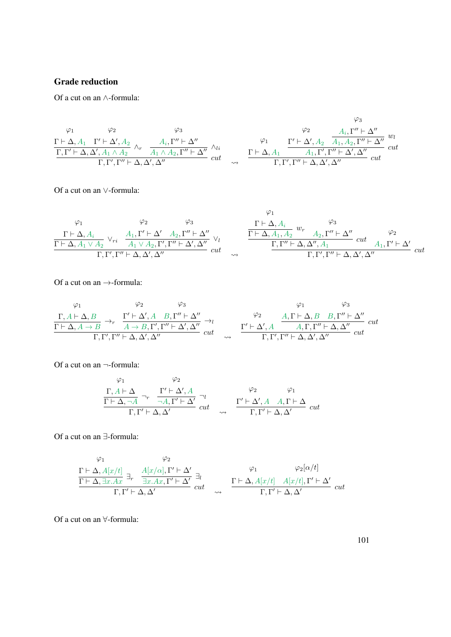#### Grade reduction

Of a cut on an ∧-formula:

$$
\varphi_1 \qquad \varphi_2 \qquad \varphi_3 \qquad \varphi_4
$$
\n
$$
\frac{\Gamma \vdash \Delta, A_1 \quad \Gamma' \vdash \Delta', A_2 \quad \wedge_r \quad A_i, \Gamma'' \vdash \Delta'' \quad \wedge_i \qquad \varphi_1 \qquad \Gamma' \vdash \Delta', A_2 \quad A_1, A_2, \Gamma'' \vdash \Delta'' \quad w_i \qquad \qquad \Gamma, \Gamma' \vdash \Delta, \Delta', A_1 \wedge A_2 \qquad \wedge_i \qquad \wedge_i \qquad \qquad \cdots \qquad \qquad \cdots \qquad \qquad \Gamma \vdash \Delta, A_1 \qquad \qquad A_1, \Gamma', \Gamma'' \vdash \Delta', \Delta'' \qquad cut \qquad \qquad \Gamma, \Gamma', \Gamma'' \vdash \Delta, \Delta', \Delta'' \qquad cut
$$

Of a cut on an ∨-formula:

$$
\begin{array}{ccccc}\n\varphi_1 & \varphi_2 & \varphi_3 & \Gamma\vdash\Delta,A_i & \varphi_3 \\
\frac{\Gamma\vdash\Delta,A_i}{\Gamma\vdash\Delta,A_1\lor A_2}\lor_{ri} & \frac{A_1,\Gamma'\vdash\Delta'}{A_1\lor A_2,\Gamma',\Gamma''\vdash\Delta',\Delta''} & \vee_l & \frac{\Gamma\vdash\Delta,A_i}{\Gamma\vdash\Delta,A_1,A_2}w_r & A_2,\Gamma''\vdash\Delta'' & \varphi_2 \\
\frac{\Gamma\vdash\Delta,A_1\lor A_2}{\Gamma,\Gamma',\Gamma''\vdash\Delta,\Delta',\Delta''}{}_{cut} & & & & \frac{\Gamma,\Gamma''\vdash\Delta,\Delta'',A_1}{\Gamma,\Gamma'\vdash\Delta,\Delta',A_1} & cut & A_1,\Gamma'\vdash\Delta' & cut \\
\end{array}
$$

Of a cut on an  $\rightarrow$ -formula:

$$
\varphi_1 \qquad \varphi_2 \qquad \varphi_3 \qquad \varphi_1 \qquad \varphi_3
$$
\n
$$
\frac{\Gamma, A \vdash \Delta, B}{\Gamma \vdash \Delta, A \to B} \to_r \qquad \frac{\Gamma' \vdash \Delta', A \quad B, \Gamma'' \vdash \Delta''}{A \to B, \Gamma', \Gamma'' \vdash \Delta', \Delta''} \to_l \qquad \qquad \varphi_2 \qquad \frac{A, \Gamma \vdash \Delta, B \quad B, \Gamma'' \vdash \Delta''}{A, \Gamma, \Gamma'' \vdash \Delta, \Delta', \Delta''} \quad cut \qquad \frac{\Gamma' \vdash \Delta', A \qquad A, \Gamma, \Gamma'' \vdash \Delta, \Delta''}{\Gamma, \Gamma', \Gamma'' \vdash \Delta, \Delta', \Delta''} \quad cut \qquad \frac{\Gamma' \vdash \Delta', A \qquad A, \Gamma, \Gamma'' \vdash \Delta, \Delta''}{\Gamma, \Gamma', \Gamma'' \vdash \Delta, \Delta', \Delta''} \quad cut \qquad \frac{\Gamma' \vdash \Delta', A \qquad A, \Gamma, \Gamma'' \vdash \Delta, \Delta''}{\Gamma, \Gamma, \Gamma'' \vdash \Delta, \Delta', \Delta''} \quad cut \qquad \frac{\Gamma' \vdash \Delta', A \qquad A, \Gamma, \Gamma'' \vdash \Delta, \Delta''}{\Gamma, \Gamma, \Gamma'' \vdash \Delta, \Delta', \Delta''} \quad cut \qquad \frac{\Gamma' \vdash \Delta', A \qquad A, \Gamma, \Gamma'' \vdash \Delta, \Delta''}{\Gamma, \Gamma, \Gamma'' \vdash \Delta, \Delta', \Delta''} \quad cut \qquad \frac{\Gamma' \vdash \Delta', A \qquad A, \Gamma, \Gamma'' \vdash \Delta, \Delta''}{\Gamma, \Gamma'' \vdash \Delta, \Delta', \Delta''}
$$

Of a cut on an ¬-formula:

$$
\frac{\varphi_1}{\Gamma + \Delta, \neg A} \neg_r \quad \frac{\Gamma' \vdash \Delta', A}{\neg A, \Gamma' \vdash \Delta'} \neg_l \qquad \qquad \frac{\varphi_2}{\neg r} \qquad \frac{\varphi_1}{\Gamma, \Gamma' \vdash \Delta, \Delta'} \quad cut \qquad \frac{\Gamma' \vdash \Delta', A \quad A, \Gamma \vdash \Delta}{\Gamma, \Gamma' \vdash \Delta, \Delta'} \quad cut
$$

Of a cut on an ∃-formula:

$$
\frac{\Gamma \vdash \Delta, A[x/t]}{\Gamma \vdash \Delta, \exists x.Ax} \exists_r \frac{A[x/\alpha], \Gamma' \vdash \Delta'}{\exists x.Ax, \Gamma' \vdash \Delta'} \exists_t \qquad \qquad \frac{\varphi_1}{\Gamma \vdash \Delta, A[x/t] \cdots A[x/t], \Gamma' \vdash \Delta'} \frac{\varphi_2[\alpha/t]}{\Gamma, \Gamma' \vdash \Delta, \Delta'} \quad cut \qquad \sim \qquad \frac{\Gamma \vdash \Delta, A[x/t] \cdots A[x/t], \Gamma' \vdash \Delta'}{\Gamma, \Gamma' \vdash \Delta, \Delta'} \quad cut
$$

Of a cut on an ∀-formula: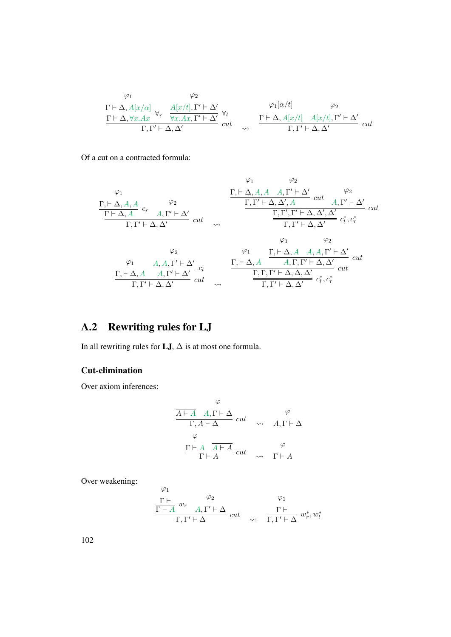$$
\begin{array}{cc}\n\varphi_1 & \varphi_2 \\
\frac{\Gamma\vdash\Delta,A[x/\alpha]}{\Gamma\vdash\Delta,\forall x.Ax} \,\,\forall_r \ \ \, \frac{A[x/t],\Gamma'\vdash\Delta'}{\forall x.Ax,\Gamma'\vdash\Delta'} \,\,\forall_l \\
\frac{\Gamma\vdash\Delta,\forall x.Ax}{\Gamma,\Gamma'\vdash\Delta,\Delta'}\,\, cut & \sim & \frac{\Gamma\vdash\Delta,A[x/t]\quad A[x/t],\Gamma'\vdash\Delta'}{\Gamma,\Gamma'\vdash\Delta,\Delta'}\,\, cut\n\end{array}
$$

Of a cut on a contracted formula:

$$
\frac{\varphi_1}{\Gamma_1 \vdash \Delta, A, A} \quad c_r \quad \frac{\varphi_2}{\Gamma_1 \Gamma' \vdash \Delta, A'} \quad \frac{\Gamma_1 \vdash \Delta, A, A, A, \Gamma' \vdash \Delta'}{\Gamma_1 \Gamma' \vdash \Delta, A'} \quad cut \quad \frac{\Gamma_1 \Gamma' \vdash \Delta, \Delta', A}{\Gamma_1 \Gamma' \vdash \Delta, \Delta'} \quad cut \quad \frac{\Gamma_1 \Gamma' \vdash \Delta, \Delta', A'}{\Gamma_1 \Gamma' \vdash \Delta, \Delta'} \quad c_t^*, c_t^* \quad cut \quad \frac{\varphi_2}{\Gamma_1 \Gamma' \vdash \Delta, A} \quad c_t^* \quad \frac{\varphi_1}{\varphi_2} \quad \frac{\varphi_1}{\varphi_1 \vdash \Delta, A} \quad \frac{\varphi_2}{\varphi_1 \vdash \Delta, A} \quad \frac{\varphi_1}{\varphi_1 \vdash \Delta, A} \quad \frac{\varphi_1}{\varphi_1 \vdash \Delta, A} \quad \frac{\varphi_2}{\varphi_1 \vdash \Delta, A} \quad \frac{\varphi_1}{\varphi_1 \vdash \Delta, A} \quad \frac{\varphi_1}{\varphi_1 \vdash \Delta, A} \quad \frac{\varphi_2}{\varphi_1 \vdash \Delta, A'} \quad cut \quad \frac{\varphi_1}{\varphi_1 \vdash \Delta, A} \quad \frac{\varphi_1}{\varphi_1 \vdash \Delta, A} \quad \frac{\varphi_2}{\varphi_1 \vdash \Delta, A} \quad \frac{\varphi_1}{\varphi_1 \vdash \Delta, A} \quad \frac{\varphi_1}{\varphi_1 \vdash \Delta, A} \quad \frac{\varphi_2}{\varphi_1 \vdash \Delta, A} \quad \frac{\varphi_1}{\varphi_1 \vdash \Delta, A} \quad \frac{\varphi_1}{\varphi_1 \vdash \Delta, A} \quad \frac{\varphi_1}{\varphi_1 \vdash \Delta, A} \quad \frac{\varphi_2}{\varphi_1 \vdash \Delta, A} \quad \frac{\varphi_1}{\varphi_1 \vdash \Delta, A} \quad \frac{\varphi_1}{\varphi_1 \vdash \Delta, A} \quad \frac{\varphi_2}{\varphi_1 \vdash \Delta, A} \quad \frac{\varphi_1}{\varphi_1 \vdash \Delta, A} \quad \frac{\varphi_1}{\varphi_
$$

### A.2 Rewriting rules for LJ

In all rewriting rules for  ${\bf LJ},\Delta$  is at most one formula.

#### Cut-elimination

Over axiom inferences:

$$
\begin{array}{ccc}\n\varphi & & \varphi \\
\hline\n\frac{A \vdash A & A, \Gamma \vdash \Delta}{\Gamma, A \vdash \Delta} & cut & \varphi & A, \Gamma \vdash \Delta \\
\varphi & & & \Gamma \vdash A & \varphi & \\
\hline\n\Gamma \vdash A & cut & \varphi & \Gamma \vdash A\n\end{array}
$$

Over weakening:

$$
\frac{\Gamma \vdash}{\Gamma \vdash A} w_r \xrightarrow{Q_2} \frac{\varphi_1}{\Gamma, \Gamma' \vdash \Delta} \ cut \xrightarrow{\Gamma \vdash} \frac{\Gamma \vdash}{\Gamma, \Gamma' \vdash \Delta} w_r^*, w_l^*
$$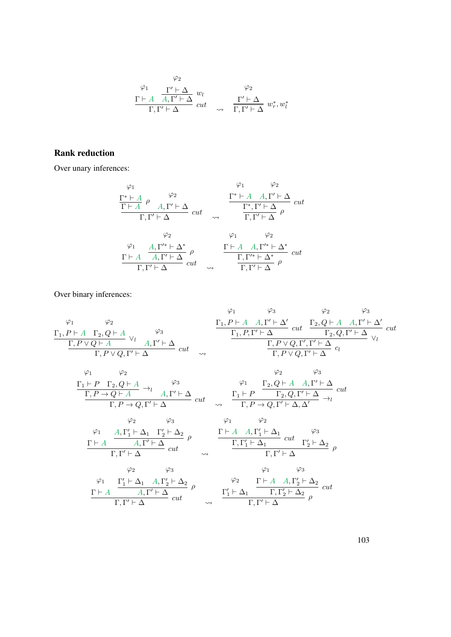$$
\varphi_2
$$
\n
$$
\frac{\varphi_1}{\Gamma + A} \frac{\Gamma' \vdash \Delta}{A, \Gamma' \vdash \Delta} w_l
$$
\n
$$
\frac{\Gamma' \vdash \Delta}{\Gamma, \Gamma' \vdash \Delta} cut \quad \varphi_2
$$
\n
$$
\frac{\Gamma' \vdash \Delta}{\Gamma, \Gamma' \vdash \Delta} w_r^*, w_l^*
$$

#### Rank reduction

Over unary inferences:

$$
\begin{array}{ccccc}\n\varphi_1 & & & \varphi_2 \\
\frac{\Gamma^* \vdash A}{\Gamma \vdash A} & \rho & A, \Gamma' \vdash \Delta & cut \\
& & & \varphi_2 & \varphi_1 & \Gamma' \vdash \Delta & cut \\
& & & \varphi_2 & \varphi_1 & \varphi_2 \\
& & & & \varphi_2 & \varphi_1 & \varphi_2 \\
& & & & \varphi_1 & \varphi_2 \\
& & & & \varphi_1 & \varphi_2 \\
& & & & \varphi_1 & \varphi_2 \\
& & & & \varphi_1 & \varphi_2 \\
& & & & \varphi_1 & \varphi_2 \\
& & & & \varphi_1 & \varphi_2 \\
& & & & \varphi_1 & \varphi_2 \\
& & & & \varphi_1 & \varphi_2 \\
& & & & \varphi_1 & \varphi_2 \\
& & & & \varphi_1 & \varphi_2 \\
& & & & \varphi_1 & \varphi_2 \\
& & & & \varphi_1 & \varphi_2 \\
& & & & \varphi_1 & \varphi_2 \\
& & & & \varphi_1 & \varphi_2 \\
& & & & \varphi_1 & \varphi_2 \\
& & & & \varphi_1 & \varphi_2 \\
& & & & \varphi_1 & \varphi_2 \\
& & & & \varphi_1 & \varphi_2 \\
& & & & \varphi_1 & \varphi_2 \\
& & & & \varphi_1 & \varphi_2 \\
& & & & \varphi_1 & \varphi_2 \\
& & & & \varphi_1 & \varphi_2 \\
& & & & \varphi_1 & \varphi_2 \\
& & & & \varphi_1 & \varphi_2 \\
& & & & \varphi_1 & \varphi_2 \\
& & & & \varphi_1 & \varphi_2 \\
& & & & \varphi_1 & \varphi_2 \\
& & & & \varphi_1 & \varphi_2 \\
& & & & \varphi_1 & \varphi_2 \\
& & & & \varphi_1 & \varphi_2 \\
& & & & \varphi_1 & \varphi_2 \\
& & & & \varphi_1 & \varphi_2 \\
& & & & \varphi_1 & \varphi_2 \\
& & & & \varphi_1 & \varphi_2 \\
& & & & \varphi_1 & \varphi_2 \\
& & & & \varphi_1 & \varphi_2 \\
& & & & \varphi_1 & \varphi_2 \\
& & & & \varphi_1 & \varphi_2 \\
& & & & \varphi_1 & \varphi_2 \\
& & & & \varphi_1
$$

Over binary inferences:

ϕ1 Γ1, P ` A ϕ2 Γ2, Q ` A Γ, P ∨ Q ` A ∨l ϕ3 A, Γ <sup>0</sup> ` ∆ Γ, P ∨ Q, Γ <sup>0</sup> ` ∆ cut ϕ1 Γ1, P ` A ϕ3 A, Γ <sup>0</sup> ` ∆<sup>0</sup> Γ1, P, Γ <sup>0</sup> ` ∆ cut ϕ2 Γ2, Q ` A ϕ3 A, Γ <sup>0</sup> ` ∆<sup>0</sup> Γ2, Q, Γ <sup>0</sup> ` ∆ cut Γ, P ∨ Q, Γ 0 , Γ <sup>0</sup> ` ∆ ∨l Γ, P ∨ Q, Γ <sup>0</sup> ` ∆ cl ϕ1 Γ<sup>1</sup> ` P ϕ2 Γ2, Q ` A Γ, P → Q ` A →<sup>l</sup> ϕ3 A, Γ <sup>0</sup> ` ∆ Γ, P → Q, Γ <sup>0</sup> ` ∆ cut ϕ1 Γ<sup>1</sup> ` P ϕ2 Γ2, Q ` A ϕ3 A, Γ <sup>0</sup> ` ∆ Γ2, Q, Γ <sup>0</sup> ` ∆ cut Γ, P → Q, Γ <sup>0</sup> ` <sup>∆</sup>, <sup>∆</sup><sup>0</sup> <sup>→</sup><sup>l</sup> ϕ1 Γ ` A ϕ2 A, Γ 0 <sup>1</sup> ` ∆<sup>1</sup> ϕ3 Γ 0 <sup>2</sup> ` ∆<sup>2</sup> A, Γ <sup>0</sup> ` ∆ ρ Γ, Γ <sup>0</sup> ` ∆ cut ϕ1 Γ ` A ϕ2 A, Γ 0 <sup>1</sup> ` ∆<sup>1</sup> Γ, Γ 0 <sup>1</sup> ` ∆<sup>1</sup> cut ϕ3 Γ 0 <sup>2</sup> ` ∆<sup>2</sup> Γ, Γ <sup>0</sup> ` ∆ ρ ϕ1 Γ ` A ϕ2 Γ 0 <sup>1</sup> ` ∆<sup>1</sup> ϕ3 A, Γ 0 <sup>2</sup> ` ∆<sup>2</sup> A, Γ <sup>0</sup> ` ∆ ρ Γ, Γ <sup>0</sup> ` ∆ cut ϕ2 Γ 0 <sup>1</sup> ` ∆<sup>1</sup> ϕ1 Γ ` A ϕ3 A, Γ 0 <sup>2</sup> ` ∆<sup>2</sup> Γ, Γ 0 <sup>2</sup> ` ∆<sup>2</sup> cut Γ, Γ <sup>0</sup> ` ∆ ρ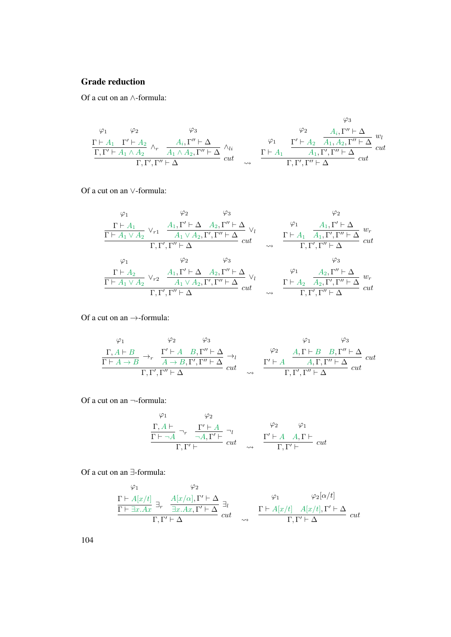#### Grade reduction

Of a cut on an ∧-formula:

$$
\varphi_1 \qquad \varphi_2 \qquad \varphi_3 \qquad \varphi_4
$$
\n
$$
\frac{\Gamma \vdash A_1 \quad \Gamma' \vdash A_2}{\Gamma, \Gamma' \vdash A_1 \land A_2} \land_r \qquad \frac{A_i, \Gamma'' \vdash \Delta}{A_1 \land A_2, \Gamma'' \vdash \Delta} \land_{li} \qquad \varphi_1 \qquad \frac{\Gamma' \vdash A_2 \quad A_1, A_2, \Gamma'' \vdash \Delta}{A_1, \Gamma', \Gamma'' \vdash \Delta} \quad \text{cut}
$$
\n
$$
\Gamma, \Gamma' \vdash A_1 \land A_2 \qquad \text{cut} \qquad \varphi_1 \qquad \frac{\Gamma \vdash A_1 \quad A_1, \Gamma', \Gamma'' \vdash \Delta}{A_1, \Gamma', \Gamma'' \vdash \Delta} \quad \text{cut}
$$

Of a cut on an ∨-formula:

$$
\varphi_1 \qquad \varphi_2 \qquad \varphi_3 \qquad \varphi_2
$$
\n
$$
\frac{\Gamma \vdash A_1 \lor A_2 \lor r_1 \quad \frac{A_1, \Gamma' \vdash \Delta \quad A_2, \Gamma'' \vdash \Delta}{A_1 \lor A_2, \Gamma', \Gamma'' \vdash \Delta} \lor_l}{\Gamma, \Gamma', \Gamma'' \vdash \Delta} \quad cut \qquad \frac{\varphi_1}{\Gamma \vdash A_1 \quad \frac{A_1, \Gamma' \vdash \Delta}{A_1, \Gamma', \Gamma'' \vdash \Delta} w_r}{\Gamma, \Gamma', \Gamma'' \vdash \Delta} \quad cut
$$
\n
$$
\varphi_1 \qquad \varphi_2 \qquad \varphi_3 \qquad \varphi_3
$$
\n
$$
\frac{\Gamma \vdash A_2}{\Gamma \vdash A_1 \lor A_2} \lor_{r_2} \frac{A_1, \Gamma' \vdash \Delta \quad A_2, \Gamma'' \vdash \Delta}{A_1 \lor A_2, \Gamma', \Gamma'' \vdash \Delta} \lor_l \qquad \frac{\varphi_1}{\Gamma \vdash A_2 \quad A_2, \Gamma'' \vdash \Delta} w_r}{\Gamma, \Gamma', \Gamma'' \vdash \Delta} w_r
$$
\n
$$
\frac{\Gamma \vdash A_2}{\Gamma, \Gamma', \Gamma'' \vdash \Delta} w_r \qquad \frac{\varphi_1}{\Gamma, \Gamma', \Gamma'' \vdash \Delta} w_r}{\Gamma, \Gamma', \Gamma'' \vdash \Delta} w_r
$$

Of a cut on an  $\rightarrow$ -formula:

$$
\varphi_1 \qquad \varphi_2 \qquad \varphi_3 \qquad \varphi_1 \qquad \varphi_3
$$
\n
$$
\frac{\Gamma, A \vdash B}{\Gamma \vdash A \rightarrow B} \rightarrow_r \qquad \frac{\Gamma' \vdash A \quad B, \Gamma'' \vdash \Delta}{A \rightarrow B, \Gamma', \Gamma'' \vdash \Delta} \rightarrow_l \qquad \varphi_2 \qquad \frac{A, \Gamma \vdash B \quad B, \Gamma'' \vdash \Delta}{A, \Gamma, \Gamma'' \vdash \Delta} \quad cut \qquad \frac{\Gamma' \vdash A \qquad A, \Gamma, \Gamma'' \vdash \Delta}{\Gamma, \Gamma', \Gamma'' \vdash \Delta} \quad cut
$$

Of a cut on an ¬-formula:

$$
\varphi_1 \qquad \varphi_2
$$
\n
$$
\frac{\Gamma, A \vdash}{\Gamma \vdash \neg A} \neg_r \quad \frac{\Gamma' \vdash A}{\neg A, \Gamma' \vdash} \neg_l \qquad \qquad \varphi_2 \qquad \varphi_1
$$
\n
$$
\frac{\Gamma' \vdash A \quad A, \Gamma \vdash}{\Gamma, \Gamma' \vdash} cut \qquad \varphi \qquad \frac{\Gamma' \vdash A \quad A, \Gamma \vdash}{\Gamma, \Gamma' \vdash} cut
$$

Of a cut on an ∃-formula:

$$
\frac{\Gamma \vdash A[x/t]}{\Gamma \vdash \exists x.Ax} \exists_r \quad \frac{A[x/\alpha], \Gamma' \vdash \Delta}{\exists x.Ax, \Gamma' \vdash \Delta} \exists_t \qquad \qquad \frac{\varphi_1}{\Gamma \vdash A[x/t] \quad A[x/t], \Gamma' \vdash \Delta} \quad \text{cut} \quad \frac{\Gamma \vdash A[x/t] \quad A[x/t], \Gamma' \vdash \Delta}{\Gamma, \Gamma' \vdash \Delta} \quad cut
$$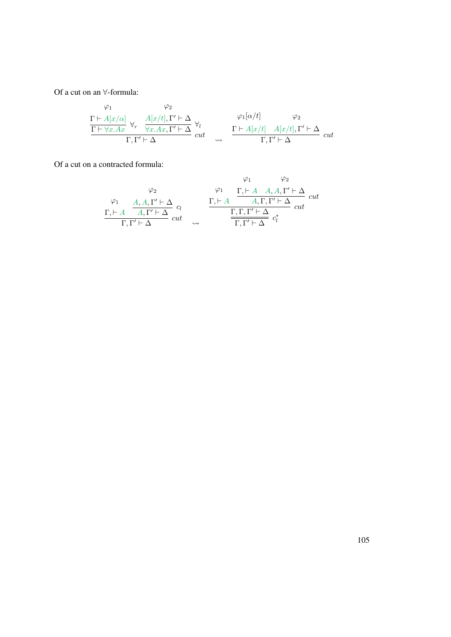Of a cut on an ∀-formula:

$$
\frac{\Gamma \vdash A[x/\alpha]}{\Gamma \vdash \forall x.Ax} \forall_r \frac{A[x/t], \Gamma' \vdash \Delta}{\forall x.Ax, \Gamma' \vdash \Delta} \forall_l \qquad \frac{\varphi_1[\alpha/t]}{\alpha} \frac{\varphi_2}{\vdash A[x/t], \Gamma' \vdash \Delta} \ cut \longrightarrow \frac{\Gamma \vdash A[x/t] \quad A[x/t], \Gamma' \vdash \Delta}{\Gamma, \Gamma' \vdash \Delta} \ cut
$$

Of a cut on a contracted formula:

$$
\varphi_1 \qquad \varphi_2
$$
\n
$$
\varphi_1 \qquad \varphi_2
$$
\n
$$
\varphi_1 \qquad \varphi_2
$$
\n
$$
\varphi_1 \qquad \varphi_2
$$
\n
$$
\Gamma, \vdash A \quad A, \Gamma' \vdash \Delta \quad c_l
$$
\n
$$
\Gamma, \Gamma' \vdash \Delta \quad c_{llt}
$$
\n
$$
\Gamma, \Gamma' \vdash \Delta \quad \varphi_l
$$
\n
$$
\Gamma, \Gamma \vdash \Delta \quad c_{llt}
$$
\n
$$
\Gamma, \Gamma' \vdash \Delta \quad c_{llt}
$$
\n
$$
\Gamma, \Gamma' \vdash \Delta \quad c^*
$$
\n
$$
\Gamma, \Gamma' \vdash \Delta \quad c^*
$$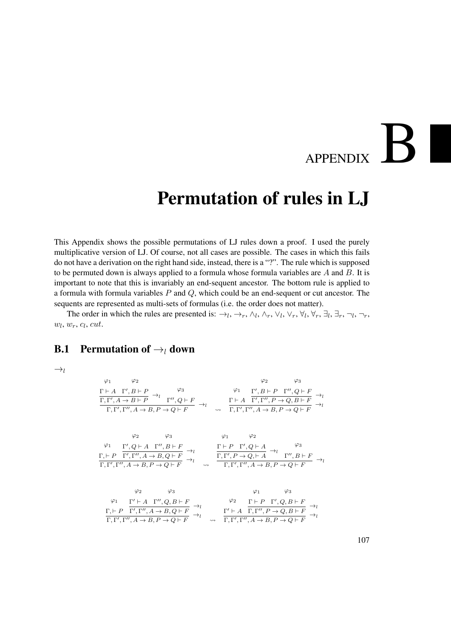# APPENDIX B

# Permutation of rules in LJ

This Appendix shows the possible permutations of LJ rules down a proof. I used the purely multiplicative version of LJ. Of course, not all cases are possible. The cases in which this fails do not have a derivation on the right hand side, instead, there is a "?". The rule which is supposed to be permuted down is always applied to a formula whose formula variables are  $A$  and  $B$ . It is important to note that this is invariably an end-sequent ancestor. The bottom rule is applied to a formula with formula variables P and Q, which could be an end-sequent or cut ancestor. The sequents are represented as multi-sets of formulas (i.e. the order does not matter).

The order in which the rules are presented is:  $\rightarrow_l, \rightarrow_r, \land_l, \land_r, \lor_l, \lor_r, \forall_l, \forall_r, \exists_l, \exists_r, \neg_l, \neg_r,$  $w_l, w_r, c_l, cut.$ 

#### **B.1** Permutation of  $\rightarrow_l$  down

 $\rightarrow_l$ 

$$
\varphi_1 \qquad \varphi_2 \qquad \varphi_3
$$
\n
$$
\frac{\Gamma \vdash A \quad \Gamma', B \vdash P}{\Gamma, \Gamma', A \to B \vdash P} \to_l \qquad \varphi_3 \qquad \varphi_1 \qquad \frac{\varphi_1}{\Gamma', B \vdash P} \quad \frac{\Gamma', B \vdash P \quad \Gamma'', Q \vdash F}{\Gamma', \Gamma'', P \to Q, B \vdash F} \to_l \qquad \frac{\Gamma \vdash A \quad \Gamma', \Gamma'', P \to Q, B \vdash F}{\Gamma, \Gamma', \Gamma'', A \to B, P \to Q \vdash F} \to_l
$$

$$
\varphi_2 \qquad \varphi_3 \qquad \varphi_1 \qquad \varphi_2
$$
\n
$$
\varphi_1 \qquad \varphi_2
$$
\n
$$
\Gamma, \vdash P \quad \Gamma', Q \vdash A \quad \Gamma'', B \vdash F \rightarrow \iota
$$
\n
$$
\Gamma, \vdash P \quad \Gamma', \Gamma'', A \rightarrow B, Q \vdash F \rightarrow \iota
$$
\n
$$
\varphi_1 \qquad \varphi_2
$$
\n
$$
\varphi_2 \qquad \varphi_2
$$
\n
$$
\varphi_1 \qquad \varphi_2
$$
\n
$$
\varphi_2 \qquad \varphi_2
$$
\n
$$
\varphi_2 \qquad \varphi_2
$$
\n
$$
\varphi_3 \qquad \varphi_4
$$
\n
$$
\varphi_5
$$
\n
$$
\varphi_6
$$
\n
$$
\varphi_7
$$
\n
$$
\varphi_8
$$
\n
$$
\varphi_9
$$
\n
$$
\varphi_1 \qquad \varphi_2
$$
\n
$$
\varphi_2 \qquad \varphi_3
$$
\n
$$
\varphi_1 \qquad \varphi_2
$$
\n
$$
\varphi_2 \qquad \varphi_3
$$
\n
$$
\varphi_4
$$
\n
$$
\varphi_5
$$
\n
$$
\varphi_7
$$
\n
$$
\varphi_8
$$
\n
$$
\varphi_9
$$
\n
$$
\varphi_1 \qquad \varphi_2
$$
\n
$$
\varphi_1 \qquad \varphi_2
$$
\n
$$
\varphi_3 \qquad \varphi_4
$$
\n
$$
\varphi_5
$$
\n
$$
\varphi_7
$$
\n
$$
\varphi_8
$$
\n
$$
\varphi_9
$$
\n
$$
\varphi_1 \qquad \varphi_2
$$
\n
$$
\varphi_1 \qquad \varphi_2
$$
\n
$$
\varphi_2 \qquad \varphi_3
$$
\n
$$
\varphi_4
$$
\n
$$
\varphi_5
$$
\n
$$
\varphi_7
$$
\n
$$
\varphi_8
$$
\n
$$
\varphi_9
$$
\n
$$
\var
$$

$$
\varphi_2 \qquad \varphi_3 \qquad \varphi_1 \qquad \varphi_3
$$
\n
$$
\varphi_1 \qquad \varphi_2 \qquad \varphi_3 \qquad \varphi_4 \qquad \varphi_5
$$
\n
$$
\Gamma, \vdash P \quad \Gamma', \Gamma'', A \to B, Q \vdash F \to_l \qquad \varphi_2 \qquad \Gamma \vdash P \quad \Gamma', Q, B \vdash F \to_l \qquad \varphi_1 \qquad \varphi_2 \qquad \varphi_3 \qquad \varphi_4 \qquad \varphi_5 \qquad \varphi_5 \qquad \varphi_6
$$
\n
$$
\Gamma, \vdash P \quad \Gamma', \Gamma'', A \to B, P \to Q \vdash F \qquad \leadsto \qquad \Gamma, \vdash', \Gamma'', A \to B, P \to Q \vdash F \qquad \varphi_1 \qquad \varphi_2 \qquad \varphi_5 \qquad \varphi_6 \qquad \varphi_7 \qquad \varphi_7 \qquad \varphi_8 \qquad \varphi_8 \qquad \varphi_8 \qquad \varphi_9 \qquad \varphi_9 \qquad \varphi_9 \qquad \varphi_9 \qquad \varphi_8 \qquad \varphi_9 \qquad \varphi_9 \qquad \varphi_9 \qquad \varphi_8 \qquad \varphi_9 \qquad \varphi_9 \qquad \varphi_9 \qquad \varphi_9 \qquad \varphi_9 \qquad \varphi_8 \qquad \varphi_9 \qquad \varphi_9 \qquad \varphi_9 \qquad \varphi_9 \qquad \varphi_9 \qquad \varphi_9 \qquad \varphi_9 \qquad \varphi_9 \qquad \varphi_9 \qquad \varphi_9 \qquad \varphi_9 \qquad \varphi_9 \qquad \varphi_9 \qquad \varphi_9 \qquad \varphi_9 \qquad \varphi_9 \qquad \varphi_9 \qquad \varphi_9 \qquad \varphi_9 \qquad \varphi_9 \qquad \varphi_9 \qquad \varphi_9 \qquad \varphi_9 \qquad \varphi_9 \qquad \varphi_9 \qquad \varphi_9 \qquad \varphi_9 \qquad \varphi_9 \qquad \varphi_9 \qquad \varphi_9 \qquad \varphi_9 \qquad \varphi_9 \qquad \varphi_9 \qquad \varphi_9 \qquad \varphi_9 \qquad \varphi_9 \qquad \varphi_9 \qquad
$$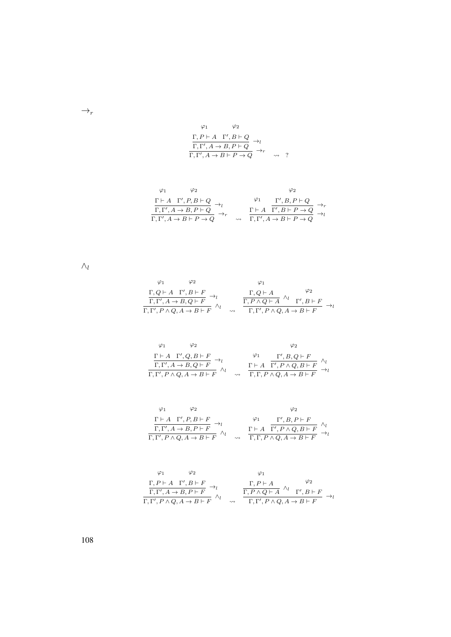$$
\varphi_1 \qquad \varphi_2
$$
  
\n
$$
\frac{\Gamma, P \vdash A \quad \Gamma', B \vdash Q}{\Gamma, \Gamma', A \to B, P \vdash Q} \to_l
$$
  
\n
$$
\frac{\Gamma, \Gamma', A \to B \vdash P \to Q}{\Gamma, \Gamma', A \to B \vdash P \to Q} \to_r
$$

$$
\begin{array}{ccccc}\varphi_1 & \varphi_2 & & \varphi_2 &\\ \frac{\Gamma\vdash A\quad \Gamma',P,B\vdash Q}{\Gamma,\Gamma',A\to B,P\vdash Q}\to_l & & \varphi_1 & \Gamma',B,P\vdash Q\\ \frac{\Gamma,\Gamma',A\to B,P\vdash Q}{\Gamma,\Gamma',A\to B\vdash P\to Q}\to_r & & \frac{\Gamma\vdash A\quad \Gamma',B\vdash P\to Q}{\Gamma,\Gamma',A\to B\vdash P\to Q}\to_l\end{array}
$$

 $\wedge_l$ 

 $\rightarrow_r$ 

$$
\varphi_1 \qquad \varphi_2 \qquad \varphi_1
$$
\n
$$
\frac{\Gamma, Q \vdash A \quad \Gamma', B \vdash F}{\Gamma, \Gamma', A \to B, Q \vdash F} \to_l \qquad \frac{\Gamma, Q \vdash A \qquad \varphi_2}{\Gamma, P \land Q \vdash A} \land_l \qquad \frac{\varphi_2}{\Gamma, P \land Q \vdash A} \to_l
$$
\n
$$
\frac{\Gamma, P \land Q \vdash A \qquad \varphi_2}{\Gamma, \Gamma', P \land Q, A \to B \vdash F} \to_l
$$

$$
\begin{array}{cc}\n\varphi_1 & \varphi_2 & \varphi_2 \\
\frac{\Gamma \vdash A \quad \Gamma', Q, B \vdash F}{\Gamma, \Gamma', A \rightarrow B, Q \vdash F} \rightarrow_l & \varphi_1 & \frac{\Gamma', B, Q \vdash F}{\Gamma', P \land Q, B \vdash F} \land_l \\
\frac{\Gamma \vdash A \quad \Gamma', P \land Q, B \vdash F}{\Gamma, \Gamma, P \land Q, A \rightarrow B \vdash F} \rightarrow_l\n\end{array}
$$

$$
\begin{array}{ccccc}\n\varphi_1 & \varphi_2 & & \varphi_2 \\
\frac{\Gamma\vdash A\quad \Gamma',P,B\vdash F}{\Gamma,\Gamma',A\rightarrow B,P\vdash F}\rightarrow_l & & \frac{\varphi_1}{\Gamma\vdash A}\quad\frac{\Gamma',B,P\vdash F}{\Gamma',P\land Q,B\vdash F}\quad\frac{\land_l}{\land_l} \\
\frac{\Gamma\vdash A\quad \Gamma',P\land Q,B\vdash F}\rightarrow_l & & \frac{\Gamma\vdash A\quad \Gamma',P\land Q,B\vdash F}{\Gamma,\Gamma,P\land Q,A\rightarrow B\vdash F}\rightarrow_l\n\end{array}
$$

$$
\varphi_1 \qquad \varphi_2 \qquad \varphi_1
$$
\n
$$
\frac{\Gamma, P \vdash A \quad \Gamma', B \vdash F}{\Gamma, \Gamma', A \to B, P \vdash F} \to_l \qquad \frac{\Gamma, P \vdash A \qquad \varphi_2}{\Gamma, P \land Q \vdash A} \land_l \quad \frac{\varphi_2}{\Gamma', P \land Q \vdash A} \to_l
$$
\n
$$
\frac{\Gamma, P \vdash A \qquad \varphi_2}{\Gamma, \Gamma', P \land Q, A \to B \vdash F} \to_l
$$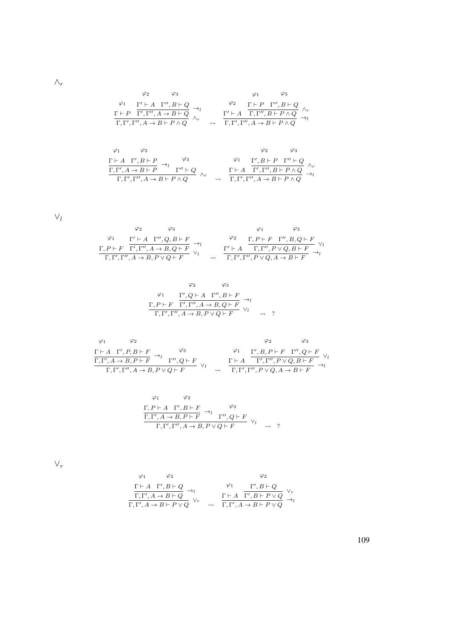$\wedge_r$ 

$$
\varphi_2 \qquad \varphi_3 \qquad \varphi_1 \qquad \varphi_3
$$
\n
$$
\varphi_1 \qquad \Gamma' \vdash A \quad \Gamma'', B \vdash Q
$$
\n
$$
\Gamma \vdash P \quad \Gamma', \Gamma'', A \to B \vdash Q
$$
\n
$$
\varphi_2 \qquad \wedge_r \qquad \qquad \Gamma' \vdash A \quad \Gamma, \Gamma'', B \vdash Q
$$
\n
$$
\varphi_1 \qquad \varphi_2 \qquad \varphi_3 \qquad \varphi_4 \qquad \varphi_5 \qquad \varphi_6
$$
\n
$$
\varphi_1 \qquad \varphi_2 \qquad \varphi_7 \qquad \varphi_8 \qquad \varphi_7 \qquad \varphi_8
$$
\n
$$
\varphi_8 \qquad \varphi_9 \qquad \varphi_9
$$

$$
\begin{array}{ccccc}\n\varphi_1 & \varphi_2 & & \varphi_3 \\
\Gamma \vdash A & \Gamma', B \vdash P & \rightarrow_l & \varphi_3 \\
\hline\n\Gamma, \Gamma', A \rightarrow B \vdash P & \Gamma'' \vdash Q & \wedge_r & & \Gamma \vdash A & \Gamma', \Gamma'', B \vdash P \land Q \\
\Gamma, \Gamma', \Gamma'', A \rightarrow B \vdash P \land Q & & \rightarrow_l & \Gamma, \Gamma', \Gamma'', A \rightarrow B \vdash P \land Q\n\end{array}
$$

 $\vee_l$ 

$$
\begin{array}{ccccc}\n\varphi_1 & \varphi_3 & \varphi_1 & \varphi_3 \\
\frac{\Gamma' \vdash A & \Gamma'', Q, B \vdash F}{\Gamma', \Gamma'', A \rightarrow B, Q \vdash F} & \rightarrow_l & \frac{\Gamma, P \vdash F & \Gamma'', B, Q \vdash F}{\Gamma, \Gamma', \Gamma'', P \vee Q, B \vdash F} \vee_l \\
\frac{\Gamma, P \vdash F & \Gamma', \Gamma'', A \rightarrow B, P \vee Q \vdash F}{\Gamma, \Gamma', \Gamma'', P \vee Q, A \rightarrow B \vdash F} & \rightarrow_l & \\
\end{array}
$$

$$
\varphi_2 \qquad \varphi_3
$$
  
\n
$$
\varphi_1 \qquad \Gamma', Q \vdash A \quad \Gamma'', B \vdash F
$$
  
\n
$$
\Gamma, P \vdash F \quad \overline{\Gamma'}, \Gamma'', A \to B, Q \vdash F
$$
  
\n
$$
\Gamma, \Gamma', \Gamma'', A \to B, P \lor Q \vdash F
$$
  
\n
$$
\varphi_1 \qquad \qquad \to Q
$$
  
\n
$$
\varphi_2 \qquad \qquad \varphi_3
$$

$$
\begin{array}{ccccc}\n\varphi_1 & \varphi_2 & \varphi_3 \\
\frac{\Gamma \vdash A & \Gamma', P, B \vdash F}{\Gamma, \Gamma', A \rightarrow B, P \vdash F} & \rightarrow_l & \varphi_3 \\
\frac{\varphi_1 & \varphi_2 & \varphi_3 \\
\frac{\Gamma, \Gamma', A \rightarrow B, P \vdash F}{\Gamma, \Gamma', \Gamma'', A \rightarrow B, P \lor Q \vdash F} & \vee_l & \frac{\Gamma \vdash A & \Gamma', \Gamma'', P \lor Q, B \vdash F}{\Gamma, \Gamma', \Gamma'', P \lor Q, A \rightarrow B \vdash F} & \rightarrow_l \\
\end{array}
$$

$$
\varphi_1 \qquad \varphi_2
$$
  
\n
$$
\frac{\Gamma, P \vdash A \quad \Gamma', B \vdash F}{\Gamma, \Gamma', A \rightarrow B, P \vdash F} \rightarrow_l \qquad \varphi_3
$$
  
\n
$$
\frac{\Gamma, \Gamma', A \rightarrow B, P \vdash F}{\Gamma, \Gamma', \Gamma'', A \rightarrow B, P \lor Q \vdash F} \lor_l \qquad \rightsquigarrow \quad ?
$$

 $\vee_r$ 

$$
\begin{array}{ccccc}\n\varphi_1 & \varphi_2 & & \varphi_2 &\\ \n\frac{\Gamma\vdash A\quad \Gamma', B\vdash Q}{\Gamma,\Gamma', A\to B\vdash Q} \to_l & & \varphi_1 & \Gamma', B\vdash Q\\ \n\frac{\Gamma\vdash A\quad \Gamma', B\vdash P\lor Q}{\Gamma,\Gamma', A\to B\vdash P\lor Q} \lor_r & & \varphi_1 & \Gamma,\Gamma', A\to B\vdash P\lor Q\n\end{array}
$$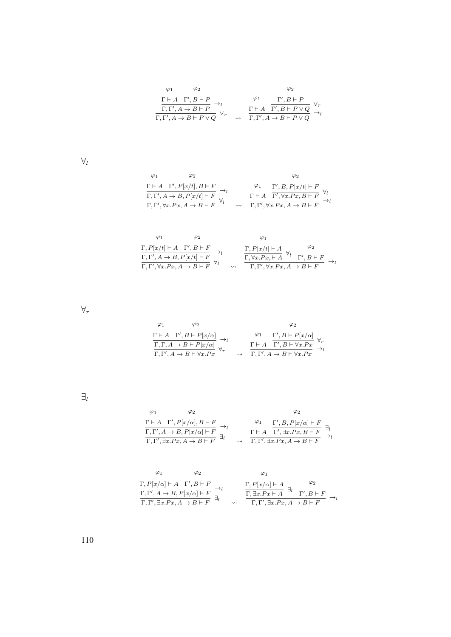$$
\begin{array}{ccccc}\varphi_1 & \varphi_2 & & \varphi_2 &\\ \frac{\Gamma\vdash A\quad \Gamma', B\vdash P}{\Gamma,\Gamma', A\to B\vdash P} \to_l & & \varphi_1 & \frac{\Gamma', B\vdash P}{\Gamma', B\vdash P\lor Q} \lor_r\\ \frac{\Gamma\vdash A\quad \Gamma', B\vdash P\lor Q}{\Gamma,\Gamma', A\to B\vdash P\lor Q} & \leadsto & \frac{\Gamma\vdash A\quad \Gamma', B\vdash P\lor Q}{\Gamma,\Gamma', A\to B\vdash P\lor Q} \end{array}
$$

 $\forall_l$ 

$$
\begin{array}{ccccc}\varphi_1 & \varphi_2 & \varphi_2 \\ \frac{\Gamma\vdash A\quad \Gamma',P[x/t],B\vdash F}{\Gamma,\Gamma',A\to B,P[x/t]\vdash F} \to_l & \varphi_1 & \frac{\Gamma',B,P[x/t]\vdash F}{\Gamma',\forall x.Px,B\vdash F} \ \forall_l \\ \frac{\Gamma\vdash A\quad \Gamma',\forall x.Px,B\vdash F}{\Gamma,\Gamma',\forall x.Px,A\to B\vdash F} \end{array}
$$

|                                                                                                      | Ο9. |        |                                                                                                                          |             |
|------------------------------------------------------------------------------------------------------|-----|--------|--------------------------------------------------------------------------------------------------------------------------|-------------|
| $\Gamma, P[x/t] \vdash A \quad \Gamma', B \vdash F$                                                  |     |        |                                                                                                                          | $\varphi_2$ |
| $\frac{\Gamma, \Gamma', A \to B, P[x/t] \vdash F}{\Gamma, \Gamma', \forall x. Px, A \to B \vdash F}$ |     |        | $\frac{\Gamma, P[x/t] \vdash A}{\Gamma, \forall x. Px \vdash A} \ \forall l \quad \frac{\varphi_2}{\Gamma', B \vdash F}$ |             |
|                                                                                                      |     | $\sim$ | $\Gamma, \Gamma', \forall x . P x, A \rightarrow B \vdash F$                                                             |             |

 $\forall_r$ 

$$
\begin{array}{ccccc} \varphi_1 & \varphi_2 & & \varphi_2 \\ \frac{\Gamma\vdash A\quad \Gamma', B\vdash P[x/\alpha]}{\Gamma,\Gamma, A\to B\vdash P[x/\alpha]} \to_l & & \varphi_1 & \frac{\Gamma', B\vdash P[x/\alpha]}{\Gamma,\Gamma, B\vdash \forall x.Px} \ \forall_r \\ \frac{\Gamma\vdash A\quad \Gamma', B\vdash \forall x.Px}{\Gamma,\Gamma', A\to B\vdash \forall x.Px} & \leadsto & \frac{\Gamma\vdash A\quad \Gamma', A\to B\vdash \forall x.Px}{\Gamma,\Gamma', A\to B\vdash \forall x.Px} \end{array}
$$

 $\exists_l$ 

$$
\begin{array}{cc}\varphi_1 & \varphi_2 & \varphi_2\\ \frac{\Gamma\vdash A\quad \Gamma',P[x/\alpha],B\vdash F}{\Gamma,\Gamma',A\to B,P[x/\alpha]\vdash F}\, \xrightarrow[\quad]{\to_l}& \frac{\varphi_1}{\Gamma\vdash A}\, \frac{\Gamma',B,P[x/\alpha]\vdash F}{\Gamma',\exists x.Px,B\vdash F}\, \xrightarrow[\quad]{\to_l}& \frac{\Gamma\vdash A\quad \overline{\Gamma',\exists x.Px,B\vdash F}}{\Gamma,\Gamma',\exists x.Px,A\to B\vdash F}\, \xrightarrow[\quad]{\to_l}& \end{array}
$$

$$
\varphi_1 \qquad \varphi_2 \qquad \varphi_1
$$
\n
$$
\frac{\Gamma, P[x/\alpha] \vdash A \quad \Gamma', B \vdash F}{\Gamma, \Gamma', A \to B, P[x/\alpha] \vdash F} \rightarrow_l \qquad \frac{\Gamma, P[x/\alpha] \vdash A \quad \varphi_2}{\Gamma, \exists x. Px \vdash A} \exists_l \qquad \varphi_2
$$
\n
$$
\frac{\Gamma, P[x/\alpha] \vdash A}{\Gamma, \Gamma', \exists x. Px \vdash A} \exists_l \qquad \varphi_1
$$
\n
$$
\Rightarrow \qquad \frac{\Gamma, P[x/\alpha] \vdash A}{\Gamma, \Gamma', \exists x. Px \vdash A} \exists_l \qquad \varphi_2
$$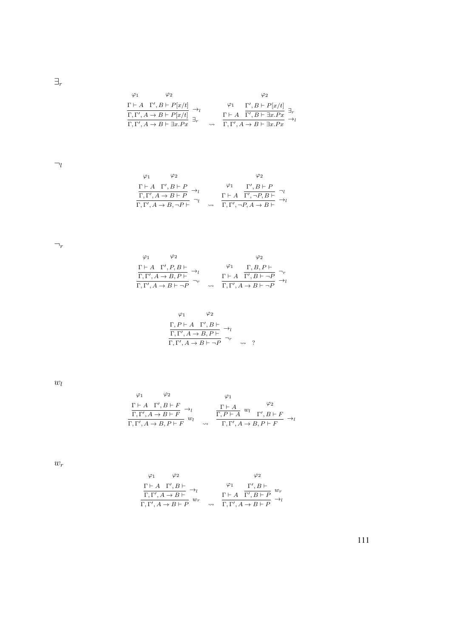$\exists_r$ 

$$
\varphi_1 \qquad \varphi_2 \qquad \varphi_2
$$
\n
$$
\frac{\Gamma \vdash A \quad \Gamma', B \vdash P[x/t]}{\Gamma, \Gamma', A \to B \vdash P[x/t]} \to_l \qquad \varphi_1 \qquad \frac{\Gamma', B \vdash P[x/t]}{\Gamma', B \vdash \exists x. P x} \exists_r
$$
\n
$$
\frac{\Gamma \vdash A \quad \Gamma', B \vdash \exists x. P x}{\Gamma, \Gamma', A \to B \vdash \exists x. P x} \to_l
$$

 $\neg_l$ 

$$
\begin{array}{cc}\n\varphi_1 & \varphi_2 & \varphi_2 \\
\frac{\Gamma \vdash A \quad \Gamma', B \vdash P}{\Gamma, \Gamma', A \to B \vdash P} \to_l & \varphi_1 & \frac{\Gamma', B \vdash P}{\Gamma', \neg P, B \vdash} \neg_l \\
\frac{\Gamma \vdash A \quad \Gamma', \neg P, B \vdash}{\Gamma, \Gamma', \neg P, A \to B \vdash} & \varphi_1\n\end{array}
$$

 $\neg_r$ 

| $\varphi_1$ | $\varphi_2$                                                                          |                    |             | Φ2                                               |               |
|-------------|--------------------------------------------------------------------------------------|--------------------|-------------|--------------------------------------------------|---------------|
|             |                                                                                      |                    | $\varphi_1$ | $\Gamma, B, P \vdash$                            |               |
|             | $\frac{\Gamma\vdash A\quad \Gamma',P,B\vdash}{\Gamma,\Gamma',A\to B,P\vdash}\ \to_l$ |                    |             | $\Gamma \vdash A \quad \Gamma', B \vdash \neg P$ | $\rightarrow$ |
|             | $\Gamma, \Gamma', A \to B \vdash \neg P$                                             | $\rightsquigarrow$ |             | $\Gamma, \Gamma', A \to B \vdash \neg P$         |               |

$$
\varphi_1 \qquad \varphi_2
$$
  
\n
$$
\frac{\Gamma, P \vdash A \quad \Gamma', B \vdash}{\Gamma, \Gamma', A \to B, P \vdash} \to_l
$$
  
\n
$$
\frac{\Gamma, \Gamma', A \to B \vdash \neg P}{\Gamma, \Gamma', A \to B \vdash \neg P} \to \sim ?
$$

 $w_l$ 

$$
\varphi_1 \qquad \varphi_2 \qquad \varphi_1
$$
\n
$$
\frac{\Gamma \vdash A \quad \Gamma', B \vdash F}{\Gamma, \Gamma', A \to B \vdash F} \to_l \qquad \frac{\Gamma \vdash A \qquad w_l}{\Gamma, P \vdash A} w_l \qquad \frac{\varphi_2}{\Gamma, P \vdash A} \to_l
$$
\n
$$
\frac{\Gamma \vdash A \qquad \varphi_1}{\Gamma, \Gamma', B \vdash F} \to_l
$$

 $w_r$ 

$$
\begin{array}{cc}\n\varphi_1 & \varphi_2 & \varphi_2 \\
\frac{\Gamma \vdash A \quad \Gamma', B \vdash}{\Gamma, \Gamma', A \to B \vdash} \to_l & \varphi_1 & \frac{\Gamma', B \vdash}{\Gamma', B \vdash P} \\
\frac{\Gamma, \Gamma', A \to B \vdash P}{\Gamma, \Gamma', A \to B \vdash P} & \leadsto_l & \frac{\Gamma \vdash A \quad \Gamma', A \to B \vdash P}{\Gamma, \Gamma', A \to B \vdash P} \end{array}
$$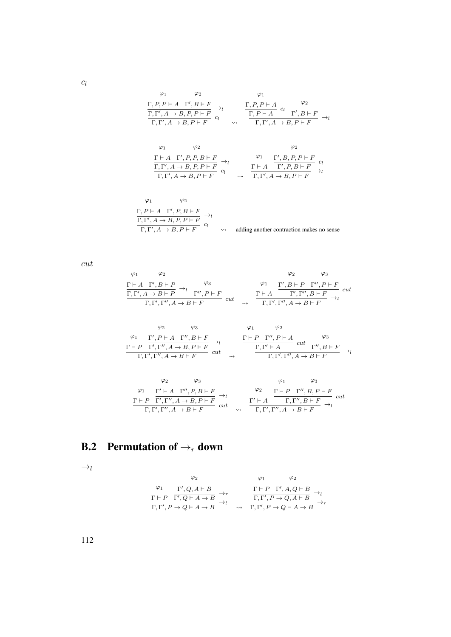$$
\varphi_1 \qquad \varphi_2 \qquad \varphi_1
$$
\n
$$
\frac{\Gamma, P, P \vdash A \quad \Gamma', B \vdash F}{\Gamma, \Gamma', A \to B, P, P \vdash F} \to_l \qquad \frac{\Gamma, P, P \vdash A \quad c_l}{\Gamma, P \vdash A} \quad c_l \qquad \frac{\varphi_2}{\Gamma, \Gamma', A \to B, P \vdash F} \to_l
$$
\n
$$
\varphi_1 \qquad \varphi_2 \qquad \varphi_2 \qquad \varphi_2
$$
\n
$$
\frac{\Gamma \vdash A \quad \Gamma', P, P, B \vdash F}{\Gamma, \Gamma', A \to B, P, P \vdash F} \to_l \qquad \frac{\varphi_1 \quad \Gamma', B, P, P \vdash F}{\Gamma, \Gamma', B, P, P \vdash F} \quad c_l
$$
\n
$$
\frac{\Gamma \vdash A \quad \Gamma', P, P, B \vdash F}{\Gamma, \Gamma', A \to B, P \vdash F} \quad c_l \qquad \frac{\Gamma \vdash A \quad \Gamma', P, B \vdash F}{\Gamma, \Gamma', A \to B, P \vdash F} \to_l
$$

$$
\varphi_1 \qquad \varphi_2
$$
  
\n
$$
\frac{\Gamma, P \vdash A \quad \Gamma', P, B \vdash F}{\Gamma, \Gamma', A \rightarrow B, P, P \vdash F} \rightarrow_l
$$
  
\n
$$
\frac{\Gamma, \Gamma', A \rightarrow B, P, P \vdash F}{\Gamma, \Gamma', A \rightarrow B, P \vdash F} \rightarrow_l
$$
adding another contraction makes no sense

cut

$$
\begin{array}{cc}\n\varphi_1 & \varphi_2 & \varphi_3 \\
\frac{\Gamma \vdash A \quad \Gamma', B \vdash P}{\Gamma, \Gamma', A \rightarrow B \vdash P} \rightarrow_l & \varphi_3 \\
\frac{\varphi_3}{\Gamma, \Gamma', A \rightarrow B \vdash P} & \frac{\varphi_3}{\Gamma', P \vdash F} & cut \\
\frac{\Gamma \vdash A \quad \Gamma', \Gamma'', B \vdash F}{\Gamma, \Gamma', \Gamma'', A \rightarrow B \vdash F} & cut \\
\frac{\Gamma \vdash A \quad \Gamma', \Gamma'', B \vdash F}{\Gamma, \Gamma', \Gamma'', A \rightarrow B \vdash F} \rightarrow_l & \varphi_3 \\
\end{array}
$$

$$
\begin{array}{ccccc}\n\varphi_2 & \varphi_3 & \varphi_1 & \varphi_2 \\
\frac{\varphi_1}{\Gamma', P \vdash A & \Gamma'', B \vdash F} & \to_l & \frac{\Gamma \vdash P & \Gamma'', P \vdash A & \varphi_3}{\Gamma, \Gamma', \Gamma'', A \to B, P \vdash F} \\
\frac{\Gamma \vdash P & \Gamma'', P \vdash A & cut & \Gamma'', B \vdash F}{\Gamma, \Gamma', \Gamma'', A \to B \vdash F} & cut & \xrightarrow{\Gamma} & \frac{\Gamma, \Gamma' \vdash A}{\Gamma, \Gamma', \Gamma'', A \to B \vdash F} & \to_l\n\end{array}
$$

$$
\begin{array}{cc}\n\varphi_2 & \varphi_3 & \varphi_1 & \varphi_3 \\
\frac{\varphi_1}{\Gamma' + A \Gamma'', P, B \vdash F} & \rightarrow_l \\
\frac{\Gamma \vdash P \Gamma', \Gamma'', A \rightarrow B, P \vdash F}{\Gamma, \Gamma', \Gamma'', A \rightarrow B \vdash F} & cut & \frac{\Gamma' \vdash A \Gamma', \Gamma'', B \vdash F}{\Gamma, \Gamma', \Gamma'', A \rightarrow B \vdash F} & cut \\
\end{array}
$$

## **B.2** Permutation of  $\rightarrow_r$  down

 $\rightarrow_l$ 

$$
\varphi_2 \qquad \varphi_1 \qquad \varphi_2
$$
\n
$$
\frac{\varphi_1}{\Gamma + P} \frac{\Gamma', Q, A \vdash B}{\Gamma', Q \vdash A \to B} \to_r \qquad \frac{\Gamma \vdash P \Gamma', A, Q \vdash B}{\Gamma, \Gamma', P \to Q, A \vdash B} \to_l
$$
\n
$$
\frac{\Gamma \vdash P \Gamma', A, Q \vdash B}{\Gamma, \Gamma', P \to Q, A \vdash B} \to_l
$$
\n
$$
\leadsto \frac{\Gamma, \Gamma', P \to Q, A \vdash B}{\Gamma, \Gamma', P \to Q \vdash A \to B} \to_r
$$

 $c_l$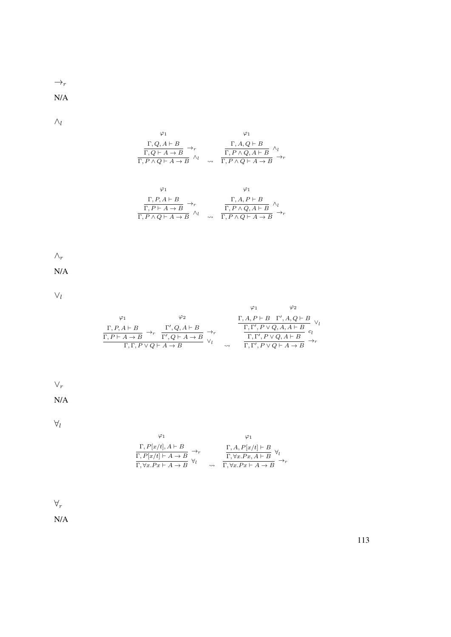$\rightarrow_r$ 

N/A

 $\wedge_l$ 

$$
\varphi_1 \qquad \varphi_1
$$
\n
$$
\frac{\Gamma, Q, A \vdash B}{\Gamma, Q \vdash A \to B} \rightarrow_r \qquad \frac{\Gamma, A, Q \vdash B}{\Gamma, P \land Q, A \vdash B} \land_l
$$
\n
$$
\varphi_1 \qquad \qquad \varphi_1
$$
\n
$$
\varphi_1 \qquad \qquad \varphi_1
$$
\n
$$
\frac{\Gamma, P, A \vdash B}{\Gamma, P \vdash A \to B} \rightarrow_r \qquad \qquad \varphi_1
$$
\n
$$
\frac{\Gamma, P, A \vdash B}{\Gamma, P \vdash A \to B} \rightarrow_r \qquad \qquad \frac{\Gamma, A, P \vdash B}{\Gamma, P \land Q, A \vdash B} \land_l
$$
\n
$$
\neg P, \qquad \varphi_1 \qquad \qquad \varphi_1 \qquad \qquad \varphi_2 \qquad \qquad \varphi_2 \qquad \qquad \varphi_3 \qquad \varphi_4 \qquad \qquad \varphi_5 \qquad \varphi_6 \qquad \varphi_7 \qquad \varphi_8 \qquad \varphi_7 \qquad \varphi_8 \qquad \varphi_9 \qquad \varphi_9 \qquad \varphi_9 \qquad \varphi_1 \qquad \qquad \varphi_1 \qquad \qquad \varphi_1 \qquad \qquad \varphi_1 \qquad \qquad \varphi_2 \qquad \varphi_1 \qquad \varphi_2 \qquad \varphi_1 \qquad \varphi_3 \qquad \varphi_4 \qquad \varphi_5 \qquad \varphi_7 \qquad \varphi_8 \qquad \varphi_9 \qquad \varphi_9 \qquad \varphi_9 \qquad \varphi_1 \qquad \varphi_1 \qquad \varphi_1 \qquad \varphi_2 \qquad \varphi_1 \qquad \varphi_2 \qquad \varphi_1 \qquad \varphi_2 \qquad \varphi_3 \qquad \varphi_3 \qquad \varphi_4 \qquad \varphi_5 \qquad \varphi_4 \qquad \varphi_5 \qquad \varphi_7 \qquad \varphi_7 \qquad \varphi_8 \qquad \varphi_8 \qquad \varphi_8 \qquad \varphi_9 \qquad \varphi_9 \qquad \varphi_9 \qquad \varphi_1 \qquad \varphi_1 \qquad \varphi_1 \qquad \varphi_1 \qquad \varphi_1 \q
$$

$$
\frac{\Gamma, P \vdash A \to B}{P \land Q \vdash A \to B} \xrightarrow{\tau} \land_l \qquad \qquad \frac{\Gamma, P \land Q, A \vdash B}{\Gamma, P \land Q \vdash A \to B} \xrightarrow{\prime l} \Rightarrow
$$

 $\wedge_r$ 

N/A

 $\vee_l$ 

$$
\varphi_1 \qquad \varphi_2 \qquad \qquad \varphi_1 \qquad \varphi_2
$$
\n
$$
\frac{\Gamma, P, A \vdash B}{\Gamma, P \vdash A \to B} \to_r \frac{\Gamma', Q, A \vdash B}{\Gamma', Q \vdash A \to B} \to_r \qquad \qquad \frac{\Gamma, A, P \vdash B \quad \Gamma', A, Q \vdash B}{\Gamma, \Gamma', P \lor Q, A, A \vdash B} \quad \varphi_1 \qquad \qquad \frac{\Gamma, \Gamma', P \lor Q, A, A \vdash B}{\Gamma, \Gamma', P \lor Q, A \vdash B} \quad \varphi_1 \qquad \qquad \frac{\Gamma, \Gamma', P \lor Q, A \vdash B}{\Gamma, \Gamma', P \lor Q \vdash A \to B} \quad \varphi_1 \qquad \qquad \frac{\Gamma, \Gamma', P \lor Q, A \vdash B}{\Gamma, \Gamma', P \lor Q \vdash A \to B} \quad \varphi_1 \qquad \qquad \frac{\Gamma, \Gamma', P \lor Q, A \vdash B}{\Gamma, \Gamma', P \lor Q \vdash A \to B} \quad \varphi_1 \qquad \qquad \frac{\Gamma, \Gamma', P \vdash Q, A \vdash B}{\Gamma, \Gamma', P \vdash Q \vdash A \to B} \quad \varphi_1 \qquad \qquad \frac{\Gamma, \Gamma', P \vdash Q, A \vdash B}{\Gamma, \Gamma', P \vdash Q, A \vdash B} \quad \varphi_1 \qquad \qquad \frac{\Gamma, \Gamma', P \vdash Q, A \vdash B}{\Gamma, \Gamma', P \vdash Q, A \vdash B} \quad \varphi_1 \qquad \qquad \frac{\Gamma, \Gamma', P \vdash Q, A \vdash B}{\Gamma, \Gamma', P \vdash Q, A \vdash B} \quad \varphi_1 \qquad \qquad \frac{\Gamma, \Gamma', P \vdash Q, A \vdash B}{\Gamma, \Gamma', P \vdash Q, A \vdash B} \quad \varphi_1 \qquad \qquad \frac{\Gamma, \Gamma', P \vdash Q, A \vdash B}{\Gamma, \Gamma', P \vdash Q, A \vdash B} \quad \varphi_1 \qquad \qquad \frac{\Gamma, \Gamma', P \vdash Q, A \vdash B}{\Gamma, \Gamma', P \vdash Q, A \vdash B} \quad \varphi_1 \qquad \varphi_1 \qquad \varphi_1 \qquad \varphi_1 \qquad \varphi_1 \qquad \varphi_1 \qquad \varphi_
$$

 $\vee_r$ 

N/A

 $\forall_l$ 

$$
\begin{array}{cc}\varphi_1 & \varphi_1 &\\ \frac{\Gamma, P[x/t], A \vdash B}{\Gamma, P[x/t] \vdash A \to B} \to_r & \frac{\Gamma, A, P[x/t] \vdash B}{\Gamma, \forall x . P x, A \vdash B} \; \forall_l \\ \frac{\Gamma, \forall x . P x \vdash A \to B}{\Gamma, \forall x . P x \vdash A \to B} & \leadsto_r\end{array}
$$

 $\forall_r$ 

N/A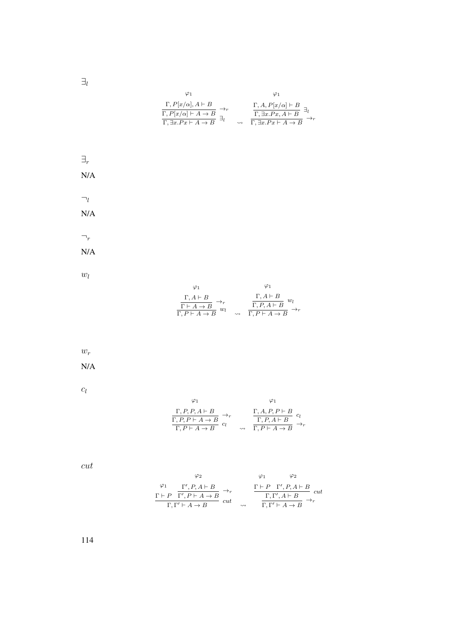$\exists_l$ 

| φ1                                                                                                                                       | φ1                                                                                                                             |
|------------------------------------------------------------------------------------------------------------------------------------------|--------------------------------------------------------------------------------------------------------------------------------|
| $\Gamma, P[x/\alpha], A \vdash B$<br>$\Gamma, P[x/\alpha] \vdash A \to B$<br>$\overline{\Gamma, \exists x . P x \vdash A \rightarrow B}$ | $\Gamma, A, P[x/\alpha] \vdash B$<br>$\Gamma$ , $\exists x.Px, A \vdash B$<br>$\Gamma$ , $\exists x.Px \vdash A \rightarrow B$ |



 $w_l$ 

$$
\begin{array}{cc}\varphi_1 & \varphi_1 \\ \frac{\Gamma, A \vdash B}{\Gamma \vdash A \to B} \to_r \\ \frac{\Gamma \vdash A \to B}{\Gamma, P \vdash A \to B} w_l & \frac{\Gamma, A \vdash B}{\Gamma, P \vdash A \to B} w_l \\ \end{array}
$$

 $w_r$ 

N/A

 $c_l$ 

$$
\varphi_1 \qquad \varphi_1
$$
\n
$$
\frac{\Gamma, P, P, A \vdash B}{\Gamma, P, P \vdash A \rightarrow B} \rightarrow_r \qquad \frac{\Gamma, A, P, P \vdash B}{\Gamma, P, A \vdash B} c_l
$$
\n
$$
\frac{\Gamma, P, A \vdash B}{\Gamma, P \vdash A \rightarrow B} \rightarrow_r
$$

cut

$$
\varphi_2 \qquad \varphi_1 \qquad \varphi_2
$$
\n
$$
\frac{\varphi_1}{\Gamma \vdash P} \frac{\Gamma', P, A \vdash B}{\Gamma', P \vdash A \to B} \to_r \qquad \frac{\Gamma \vdash P \Gamma', P, A \vdash B}{\Gamma, \Gamma', A \vdash B} cut
$$
\n
$$
\frac{\Gamma \vdash P \Gamma', A \vdash B}{\Gamma, \Gamma' \vdash A \to B} \to_r
$$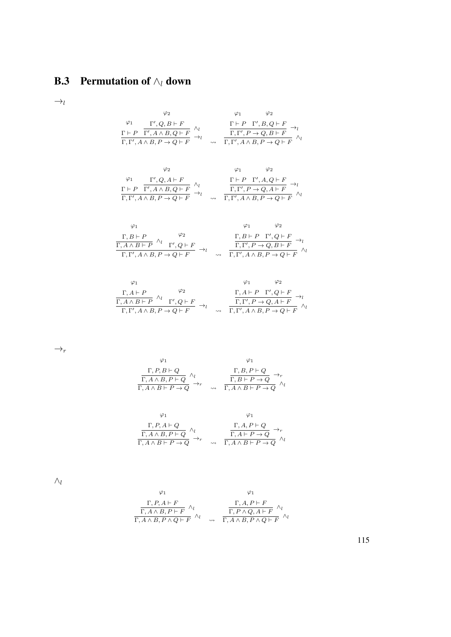## **B.3** Permutation of  $\wedge_l$  down

 $\rightarrow_l$ 

$$
\begin{array}{cc}\n\varphi_2 & \varphi_1 & \varphi_2 \\
\frac{\Gamma' \cdot Q, B \vdash F}{\Gamma', A \land B, Q \vdash F} \land_l & \frac{\Gamma \vdash P \quad \Gamma', B, Q \vdash F}{\Gamma, \Gamma', P \to Q, B \vdash F} \to_l \\
\frac{\Gamma \vdash P \quad \Gamma', B, Q \vdash F}{\Gamma, \Gamma', A \land B, P \to Q \vdash F} & \sim_l & \frac{\Gamma, \Gamma', P \to Q, B \vdash F}{\Gamma, \Gamma', A \land B, P \to Q \vdash F} \land_l\n\end{array}
$$

$$
\begin{array}{cc}\n\varphi_2 & \varphi_1 & \varphi_2 \\
\Gamma',Q,A\vdash F & \wedge_l & \Gamma\vdash P\quad \Gamma',A\land B,Q\vdash F \\
\Gamma\vdash P\quad \Gamma',A\land B,P\to Q\vdash F & \rightarrow_l & \overline{\Gamma,\Gamma',P\to Q,A\vdash F}\quad \gamma_l \\
\Gamma,\Gamma',A\land B,P\to Q\vdash F & \leadsto & \overline{\Gamma,\Gamma',A\land B,P\to Q\vdash F}\n\end{array}
$$

$$
\begin{array}{ccccc}\varphi_1 & & & \varphi_1 & & \varphi_2 \\ \frac{\Gamma, B \vdash P}{\Gamma, A \land B \vdash P} & ^{\wedge_l} & \Gamma', Q \vdash F & \\ \frac{\Gamma, A \land B \vdash P}{\Gamma, \Gamma', A \land B, P \to Q \vdash F} & \to_l & & \frac{\Gamma, B \vdash P & \Gamma', Q \vdash F}{\Gamma, \Gamma', P \to Q, B \vdash F} \stackrel{\to_l}{\to_l} \\ \end{array}
$$

$$
\begin{array}{cc}\n\varphi_1 & \varphi_2 \\
\frac{\Gamma, A \vdash P}{\Gamma, A \land B \vdash P} \land_l & \Gamma', Q \vdash F \\
\frac{\Gamma, A \land B \vdash P}{\Gamma, \Gamma', A \land B, P \to Q \vdash F} \rightarrow_l & \frac{\Gamma, A \vdash P \quad \Gamma', Q \vdash F}{\Gamma, \Gamma', A \land B, P \to Q \vdash F} \land_l\n\end{array}
$$

 $\rightarrow_r$ 

$$
\begin{array}{cc}\n\varphi_1 & \varphi_1 \\
\frac{\Gamma, P, B \vdash Q}{\Gamma, A \land B, P \vdash Q} \land_l \\
\frac{\Gamma, A \land B, P \vdash Q}{\Gamma, A \land B \vdash P \to Q} \rightarrow_r & \frac{\Gamma, B, P \vdash Q}{\Gamma, A \land B \vdash P \to Q} \land_l\n\end{array}
$$

$$
\varphi_1 \qquad \varphi_1
$$
\n
$$
\frac{\Gamma, P, A \vdash Q}{\Gamma, A \land B, P \vdash Q} \land_l \qquad \frac{\Gamma, A, P \vdash Q}{\Gamma, A \vdash P \to Q} \rightarrow_r
$$
\n
$$
\frac{\Gamma, A, P \vdash Q}{\Gamma, A \land B \vdash P \to Q} \land_l
$$

 $\wedge_l$ 

$$
\varphi_1 \qquad \varphi_1
$$
\n
$$
\frac{\Gamma, P, A \vdash F}{\Gamma, A \land B, P \vdash F} \land_l \qquad \frac{\Gamma, A, P \vdash F}{\Gamma, P \land Q, A \vdash F} \land_l
$$
\n
$$
\frac{\Gamma, P, A \vdash F}{\Gamma, A \land B, P \land Q \vdash F} \land_l \qquad \varphi_1
$$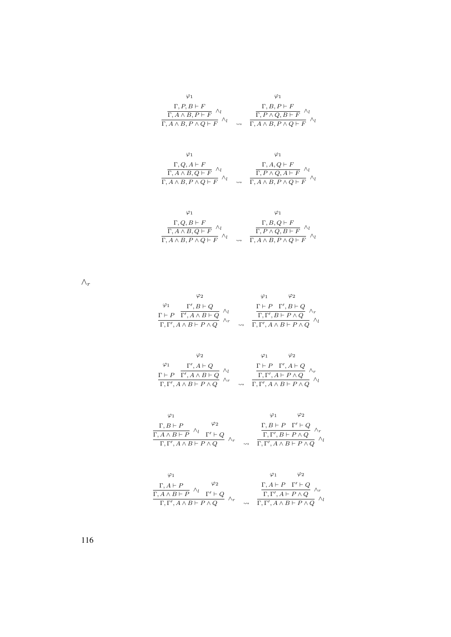| $\Gamma, P, B \vdash F$<br>$\overline{\Gamma, A \wedge B, P \vdash F}$ $\wedge_l$<br>$\overline{\Gamma, A \wedge B, P \wedge Q \vdash F}$ $\wedge_l$ | $\rightsquigarrow$ | $\frac{\Gamma, B, P \vdash F}{\Gamma, P \land Q, B \vdash F}$<br>$\Gamma, A \wedge B, P \wedge Q \vdash F'$ |
|------------------------------------------------------------------------------------------------------------------------------------------------------|--------------------|-------------------------------------------------------------------------------------------------------------|

| $\Gamma, Q, A \vdash F$                                         | $\Gamma, A, Q \vdash F$                                          |
|-----------------------------------------------------------------|------------------------------------------------------------------|
| $\overline{\Gamma, A \wedge B, Q \vdash F}^{\wedge_l}$          | $\Gamma, P \wedge Q, A \vdash F$                                 |
| $\overline{\Gamma, A \wedge B, P \wedge Q \vdash F}$ $\wedge_l$ | $\rightarrow \overline{\Gamma, A \wedge B, P \wedge Q \vdash F}$ |

| $\Gamma, Q, B \vdash F$<br>$\overline{\Gamma, A \wedge B, Q \vdash F}^{\wedge_l}$<br>$\Gamma, A \wedge B, P \wedge Q \vdash F$ | $\rightsquigarrow$ | $\frac{\Gamma, B, Q \vdash F}{\Gamma, P \land Q, B \vdash F}$<br>$\Gamma, A \wedge B, P \wedge Q \vdash F$ |
|--------------------------------------------------------------------------------------------------------------------------------|--------------------|------------------------------------------------------------------------------------------------------------|

 $\wedge_r$ 

| $\frac{\varphi_1 \qquad \Gamma', B\vdash Q}{\Gamma\vdash P\quad \Gamma', A\wedge B\vdash Q} \,\, \underset{\wedge}{\wedge_l}\,\, \\ \frac{\Gamma\vdash P\quad \Gamma', A\wedge B\vdash P\wedge Q}$ |                    |                                                                                                                                                                                                           |  |
|----------------------------------------------------------------------------------------------------------------------------------------------------------------------------------------------------|--------------------|-----------------------------------------------------------------------------------------------------------------------------------------------------------------------------------------------------------|--|
|                                                                                                                                                                                                    |                    | $\frac{\Gamma\vdash P\quad \Gamma', B\vdash Q\quad \wedge_r}{\Gamma,\Gamma', B\vdash P\wedge Q\quad /\tau}$ $\frac{\Gamma,\Gamma', A\wedge B\vdash P\wedge Q}{\Gamma,\Gamma', A\wedge B\vdash P\wedge Q}$ |  |
|                                                                                                                                                                                                    | $\rightsquigarrow$ |                                                                                                                                                                                                           |  |

| $\varphi_2$                                                                                                                                                                                                               |  | $\varphi_2$                                                                                     |
|---------------------------------------------------------------------------------------------------------------------------------------------------------------------------------------------------------------------------|--|-------------------------------------------------------------------------------------------------|
| $\frac{\begin{array}{cc} \varphi_1 & \Gamma', A \vdash Q \\ \Gamma \vdash P & \overline{\Gamma', A \wedge B \vdash Q} \end{array} \wedge_l}{\begin{array}{cc} \Gamma, \Gamma', A \wedge B \vdash P \wedge Q \end{array}}$ |  | $\frac{\Gamma \vdash P \quad \Gamma', A \vdash Q}{\Gamma, \Gamma', A \vdash P \land Q} \land_r$ |
|                                                                                                                                                                                                                           |  | $\Gamma, \Gamma', A \wedge B \vdash P \wedge Q$                                                 |

| $\varphi_2$<br>$\Gamma, B \vdash P$                                    |                    | $\Gamma, B \vdash P \quad \Gamma' \vdash Q$     |  |
|------------------------------------------------------------------------|--------------------|-------------------------------------------------|--|
| $\overline{\Gamma, A \wedge B \vdash P}$ $\wedge_l$ $\Gamma' \vdash Q$ |                    | $\overline{\Gamma,\Gamma',B\vdash P\wedge Q}$   |  |
| $\Gamma, \Gamma', A \wedge B \vdash P \wedge Q$                        | $\rightsquigarrow$ | $\Gamma, \Gamma', A \wedge B \vdash P \wedge Q$ |  |

| $\varphi_2$<br>$\Gamma, A \vdash P$                                    |                    |                                                                                                    |  |
|------------------------------------------------------------------------|--------------------|----------------------------------------------------------------------------------------------------|--|
| $\overline{\Gamma, A \wedge B \vdash P}$ $\wedge_l$ $\Gamma' \vdash Q$ |                    | $\frac{\Gamma, A \vdash P \quad \Gamma' \vdash Q}{\Gamma, \Gamma', A \vdash P \land Q} \ \wedge_r$ |  |
| $\Gamma, \Gamma', A \wedge B \vdash P \wedge Q$                        | $\rightsquigarrow$ | $\Gamma, \Gamma', A \wedge B \vdash P \wedge Q$                                                    |  |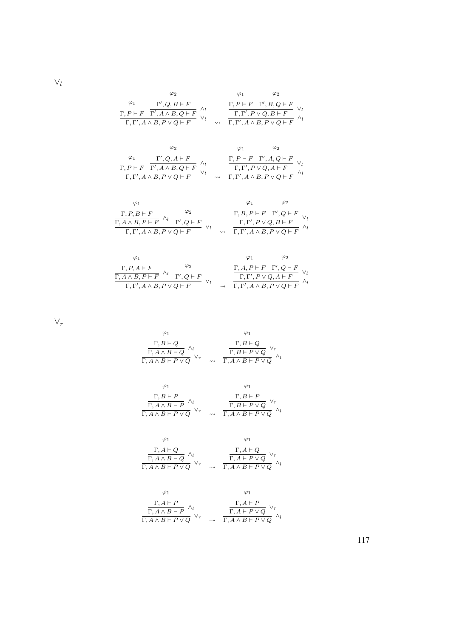$\vee_l$ 

$$
\varphi_1 \qquad \varphi_2 \qquad \varphi_1 \qquad \varphi_2
$$
\n
$$
\frac{\Gamma, P \vdash F \quad \Gamma', Q, B \vdash F}{\Gamma, \Gamma', A \land B, P \lor Q \vdash F} \land_l \qquad \frac{\Gamma, P \vdash F \quad \Gamma', B, Q \vdash F}{\Gamma, \Gamma', P \lor Q, B \vdash F} \lor_l
$$
\n
$$
\varphi_2 \qquad \varphi_1 \qquad \varphi_2
$$
\n
$$
\varphi_1 \qquad \varphi_2 \qquad \varphi_1 \qquad \varphi_2
$$
\n
$$
\frac{\Gamma, P \vdash F \quad \Gamma', Q, A \vdash F}{\Gamma, \Gamma', A \land B, P \lor Q \vdash F} \land_l \qquad \frac{\Gamma, P \vdash F \quad \Gamma', A, Q \vdash F}{\Gamma, \Gamma', P \lor Q, A \vdash F} \lor_l
$$
\n
$$
\frac{\Gamma, P \vdash F \quad \Gamma', A, Q \vdash F}{\Gamma, \Gamma', A \land B, P \lor Q \vdash F} \lor_l \qquad \frac{\Gamma, P \vdash F \quad \Gamma', A, Q \vdash F}{\Gamma, \Gamma', A \land B, P \lor Q \vdash F} \land_l
$$
\n
$$
\varphi_1 \qquad \varphi_2
$$
\n
$$
\frac{\Gamma, P, B \vdash F}{\Gamma, A \land B, P \vdash F} \land_l \qquad \frac{\varphi_2}{\Gamma, \Gamma', Q \vdash F} \lor_l \qquad \frac{\Gamma, B, P \vdash F \quad \Gamma', Q \vdash F}{\Gamma, \Gamma', P \lor Q, B \vdash F} \lor_l
$$
\n
$$
\frac{\Gamma, B, P \vdash F \quad \Gamma', Q \vdash F}{\Gamma, \Gamma', P \lor Q, B \vdash F} \lor_l \qquad \frac{\Gamma, P', A \land B, P \lor Q \vdash F}{\Gamma, \Gamma', P \lor Q, B \vdash F} \lor_l \qquad \frac{\Gamma, P', A \land P, P \lor Q \vdash F}{\Gamma, P, P \land Q, P \vdash P} \land_l \qquad \frac{\Gamma, P', A \land P, P \lor Q \vdash F}{\Gamma, P, P \land Q, P \vdash P} \lor_l \qquad \frac{\Gamma, P, P \vdash P \quad \Gamma', Q \vdash P}{\Gamma, P, P \land Q, P \vdash P}
$$

$$
\frac{A \wedge B, P \vdash F \qquad \Gamma, Q \vdash F}{\Gamma, \Gamma', A \wedge B, P \vee Q \vdash F} \vee_l \qquad \qquad \frac{1, \Gamma', P \vee Q, B \vdash F}{\Gamma, \Gamma', A \wedge B, P \vee Q \vdash F} \wedge_l
$$

$$
\begin{array}{ccccc}\n\varphi_1 & & \varphi_2 & & \varphi_1 & & \varphi_2 \\
\hline\n\Gamma, P, A \vdash F & & \varphi_2 & & \Gamma, A, P \vdash F & \Gamma', Q \vdash F \\
\hline\n\Gamma, A \land B, P \vdash F & & \Gamma', Q \vdash F & \vee_l & & \overline{\Gamma, \Gamma', P \lor Q, A \vdash F} & \vee_l \\
\hline\n\Gamma, \Gamma', A \land B, P \lor Q \vdash F & & \leadsto & \overline{\Gamma, \Gamma', A \land B, P \lor Q \vdash F} & \wedge_l\n\end{array}
$$

 $\vee_r$ 

$$
\begin{array}{ccccc}\n\varphi_1 & & & \varphi_1 \\
\hline\n\Gamma, B \vdash Q & & & \Gamma, B \vdash Q \\
\hline\n\Gamma, A \land B \vdash Q & & \vee_r & & \overline{\Gamma, B \vdash P \lor Q} & \vee_r \\
\hline\n\Gamma, A \land B \vdash P \lor Q & & \leadsto & \overline{\Gamma, A \land B \vdash P \lor Q} & \wedge_l\n\end{array}
$$

$$
\begin{array}{ccccc}\varphi_1 & & & \varphi_1 \\ \frac{\Gamma, B \vdash P}{\Gamma, A \land B \vdash P} & ^{\wedge_l} & & & \frac{\Gamma, B \vdash P}{\Gamma, B \vdash P \lor Q} \lor_r \\ \frac{\Gamma, A \land B \vdash P \lor Q}{\Gamma, A \land B \vdash P \lor Q} & ^{\wedge_l} & & & \frac{\Gamma, A \land B \vdash P \lor Q}{\Gamma, A \land B \vdash P \lor Q} \end{array}
$$

$$
\begin{array}{ccccc}\n\varphi_1 & & & \varphi_1 \\
\Gamma, A \vdash Q & & & \Gamma, A \vdash Q \\
\hline\n\Gamma, A \land B \vdash Q & \vee_r & & & \overline{\Gamma, A \vdash P \lor Q} & \vee_r \\
\Gamma, A \land B \vdash P \lor Q & & & \varphi_n\n\end{array}
$$

$$
\begin{array}{cc}\n\varphi_1 & \varphi_1 \\
\frac{\Gamma, A \vdash P}{\Gamma, A \land B \vdash P} \land_l \\
\frac{\Gamma, A \vdash P}{\Gamma, A \land B \vdash P \lor Q} \lor_r & \leadsto & \frac{\Gamma, A \vdash P \lor Q}{\Gamma, A \land B \vdash P \lor Q} \land_l\n\end{array}
$$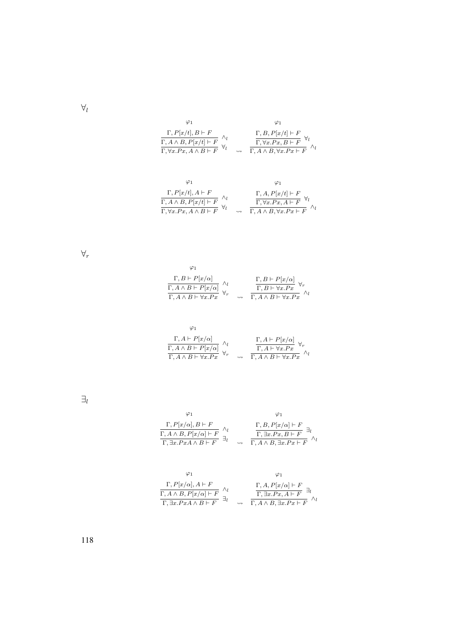| Ο1                                                                                                                                                                    |                    | φ1                                                                                                                    |
|-----------------------------------------------------------------------------------------------------------------------------------------------------------------------|--------------------|-----------------------------------------------------------------------------------------------------------------------|
| $\frac{\Gamma, P[x/t], B \vdash F}{\Gamma, A \land B, P[x/t] \vdash F} \begin{array}{l} \land_l \\ \overline{\Gamma, \forall x. P x, A \land B \vdash F} \end{array}$ | $\rightsquigarrow$ | $\frac{\Gamma, B, P[x/t] \vdash F}{\Gamma, \forall x. Px, B \vdash F}$<br>$\Gamma, A \wedge B, \forall x.Px \vdash F$ |

$$
\varphi_1 \qquad \varphi_1
$$
\n
$$
\frac{\Gamma, P[x/t], A \vdash F}{\Gamma, A \land B, P[x/t] \vdash F} \land_l \qquad \frac{\Gamma, A, P[x/t] \vdash F}{\Gamma, \forall x. Px, A \vdash F} \forall_l
$$
\n
$$
\frac{\Gamma, A, P[x/t] \vdash F}{\Gamma, \forall x. Px, A \vdash F} \land_l
$$

∀r

| $\frac{\Gamma, B \vdash P[x/\alpha]}{\Gamma, A \land B \vdash P[x/\alpha]} \begin{array}{c} \wedge_l \\ \overline{\Gamma, A \land B \vdash \forall x . P x} \end{array}$ |                    |                                                                                    |
|--------------------------------------------------------------------------------------------------------------------------------------------------------------------------|--------------------|------------------------------------------------------------------------------------|
|                                                                                                                                                                          |                    | $\frac{\Gamma, B \vdash P[x/\alpha]}{\Gamma, B \vdash \forall x . Px} \ \forall_r$ |
|                                                                                                                                                                          | $\rightsquigarrow$ | $\Gamma, A \wedge B \vdash \forall x . P x$                                        |

| $\frac{\Gamma, A \vdash P[x/\alpha]}{\Gamma, A \land B \vdash P[x/\alpha]} \begin{array}{c} \wedge_l \\ \overline{\Gamma, A \land B \vdash \forall x . P x} \end{array}$ |                    | $\frac{\Gamma, A \vdash P[x/\alpha]}{\Gamma, A \vdash \forall x . Px} \ \forall_r$ |
|--------------------------------------------------------------------------------------------------------------------------------------------------------------------------|--------------------|------------------------------------------------------------------------------------|
|                                                                                                                                                                          | $\rightsquigarrow$ | $\overline{\Gamma, A \wedge B \vdash \forall x . P x}$                             |

 $\exists_l$ 

$$
\begin{array}{cc}\varphi_1 & \varphi_1 \\ \hline \Gamma, P[x/\alpha], B \vdash F \\ \hline \Gamma, A \land B, P[x/\alpha] \vdash F \\ \Gamma, \exists x . P x A \land B \vdash F\end{array} \begin{array}{cc}\alpha_l & \Gamma, B, P[x/\alpha] \vdash F \\ \hline \Gamma, \exists x . P x, B \vdash F \\ \hline \Gamma, \exists x . P x, B \vdash F\end{array} \begin{array}{cc}\exists_l \\ \hline \Gamma, \exists x . P x, B \vdash F \\ \hline \Gamma, A \land B, \exists x . P x \vdash F\end{array} \begin{array}{cc}\Delta_l & \Delta_l \\ \hline \Gamma, \Delta_l & \Delta_l \end{array}
$$

$$
\varphi_1 \qquad \varphi_1
$$
\n
$$
\frac{\Gamma, P[x/\alpha], A \vdash F}{\Gamma, A \land B, P[x/\alpha] \vdash F} \land_l \qquad \frac{\Gamma, A, P[x/\alpha] \vdash F}{\Gamma, \exists x. Px, A \vdash F} \exists_l
$$
\n
$$
\frac{\Gamma, A \land B, P[x/\alpha] \vdash F}{\Gamma, A \land B, \exists x. Px \vdash F} \land_l
$$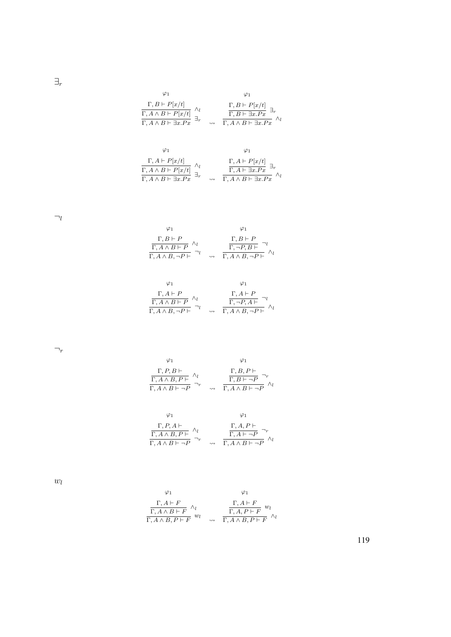$\exists_r$ 

| $\Gamma, B \vdash P[x/t]$                                                         |                    |                                                                    |
|-----------------------------------------------------------------------------------|--------------------|--------------------------------------------------------------------|
| $\frac{\Gamma, A \wedge B \vdash P[x/t]}{\Gamma, A \wedge B \vdash \exists x.Px}$ |                    | $\frac{\Gamma, B \vdash P[x/t]}{\Gamma, B \vdash \exists x . P x}$ |
|                                                                                   | $\rightsquigarrow$ | $\Gamma, A \wedge B \vdash \exists x . P x$                        |

$$
\begin{array}{cc}\varphi_1 & \varphi_1 \\ \frac{\Gamma, A \vdash P[x/t]}{\Gamma, A \land B \vdash P[x/t]} \land_l & \frac{\Gamma, A \vdash P[x/t]}{\Gamma, A \vdash \exists x . Px} \exists_r \\ \frac{\Gamma, A \land B \vdash \exists x . Px}{\Gamma, A \land B \vdash \exists x . Px} & \leadsto & \frac{\Gamma, A \vdash \exists x . Px}{\Gamma, A \land B \vdash \exists x . Px} \end{array}
$$

 $\neg_l$ 

| $\Gamma, B \vdash P$                   | $\Gamma, B \vdash P$                           |
|----------------------------------------|------------------------------------------------|
| $\Gamma, A \wedge B \vdash P \wedge l$ | $\Gamma, \neg P, B \vdash$                     |
| $\Gamma, A \wedge B, \neg P \vdash$    | $\Gamma, A \wedge B, \overline{\neg P \vdash}$ |

$$
\varphi_1 \qquad \varphi_1
$$
\n
$$
\frac{\Gamma, A \vdash P}{\Gamma, A \land B \vdash P} \land_l \qquad \frac{\Gamma, A \vdash P}{\Gamma, \neg P, A \vdash} \neg_l
$$
\n
$$
\frac{\Gamma, A \vdash P}{\Gamma, A \land B, \neg P \vdash} \neg_l \qquad \rightsquigarrow \qquad \frac{\Gamma, A \land B}{\Gamma, A \land B, \neg P \vdash} \land_l
$$

 $\neg_r$ 

$$
\begin{array}{cc}\n\varphi_1 & \varphi_1 \\
\frac{\Gamma, P, B \vdash}{\Gamma, A \land B, P \vdash} \land_l & \frac{\Gamma, B, P \vdash}{\Gamma, B \vdash \neg P} \neg_r \\
\frac{\Gamma, A \land B \vdash \neg P}{\neg_r} & \leadsto & \frac{\Gamma, A \land B \vdash \neg P}{\Gamma, A \land B \vdash \neg P} \land_l\n\end{array}
$$

$$
\varphi_1 \qquad \varphi_1
$$
\n
$$
\frac{\Gamma, P, A \vdash}{\Gamma, A \land B, P \vdash} \land_l \qquad \frac{\Gamma, A, P \vdash}{\Gamma, A \vdash \neg P} \neg_r
$$
\n
$$
\frac{\Gamma, A \land P \vdash}{\Gamma, A \land B \vdash \neg P} \land_l
$$

 $\omega_l$ 

ϕ 1 Γ, A ` F Γ, A ∧ B ` F ∧ l Γ, A ∧ B, P ` F w l ϕ 1 Γ, A ` F Γ, A, P ` F w l Γ, A ∧ B, P ` F ∧ l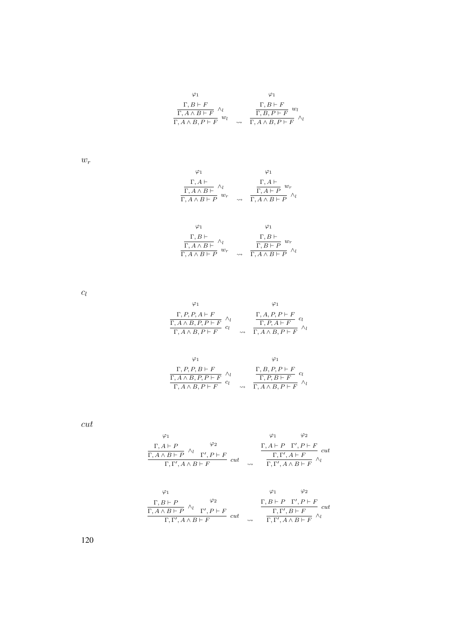$$
\begin{array}{cc}\n\varphi_1 & \varphi_1 \\
\frac{\Gamma, B \vdash F}{\Gamma, A \land B \vdash F} \land_l & \frac{\Gamma, B \vdash F}{\Gamma, B, P \vdash F} w_l \\
\frac{\Gamma, A \land B, P \vdash F}{\Gamma, A \land B, P \vdash F} & \land_l\n\end{array}
$$

 $w_r$ 

$$
\begin{array}{cc}\n\varphi_1 & \varphi_1 \\
\frac{\Gamma, A \vdash}{\Gamma, A \land B \vdash} \land_l \\
\frac{\Gamma, A \vdash}{\Gamma, A \land B \vdash P} w_r & \to & \frac{\Gamma, A \vdash}{\Gamma, A \land B \vdash P} w_r\n\end{array}
$$

| $\Gamma, B \vdash$                                |                    | $\Gamma, B \vdash$                                  |
|---------------------------------------------------|--------------------|-----------------------------------------------------|
| $\overline{\Gamma, A \wedge B \vdash}$ $\wedge_l$ |                    | $w_r$<br>$\overline{\Gamma, B \vdash P}$            |
| $w_r$<br>$\overline{\Gamma, A \wedge B \vdash P}$ | $\rightsquigarrow$ | $\overline{\Gamma, A \wedge B \vdash P}$ $\wedge_l$ |

 $c_l$ 

$$
\varphi_1 \qquad \varphi_1
$$
\n
$$
\frac{\Gamma, P, P, A \vdash F}{\Gamma, A \land B, P, P \vdash F} \land_l \qquad \frac{\Gamma, A, P, P \vdash F}{\Gamma, P, A \vdash F} \quad c_l
$$
\n
$$
\frac{\Gamma, A, P, P \vdash F}{\Gamma, A \land B, P \vdash F} \land_l
$$

$$
\varphi_1 \qquad \varphi_1
$$
\n
$$
\frac{\Gamma, P, P, B \vdash F}{\Gamma, A \land B, P, P \vdash F} \land_l \qquad \frac{\Gamma, B, P, P \vdash F}{\Gamma, P, B \vdash F} \quad cl
$$
\n
$$
\frac{\Gamma, P, B \vdash F}{\Gamma, A \land B, P \vdash F} \land_l
$$

cut

$$
\varphi_1 \qquad \varphi_2
$$
\n
$$
\frac{\Gamma, A \vdash P}{\Gamma, A \land B \vdash P} \land_l \qquad \qquad \varphi_2
$$
\n
$$
\frac{\Gamma, A \vdash P \quad \Gamma', P \vdash F}{\Gamma, \Gamma', A \land B \vdash F} \quad cut \qquad \frac{\Gamma, A \vdash P \quad \Gamma', P \vdash F}{\Gamma, \Gamma', A \land B \vdash F} \land_l
$$

$$
\begin{array}{ccccc}\n\varphi_1 & & & \varphi_1 & & \varphi_2 \\
\frac{\Gamma, B \vdash P}{\Gamma, A \land B \vdash P} & \wedge_l & & \Gamma', P \vdash F \\
\frac{\Gamma, A \land B \vdash P}{\Gamma, \Gamma', A \land B \vdash F} & cut & & \frac{\Gamma, B \vdash P & \Gamma', P \vdash F}{\Gamma, \Gamma', A \land B \vdash F} & \wedge_l\n\end{array}
$$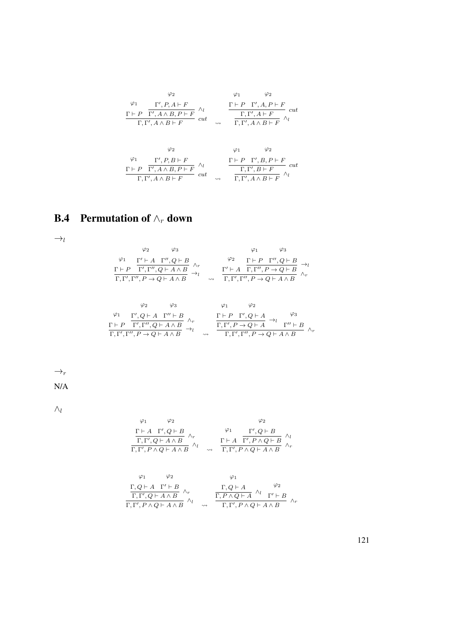$$
\varphi_1 \qquad \varphi_2 \qquad \varphi_1 \qquad \varphi_2
$$
\n
$$
\frac{\Gamma \vdash P \quad \Gamma', A \land B, P \vdash F}{\Gamma, \Gamma', A \land B, P \vdash F} \land_l \qquad \frac{\Gamma \vdash P \quad \Gamma', A, P \vdash F}{\Gamma, \Gamma', A \vdash F} \quad cut
$$
\n
$$
\varphi_2 \qquad \varphi_1 \qquad \varphi_2
$$
\n
$$
\frac{\varphi_1}{\Gamma, \Gamma', A \land B \vdash F} \land_l \qquad \frac{\varphi_2}{\Gamma, \Gamma', A \land B \vdash F} \land_l
$$
\n
$$
\frac{\Gamma \vdash P \quad \Gamma', B, P \vdash F}{\Gamma, \Gamma', A \land B, P \vdash F} \quad \varphi_1 \qquad \varphi_2}{\Gamma, \Gamma', B, P \vdash F} \quad cut
$$
\n
$$
\frac{\Gamma \vdash P \quad \Gamma', B, P \vdash F}{\Gamma, \Gamma', A \land B \vdash F} \land_l
$$

## B.4 Permutation of  $\wedge_r$  down

 $\rightarrow_l$ 

$$
\begin{array}{ccccc}\n\varphi_2 & \varphi_3 & \varphi_1 & \varphi_3 \\
\varphi_1 & \Gamma' \vdash A & \Gamma'', Q \vdash B \\
\frac{\Gamma \vdash P & \Gamma', \Gamma'', Q \vdash A \land B}{\Gamma, \Gamma', \Gamma'', P \to Q \vdash A \land B} & \rightarrow_l & \frac{\Gamma' \vdash A & \Gamma, \Gamma'', P \to Q \vdash B}{\Gamma, \Gamma', \Gamma'', P \to Q \vdash A \land B} & \rightarrow_l \\
\end{array}
$$

$$
\begin{array}{ccccc}\n\varphi_2 & \varphi_3 & \varphi_1 & \varphi_2 \\
\varphi_1 & \Gamma', Q \vdash A & \Gamma'' \vdash B \\
\frac{\Gamma \vdash P & \Gamma', \Gamma'', Q \vdash A \land B}{\Gamma, \Gamma', \Gamma'', P \to Q \vdash A \land B} & \rightarrow_l & \frac{\Gamma \vdash P & \Gamma', Q \vdash A}{\Gamma, \Gamma', \Gamma'', P \to Q \vdash A} & \rightarrow_l & \Gamma'' \vdash B \\
\end{array}
$$

 $\rightarrow_r$ 

N/A

 $\wedge_l$ 

$$
\begin{array}{ccccc}\varphi_1 & \varphi_2 & & \varphi_2 &\\ \frac{\Gamma\vdash A & \Gamma', Q\vdash B}{\Gamma,\Gamma', Q\vdash A\land B}\land_r & & \frac{\Gamma\vdash A & \Gamma', Q\vdash B}{\Gamma,\Gamma', P\land Q\vdash B} \land_l\\ \frac{\Gamma\vdash A & \Gamma', P\land Q\vdash B}{\Gamma,\Gamma', P\land Q\vdash A\land B}\end{array}
$$

$$
\begin{array}{ccccc}\varphi_1 & \varphi_2 & \varphi_1 & & & \\ \frac{\Gamma, Q\vdash A & \Gamma'\vdash B}{\Gamma, \Gamma', Q\vdash A\wedge B} & \wedge_r & & \frac{\Gamma, Q\vdash A}{\Gamma, P\wedge Q\vdash A} & \wedge_l & \frac{\varphi_2}{\Gamma,\Gamma', P\wedge Q\vdash A} \\ \frac{\Gamma, \Gamma', Q\vdash A\wedge B}{\Gamma, \Gamma', P\wedge Q\vdash A\wedge B} & \sim & \frac{\Gamma, P\wedge Q\vdash A}{\Gamma, \Gamma', P\wedge Q\vdash A\wedge B} & \wedge_r\end{array}
$$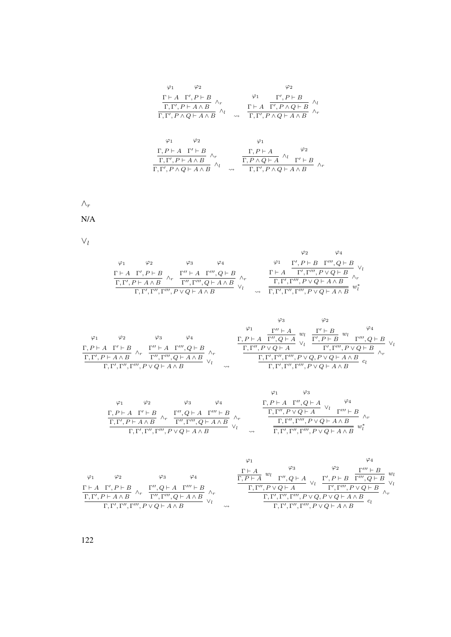$$
\varphi_1 \qquad \varphi_2 \qquad \varphi_2
$$
\n
$$
\frac{\Gamma \vdash A \Gamma', P \vdash B}{\Gamma, \Gamma', P \vdash A \wedge B} \wedge_r \qquad \qquad \frac{\varphi_1 \qquad \Gamma', P \vdash B}{\Gamma, \Gamma', P \wedge Q \vdash A \wedge B} \wedge_l
$$
\n
$$
\varphi_1 \qquad \varphi_2 \qquad \qquad \varphi_1
$$
\n
$$
\frac{\Gamma, P \vdash A \Gamma' \vdash B}{\Gamma, \Gamma', P \vdash A \wedge B} \wedge_r \qquad \qquad \frac{\Gamma, P \vdash A \qquad \varphi_2}{\Gamma, P \vdash A \wedge B} \wedge_l
$$
\n
$$
\frac{\Gamma, P \vdash A \Gamma' \vdash B}{\Gamma, \Gamma', P \vdash A \wedge B} \wedge_l \qquad \qquad \frac{\Gamma, P \vdash A \qquad \varphi_2}{\Gamma, \Gamma', P \wedge Q \vdash A \wedge B} \wedge_r
$$

 $\wedge_r$ 

N/A

 $\vee_l$ 

|    |                                                                    |    |                                                       |                    | $\varphi_4$<br>$\varphi_2$                                         |  |
|----|--------------------------------------------------------------------|----|-------------------------------------------------------|--------------------|--------------------------------------------------------------------|--|
| φ1 | $\varphi_2$                                                        | Φ3 | Φ4                                                    |                    | $\Gamma', P \vdash B \quad \Gamma''' , Q \vdash B$<br>$\varphi_1$  |  |
|    | $\Gamma \vdash A \quad \Gamma', P \vdash B$                        |    | $\Gamma'' \vdash A \quad \Gamma'''$ , $Q \vdash B$    |                    | $\Gamma \vdash A$ $\Gamma', \Gamma''', P \lor Q \vdash B$          |  |
|    | $\Gamma, \Gamma', P \vdash A \wedge B$                             |    | $\overline{\Gamma'', \Gamma''', Q \vdash A \wedge B}$ |                    | $\Gamma, \Gamma', \Gamma''', P \vee Q \vdash A \wedge B$           |  |
|    | $\Gamma, \Gamma', \Gamma'', \Gamma''', P \vee Q \vdash A \wedge B$ |    |                                                       | $\rightsquigarrow$ | $\Gamma, \Gamma', \Gamma'', \Gamma''', P \vee Q \vdash A \wedge B$ |  |

|                                                                                                                                      |                    | $\varphi_3$<br>$\varphi_2$                                                                                                         |
|--------------------------------------------------------------------------------------------------------------------------------------|--------------------|------------------------------------------------------------------------------------------------------------------------------------|
|                                                                                                                                      |                    | $\varphi_1$<br>$\Gamma'' \vdash A$                                                                                                 |
| $\varphi_2$<br>$\varphi_3$                                                                                                           |                    | w <sub>I</sub><br>w <sub>I</sub><br>$\Gamma, P \vdash A \quad \overline{\Gamma'', Q \vdash A}$<br>$\overline{\Gamma', P \vdash B}$ |
| $\Gamma'' \vdash A \quad \Gamma''' , Q \vdash B$<br>$\Gamma, P \vdash A \quad \Gamma' \vdash B$                                      |                    | $\Gamma, \Gamma'', P \vee Q \vdash A$<br>$\Gamma', \Gamma''', P \vee Q \vdash B$                                                   |
| $\wedge_r$<br>$\wedge_r$<br>$\Gamma, \Gamma', P \vdash A \wedge B$<br>$\overline{\Gamma''\cdot \Gamma''' \cdot Q \vdash A \wedge B}$ |                    | $\Gamma, \Gamma', \Gamma'', \Gamma''', P \vee Q, P \vee Q \vdash A \wedge B$                                                       |
| $\Gamma, \Gamma', \Gamma'', \Gamma''', P \vee Q \vdash A \wedge B$                                                                   | $\rightsquigarrow$ | $\Gamma, \Gamma', \Gamma'', \Gamma''', P \vee Q \vdash A \wedge B$                                                                 |

$$
\begin{array}{ccccc}\n\varphi_1 & \varphi_2 & \varphi_3 & \varphi_4 & \varphi_1 & \varphi_3 \\
\frac{\Gamma, P \vdash A & \Gamma' \vdash B}{\Gamma, \Gamma', P \vdash A \land B} & \wedge_r & \frac{\Gamma'', Q \vdash A & \Gamma'' \vdash B}{\Gamma'', \Gamma'', Q \vdash A \land B} & \wedge_r & \frac{\Gamma, \Gamma', P \vdash A & \Gamma'', P \lor Q \vdash A}{\Gamma, \Gamma', \Gamma'', \Gamma'', P \lor Q \vdash A \land B} & \wedge_r \\
\frac{\Gamma, \Gamma', P \vdash A \land B}{\Gamma, \Gamma', \Gamma'', \Gamma'', P \lor Q \vdash A \land B} & \vee_l & \frac{\Gamma, \Gamma'', \Gamma'', \Gamma''', P \lor Q \vdash A \land B}{\Gamma, \Gamma', \Gamma'', \Gamma'', P \lor Q \vdash A \land B} & w_l^*\n\end{array}
$$

|             |                                                                    |                                                 |             |                    | $\varphi_1$                            |                                                                              |                                              |                |
|-------------|--------------------------------------------------------------------|-------------------------------------------------|-------------|--------------------|----------------------------------------|------------------------------------------------------------------------------|----------------------------------------------|----------------|
|             |                                                                    |                                                 |             |                    | $\Gamma \vdash A$                      | $\varphi_3$                                                                  | $\Gamma''' \vdash B$                         | w <sub>i</sub> |
| $\varphi_1$ | $\varphi_2$                                                        |                                                 | $\varphi_4$ |                    | $w_1$<br>$\overline{\Gamma,P\vdash A}$ | $\Gamma'', Q \vdash A$                                                       | $\Gamma',P\vdash B\quad \Gamma''',Q\vdash B$ |                |
|             | $\Gamma \vdash A \quad \Gamma', P \vdash B$                        | $\Gamma'', Q \vdash A \quad \Gamma''' \vdash B$ |             |                    | $\Gamma, \Gamma'', P \vee Q \vdash A$  |                                                                              | $\Gamma', \Gamma''', P \vee Q \vdash B$      |                |
|             | $\wedge_r$<br>$\Gamma, \Gamma', P \vdash A \land B$                | $\Gamma'', \Gamma''', Q \vdash A \wedge B$      |             |                    |                                        | $\Gamma, \Gamma', \Gamma'', \Gamma''', P \vee Q, P \vee Q \vdash A \wedge B$ |                                              |                |
|             | $\Gamma, \Gamma', \Gamma'', \Gamma''', P \vee Q \vdash A \wedge B$ |                                                 |             | $\rightsquigarrow$ |                                        | $\Gamma, \Gamma', \Gamma'', \Gamma''', P \vee Q \vdash A \wedge B$           |                                              |                |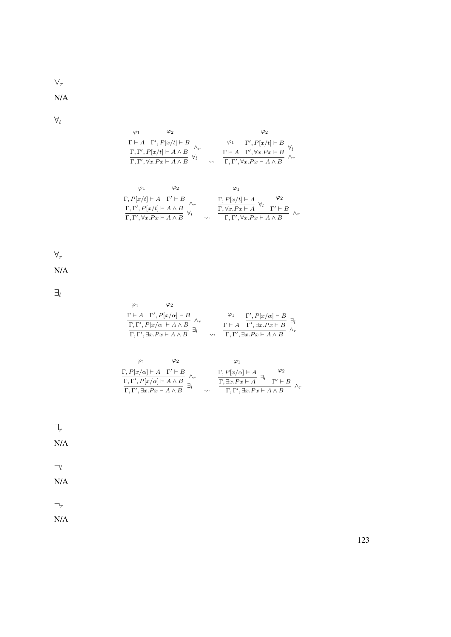∨r

N/A

 $\forall_l$ 

$$
\varphi_1 \qquad \varphi_2 \qquad \varphi_2
$$
\n
$$
\frac{\Gamma \vdash A \quad \Gamma', P[x/t] \vdash B}{\Gamma, \Gamma', \forall x. Px \vdash A \land B} \land_r \qquad \varphi_1 \qquad \frac{\Gamma', P[x/t] \vdash B}{\Gamma, \Gamma', \forall x. Px \vdash A \land B} \forall_t
$$
\n
$$
\varphi_1 \qquad \varphi_2 \qquad \varphi_1
$$
\n
$$
\varphi_1 \qquad \varphi_2 \qquad \varphi_1
$$

$$
\frac{\Gamma, P[x/t] \vdash A \quad \Gamma' \vdash B}{\Gamma, \Gamma', P[x/t] \vdash A \land B} \land_r \qquad \frac{\Gamma, P[x/t] \vdash A \quad \varphi_2}{\Gamma, \forall x. Px \vdash A \land B} \land_t \qquad \frac{\Gamma, P[x/t] \vdash A \quad \varphi_1 \qquad \varphi_2}{\Gamma, \forall x. Px \vdash A \land B} \land_r
$$

 $\forall_r$ 

N/A

 $\exists_l$ 

| $\varphi_1$ | $\varphi_2$                                           |                    |                                                                      |
|-------------|-------------------------------------------------------|--------------------|----------------------------------------------------------------------|
|             | $\Gamma \vdash A \quad \Gamma', P[x/\alpha] \vdash B$ |                    | $\varphi_1 \qquad \Gamma', P[x/\alpha] \vdash B$                     |
|             | $\Gamma, \Gamma', P[x/\alpha] \vdash A \wedge B$      |                    | $\Gamma \vdash A \quad \overline{\Gamma', \exists x . P x \vdash B}$ |
|             | $\Gamma, \Gamma', \exists x.Px \vdash A \wedge B$     | $\rightsquigarrow$ | $\boxed{\Gamma, \Gamma', \exists x . P x \vdash A \wedge B}$         |

|                                                                                                                                                                                                                          | Φ2 |                    |                                                                                                                    |             |
|--------------------------------------------------------------------------------------------------------------------------------------------------------------------------------------------------------------------------|----|--------------------|--------------------------------------------------------------------------------------------------------------------|-------------|
|                                                                                                                                                                                                                          |    |                    |                                                                                                                    | $\varphi_2$ |
| $\frac{\Gamma, P[x/\alpha] \vdash A \quad \Gamma' \vdash B}{\Gamma, \Gamma', P[x/\alpha] \vdash A \land B}$<br>$\frac{\Gamma, \Gamma', \exists x. Px \vdash A \land B}{\Gamma, \Gamma', \exists x. Px \vdash A \land B}$ |    |                    | $\frac{\Gamma, P[x/\alpha] \vdash A}{\Gamma, \exists x. Px \vdash A} \exists_l \frac{\varphi_2}{\Gamma' \vdash B}$ |             |
|                                                                                                                                                                                                                          |    | $\rightsquigarrow$ | $\Gamma, \Gamma', \exists x.Px \vdash A \wedge B$                                                                  |             |



N/A

 $\neg_l$ 

N/A

 $\neg_r$ 

N/A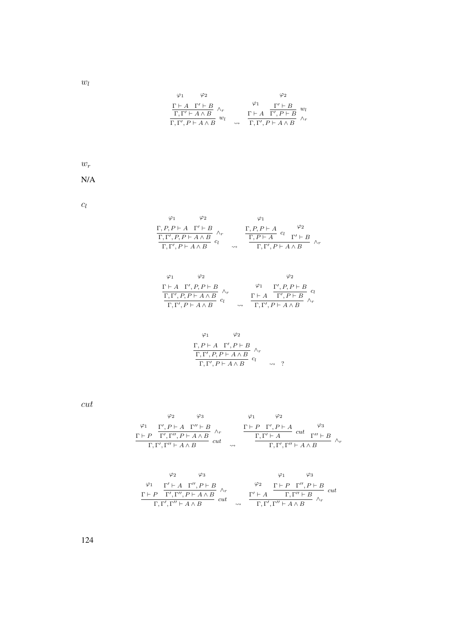$$
\varphi_1 \qquad \varphi_2 \qquad \varphi_2
$$
\n
$$
\frac{\Gamma \vdash A \quad \Gamma' \vdash B}{\Gamma, \Gamma' \vdash A \land B} \land_r \qquad \qquad \varphi_1 \qquad \frac{\Gamma' \vdash B}{\Gamma', P \vdash B} w_l
$$
\n
$$
\frac{\Gamma \vdash A \quad \Gamma' \vdash B}{\Gamma, \Gamma', P \vdash A \land B} \land_r
$$

 $w_r$ 

N/A

 $c_l$ 

$$
\begin{array}{cc}\n\varphi_1 & \varphi_2 & \varphi_1 \\
\frac{\Gamma, P, P \vdash A \quad \Gamma' \vdash B}{\Gamma, \Gamma', P, P \vdash A \land B} & \wedge_r & \frac{\Gamma, P, P \vdash A}{\Gamma, P \vdash A} & c_l \\
\frac{\Gamma, \Gamma', P, P \vdash A \land B}{\Gamma, \Gamma', P \vdash A \land B} & c_l & \wedge_r\n\end{array}
$$

$$
\begin{array}{cc}\n\varphi_1 & \varphi_2 & \varphi_2 \\
\frac{\Gamma \vdash A \quad \Gamma', P, P \vdash B}{\Gamma, \Gamma', P, P \vdash A \land B} & \land_r \\
\frac{\Gamma \vdash A \quad \Gamma', P, P \vdash B}{\Gamma, \Gamma', P \vdash A \land B} & c_l & \frac{\Gamma \vdash A \quad \Gamma', P \vdash B}{\Gamma, \Gamma', P \vdash A \land B} \land_r\n\end{array}
$$

$$
\varphi_1 \qquad \varphi_2
$$
  
\n
$$
\frac{\Gamma, P \vdash A \quad \Gamma', P \vdash B}{\Gamma, \Gamma', P, P \vdash A \land B} \land_r
$$
  
\n
$$
\frac{\Gamma, \Gamma', P \vdash A \land B}{\Gamma, \Gamma', P \vdash A \land B} \quad \text{or} \quad \gamma
$$

cut

$$
\varphi_1 \quad \varphi_2 \quad \varphi_3 \quad \varphi_1 \quad \varphi_2
$$
\n
$$
\frac{\Gamma \vdash P \quad \Gamma', P \vdash A \quad \Gamma'' \vdash B}{\Gamma, \Gamma', \Gamma'' \vdash A \land B} \land_r \quad \frac{\Gamma \vdash P \quad \Gamma', P \vdash A}{\Gamma, \Gamma' \vdash A} \quad cut \quad \varphi_3
$$
\n
$$
\frac{\Gamma, \Gamma', \Gamma'' \vdash A \land B}{\Gamma, \Gamma', \Gamma'' \vdash A \land B} \quad cut \quad \sim \quad \frac{\Gamma, \Gamma' \vdash A}{\Gamma, \Gamma', \Gamma'' \vdash A \land B} \quad \varphi_1 \quad \varphi_3
$$
\n
$$
\frac{\varphi_2}{\Gamma \vdash P} \quad \frac{\varphi_3}{\Gamma', \Gamma'', P \vdash A \land B} \quad \varphi_1 \quad \varphi_3
$$
\n
$$
\frac{\Gamma \vdash P \quad \Gamma', \Gamma'', P \vdash A \land B}{\Gamma, \Gamma', \Gamma'' \vdash A \land B} \quad cut \quad \sim \quad \frac{\varphi_2}{\Gamma, \Gamma', \Gamma'' \vdash A \land B} \quad cut \quad \varphi_1 \quad \varphi_2 \quad \varphi_3 \quad \varphi_1 \quad \varphi_3 \quad cut \quad \varphi_4 \quad \varphi_4 \quad \varphi_5 \quad \varphi_5 \quad \varphi_6 \quad \varphi_7 \quad \varphi_7 \quad \varphi_7 \quad \varphi_8 \quad \varphi_8 \quad \varphi_9 \quad \varphi_9 \quad \varphi_9 \quad \varphi_1 \quad \varphi_9 \quad \varphi_1 \quad \varphi_9 \quad \varphi_1 \quad \varphi_9 \quad \varphi_1 \quad \varphi_2 \quad \varphi_1 \quad \varphi_3 \quad \varphi_1 \quad \varphi_2 \quad \varphi_1 \quad \varphi_3 \quad \varphi_1 \quad \varphi_3 \quad \varphi_1 \quad \varphi_2 \quad \varphi_1 \quad \varphi_3 \quad \varphi_1 \quad \varphi_3 \quad \varphi_1 \quad \varphi_3 \quad \varphi_1 \quad \varphi_4 \quad \varphi_4 \quad \varphi_4 \quad \varphi_5 \quad \varphi_1 \quad \varphi_5 \quad \varphi_5 \quad \varphi_6 \quad \varphi_7 \quad \varphi_7 \quad \varphi
$$

124

 $w_l$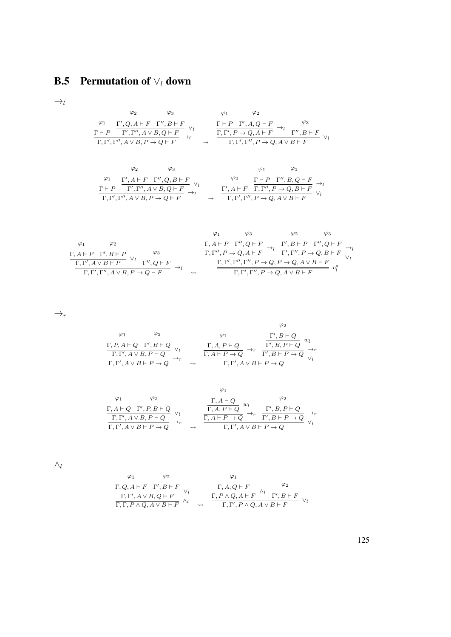## **B.5** Permutation of  $\vee_l$  down

 $\rightarrow_l$ 

$$
\begin{array}{ccccc}\n\varphi_2 & \varphi_3 & \varphi_1 & \varphi_2 \\
\varphi_1 & \Gamma', Q, A \vdash F & \Gamma'', B \vdash F \\
\Gamma \vdash P & \Gamma', \Gamma'', A \lor B, Q \vdash F & \rightarrow_l & \Gamma, \Gamma', P \to Q, A \vdash F \\
\hline\n\Gamma, \Gamma', \Gamma'', A \lor B, P \to Q \vdash F & \rightarrow & \Gamma, \Gamma', \Gamma'', P \to Q, A \lor B \vdash F \\
\end{array} \quad\downarrow_{\alpha} \quad \begin{array}{ccccc}\n\Gamma \vdash P & \Gamma', A, Q \vdash F & \rightarrow_l & \varphi_3 \\
\Gamma, \Gamma', P \to Q, A \vdash F & \rightarrow_l & \Gamma'', B \vdash F \\
\Gamma, \Gamma', \Gamma'', P \to Q, A \lor B \vdash F & \rightarrow_l & \Gamma'' \end{array}
$$

$$
\varphi_2 \qquad \varphi_3 \qquad \varphi_1 \qquad \varphi_3
$$
\n
$$
\frac{\varphi_1}{\Gamma, P', P', A \lor B, Q \vdash F} \frac{\varphi_2}{\Gamma, \Gamma', \Gamma'', A \lor B, Q \vdash F} \frac{\varphi_2}{\Gamma, P', \Gamma'', B, Q \vdash F} \frac{\Gamma \vdash P \quad \Gamma'', B, Q \vdash F}{\Gamma, \Gamma', \Gamma'', P \to Q, B \vdash F} \frac{\varphi_3}{\Gamma, \Gamma', \Gamma'', P \to Q, B \vdash F} \frac{\varphi_3}{\varphi_1}
$$

$$
\varphi_1 \qquad \varphi_2 \qquad \varphi_3
$$
\n
$$
\frac{\Gamma, A \vdash P \quad \Gamma', B \vdash P \quad \varphi_3}{\Gamma, \Gamma', A \lor B \vdash P} \qquad \varphi_3
$$
\n
$$
\frac{\Gamma, A \vdash P \quad \Gamma'', Q \vdash F}{\Gamma, \Gamma', A \lor B \vdash P} \qquad \varphi_1 \qquad \frac{\Gamma, A \vdash P \quad \Gamma'', Q \vdash F}{\Gamma, \Gamma'', P \to Q, A \vdash F} \to_l \qquad \frac{\Gamma', B \vdash P \quad \Gamma'', Q \vdash F}{\Gamma, \Gamma', \Gamma'', P \to Q, P \to Q, A \lor B \vdash F} \qquad \varphi_1 \qquad \frac{\Gamma, \Gamma', \Gamma'', P \to Q, P \to Q, A \lor B \vdash F}{\Gamma, \Gamma', \Gamma'', P \to Q, A \lor B \vdash F} \qquad c_l^*
$$

 $\rightarrow_r$ 

$$
\varphi_1 \qquad \varphi_2 \qquad \varphi_1
$$
\n
$$
\frac{\Gamma, P, A \vdash Q \quad \Gamma', B \vdash Q}{\Gamma, \Gamma', A \lor B, P \vdash Q} \lor_l \qquad \frac{\Gamma, A, P \vdash Q}{\Gamma, A \vdash P \to Q} \to_r^{\varphi_1} \frac{\Gamma', B \vdash Q}{\Gamma', B, P \vdash Q} \lor_l^{\varphi_2}
$$
\n
$$
\frac{\Gamma, A, P \vdash Q}{\Gamma, \Gamma', B \vdash P \to Q} \lor_l^{\varphi_1}
$$

$$
\begin{array}{cc}\n\varphi_1 & \varphi_2 & \varphi_1 \\
\Gamma, A \vdash Q & \Gamma', P, B \vdash Q \\
\hline\n\Gamma, \Gamma', A \lor B, P \vdash Q & \vee_l & \Gamma, A \vdash P \to Q \\
\hline\n\Gamma, \Gamma', A \lor B \vdash P \to Q & \rightarrow_r & \Gamma', A \lor B \vdash P \to Q \\
\end{array} \xrightarrow{\varphi_1} \begin{array}{cc}\n\varphi_2 & \varphi_2 \\
\Gamma, A \vdash Q & \neg r \\
\hline\n\Gamma, A, P \vdash Q & \rightarrow_r & \Gamma', B, P \vdash Q \\
\hline\n\Gamma, \Gamma', A \lor B \vdash P \to Q & \vee_l\n\end{array}
$$

 $\wedge_l$ 

$$
\begin{array}{ccccc}\n\varphi_1 & \varphi_2 & \varphi_1 \\
\frac{\Gamma, Q, A \vdash F & \Gamma', B \vdash F}{\Gamma, \Gamma', A \lor B, Q \vdash F} & \vee_l & \frac{\Gamma, A, Q \vdash F}{\Gamma, P \land Q, A \vdash F} & \wedge_l & \frac{\varphi_2}{\Gamma, P \land Q, A \vdash F} \\
\frac{\Gamma, P \land Q, A \lor B \vdash F}{\Gamma, \Gamma, P \land Q, A \lor B \vdash F}\n\end{array}
$$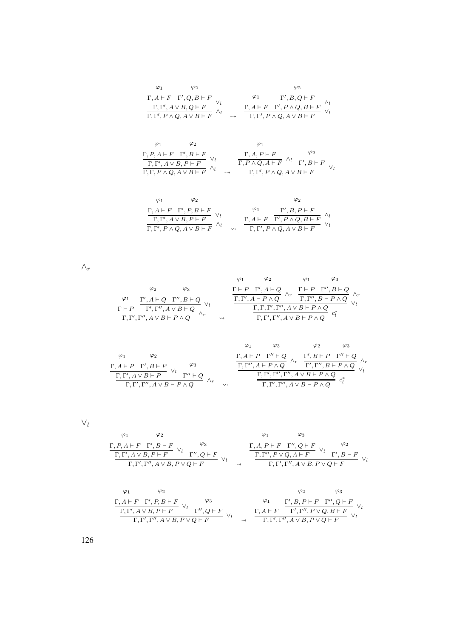| $\varphi_1$ $\varphi_2$                                                                                                                                                                                      | $\varphi_2$                                                                                                                                                                         |
|--------------------------------------------------------------------------------------------------------------------------------------------------------------------------------------------------------------|-------------------------------------------------------------------------------------------------------------------------------------------------------------------------------------|
| $\frac{\Gamma, A \vdash F \quad \Gamma', Q, B \vdash F}{\Gamma, \Gamma', A \lor B, Q \vdash F} \ \lor_l \\ \overline{\Gamma, \Gamma', P \land Q, A \lor B \vdash F}} \ \land_l$                              | $\frac{\varphi_1}{\Gamma,A\vdash F}\ \frac{\Gamma',B,Q\vdash F}{\Gamma',P\land Q,B\vdash F}\ \frac{\land_l}{\lor_l}{\Gamma,\Gamma',P\land Q,A\lor B\vdash F}$<br>$\rightsquigarrow$ |
| $\varphi_2$<br>$\varphi_1$<br>$\frac{\Gamma, P, A \vdash F \quad \Gamma', B \vdash F}{\Gamma, \Gamma', A \lor B, P \vdash F} \ \lor_l \\ \overline{\Gamma, \Gamma, P \land Q, A \lor B \vdash F}} \ \land_l$ | $\varphi_1$<br>$\frac{\dfrac{\Gamma,A,P\vdash F}{\Gamma,P\land Q,A\vdash F}\;\wedge_l\;}{\Gamma,\Gamma',P\land Q,A\lor B\vdash F}$                                                  |

$$
\begin{array}{ccccc}\varphi_1 & \varphi_2 & & \varphi_2 \\ \frac{\Gamma, A \vdash F & \Gamma', P, B \vdash F}{\Gamma, \Gamma', A \vee B, P \vdash F} & \vee_l & & \frac{\varphi_1}{\Gamma, A \vdash F} & \frac{\Gamma', B, P \vdash F}{\Gamma', P \wedge Q, B \vdash F} & \wedge_l \\ \frac{\Gamma, \Gamma', P \wedge Q, A \vee B \vdash F}{\Gamma, \Gamma', P \wedge Q, A \vee B \vdash F} & \vee_l & & \frac{\Gamma, A \vdash F & \Gamma', P \wedge Q, A \vee B \vdash F}{\Gamma, \Gamma', P \wedge Q, A \vee B \vdash F} & \vee_l\end{array}
$$

 $\wedge_r$ 

|                                                         |                                                                                                                                 |                    | $\Gamma \vdash P \quad \Gamma', A \vdash Q$                               | $\Gamma \vdash P \quad \Gamma'', B \vdash Q$ |  |
|---------------------------------------------------------|---------------------------------------------------------------------------------------------------------------------------------|--------------------|---------------------------------------------------------------------------|----------------------------------------------|--|
|                                                         |                                                                                                                                 |                    | $\overline{\Gamma,\Gamma',A\vdash P\wedge Q}$ ''r                         | $\Gamma, \Gamma'', B \vdash P \land Q$       |  |
|                                                         | $\frac{\varphi_1}{\Gamma \vdash P} \frac{\Gamma', A \vdash Q \quad \Gamma'', B \vdash Q}{\Gamma', \Gamma'', A \lor B \vdash Q}$ |                    | $\overline{\Gamma, \Gamma, \Gamma', \Gamma', A \vee B \vdash P \wedge Q}$ |                                              |  |
| $\Gamma, \Gamma', \Gamma'', A \vee B \vdash P \wedge Q$ |                                                                                                                                 | $\rightsquigarrow$ | $\overline{\Gamma,\Gamma',\Gamma'',A\vee B\vdash P\wedge Q}$              |                                              |  |

|                                                         |                    |                    |                                              | $\varphi_3$ | $\varphi_2$                                                       |  |
|---------------------------------------------------------|--------------------|--------------------|----------------------------------------------|-------------|-------------------------------------------------------------------|--|
| φ2                                                      |                    |                    | $\Gamma, A \vdash P \quad \Gamma'' \vdash Q$ |             | $\Gamma', B \vdash P \quad \Gamma'' \vdash Q$                     |  |
| $\Gamma, A \vdash P \quad \Gamma', B \vdash P$          | $\varphi_3$        |                    | $\Gamma, \Gamma'', A \vdash P \land Q$       |             | $\Gamma', \Gamma'', B \vdash P \wedge Q$                          |  |
| $\Gamma, \Gamma', A \vee B \vdash P$                    | $\Gamma''\vdash Q$ |                    |                                              |             | $\Gamma, \Gamma', \Gamma'', \Gamma'', A \vee B \vdash P \wedge Q$ |  |
| $\Gamma, \Gamma', \Gamma'', A \vee B \vdash P \wedge Q$ |                    | $\rightsquigarrow$ |                                              |             | $\Gamma, \Gamma', \Gamma'', A \vee B \vdash P \wedge Q$           |  |

### $\vee_l$

| Φ1 |                                                                                                                                                  |             |        | Ο1 |                                                          |                                                                                                                                                    |
|----|--------------------------------------------------------------------------------------------------------------------------------------------------|-------------|--------|----|----------------------------------------------------------|----------------------------------------------------------------------------------------------------------------------------------------------------|
|    |                                                                                                                                                  | $\varphi_3$ |        |    |                                                          | $\varphi_2$                                                                                                                                        |
|    | $\frac{\Gamma, P, A \vdash F \quad \Gamma', B \vdash F}{\Gamma, \Gamma', A \lor B, P \vdash F} \ \vee_l \ \frac{\varphi_3}{\Gamma', Q \vdash F}$ |             |        |    |                                                          | $\frac{\Gamma, A, P \vdash F \quad \Gamma'', Q \vdash F}{\Gamma, \Gamma'', P \lor Q, A \vdash F} \ \lor_l \ \frac{\varphi_2}{\Gamma', B \vdash F}$ |
|    | $\Gamma, \Gamma', \Gamma'', A \vee B, P \vee Q \vdash F$                                                                                         |             | $\sim$ |    | $\Gamma, \Gamma', \Gamma'', A \vee B, P \vee Q \vdash F$ |                                                                                                                                                    |

$$
\begin{array}{ccccc}\varphi_1 & \varphi_2 & \varphi_3 & \varphi_4\\ \Gamma, A \vdash F & \Gamma', P, B \vdash F & \vee_l & \varphi_3 & \varphi_1 & \Gamma', B, P \vdash F & \Gamma'', Q \vdash F\\ \hline \Gamma, \Gamma', A \lor B, P \vdash F & \vee_l & \Gamma'', Q \vdash F & \vee_l & \varphi_4 & \Gamma, \Gamma', \Gamma'', P \lor Q, B \vdash F & \vee_l\\ \Gamma, \Gamma', \Gamma'', A \lor B, P \lor Q \vdash F & \vee_l & \varphi_4 & \Gamma, \Gamma', \Gamma'', A \lor B, P \lor Q \vdash F\end{array}
$$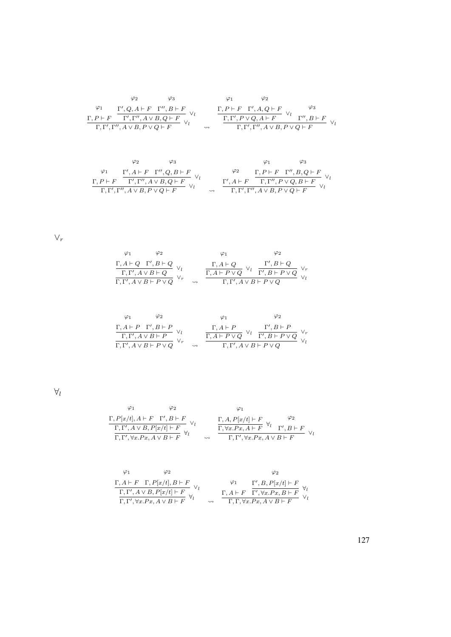$$
\begin{array}{ccccc}\varphi_2 & \varphi_3 & \varphi_1 & \varphi_2 \\ \varphi_1 & \underline{\Gamma',Q,A\vdash F\quad \Gamma'',B\vdash F} & \vee_l & & \underline{\Gamma,P\vdash F\quad \Gamma',A,Q\vdash F\quad \varphi_3} \\ \underline{\Gamma,P\vdash F\quad \Gamma',\Gamma'',A\vee B,Q\vdash F} & \vee_l & & \underline{\Gamma,\Gamma',P\vee Q,A\vdash F\quad \vee_l & \Gamma'',B\vdash F} \\ \overline{\Gamma,\Gamma',\Gamma'',A\vee B,P\vee Q\vdash F} & \leadsto & & \overline{\Gamma,\Gamma',\Gamma'',A\vee B,P\vee Q\vdash F} & \vee_l & & \end{array}
$$

$$
\begin{array}{ccccc}\varphi_2 & \varphi_3 & \varphi_1 & \varphi_3 \\ \varphi_1 & \Gamma', A \vdash F & \Gamma'', Q, B \vdash F \\ \frac{\Gamma, P \vdash F & \Gamma', \Gamma'', A \lor B, Q \vdash F}{\Gamma', \Gamma'', A \lor B, P \lor Q \vdash F} \lor_l & & \frac{\Gamma', A \vdash F & \Gamma, P \vdash F & \Gamma'', B, Q \vdash F}{\Gamma, \Gamma', \Gamma'', A \lor B, P \lor Q \vdash F} \lor_l \\ \end{array}
$$

 $\vee_r$ 

$$
\begin{array}{ccccc}\n\varphi_1 & \varphi_2 & \varphi_1 & \varphi_2 \\
\Gamma, A \vdash Q & \Gamma', B \vdash Q & \Gamma, A \vdash Q & \n\hline\n\Gamma, \Gamma', A \lor B \vdash Q & \n\end{array}\n\quad\n\begin{array}{ccccc}\n\varphi_1 & \varphi_2 & \varphi_1 \\
\Gamma, A \vdash Q & \n\hline\n\Gamma, A \vdash Q & \n\hline\n\Gamma, A \vdash Q & \n\hline\n\Gamma', B \vdash P \lor Q & \n\end{array}
$$

$$
\begin{array}{ccccc}\varphi_1 & \varphi_2 & \varphi_1 & \varphi_2 \\ \frac{\Gamma, A \vdash P & \Gamma', B \vdash P}{\Gamma, \Gamma', A \vee B \vdash P} & \vee_l & & \frac{\Gamma, A \vdash P}{\Gamma, A \vdash P \vee Q} & \vee_l & \frac{\Gamma', B \vdash P}{\Gamma', B \vdash P \vee Q} \\ \frac{\Gamma, \Gamma', A \vee B \vdash P}{\Gamma, \Gamma', A \vee B \vdash P \vee Q} & \leadsto & & \Gamma, \Gamma', A \vee B \vdash P \vee Q\end{array}
$$

 $\forall_l$ 

$$
\varphi_1 \qquad \varphi_2 \qquad \varphi_1
$$
\n
$$
\frac{\Gamma, P[x/t], A \vdash F \quad \Gamma', B \vdash F}{\Gamma, \Gamma', A \lor B, P[x/t] \vdash F} \lor_l \qquad \frac{\Gamma, A, P[x/t] \vdash F \quad \varphi_2}{\Gamma, \nabla x. P x, A \vdash F} \lor_l \qquad \frac{\Gamma, \forall x. P x, A \vdash F \quad \forall_l}{\Gamma, \nabla', \forall x. P x, A \lor B \vdash F} \lor_l
$$

$$
\begin{array}{ccccc}\n\varphi_1 & \varphi_2 & & \varphi_2 \\
\Gamma, A \vdash F & \Gamma, P[x/t], B \vdash F & \vee_l & & \Gamma', B, P[x/t] \vdash F \\
\hline\n\Gamma, \Gamma', A \lor B, P[x/t] \vdash F & \forall_l & & \Gamma, A \vdash F & \Gamma', \forall x. Px, B \vdash F \\
\Gamma, \Gamma', \forall x. Px, A \lor B \vdash F & & \vee_l & & \Gamma, \Gamma, \forall x. Px, A \lor B \vdash F\n\end{array}
$$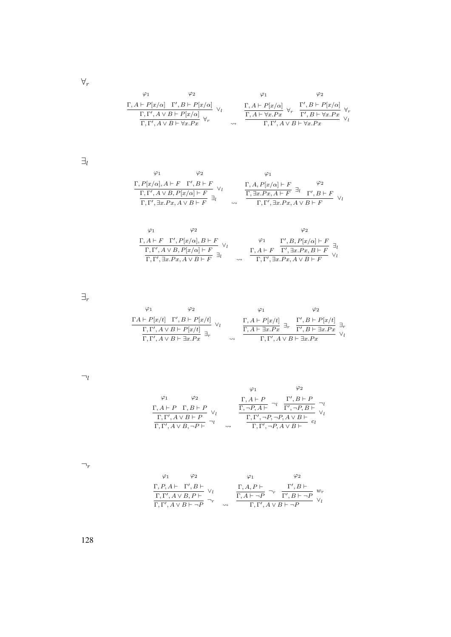$\forall_r$ 

| $\frac{\Gamma, A \vdash P[x/\alpha]\quad \Gamma', B \vdash P[x/\alpha]}{\Gamma, \Gamma', A\lor B \vdash P[x/\alpha]\quad \forall_l}{\Gamma, \Gamma', A\lor B \vdash \forall x.Px}$ |                    | $\frac{\Gamma, A \vdash P[x/\alpha]}{\Gamma, A \vdash \forall x.Px}$<br>$\Gamma, \Gamma', A \vee B \vdash \forall x . Px$ | $\frac{\Gamma', B \vdash P[x/\alpha]}{\Gamma', B \vdash \forall x.Px} \forall_{\tau}$ |
|------------------------------------------------------------------------------------------------------------------------------------------------------------------------------------|--------------------|---------------------------------------------------------------------------------------------------------------------------|---------------------------------------------------------------------------------------|
|                                                                                                                                                                                    | $\rightsquigarrow$ |                                                                                                                           |                                                                                       |

 $\exists_l$ 

ϕ<sup>1</sup> Γ, P[x/α], A ` F ϕ<sup>2</sup> Γ 0 , B ` F Γ, Γ 0 , A ∨ B, P[x/α] ` F ∨l Γ, Γ 0 , ∃x.P x, A ∨ B ` F <sup>∃</sup><sup>l</sup> ϕ<sup>1</sup> Γ, A, P[x/α] ` F Γ, ∃x.P x, A ` F ∃l ϕ<sup>2</sup> Γ 0 , B ` F Γ, Γ 0 , ∃x.P x, A ∨ B ` F ∨l

$$
\begin{array}{cc}\n\varphi_1 & \varphi_2 & \varphi_2 \\
\Gamma, A \vdash F & \Gamma', P[x/\alpha], B \vdash F \\
\hline\n\Gamma, \Gamma', A \lor B, P[x/\alpha] \vdash F \\
\hline\n\Gamma, \Gamma', \exists x.Px, A \lor B \vdash F\n\end{array} \quad \begin{array}{cc}\n\varphi_1 & \Gamma', B, P[x/\alpha] \vdash F \\
\chi_1 & \chi_2, P[x/\alpha] \vdash F \\
\hline\n\Gamma', \exists x.Px, B \vdash F\n\end{array} \quad \begin{array}{cc}\n\varphi_2 & \varphi_3 \\
\hline\n\Gamma', A \vdash F & \Gamma', \exists x.Px, B \vdash F \\
\hline\n\Gamma', \exists x.Px, A \lor B \vdash F\n\end{array} \quad \begin{array}{cc}\n\chi_1 & \chi_2 \vdash F \\
\chi_3 & \chi_4 \vdash F \\
\hline\n\Gamma', \exists x.Px, A \lor B \vdash F\n\end{array} \quad \begin{array}{cc}\n\chi_1 & \chi_2 \vdash F \\
\hline\n\Gamma', \exists x.Px, A \lor B \vdash F\n\end{array}
$$

 $\exists_r$ 

$$
\begin{array}{ccc}\varphi_1 & \varphi_2 & \varphi_1 & \varphi_2 \\ \frac{\Gamma A \vdash P[x/t] & \Gamma', B \vdash P[x/t]}{\Gamma, \Gamma', A \lor B \vdash P[x/t]} & \vee_l & \frac{\Gamma, A \vdash P[x/t]}{\Gamma, A \vdash \exists x . P x} \exists_r & \frac{\Gamma', B \vdash P[x/t]}{\Gamma', B \vdash \exists x . P x} \exists_r \\ & & \searrow & \frac{\Gamma, A \vdash \exists x . P x}{\Gamma, \Gamma', A \lor B \vdash \exists x . P x} \end{array}
$$

 $\neg_l$ 

$$
\varphi_1 \qquad \varphi_2
$$
\n
$$
\Gamma, A \vdash P \quad \Gamma, B \vdash P
$$
\n
$$
\frac{\Gamma, A \vdash P \quad \Gamma, B \vdash P}{\Gamma, \Gamma', A \lor B \vdash P} \lor l \qquad \frac{\Gamma, \neg P, A \vdash \neg l}{\Gamma, \neg P, A \vdash} \frac{\Gamma', B \vdash P}{\Gamma', \neg P, B \vdash} \lor l
$$
\n
$$
\frac{\Gamma, \Gamma', A \lor B \vdash P}{\Gamma, \Gamma', A \lor B, \neg P \vdash} \neg l \qquad \leadsto \qquad \frac{\Gamma, \Gamma', \neg P, A \lor B \vdash}{\Gamma, \Gamma', \neg P, A \lor B \vdash} c_l
$$

 $\neg_r$ 

$$
\begin{array}{ccccc}\varphi_1 & \varphi_2 & & \varphi_1 & & \varphi_2 \\ \frac{\Gamma, P, A \vdash & \Gamma', B \vdash}{\Gamma, \Gamma', A \vee B, P \vdash} & \vee_l & & \frac{\Gamma, A, P \vdash}{\Gamma, A \vdash \neg P} \neg_r & \frac{\Gamma', B \vdash}{\Gamma', B \vdash \neg P} & w_r \\ \frac{\Gamma, \Gamma', A \vee B \vdash \neg P}{\Gamma, \Gamma', A \vee B \vdash \neg P} & \leadsto & \frac{\Gamma, \Gamma', A \vee B \vdash \neg P}{\Gamma, \Gamma', A \vee B \vdash \neg P} & \vee_l\end{array}
$$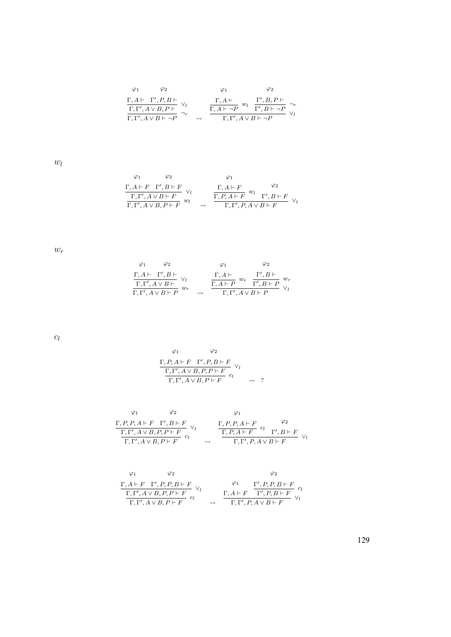$$
\begin{array}{ccccc}\varphi_1 & \varphi_2 & \varphi_1 & \varphi_2 \\ \frac{\Gamma, A \vdash & \Gamma', P, B \vdash}{\Gamma, \Gamma', A \vee B, P \vdash} & \vee_l & & \frac{\Gamma, A \vdash}{\Gamma, A \vdash \neg P} \ w_l & \frac{\Gamma', B, P \vdash}{\Gamma', B \vdash \neg P} \\ \frac{\Gamma, \Gamma', A \vee B \vdash \neg P}{\Gamma, \Gamma', A \vee B \vdash \neg P} & \leadsto & & \Gamma, \Gamma', A \vee B \vdash \neg P\end{array}
$$

 $w_l$ 

$$
\begin{array}{ccccc}\n\varphi_1 & \varphi_2 & \varphi_1 & & & & \\
\frac{\Gamma, A \vdash F & \Gamma', B \vdash F}{\Gamma, \Gamma', A \lor B \vdash F} & \vee_l & & & \frac{\Gamma, A \vdash F}{\Gamma, P, A \vdash F} & w_l & & \varphi_2 \\
\frac{\Gamma, \Gamma', A \lor B \vdash F}{\Gamma, \Gamma', A \lor B, P \vdash F} & w_l & & & \frac{\Gamma, P, A \vdash F}{\Gamma, \Gamma', P, A \lor B \vdash F} & \vee_l & & & \\
\end{array}
$$

 $w_r$ 

| $\varphi_1$ | $\varphi_2$                                                                          |                    |                                      | $\varphi_2$                                                                                         |  |
|-------------|--------------------------------------------------------------------------------------|--------------------|--------------------------------------|-----------------------------------------------------------------------------------------------------|--|
|             | $\frac{\Gamma, A \vdash \Gamma', B \vdash}{\Gamma, \Gamma', A \vee B \vdash} \vee_l$ |                    | $\Gamma, A \vdash$                   | $\Gamma', B \vdash$<br>$\overline{\Gamma, A \vdash P}$ $w_r$ $\overline{\Gamma', B \vdash P}$ $w_r$ |  |
|             | $\overline{\Gamma,\Gamma',A\vee B\vdash P}$ <sup><i>w<sub>r</sub></i></sup>          | $\rightsquigarrow$ | $\Gamma, \Gamma', A \vee B \vdash P$ |                                                                                                     |  |

 $c_l$ 

$$
\varphi_1 \qquad \varphi_2
$$
  
\n
$$
\frac{\Gamma, P, A \vdash F \quad \Gamma', P, B \vdash F}{\Gamma, \Gamma', A \lor B, P, P \vdash F} \lor_l
$$
  
\n
$$
\Gamma, \Gamma', A \lor B, P \vdash F \qquad \leadsto \quad ?
$$

$$
\begin{array}{cc}\n\varphi_1 & \varphi_2 & \varphi_1 \\
\Gamma, P, P, A \vdash F & \Gamma', B \vdash F \\
\hline\n\Gamma, \Gamma', A \lor B, P, P \vdash F & c_l \\
\Gamma, \Gamma', A \lor B, P \vdash F & c_l\n\end{array}\n\quad\n\begin{array}{cc}\n\Gamma, P, P, A \vdash F & c_l \\
\Gamma, P, A \vdash F & c_l \\
\Gamma, \Gamma', P, A \lor B \vdash F\n\end{array}\n\quad\n\begin{array}{cc}\n\varphi_2 \\
\Gamma, P, A \vdash F & c_l \\
\Gamma, \Gamma', P, A \lor B \vdash F\n\end{array}
$$

$$
\begin{array}{ccccc}\varphi_1 & \varphi_2 & & \varphi_2 \\ \frac{\Gamma, A \vdash F & \Gamma', P, P, B \vdash F}{\Gamma, \Gamma', A \vee B, P, P \vdash F} & \vee_l & & \frac{\varphi_1}{\Gamma, A \vdash F} & \frac{\Gamma', P, P, B \vdash F}{\Gamma', P, B \vdash F} & c_l \\ \frac{\Gamma, \Gamma', A \vee B, P \vdash F}{\Gamma, \Gamma', P, A \vee B \vdash F} & \leadsto & \frac{\Gamma, A \vdash F & \frac{\Gamma', P, B \vdash F}{\Gamma', P, B \vdash F} & \vee_l}{\Gamma, \Gamma', P, A \vee B \vdash F}\end{array}
$$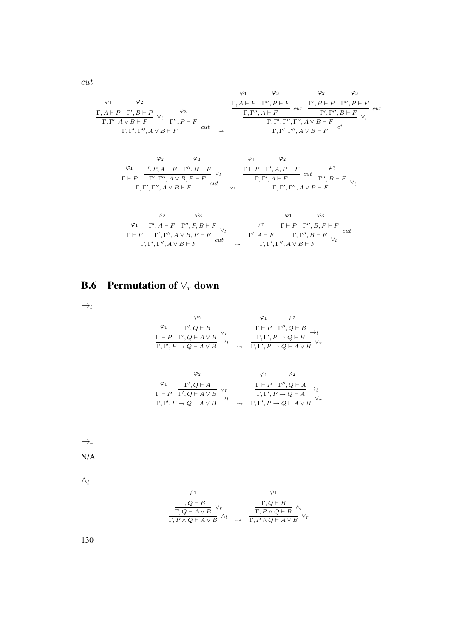$$
\varphi_1 \qquad \varphi_2 \qquad \varphi_3
$$
\n
$$
\frac{\varphi_1}{\Gamma, \Gamma', A \vee B + P} \vee_{l} \qquad \varphi_3
$$
\n
$$
\frac{\Gamma, A \vdash P \Gamma'', B \vdash P}{\Gamma, \Gamma', A \vee B \vdash P} \vee_{l} \qquad \frac{\varphi_3}{\Gamma, \Gamma'', A \vdash F} \quad \text{cut} \qquad \frac{\Gamma, \Gamma'', A \vdash F}{\Gamma, \Gamma', \Gamma'', A \vee B \vdash F} \quad \text{cut} \qquad \frac{\Gamma, \Gamma', \Gamma'', A \vee B \vdash F}{\Gamma, \Gamma', \Gamma'', A \vee B \vdash F} \quad \varphi_l
$$
\n
$$
\varphi_2 \qquad \varphi_3 \qquad \varphi_1 \qquad \varphi_2
$$
\n
$$
\frac{\varphi_1}{\Gamma, \Gamma', \Gamma'', A \vee B \vdash F} \qquad \text{cut} \qquad \frac{\varphi_1}{\Gamma, \Gamma', \Gamma'', A \vee B \vdash F} \quad \varphi_1 \qquad \frac{\varphi_2}{\Gamma, \Gamma', \Gamma'', A \vee B \vdash F} \quad \text{cut} \qquad \frac{\varphi_3}{\Gamma, \Gamma', \Gamma'', A \vee B \vdash F} \quad \text{cut} \qquad \frac{\varphi_2}{\Gamma, \Gamma', \Gamma'', A \vee B \vdash F} \quad \text{cut} \qquad \frac{\varphi_3}{\Gamma, \Gamma', \Gamma'', A \vee B \vdash F} \quad \text{cut} \qquad \frac{\varphi_3}{\Gamma, \Gamma', \Gamma'', A \vee B \vdash F} \quad \text{cut} \qquad \frac{\varphi_2}{\Gamma, \Gamma', \Gamma'', A \vee B \vdash F} \quad \text{cut} \qquad \frac{\varphi_3}{\Gamma, \Gamma', \Gamma'', A \vee B \vdash F} \quad \text{cut} \qquad \frac{\varphi_3}{\Gamma, \Gamma', \Gamma'', A \vee B \vdash F} \quad \text{cut} \qquad \frac{\varphi_3}{\Gamma, \Gamma', \Gamma'', A \vee B \vdash F} \quad \text{cut} \qquad \frac{\varphi_3}{\Gamma, \Gamma', \Gamma'', A \vee B \vdash F} \quad \text{cut} \qquad \frac{\varphi_3}{\Gamma, \Gamma', \Gamma'', A \vee B \vdash F} \quad \
$$

$$
\begin{array}{ccccc}\n\varphi_1 & \Gamma', A \vdash F & \Gamma'', P, B \vdash F & \vee_l & & \varphi_2 & \Gamma \vdash P & \Gamma'', B, P \vdash F \\
\hline\n\Gamma \vdash P & \Gamma', \Gamma'', A \lor B, P \vdash F & & \vee_l & & \Gamma', A \vdash F & \Gamma, \Gamma'', B \vdash F \\
\hline\n\Gamma, \Gamma', \Gamma'', A \lor B \vdash F & & \vee_l & & \Gamma, \Gamma', \Gamma'', A \lor B \vdash F & \vee_l\n\end{array}{} \quad {\rm cut}
$$

## B.6 Permutation of  $\vee_r$  down

 $\rightarrow_l$ 

$$
\varphi_1 \qquad \varphi_2 \qquad \varphi_1 \qquad \varphi_2
$$
\n
$$
\frac{\varphi_1}{\Gamma + P} \frac{\Gamma', Q \vdash B}{\Gamma', Q \vdash A \lor B} \lor_r \qquad \frac{\Gamma \vdash P \Gamma'', Q \vdash B}{\Gamma, \Gamma', P \to Q \vdash B} \to_l
$$
\n
$$
\frac{\Gamma, \Gamma', P \to Q \vdash A \lor B}{\Gamma, \Gamma', P \to Q \vdash A \lor B} \lor_r
$$

$$
\begin{array}{ccccc}\varphi_2 & & & \varphi_1 & & \varphi_2 \\ \varphi_1 & & \Gamma', Q \vdash A & & & \\ \Gamma \vdash P & \overline{\Gamma', Q \vdash A \vee B} & ^{\vee_r} & & \overline{\Gamma, \Gamma', P \to Q \vdash A} & \to_l \\ \overline{\Gamma, \Gamma', P \to Q \vdash A \vee B} & \to_l & & \overline{\Gamma, \Gamma', P \to Q \vdash A \vee B} & ^{\vee_r} \end{array}
$$

 $\rightarrow_r$ 

N/A

 $\wedge_l$ 

$$
\varphi_1 \qquad \varphi_1
$$
\n
$$
\frac{\Gamma, Q \vdash B}{\Gamma, Q \vdash A \lor B} \lor_r \qquad \qquad \frac{\Gamma, Q \vdash B}{\Gamma, P \land Q \vdash B} \land_l
$$
\n
$$
\frac{\Gamma, P \land Q \vdash B}{\Gamma, P \land Q \vdash A \lor B} \lor_r
$$

130

cut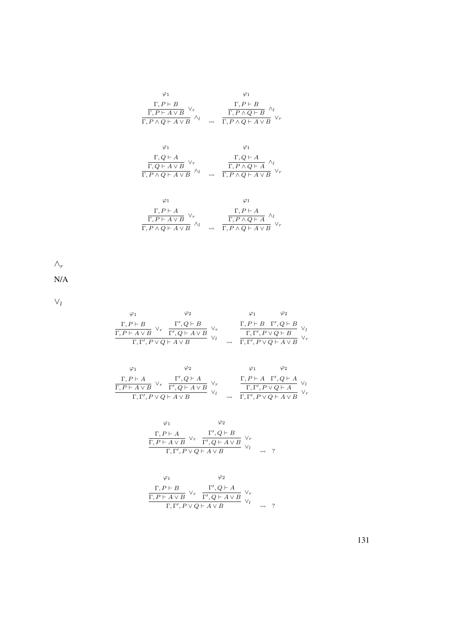| $\varphi_1$                                                                                                                   |                    | $\varphi_1$                                                                                                                                                             |
|-------------------------------------------------------------------------------------------------------------------------------|--------------------|-------------------------------------------------------------------------------------------------------------------------------------------------------------------------|
| $\frac{\Gamma,P\vdash B}{\Gamma,P\vdash A\vee B}\ \vee_{r}$<br>$\overline{\Gamma, P \wedge Q \vdash A \vee B}$ $\wedge_l$     | $\rightsquigarrow$ | $\frac{\Gamma, P \vdash B}{\Gamma, P \land Q \vdash B} \land_l \ \over \Gamma, P \land Q \vdash A \lor B} \lor_r$                                                       |
| $\varphi_1$<br>$\frac{\Gamma, Q \vdash A}{\Gamma, Q \vdash A \lor B} \lor_r \over \Gamma, P \land Q \vdash A \lor B} \land_l$ | $\rightsquigarrow$ | $\varphi_1$<br>$\frac{\Gamma, Q \vdash A}{\Gamma, P \land Q \vdash A} \, \wedge_l \, \\ \frac{\Gamma, P \land Q \vdash A}{\Gamma, P \land Q \vdash A \lor B} \, \vee_r$ |
| $\varphi_1$<br>$\frac{\Gamma, P \vdash A}{\Gamma, P \vdash A \lor P}$ $\lor_r$                                                |                    | $\varphi_1$<br>$\frac{\Gamma, P \vdash A}{\Gamma, P \land Q \vdash A}$ $\wedge_l$                                                                                       |

$$
\frac{\Gamma, P \vdash A \lor B \lor r}{\Gamma, P \land Q \vdash A \lor B \land l} \quad \rightsquigarrow \quad \frac{\Gamma, P \land Q \vdash A \lor l}{\Gamma, P \land Q \vdash A \lor B \lor r}
$$

 $\wedge_r$ 

N/A

 $\vee_l$ 

$$
\begin{array}{ccccc}\varphi_1 & \varphi_2 & \varphi_1 & \varphi_2 \\ \frac{\Gamma, P\vdash B}{\Gamma, P\vdash A\lor B} & \vee_r & \frac{\Gamma', Q\vdash B}{\Gamma', Q\vdash A\lor B} & \vee_r & \frac{\Gamma, P\vdash B\quad \Gamma', Q\vdash B}{\Gamma, \Gamma', P\lor Q\vdash B} & \vee_l \\ \frac{\Gamma, P\vdash A\lor B}{\Gamma, \Gamma', P\lor Q\vdash A\lor B} & \leadsto & \frac{\Gamma, \Gamma', P\lor Q\vdash A}{\Gamma, \Gamma', P\lor Q\vdash A\lor B} & \vee_r\end{array}
$$

| $\Gamma, P \vdash A$                                                  |                                                                  |                    |                                                                                      |  |
|-----------------------------------------------------------------------|------------------------------------------------------------------|--------------------|--------------------------------------------------------------------------------------|--|
| $\overline{\Gamma, P \vdash A \vee B}$ <sup><math>\vee</math></sup> r | $\vee_r \quad \frac{\Gamma',Q\vdash A}{\Gamma',Q\vdash A\vee B}$ |                    | $\frac{\Gamma, P\vdash A\quad \Gamma', Q\vdash A}{\Gamma, \Gamma', P\lor Q\vdash A}$ |  |
| $\Gamma, \Gamma', P \vee Q \vdash A \vee B$                           |                                                                  | $\rightsquigarrow$ | $\Gamma, \Gamma', P \vee Q \vdash A \vee B$                                          |  |

$$
\varphi_1 \qquad \varphi_2
$$
\n
$$
\frac{\Gamma, P \vdash A \qquad \qquad \Gamma', Q \vdash B \qquad \qquad \vee_r}{\Gamma, P \vdash A \lor B} \lor_r \qquad \frac{\Gamma', Q \vdash A \lor B \qquad \qquad \vee_r}{\Gamma', Q \vdash A \lor B} \lor_l
$$
\n
$$
\Gamma, \Gamma', P \lor Q \vdash A \lor B \qquad \qquad \leadsto \quad ?
$$

$$
\varphi_1 \qquad \varphi_2
$$
\n
$$
\frac{\Gamma, P \vdash B}{\Gamma, P \vdash A \lor B} \lor_r \frac{\Gamma', Q \vdash A}{\Gamma', Q \vdash A \lor B} \lor_r
$$
\n
$$
\frac{\Gamma, \Gamma', P \lor Q \vdash A \lor B}{\Gamma, \Gamma', P \lor Q \vdash A \lor B} \lor_l \qquad \rightsquigarrow \quad ?
$$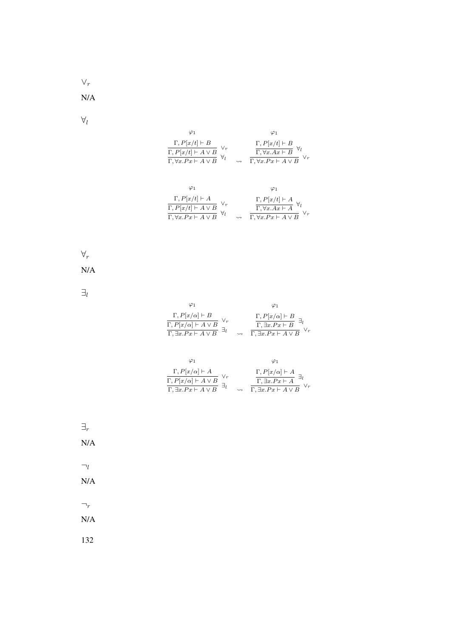$\vee_r$ 

N/A

 $\forall_l$ 

| $\varphi_1$                                                                                                                                                                       | $\varphi_1$                                                                                                                                                                 |
|-----------------------------------------------------------------------------------------------------------------------------------------------------------------------------------|-----------------------------------------------------------------------------------------------------------------------------------------------------------------------------|
| $\frac{\Gamma, P[x/t] \vdash B}{\Gamma, P[x/t] \vdash A \lor B} \ \ \forall_{r} \\\frac{\Gamma, P[x/t] \vdash A \lor B}{\Gamma, \forall x . P x \vdash A \lor B} \ \ \forall_{l}$ | $\frac{\Gamma, P[x/t] \vdash B}{\Gamma, \forall x . Ax \vdash B} \ \forall_l \label{eq:1}$ $\frac{\Gamma, \forall x . Ax \vdash B}{\Gamma, \forall x . Px \vdash A \lor B}$ |
|                                                                                                                                                                                   |                                                                                                                                                                             |
| $\varphi_1$                                                                                                                                                                       | $\varphi_1$                                                                                                                                                                 |
| $\Gamma P  _{\alpha}/1  \vdash A$                                                                                                                                                 | $\Gamma$ $D \mid_{\mathfrak{m}}$ / $\downarrow$ $\mid$ $\mid$ $\mid$ $\mid$                                                                                                 |

| $\Gamma, P[x/t] \vdash A$                                                      |                    | $\Gamma, P[x/t] \vdash A$                              |
|--------------------------------------------------------------------------------|--------------------|--------------------------------------------------------|
| $\frac{\Gamma, P[x/t] \vdash A \lor B}{\Gamma, \forall x. Px \vdash A \lor B}$ |                    | $\frac{1}{\Gamma, \forall x. Ax \vdash A}$ $\forall l$ |
|                                                                                | $\rightsquigarrow$ | $\Gamma, \forall x . P x \vdash A \vee B$              |

 $\forall_r$ 

N/A

 $\exists_l$ 

| $\Gamma, P[x/\alpha] \vdash B$            | $\Gamma, P[x/\alpha] \vdash B$            |
|-------------------------------------------|-------------------------------------------|
| $\Gamma, P[x/\alpha] \vdash A \lor B$     | $\Gamma$ , $\exists x.Px \vdash B$        |
| $\Gamma$ , $\exists x.Px \vdash A \vee B$ | $\Gamma$ , $\exists x.Px \vdash A \lor B$ |

| $\Gamma, P[x/\alpha] \vdash A$<br>$\Gamma, P[x/\alpha] \vdash A \lor B$ |                    | $\frac{\Gamma, P[x/\alpha] \vdash A}{\Gamma, \exists x. Px \vdash A}$ |
|-------------------------------------------------------------------------|--------------------|-----------------------------------------------------------------------|
| $\Gamma, \exists x . P x \vdash A \vee B$                               | $\rightsquigarrow$ | $\Gamma$ , $\exists x.Px \vdash A \lor B$                             |

 $\exists_r$ 

N/A

 $\neg_l$ 

N/A

 $\neg_r$ 

N/A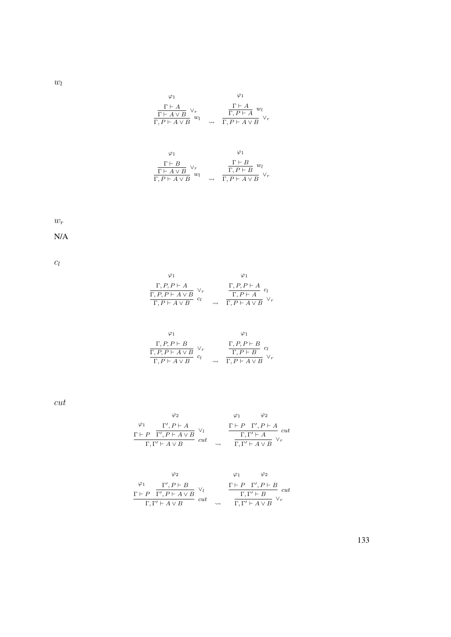$w_l$ 

$$
\varphi_1 \qquad \varphi_1
$$
\n
$$
\frac{\Gamma \vdash A}{\Gamma \vdash A \lor B} \lor_r \qquad \frac{\Gamma \vdash A}{\Gamma, P \vdash A} w_l
$$
\n
$$
\frac{\Gamma \vdash A}{\Gamma, P \vdash A \lor B} w_l \qquad \varphi \vdash \frac{\Gamma \vdash A}{\Gamma, P \vdash A \lor B} \lor_r
$$

$$
\varphi_1 \qquad \varphi_1
$$
\n
$$
\frac{\Gamma \vdash B}{\Gamma \vdash A \lor B} \lor_r \qquad \frac{\Gamma \vdash B}{\Gamma, P \vdash B} w_l
$$
\n
$$
\frac{\Gamma \vdash B}{\Gamma, P \vdash A \lor B} w_l \qquad \qquad \frac{\Gamma \vdash B}{\Gamma, P \vdash A \lor B} \lor_r
$$

 $w_r$ 

N/A

 $c_l$ 

$$
\varphi_1 \qquad \varphi_1
$$
\n
$$
\frac{\Gamma, P, P \vdash A}{\Gamma, P, P \vdash A \lor B} \lor_r \qquad \frac{\Gamma, P, P \vdash A}{\Gamma, P \vdash A} c_l
$$
\n
$$
\frac{\Gamma, P, P \vdash A}{\Gamma, P \vdash A \lor B} c_l \qquad \frac{\Gamma, P \vdash A}{\Gamma, P \vdash A \lor B} c_l
$$

$$
\varphi_1 \qquad \varphi_1
$$
\n
$$
\frac{\Gamma, P, P \vdash B}{\Gamma, P, P \vdash A \lor B} \lor_r \qquad \frac{\Gamma, P, P \vdash B}{\Gamma, P \vdash B} \quad cl
$$
\n
$$
\frac{\Gamma, P, P \vdash B}{\Gamma, P \vdash A \lor B} \lor_r
$$

cut

$$
\begin{array}{ccccc}\n\varphi_1 & \varphi_2 & & \varphi_1 & \varphi_2 \\
\frac{\Gamma\vdash P & \Gamma', P\vdash A & \vee_l}{\Gamma, \Gamma'\vdash A\lor B} & \vee_l & & \frac{\Gamma\vdash P & \Gamma', P\vdash A}{\Gamma, \Gamma'\vdash A} & cut \\
\hline\n\Gamma, \Gamma'\vdash A\lor B & & \leadsto & \overline{\Gamma, \Gamma'\vdash A\lor B} & \vee_r\n\end{array}
$$

$$
\varphi_1 \qquad \varphi_2 \qquad \varphi_1 \qquad \varphi_2
$$
\n
$$
\Gamma \vdash P \quad \Gamma', P \vdash A \lor B \qquad \vee_l \qquad \qquad \frac{\Gamma \vdash P \quad \Gamma', P \vdash B}{\Gamma, \Gamma' \vdash A \lor B} \quad cut \qquad \frac{\Gamma \vdash P \quad \Gamma', P \vdash B}{\Gamma, \Gamma' \vdash A \lor B} \quad \vee_r
$$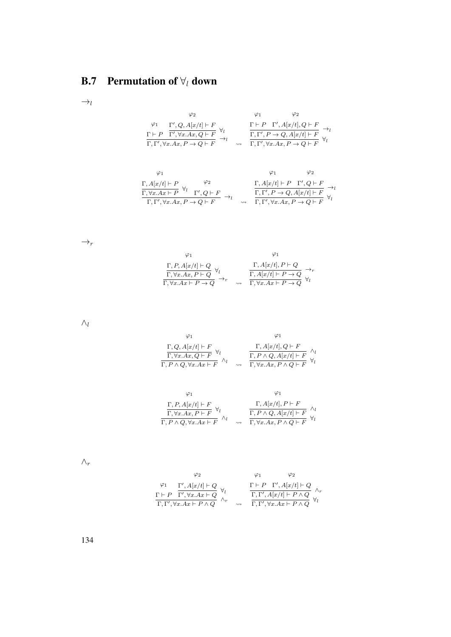## **B.7** Permutation of  $\forall$ l down

 $\rightarrow_l$ 

$$
\varphi_2 \qquad \varphi_1 \qquad \varphi_2
$$
\n
$$
\varphi_1 \qquad \varphi_2
$$
\n
$$
\frac{\Gamma \vdash P \quad \Gamma', Q, A[x/t] \vdash F}{\Gamma \vdash P \quad \Gamma', \forall x. Ax, Q \vdash F} \quad \forall_l \qquad \frac{\Gamma \vdash P \quad \Gamma', A[x/t], Q \vdash F}{\Gamma, \Gamma', P \rightarrow Q, A[x/t] \vdash F} \quad \rightarrow_l
$$
\n
$$
\frac{\Gamma \vdash P \quad \Gamma', A[x/t], Q \vdash F}{\Gamma, \Gamma', \forall x. Ax, P \rightarrow Q \vdash F} \quad \forall_l
$$

$$
\begin{array}{cc}\varphi_1 & \varphi_2 \\
\Gamma, A[x/t] \vdash P & \varphi_2 \\
\hline\n\Gamma, \forall x.Ax \vdash P & \forall_l \quad \Gamma', Q \vdash F \\
\hline\n\Gamma, \Gamma', \forall x.Ax, P \rightarrow Q \vdash F\n\end{array} \rightarrow_l \quad\n\begin{array}{cc}\n\Gamma, A[x/t] \vdash P & \Gamma', Q \vdash F \\
\Gamma, \Gamma', P \rightarrow Q, A[x/t] \vdash F \\
\hline\n\Gamma, \Gamma', \forall x.Ax, P \rightarrow Q \vdash F\n\end{array} \rightarrow_l
$$

 $\rightarrow_r$ 

$$
\varphi_1 \qquad \varphi_1
$$
\n
$$
\frac{\Gamma, P, A[x/t] \vdash Q}{\Gamma, \forall x. Ax, P \vdash Q} \forall_l
$$
\n
$$
\frac{\Gamma, A[x/t], P \vdash Q}{\Gamma, \forall x. Ax \vdash P \rightarrow Q} \rightarrow_r
$$
\n
$$
\frac{\Gamma, A[x/t], P \vdash Q}{\Gamma, \forall x. Ax \vdash P \rightarrow Q} \rightarrow_r
$$
\n
$$
\frac{\Gamma, A[x/t] \vdash P \rightarrow Q}{\Gamma, \forall x. Ax \vdash P \rightarrow Q} \forall_l
$$

 $\wedge_l$ 

$$
\varphi_1
$$
\n
$$
\frac{\Gamma, Q, A[x/t] \vdash F}{\Gamma, \forall x. Ax, Q \vdash F} \forall_l
$$
\n
$$
\frac{\Gamma, A[x/t], Q \vdash F}{\Gamma, P \land Q, \forall x. Ax \vdash F} \land_l
$$
\n
$$
\frac{\Gamma, P \land Q, A[x/t], Q \vdash F}{\Gamma, P \land Q, A[x/t] \vdash F} \land_l
$$

$$
\varphi_1 \qquad \varphi_1
$$
\n
$$
\frac{\Gamma, P, A[x/t] \vdash F}{\Gamma, \forall x. Ax, P \vdash F} \forall_l \qquad \qquad \frac{\Gamma, A[x/t], P \vdash F}{\Gamma, P \land Q, \forall x. Ax \vdash F} \land_l
$$
\n
$$
\frac{\Gamma, P \land Q, A[x/t] \vdash F}{\Gamma, P \land Q, \forall x. Ax \vdash F} \land_l
$$

 $\wedge_r$ 

$$
\varphi_2 \qquad \varphi_1 \qquad \varphi_2
$$
\n
$$
\varphi_1 \qquad \varphi_2
$$
\n
$$
\frac{\varphi_1}{\Gamma + P} \frac{\Gamma', A[x/t] \vdash Q}{\Gamma', \forall x. Ax \vdash Q} \forall_t \qquad \frac{\Gamma \vdash P \Gamma', A[x/t] \vdash Q}{\Gamma, \Gamma', A[x/t] \vdash P \land Q} \wedge_r
$$
\n
$$
\frac{\Gamma, \Gamma', A[x/t] \vdash Q}{\Gamma, \Gamma', \forall x. Ax \vdash P \land Q} \forall_t
$$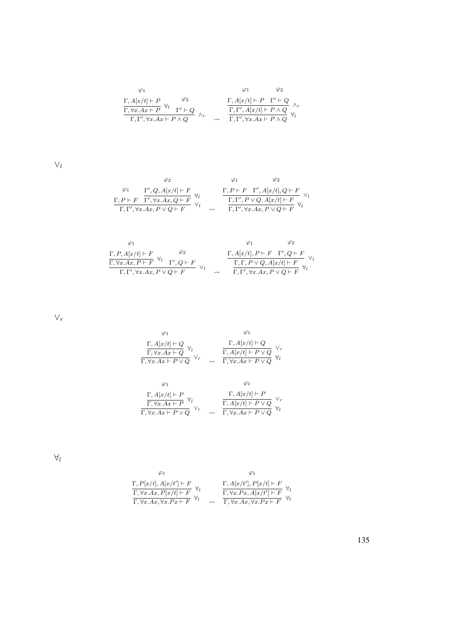$$
\begin{array}{cc}\n\varphi_1 & \varphi_2 \\
\Gamma, A[x/t] \vdash P & \varphi_2 \\
\hline\n\Gamma, \forall x.Ax \vdash P & \forall_l\n\end{array}\n\quad\n\begin{array}{cc}\n\varphi_1 & \varphi_2 \\
\Gamma, A[x/t] \vdash P & \Gamma' \vdash Q \\
\hline\n\Gamma, \Gamma', \forall x.Ax \vdash P \land Q\n\end{array}\n\quad\n\begin{array}{cc}\n\Gamma, A[x/t] \vdash P & \Gamma' \vdash Q \\
\Gamma, \Gamma', A[x/t] \vdash P \land Q & \forall_l\n\end{array}
$$

 $\vee_l$ 

$$
\begin{array}{ccccc}\varphi_2 & & \varphi_1 & & \varphi_2 \\ \varphi_1 & & \Gamma', Q, A[x/t] \vdash F & & & \Gamma, P \vdash F & \Gamma', A[x/t], Q \vdash F \\ \frac{\Gamma, P \vdash F & \Gamma', \forall x. Ax, Q \vdash F}{\Gamma, \Gamma', \forall x. Ax, P \lor Q \vdash F} & \lor_l & & \frac{\Gamma, \Gamma', P \lor Q, A[x/t] \vdash F}{\Gamma, \Gamma', \forall x. Ax, P \lor Q \vdash F} & \lor_l & & \end{array}
$$

$$
\begin{array}{cc}\varphi_1 & \varphi_2 \\ \frac{\Gamma, P, A[x/t] \vdash F}{\Gamma, \nabla x. Ax, P \vdash F} \ \forall_l & \frac{\varphi_2}{\Gamma', Q \vdash F} \\ \frac{\Gamma, \forall x. Ax, P \vdash F} {\Gamma', \forall x. Ax, P \lor Q \vdash F} \ \lor_l & \frac{\Gamma, A[x/t], P \vdash F \quad \Gamma', Q \vdash F}{\Gamma, \Gamma, P \lor Q, A[x/t] \vdash F} \ \forall_l \\ \end{array}
$$

 $\vee_r$ 

$$
\begin{array}{cc}\varphi_1 & \varphi_1 \\ \frac{\Gamma, A[x/t]\vdash Q}{\Gamma, \forall x.Ax\vdash Q} \,\, \forall_l & \frac{\Gamma, A[x/t]\vdash Q}{\Gamma, A[x/t]\vdash P\lor Q} \,\, \forall_r \\ \frac{\Gamma, \forall x.Ax\vdash P\lor Q}{\Gamma, \forall x.Ax\vdash P\lor Q} & \leadsto & \frac{\Gamma, \forall x.Ax\vdash P\lor Q}{\Gamma, \forall x.Ax\vdash P\lor Q} \,\, \forall_l\n\end{array}
$$

$$
\begin{array}{cc}\varphi_1 & \varphi_1 \\ \frac{\Gamma, A[x/t]\vdash P}{\Gamma, \forall x.Ax\vdash P} \;\forall_l & \frac{\Gamma, A[x/t]\vdash P}{\Gamma, A[x/t]\vdash P\lor Q} \;\; \vee_r \\ \frac{\Gamma, \forall x.Ax\vdash P\lor Q}{\Gamma, \forall x.Ax\vdash P\lor Q} & \leadsto & \frac{\Gamma, A[x/t]\vdash P\lor Q}{\Gamma, \forall x.Ax\vdash P\lor Q} \;\; \forall_l \end{array}
$$

 $\forall_l$ 

$$
\varphi_1
$$
\n
$$
\frac{\Gamma, P[x/t], A[x/t'] \vdash F}{\Gamma, \forall x.Ax, P[x/t] \vdash F} \forall_t \qquad \frac{\Gamma, A[x/t'], P[x/t] \vdash F}{\Gamma, \forall x.Ax, \forall x.Px \vdash F} \forall_t
$$
\n
$$
\frac{\Gamma, \forall x.Ax, \forall x.Ax, \forall x.Px \vdash F}{\Gamma, \forall x.Ax, \forall x.Px \vdash F} \forall_t
$$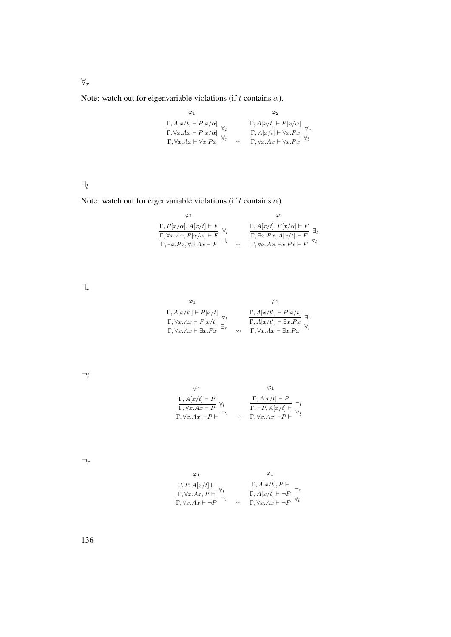Note: watch out for eigenvariable violations (if t contains  $\alpha$ ).

ϕ<sup>1</sup> Γ, A[x/t] ` P[x/α] Γ, ∀x.Ax ` P[x/α] ∀l <sup>Γ</sup>, <sup>∀</sup>x.Ax ` ∀x.P x <sup>∀</sup><sup>r</sup> ϕ<sup>2</sup> Γ, A[x/t] ` P[x/α] Γ, A[x/t] ` ∀x.P x ∀r Γ, ∀x.Ax ` ∀x.P x ∀l

 $\exists_l$ 

Note: watch out for eigenvariable violations (if t contains  $\alpha)$ 

$$
\varphi_1 \qquad \varphi_1
$$
\n
$$
\frac{\Gamma, P[x/\alpha], A[x/t] \vdash F}{\Gamma, \forall x. Ax, P[x/\alpha] \vdash F} \qquad \frac{\Gamma, A[x/t], P[x/\alpha] \vdash F}{\Gamma, \exists x. Px, A[x/t] \vdash F} \exists_l
$$
\n
$$
\frac{\Gamma, \exists x. Px, \forall x. Ax \vdash F}{\Gamma, \exists x. Px, \forall x. Ax \vdash F} \exists_l \qquad \varphi \qquad \frac{\Gamma, \forall x. Ax, \exists x. Px \vdash F}{\Gamma, \forall x. Ax, \exists x. Px \vdash F} \forall_l
$$

 $\exists_r$ 

$$
\varphi_1 \qquad \varphi_1
$$
\n
$$
\frac{\Gamma, A[x/t'] \vdash P[x/t]}{\Gamma, \forall x. Ax \vdash P[x/t]} \forall_t \qquad \frac{\Gamma, A[x/t'] \vdash P[x/t]}{\Gamma, A[x/t'] \vdash \exists x. Px} \exists_r
$$
\n
$$
\frac{\Gamma, A[x/t'] \vdash P[x/t]}{\Gamma, \forall x. Ax \vdash \exists x. Px} \forall_t
$$

 $\neg_l$ 

$$
\varphi_1 \qquad \varphi_1
$$
\n
$$
\frac{\Gamma, A[x/t] \vdash P}{\Gamma, \forall x.Ax \vdash P} \forall_l \qquad \frac{\Gamma, A[x/t] \vdash P}{\Gamma, \neg P, A[x/t] \vdash} \neg_l
$$
\n
$$
\frac{\Gamma, \neg P, A[x/t] \vdash P}{\Gamma, \forall x.Ax, \neg P \vdash} \neg_l
$$

 $\neg_r$ 

$$
\varphi_1 \qquad \varphi_1
$$
\n
$$
\frac{\Gamma, P, A[x/t] \vdash}{\Gamma, \forall x. Ax, P \vdash} \forall_l \qquad \frac{\Gamma, A[x/t], P \vdash}{\Gamma, A[x/t] \vdash \neg P} \neg_r \neg_r \qquad \varphi_l
$$
\n
$$
\frac{\Gamma, A[x/t] \vdash \neg P}{\Gamma, \forall x. Ax \vdash \neg P} \forall_l
$$

∀r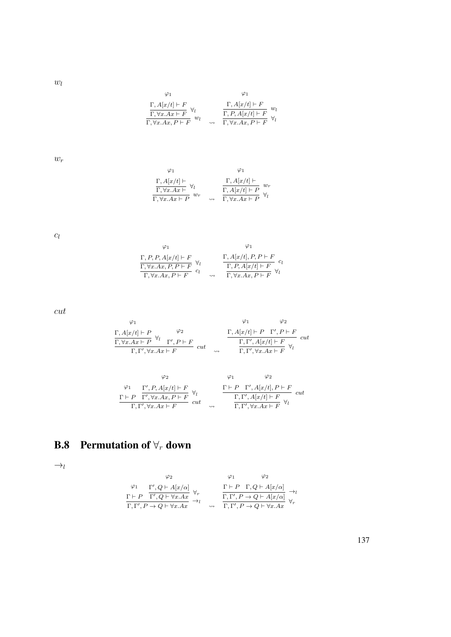$w_l$ 

$$
\varphi_1 \qquad \varphi_1
$$
\n
$$
\frac{\Gamma, A[x/t] \vdash F}{\Gamma, \forall x.Ax \vdash F} \forall_l \qquad \frac{\Gamma, A[x/t] \vdash F}{\Gamma, P, A[x/t] \vdash F} w_l
$$
\n
$$
\frac{\Gamma, P, A[x/t] \vdash F}{\Gamma, \forall x.Ax, P \vdash F} \forall_l
$$

 $w_r$ 

$$
\varphi_1 \qquad \varphi_1
$$
\n
$$
\frac{\Gamma, A[x/t] \vdash}{\Gamma, \forall x. Ax \vdash P} \forall_l \qquad \qquad \frac{\Gamma, A[x/t] \vdash}{\Gamma, A[x/t] \vdash P} w_r
$$
\n
$$
\frac{\Gamma, A[x/t] \vdash P}{\Gamma, \forall x. Ax \vdash P} w_r \qquad \varphi \vdash \frac{\Gamma, A[x/t] \vdash P}{\Gamma, \forall x. Ax \vdash P} w_l
$$

 $c_l$ 

$$
\varphi_1 \qquad \varphi_1
$$
\n
$$
\frac{\Gamma, P, P, A[x/t] \vdash F}{\Gamma, \forall x. Ax, P, P \vdash F} \qquad \varphi_l \qquad \frac{\Gamma, A[x/t], P, P \vdash F}{\Gamma, P, A[x/t] \vdash F} \qquad c_l
$$
\n
$$
\frac{\Gamma, P, A[x/t] \vdash F}{\Gamma, \forall x. Ax, P \vdash F} \qquad \forall l
$$

cut

$$
\begin{array}{cc}\n\varphi_1 & \varphi_2 \\
\Gamma, A[x/t] \vdash P & \forall_l \\
\hline\n\Gamma, \forall x. Ax \vdash P & \nabla', P \vdash F \\
\Gamma, \Gamma', \forall x. Ax \vdash F\n\end{array} cut \quad \begin{array}{cc}\n\varphi_1 & \varphi_2 \\
\Gamma, A[x/t] \vdash P & \Gamma', P \vdash F \\
\hline\n\Gamma, \Gamma', A[x/t] \vdash F & \nabla_l \\
\hline\n\Gamma, \Gamma', \forall x. Ax \vdash F\n\end{array} cut \quad \begin{array}{cc}\n\varphi_1 & \varphi_2 \\
\Gamma, A[x/t] \vdash P & \Gamma', P \vdash F \\
\hline\n\Gamma, \Gamma', \forall x. Ax \vdash F\n\end{array} cut \quad \begin{array}{cc}\n\varphi_2 & \varphi_3 \\
\hline\n\Gamma, \Gamma', A[x/t] \vdash P & \nabla', P \vdash F \\
\hline\n\Gamma, \Gamma', \forall x. Ax \vdash F\n\end{array} cut \quad \begin{array}{cc}\n\Gamma, A[x/t] \vdash P & \nabla', A[x/t] \vdash F \\
\hline\n\Gamma, \Gamma', \nabla', A[x/t] \vdash F \\
\hline\n\Gamma, \Gamma', \nabla', \nabla', A[x] \vdash F\n\end{array} cut \quad \begin{array}{cc}\n\Gamma, A[x/t] \vdash P & \nabla', A[x/t] \vdash F \\
\hline\n\Gamma, \Gamma', \nabla', A[x/t] \vdash F \\
\hline\n\Gamma, \Gamma', \nabla', A[x] \vdash F\n\end{array} cut \quad \begin{array}{cc}\n\Gamma, A[x/t] \vdash P & \nabla', A[x/t] \vdash F \\
\hline\n\Gamma, \Gamma', \nabla', A[x/t] \vdash F \\
\hline\n\Gamma, \Gamma', \nabla', A[x/t] \vdash F \\
\hline\n\Gamma, \Gamma', \nabla', A[x/t] \vdash F\n\end{array} cut \quad \begin{array}{cc}\n\Gamma, A[x/t] \vdash P & \nabla', A[x/t] \vdash F \\
\hline\n\Gamma, \Gamma', \nabla', A[x/t] \vdash F \\
\hline\n\Gamma, \Gamma', \nabla', \nabla', A[x/t] \vdash F \\
\hline\n\end{array} cut \quad \begin{array}{cc}\n\Gamma, A[x/t] \vdash P & \nabla', A[x/t] \vdash F \\
\
$$

$$
\varphi_2 \qquad \varphi_1 \qquad \varphi_2
$$
\n
$$
\varphi_1 \qquad \varphi_2
$$
\n
$$
\varphi_1 \qquad \varphi_2
$$
\n
$$
\varphi_1 \qquad \varphi_2
$$
\n
$$
\varphi_1 \qquad \varphi_2
$$
\n
$$
\Gamma, P', \forall P, A[x/t] \vdash F \quad \forall t
$$
\n
$$
\Gamma, \Gamma', \forall x. Ax \vdash F \qquad cut \qquad \varphi_1 \qquad \qquad \frac{\Gamma \vdash P \quad \Gamma', A[x/t], P \vdash F}{\Gamma, \Gamma', \forall x. Ax \vdash F} \quad \varphi_1
$$

## **B.8** Permutation of  $\forall_r$  down

 $\rightarrow_l$ 

$$
\begin{array}{ccccc}\varphi_2 & & \varphi_1 & & \varphi_2 \\ & & \varphi_1 & & \varphi_2 \\ \Gamma \vdash P & \Gamma', Q \vdash A[x/\alpha] & \forall_r & & \Gamma \vdash P & \Gamma, Q \vdash A[x/\alpha] \\ \Gamma, \Gamma', P \rightarrow Q \vdash \forall x.Ax & \rightarrow_l & & \Gamma, \Gamma', P \rightarrow Q \vdash A[x/\alpha] & \forall_r \\ \Gamma, \Gamma', P \rightarrow Q \vdash \forall x.Ax & & & \varphi_1 & \Gamma, \Gamma', P \rightarrow Q \vdash \forall x.Ax\end{array}
$$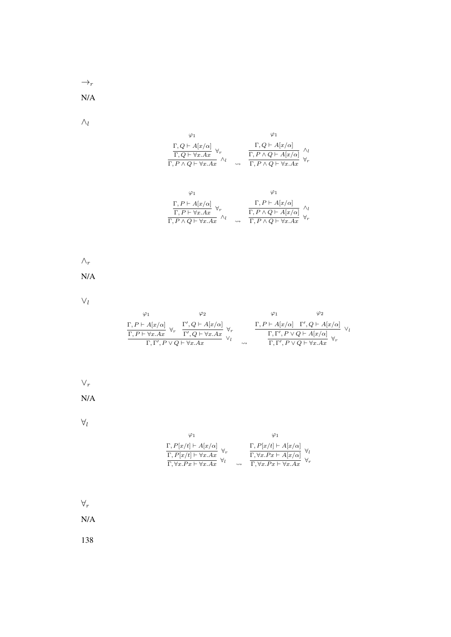$\rightarrow_r$ 

N/A

 $\wedge_l$ 

| $\frac{\Gamma, Q \vdash A[x/\alpha]}{\Gamma, Q \vdash \forall x. Ax} \; \forall_r \\ \frac{\Gamma, Q \vdash \forall x. Ax}{\Gamma, P \land Q \vdash \forall x. Ax} \; ,$ | $\frac{\Gamma, Q \vdash A[x/\alpha]}{\Gamma, P \land Q \vdash A[x/\alpha]}$ $\frac{}{\Gamma, P \land Q \vdash \forall x. Ax}$ |  |
|--------------------------------------------------------------------------------------------------------------------------------------------------------------------------|-------------------------------------------------------------------------------------------------------------------------------|--|

$$
\begin{array}{cc}\varphi_1 & \varphi_1\\ \frac{\Gamma, P \vdash A[x/\alpha]}{\Gamma, P \vdash \forall x.Ax} \,\,\forall_r & \frac{\Gamma, P \vdash A[x/\alpha]}{\Gamma, P \land Q \vdash A[x/\alpha]} \,\,\, \wedge_l\\ \frac{\Gamma, P \land Q \vdash \forall x.Ax}{\Gamma, P \land Q \vdash \forall x.Ax} \,\,\wedge_l & \leadsto & \frac{\Gamma, P \land Q \vdash A[x/\alpha]}{\Gamma, P \land Q \vdash \forall x.Ax} \,\,\,\forall_r\n\end{array}
$$

 $\wedge_r$ 

N/A

 $\vee_l$ 

|                                                                                  | φ2                                                                      |        | φ2                                                                                                                                                                                                                                                     |  |
|----------------------------------------------------------------------------------|-------------------------------------------------------------------------|--------|--------------------------------------------------------------------------------------------------------------------------------------------------------------------------------------------------------------------------------------------------------|--|
| $\frac{\Gamma, P \vdash A[x/\alpha]}{\Gamma, P \vdash \forall x. Ax} \ \forall,$ | $\frac{\Gamma', Q \vdash A[x/\alpha]}{\Gamma', Q \vdash \forall x. Ax}$ |        | $\frac{\Gamma, P\vdash A[x/\alpha]\quad \Gamma', Q\vdash A[x/\alpha]}{\Gamma, \Gamma', P\lor Q\vdash A[x/\alpha]\quad \  \  }\\ \frac{\Gamma, \Gamma', P\lor Q\vdash A[x/\alpha]}{\Gamma, \Gamma', P\lor Q\vdash \forall x. Ax} \quad \  \  \forall_r$ |  |
| $\Gamma, \Gamma', P \vee Q \vdash \forall x. Ax$                                 |                                                                         | $\sim$ |                                                                                                                                                                                                                                                        |  |

 $\vee_r$ 

N/A

 $\forall_l$ 

| φ1                                                                                                                                                                                                      |  |                                                                                                                                                                                                                             |
|---------------------------------------------------------------------------------------------------------------------------------------------------------------------------------------------------------|--|-----------------------------------------------------------------------------------------------------------------------------------------------------------------------------------------------------------------------------|
| $\frac{\Gamma, P[x/t] \vdash A[x/\alpha]}{\Gamma, P[x/t] \vdash \forall x. Ax} \,\, \forall_r \\ \frac{\Gamma, P[x/t] \vdash \forall x. Ax}{\Gamma, \forall x. Px \vdash \forall x. Ax} \,\, \forall_l$ |  | $\frac{\Gamma, P[x/t] \vdash A[x/\alpha]}{\Gamma, \forall x . P x \vdash A[x/\alpha]} \  \, \forall_l \\ \frac{\Gamma, \forall x . P x \vdash A[x/\alpha]}{\Gamma, \forall x . P x \vdash \forall x . A x} \  \, \forall_r$ |

 $\forall_r$ 

N/A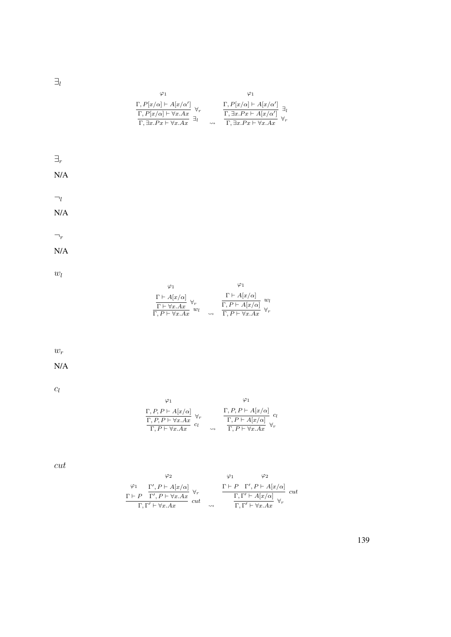$\exists_l$ 

|                    | $\varphi_1$ | $\varphi_1$                                                                                                                                                                                                                                                                                                                                                                                                                 |
|--------------------|-------------|-----------------------------------------------------------------------------------------------------------------------------------------------------------------------------------------------------------------------------------------------------------------------------------------------------------------------------------------------------------------------------------------------------------------------------|
|                    |             |                                                                                                                                                                                                                                                                                                                                                                                                                             |
|                    |             | $\begin{array}{ll} \frac{\Gamma, P[x/\alpha] \vdash A[x/\alpha']}{\Gamma, P[x/\alpha] \vdash \forall x.Ax} \ \forall_r & \qquad \frac{\Gamma, P[x/\alpha] \vdash A[x/\alpha']}{\Gamma, \exists x.Px \vdash A[x/\alpha']}\ \exists_l \\ \frac{\Gamma, \exists x.Px \vdash A[x/\alpha']}{\Gamma, \exists x.Px \vdash \forall x.Ax} \ \forall_r \end{array}$                                                                   |
|                    |             |                                                                                                                                                                                                                                                                                                                                                                                                                             |
|                    |             |                                                                                                                                                                                                                                                                                                                                                                                                                             |
|                    |             |                                                                                                                                                                                                                                                                                                                                                                                                                             |
| $\exists_r$        |             |                                                                                                                                                                                                                                                                                                                                                                                                                             |
| N/A                |             |                                                                                                                                                                                                                                                                                                                                                                                                                             |
|                    |             |                                                                                                                                                                                                                                                                                                                                                                                                                             |
| $\neg_l$           |             |                                                                                                                                                                                                                                                                                                                                                                                                                             |
|                    |             |                                                                                                                                                                                                                                                                                                                                                                                                                             |
| N/A                |             |                                                                                                                                                                                                                                                                                                                                                                                                                             |
|                    |             |                                                                                                                                                                                                                                                                                                                                                                                                                             |
| $\neg_r$           |             |                                                                                                                                                                                                                                                                                                                                                                                                                             |
| N/A                |             |                                                                                                                                                                                                                                                                                                                                                                                                                             |
|                    |             |                                                                                                                                                                                                                                                                                                                                                                                                                             |
| $w_l$              |             |                                                                                                                                                                                                                                                                                                                                                                                                                             |
|                    | $\varphi_1$ | $\varphi_1$                                                                                                                                                                                                                                                                                                                                                                                                                 |
|                    |             |                                                                                                                                                                                                                                                                                                                                                                                                                             |
|                    |             | $\frac{\Gamma \vdash A[x/\alpha]}{\Gamma \vdash \forall x.Ax} \forall_r \qquad \qquad \frac{\Gamma \vdash A[x/\alpha]}{\Gamma, P \vdash A[x/\alpha]} \quad w_l \qquad \qquad \frac{\Gamma \vdash A[x/\alpha]}{\Gamma, P \vdash A[x/\alpha]} \quad \forall_r \qquad \qquad \frac{\Gamma \vdash A[x/\alpha]}{\Gamma, P \vdash \forall x.Ax}$                                                                                  |
|                    |             |                                                                                                                                                                                                                                                                                                                                                                                                                             |
|                    |             |                                                                                                                                                                                                                                                                                                                                                                                                                             |
|                    |             |                                                                                                                                                                                                                                                                                                                                                                                                                             |
| $\boldsymbol{w_r}$ |             |                                                                                                                                                                                                                                                                                                                                                                                                                             |
| N/A                |             |                                                                                                                                                                                                                                                                                                                                                                                                                             |
|                    |             |                                                                                                                                                                                                                                                                                                                                                                                                                             |
|                    |             |                                                                                                                                                                                                                                                                                                                                                                                                                             |
| $c_l$              |             | $\varphi_1$                                                                                                                                                                                                                                                                                                                                                                                                                 |
|                    | $\varphi_1$ |                                                                                                                                                                                                                                                                                                                                                                                                                             |
|                    |             | $\frac{\Gamma, P, P \vdash A[x/\alpha]}{\Gamma, P, P \vdash \forall x. Ax} \underset{c_l}{\forall_r} \qquad \qquad \frac{\Gamma, P, P \vdash A[x/\alpha]}{\Gamma, P \vdash A[x/\alpha]} \underset{c_l}{\leftarrow} \frac{c_l}{\Gamma, P \vdash A[x/\alpha]} \qquad \qquad \forall_r$                                                                                                                                        |
|                    |             |                                                                                                                                                                                                                                                                                                                                                                                                                             |
|                    |             |                                                                                                                                                                                                                                                                                                                                                                                                                             |
|                    |             |                                                                                                                                                                                                                                                                                                                                                                                                                             |
| cut                |             |                                                                                                                                                                                                                                                                                                                                                                                                                             |
|                    | $\varphi_2$ | $\varphi_1$<br>$\varphi_2$                                                                                                                                                                                                                                                                                                                                                                                                  |
|                    |             |                                                                                                                                                                                                                                                                                                                                                                                                                             |
|                    |             | $\begin{array}{ccccc} \varphi_1 & \Gamma', P \vdash A[x/\alpha] \\ \Gamma \vdash P & \overline{\Gamma'}, P \vdash \forall x.Ax & \\ & \Gamma, \Gamma' \vdash \forall x.Ax & cut & \\ \end{array} \quad \begin{array}{ccccc} & \Gamma \vdash P & \Gamma', P \vdash A[x/\alpha] \\ & & \Gamma, \Gamma' \vdash A[x/\alpha] \\ \hline & & \Gamma, \Gamma' \vdash \forall x.Ax & \forall_r \end{array} \quad cut \label{eq:2.1}$ |
|                    |             |                                                                                                                                                                                                                                                                                                                                                                                                                             |
|                    |             |                                                                                                                                                                                                                                                                                                                                                                                                                             |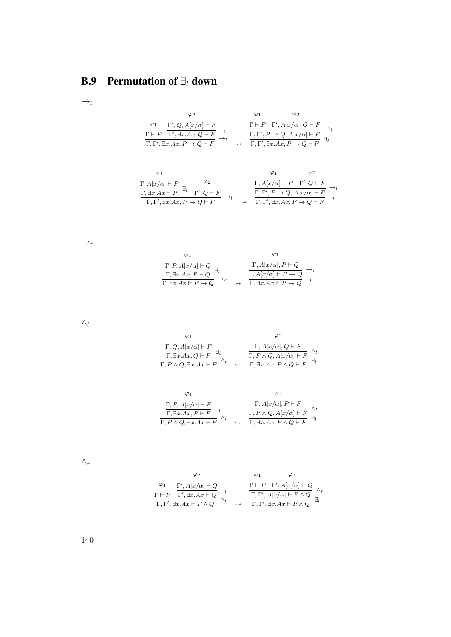## B.9 Permutation of  $\exists_i$  down

 $\rightarrow_l$ 

$$
\varphi_2 \qquad \varphi_1 \qquad \varphi_2
$$
\n
$$
\frac{\varphi_1}{\Gamma + P} \frac{\Gamma', Q, A[x/\alpha] \vdash F}{\Gamma', \exists x. Ax, Q \vdash F} \exists_l \qquad \frac{\Gamma \vdash P \Gamma', A[x/\alpha], Q \vdash F}{\Gamma, \Gamma', P \rightarrow Q, A[x/\alpha] \vdash F} \rightarrow_l
$$
\n
$$
\frac{\Gamma \vdash P \Gamma', A[x/\alpha], Q \vdash F}{\Gamma, \Gamma', \exists x. Ax, P \rightarrow Q \vdash F} \exists_l
$$

$$
\begin{array}{cc}\n\varphi_1 & \varphi_2 \\
\Gamma, A[x/\alpha] \vdash P \\
\hline\n\Gamma, \exists x.Ax \vdash P\n\end{array} \xrightarrow[\Gamma']{} Q \vdash F\n\end{array} \rightarrow_l \quad \begin{array}{cc}\n\varphi_1 & \varphi_2 \\
\Gamma, A[x/\alpha] \vdash P & \Gamma', Q \vdash F \\
\hline\n\Gamma, \Gamma', P \rightarrow Q, A[x/\alpha] \vdash F\n\end{array} \rightarrow_l \quad \begin{array}{cc}\n\Gamma, A[x/\alpha] \vdash P & \Gamma', Q \vdash F \\
\hline\n\Gamma, \Gamma', P \rightarrow Q, A[x/\alpha] \vdash F\n\end{array} \xrightarrow[\Gamma]{} d \upharpoonright
$$

 $\rightarrow_r$ 

$$
\varphi_1 \qquad \varphi_1
$$
\n
$$
\frac{\Gamma, P, A[x/\alpha] \vdash Q}{\Gamma, \exists x. Ax, P \vdash Q} \exists_l \qquad \qquad \frac{\Gamma, A[x/\alpha], P \vdash Q}{\Gamma, A[x/\alpha] \vdash P \to Q} \rightarrow_r
$$
\n
$$
\frac{\Gamma, A[x/\alpha], P \vdash Q}{\Gamma, \exists x. Ax \vdash P \to Q} \exists_l
$$

 $\wedge_l$ 

$$
\varphi_1 \qquad \varphi_1
$$
\n
$$
\frac{\Gamma, Q, A[x/\alpha] \vdash F}{\Gamma, \exists x. Ax, Q \vdash F} \exists_l \qquad \qquad \frac{\Gamma, A[x/\alpha], Q \vdash F}{\Gamma, P \land Q, A[x/\alpha] \vdash F} \land_l
$$
\n
$$
\frac{\Gamma, P \land Q, A[x/\alpha] \vdash F}{\Gamma, \exists x. Ax, P \land Q \vdash F} \exists_l
$$

$$
\varphi_1 \qquad \varphi_1
$$
\n
$$
\frac{\Gamma, P, A[x/\alpha] \vdash F}{\Gamma, \exists x.Ax, P \vdash F} \exists_l \qquad \qquad \frac{\Gamma, A[x/\alpha], P \vdash F}{\Gamma, P \land Q, \exists x.Ax \vdash F} \land_l
$$
\n
$$
\frac{\Gamma, P \land Q, A[x/\alpha] \vdash F}{\Gamma, P \land Q, \exists x.Ax \vdash F} \exists_l
$$

 $\wedge_r$ 

$$
\varphi_2 \qquad \varphi_1 \qquad \varphi_2
$$
\n
$$
\varphi_1 \qquad \varphi_2
$$
\n
$$
\varphi_1 \qquad \varphi_2
$$
\n
$$
\varphi_1 \qquad \varphi_2
$$
\n
$$
\varphi_1 \qquad \varphi_2
$$
\n
$$
\varphi_2 \qquad \varphi_2
$$
\n
$$
\varphi_1 \qquad \varphi_2
$$
\n
$$
\varphi_1 \qquad \varphi_2
$$
\n
$$
\varphi_1 \qquad \varphi_2
$$
\n
$$
\varphi_1 \qquad \varphi_2
$$
\n
$$
\varphi_1 \qquad \varphi_2 \qquad \varphi_1 \qquad \varphi_2 \qquad \varphi_1 \qquad \varphi_2 \qquad \varphi_1 \qquad \varphi_1 \qquad \varphi_2 \qquad \varphi_1 \qquad \varphi_1 \qquad \varphi_2 \qquad \varphi_1 \qquad \varphi_1 \qquad \varphi_2 \qquad \varphi_1 \qquad \varphi_1 \qquad \varphi_2 \qquad \varphi_1 \qquad \varphi_1 \qquad \varphi_2 \qquad \varphi_1 \qquad \varphi_2 \qquad \varphi_1 \qquad \varphi_1 \qquad \varphi_2 \qquad \varphi_1 \qquad \varphi_1 \qquad \varphi_2 \qquad \varphi_2 \qquad \varphi_1 \qquad \varphi_2 \qquad \varphi_1 \qquad \varphi_2 \qquad \varphi_1 \qquad \varphi_2 \qquad \varphi_2 \qquad \varphi_1 \qquad \varphi_2 \qquad \varphi_1 \qquad \varphi_2 \qquad \varphi_2 \qquad \varphi_1 \qquad \varphi_2 \qquad \varphi_2 \qquad \varphi_1 \qquad \varphi_2 \qquad \varphi_2 \qquad \varphi_1 \qquad \varphi_2 \qquad \varphi_2 \qquad \varphi_2 \qquad \varphi_1 \qquad \varphi_2 \qquad \varphi_2 \qquad \varphi_2 \qquad \varphi_1 \qquad \varphi_2 \qquad \varphi_2 \qquad \varphi_2 \qquad \varphi_2 \qquad \varphi_2 \qquad \varphi_2 \qquad \varphi_2 \qquad \varphi_2 \qquad \varphi_2 \qquad \varphi_
$$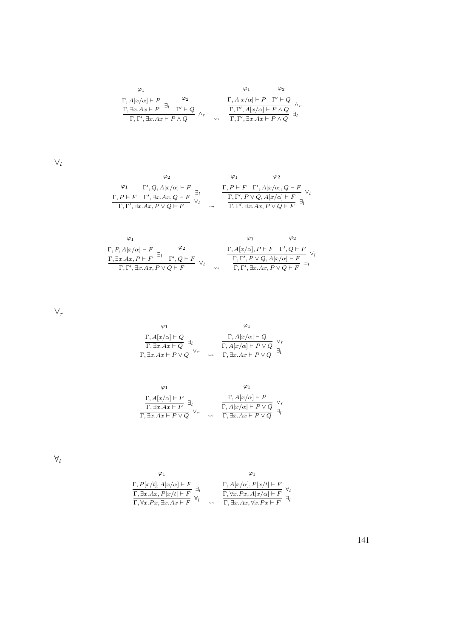$$
\begin{array}{cc}\varphi_1 & \varphi_2 \\ \frac{\Gamma, A[x/\alpha] \vdash P}{\Gamma, \exists x. Ax \vdash P} \exists_l & \Gamma' \vdash Q \\ \frac{\Gamma, \exists x. Ax \vdash P}{\Gamma, \Gamma', \exists x. Ax \vdash P \land Q} & \wedge_r & \frac{\Gamma, \Gamma', A[x/\alpha] \vdash P \quad \Gamma' \vdash Q}{\Gamma, \Gamma', \exists x. Ax \vdash P \land Q} \exists_l\nonumber \end{array}
$$

 $\vee_l$ 

$$
\varphi_2 \qquad \varphi_1 \qquad \varphi_2
$$
\n
$$
\frac{\varphi_1}{\Gamma, P \vdash F} \frac{\Gamma', Q, A[x/\alpha] \vdash F}{\Gamma', \exists x. Ax, Q \vdash F} \exists_l \qquad \frac{\Gamma, P \vdash F \quad \Gamma', A[x/\alpha], Q \vdash F}{\Gamma, \Gamma', \exists x. Ax, P \lor Q \vdash F} \vee_l
$$
\n
$$
\frac{\Gamma, P \vdash F \quad \Gamma', A[x/\alpha], Q \vdash F}{\Gamma, \Gamma', \exists x. Ax, P \lor Q \vdash F} \exists_l
$$

$$
\begin{array}{cc}\n\varphi_1 & \varphi_2 \\
\Gamma, P, A[x/\alpha] \vdash F \\
\hline\n\Gamma, \exists x. Ax, P \vdash F\n\end{array} \begin{array}{c}\n\varphi_2 \\
\hline\n\varphi_2 \\
\hline\n\Gamma, A[x/\alpha], P \vdash F\n\end{array} \begin{array}{c}\n\varphi_1 \\
\hline\n\Gamma, A[x/\alpha], P \vdash F\n\end{array} \begin{array}{c}\n\varphi_2 \\
\hline\n\Gamma, \Gamma', P \lor Q, A[x/\alpha] \vdash F\n\end{array} \begin{array}{c}\n\lor \varphi_3 \\
\hline\n\Gamma, \Gamma', P \lor Q, A[x/\alpha] \vdash F\n\end{array} \begin{array}{c}\n\lor \varphi_4 \\
\hline\n\Gamma, \Gamma', P \lor Q, A[x/\alpha] \vdash F\n\end{array}
$$

 $\vee_r$ 

$$
\begin{array}{cc}\varphi_1 & \varphi_1 \\ \frac{\Gamma, A[x/\alpha]\vdash Q}{\Gamma, \exists x. Ax\vdash Q}\exists_l & \frac{\Gamma, A[x/\alpha]\vdash Q}{\Gamma, A[x/\alpha]\vdash P\lor Q}\vee_r \\ \frac{\Gamma, \exists x. Ax\vdash P\lor Q}{\Gamma, \exists x. Ax\vdash P\lor Q}\exists_l\end{array}
$$

$$
\varphi_1 \qquad \varphi_1
$$
\n
$$
\frac{\Gamma, A[x/\alpha] \vdash P}{\Gamma, \exists x. Ax \vdash P} \exists_l \qquad \qquad \frac{\Gamma, A[x/\alpha] \vdash P}{\Gamma, A[x/\alpha] \vdash P \lor Q} \vee_r
$$
\n
$$
\frac{\Gamma, A[x/\alpha] \vdash P}{\Gamma, \exists x. Ax \vdash P \lor Q} \exists_l
$$

 $\forall_l$ 

$$
\varphi_1 \qquad \varphi_1
$$
\n
$$
\frac{\Gamma, P[x/t], A[x/\alpha] \vdash F}{\Gamma, \exists x.Ax, P[x/t] \vdash F} \exists_l \qquad \frac{\Gamma, A[x/\alpha], P[x/t] \vdash F}{\Gamma, \forall x.Px, A[x/\alpha] \vdash F} \forall_l
$$
\n
$$
\frac{\Gamma, \forall x.Px, A[x/\alpha] \vdash F}{\Gamma, \forall x.Ax \vdash F} \exists_l
$$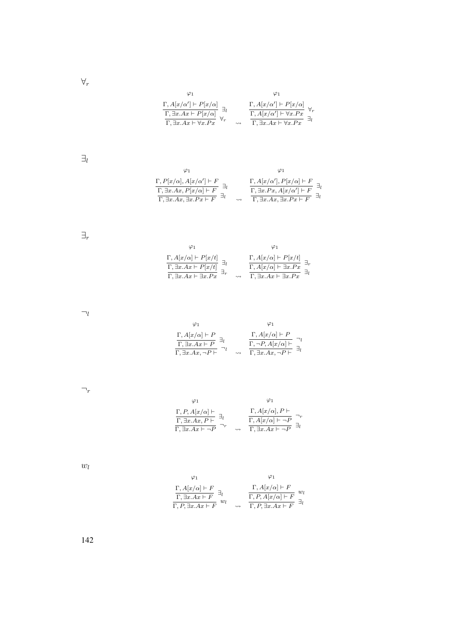$\forall_r$ 

$$
\begin{array}{cc}\varphi_1 & \varphi_1 \\ \Gamma, A[x/\alpha'] \vdash P[x/\alpha] \\ \hline \Gamma, \exists x.Ax \vdash P[x/\alpha] \\ \overline{\Gamma}, \exists x.Ax \vdash \forall x.Px \end{array} \xrightarrow[\text{ } \overline{\Gamma}, A[x/\alpha'] \vdash P[x/\alpha] \\ \forall r \\ \overline{\Gamma}, \exists x.Ax \vdash \forall x.Px \end{array} \xrightarrow[\text{ } \overline{\Gamma}, \exists x.Ax \vdash \forall x.Px \end{array} \xrightarrow[\text{ } \overline{\Gamma}, \exists x.Ax \vdash \forall x.Px \end{array}
$$

 $\exists_l$ 

$$
\varphi_1
$$
\n
$$
\frac{\Gamma, P[x/\alpha], A[x/\alpha'] \vdash F}{\Gamma, \exists x. Ax, P[x/\alpha] \vdash F} \exists_l
$$
\n
$$
\frac{\Gamma, A[x/\alpha'], P[x/\alpha] \vdash F}{\Gamma, \exists x. Ax, \exists x. Px \vdash F} \exists_l
$$
\n
$$
\sim \frac{\Gamma, \exists x. Ax, A[x/\alpha'] \vdash F}{\Gamma, \exists x. Ax, \exists x. Px \vdash F} \exists_l
$$

 $\exists_r$ 

| $\frac{\Gamma, A[x/\alpha]\vdash P[x/t]}{\Gamma, \exists x. Ax \vdash P[x/t]}$ $\frac{\Gamma, \exists x. Ax \vdash P[x/t]}{\Gamma, \exists x. Ax \vdash \exists x. Px}$ | $\frac{\Gamma, A[x/\alpha]\vdash P[x/t]}{\Gamma, A[x/\alpha]\vdash \exists x.Px}$ $\frac{\Gamma, \exists x.Ax\vdash \exists x.Px}$ |
|-------------------------------------------------------------------------------------------------------------------------------------------------------------------------|------------------------------------------------------------------------------------------------------------------------------------|

 $\neg_l$ 

| $\Gamma, A[x/\alpha] \vdash P$<br>$\overline{\Gamma, \exists x. Ax \vdash P}$<br>$\Gamma$ , $\exists x.Ax, \neg P \vdash$ | $\Gamma, A[x/\alpha] \vdash P$<br>$\overline{\Gamma,-}P,A[x/\alpha]\vdash$<br>$\Gamma$ , $\exists x. Ax, \neg P \vdash$ |
|---------------------------------------------------------------------------------------------------------------------------|-------------------------------------------------------------------------------------------------------------------------|

 $\neg_r$ 

$$
\varphi_1 \qquad \varphi_1
$$
\n
$$
\frac{\Gamma, P, A[x/\alpha] \vdash}{\Gamma, \exists x.Ax, P \vdash} \exists_l \qquad \frac{\Gamma, A[x/\alpha], P \vdash}{\Gamma, A[x/\alpha] \vdash \neg P} \neg_r
$$
\n
$$
\frac{\Gamma, A[x/\alpha] \vdash \neg P}{\Gamma, \exists x.Ax \vdash \neg P} \exists_l
$$

 $w_l$ 

$$
\varphi_1 \qquad \varphi_1
$$
\n
$$
\frac{\Gamma, A[x/\alpha] \vdash F}{\Gamma, \exists x.Ax \vdash F} \exists_l \qquad \frac{\Gamma, A[x/\alpha] \vdash F}{\Gamma, P, A[x/\alpha] \vdash F} w_l
$$
\n
$$
\frac{\Gamma, P, A[x/\alpha] \vdash F}{\Gamma, P, \exists x.Ax \vdash F} w_l
$$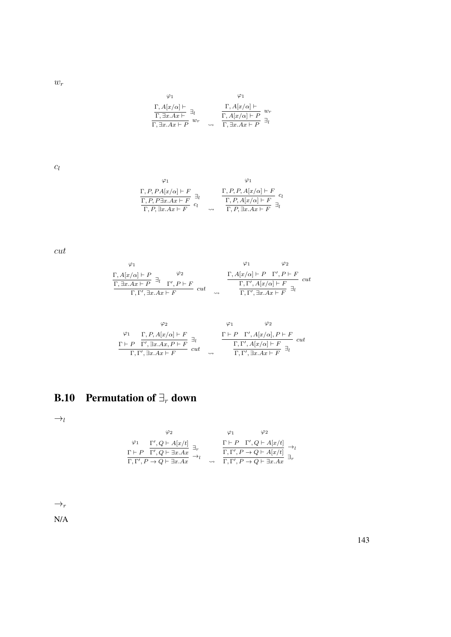$w_r$ 

$$
\varphi_1 \qquad \varphi_1
$$
  
\n
$$
\frac{\Gamma, A[x/\alpha] \vdash}{\Gamma, \exists x. Ax \vdash P} \exists_l \qquad \frac{\Gamma, A[x/\alpha] \vdash}{\Gamma, A[x/\alpha] \vdash P} w_r
$$
  
\n
$$
\frac{\Gamma, A[x/\alpha] \vdash P}{\Gamma, \exists x. Ax \vdash P} w_r
$$

 $c_l$ 

$$
\varphi_1 \qquad \varphi_1
$$
\n
$$
\Gamma, P, PA[x/\alpha] \vdash F \exists_l \qquad \qquad \frac{\Gamma, P, P, A[x/\alpha] \vdash F}{\Gamma, P, \exists x.Ax \vdash F} \exists_l \qquad \qquad \frac{\Gamma, P, P, A[x/\alpha] \vdash F}{\Gamma, P, A[x/\alpha] \vdash F} \exists_l
$$
\n
$$
\varphi_1
$$
\n
$$
\frac{\varphi_1}{\Gamma, P, A[x/\alpha] \vdash F} \exists_l
$$

cut

$$
\varphi_1 \qquad \varphi_2
$$
\n
$$
\frac{\Gamma, A[x/\alpha] \vdash P}{\Gamma, \exists x. Ax \vdash P} \exists_l \qquad \frac{\varphi_2}{\Gamma', P \vdash F} \quad cut \qquad \frac{\Gamma, A[x/\alpha] \vdash P \quad \Gamma', P \vdash F}{\Gamma, \Gamma', A[x/\alpha] \vdash F} \quad cut \qquad \frac{\Gamma, \Gamma', A[x/\alpha] \vdash P \quad \Gamma', P \vdash F}{\Gamma, \Gamma', \exists x. Ax \vdash F} \quad cut
$$

$$
\varphi_2 \qquad \varphi_1 \qquad \varphi_2
$$
\n
$$
\frac{\Gamma \vdash P \quad \Gamma', R, A[x/\alpha] \vdash F}{\Gamma, \Gamma', \exists x. Ax, P \vdash F} \exists_l \qquad \frac{\Gamma \vdash P \quad \Gamma', A[x/\alpha], P \vdash F}{\Gamma, \Gamma', A[x/\alpha] \vdash F} \quad cut
$$
\n
$$
\frac{\Gamma \vdash P \quad \Gamma', A[x/\alpha], P \vdash F}{\Gamma, \Gamma', \exists x. Ax \vdash F} \exists_l
$$

## B.10 Permutation of  $\exists_r$  down

 $\rightarrow_l$ 

$$
\begin{array}{ccccc} & \varphi_2 & & \varphi_1 & & \varphi_2 \\ \varphi_1 & & \Gamma', Q \vdash A[x/t] & \\ \frac{\Gamma \vdash P & \Gamma', Q \vdash \exists x.Ax}{\Gamma, \Gamma', P \to Q \vdash \exists x.Ax} & \rightarrow_l & & \frac{\Gamma \vdash P & \Gamma', Q \vdash A[x/t]}{\Gamma, \Gamma', P \to Q \vdash A[x/t]} & \exists_r \\ \end{array}
$$

 $\rightarrow_r$ 

N/A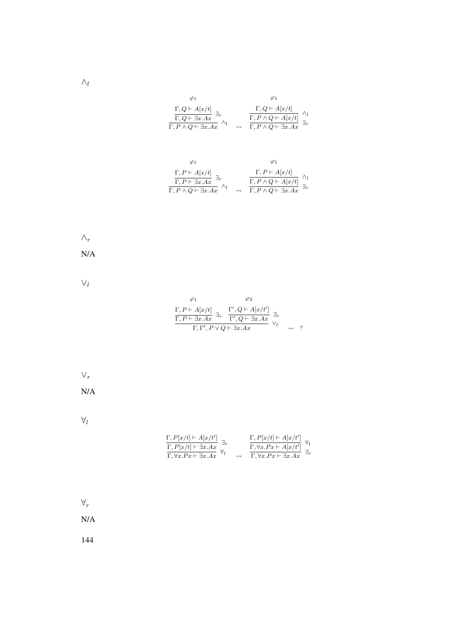| $\frac{\Gamma, Q \vdash A[x/t]}{\Gamma, Q \vdash \exists x.Ax} \; \exists_r \atop \overline{\Gamma, P \land Q \vdash \exists x.Ax}$ | $\frac{\Gamma, Q \vdash A[x/t]}{\Gamma, P \land Q \vdash A[x/t]} \underset{\Gamma, P \land Q \vdash \exists x. Ax}{\overset{\Gamma}{\Gamma, P \land Q \vdash \exists x. Ax}}$ |
|-------------------------------------------------------------------------------------------------------------------------------------|-------------------------------------------------------------------------------------------------------------------------------------------------------------------------------|

$$
\begin{array}{cc}\varphi_1 & \varphi_1\\ \frac{\Gamma, P \vdash A[x/t]}{\Gamma, P \vdash \exists x.Ax} \exists_r & \frac{\Gamma, P \vdash A[x/t]}{\Gamma, P \land Q \vdash \exists x.Ax} \wedge_l & \longrightarrow & \frac{\Gamma, P \land Q \vdash A[x/t]}{\Gamma, P \land Q \vdash \exists x.Ax} \exists_r\end{array}
$$



N/A

∨l

|                                                  | Φ2                                                                                                                                                         |  |
|--------------------------------------------------|------------------------------------------------------------------------------------------------------------------------------------------------------------|--|
|                                                  | $\frac{\Gamma, P \vdash A[x/t]}{\Gamma, P \vdash \exists x.Ax} \exists_r \quad \frac{\Gamma', Q \vdash A[x/t']}{\Gamma', Q \vdash \exists x.Ax} \exists_r$ |  |
| $\Gamma, \Gamma', P \vee Q \vdash \exists x. Ax$ |                                                                                                                                                            |  |

$$
\vee_r
$$
  
 N/A

 $\forall_l$ 

$$
\frac{\Gamma, P[x/t] \vdash A[x/t']}{\Gamma, P[x/t] \vdash \exists x.Ax} \xrightarrow[\top]{\exists r} \qquad \qquad \frac{\Gamma, P[x/t] \vdash A[x/t']}{\Gamma, \forall x.Px \vdash A[x/t']} \forall_l \qquad \qquad \frac{\Gamma, \forall x.Px \vdash A[x/t']}{\Gamma, \forall x.Px \vdash \exists x.Ax} \exists_r
$$

 $\forall_r$ 

N/A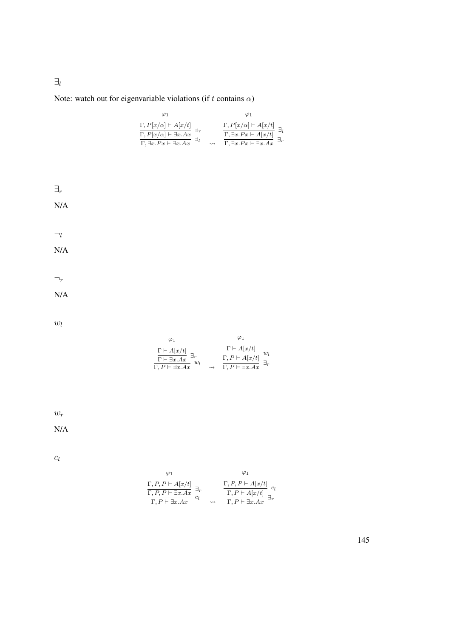Note: watch out for eigenvariable violations (if t contains  $\alpha$ )

| $\frac{\Gamma, P[x/\alpha] \vdash A[x/t]}{\Gamma, P[x/\alpha] \vdash \exists x. Ax} \cdot \frac{\Gamma, P[x/\alpha] \vdash \exists x. Ax}{\Gamma, \exists x. Px \vdash \exists x. Ax}$ |  | $\Gamma, P[x/\alpha] \vdash A[x/t]$<br>$\frac{\Gamma,\exists x.Px\vdash A[x/t]}{\Gamma,\exists x.Px\vdash \exists x.Ax}$ |
|----------------------------------------------------------------------------------------------------------------------------------------------------------------------------------------|--|--------------------------------------------------------------------------------------------------------------------------|



 $w_r$ 

N/A

 $c_l$ 

$$
\begin{array}{ccc}\n\varphi_1 & & \varphi_1 \\
\Gamma, P, P \vdash A[x/t] & \exists_r \\
\hline\n\Gamma, P, P \vdash \exists x.Ax & c_l\n\end{array} \xrightarrow{\Gamma, P, P \vdash A[x/t]} \begin{array}{c}\n\varphi_1 \\
\Gamma, P \vdash A[x/t] \\
\hline\n\Gamma, P \vdash \exists x.Ax & c_l\n\end{array}
$$

145

 $\exists_l$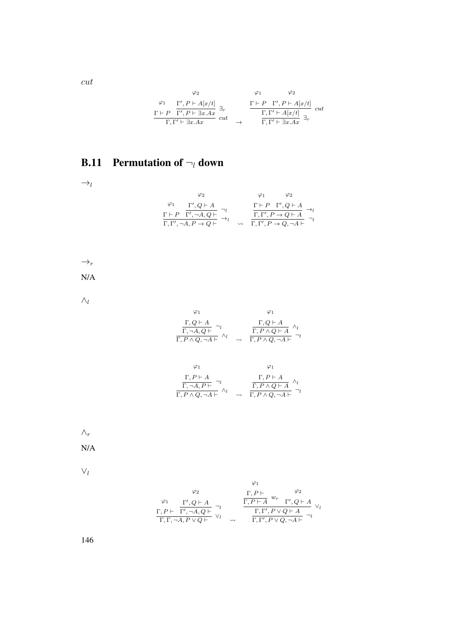$$
\begin{array}{cc}\n\varphi_2 & \varphi_1 & \varphi_2 \\
\frac{\varphi_1}{\Gamma', P \vdash A[x/t]} & \exists_r \\
\frac{\Gamma \vdash P & \Gamma', P \vdash \exists x.Ax}{\Gamma, \Gamma' \vdash \exists x.Ax} & cut & \rightarrow & \frac{\Gamma \vdash P & \Gamma', P \vdash A[x/t]}{\Gamma, \Gamma' \vdash A[x/t]} & cut \\
\end{array}
$$

## **B.11** Permutation of  $\neg_l$  down

 $\rightarrow_l$ 

$$
\begin{array}{cc}\n\varphi_2 & \varphi_1 & \varphi_2 \\
\varphi_1 & \Gamma', Q \vdash A \\
\Gamma \vdash P & \Gamma', \neg A, Q \vdash \\
\overline{\Gamma}, \Gamma', \neg A, P \rightarrow Q \vdash} & \neg_l & \frac{\Gamma \vdash P & \Gamma', Q \vdash A}{\Gamma, \Gamma', P \rightarrow Q \vdash A} \rightarrow_l \\
\hline\n\end{array}
$$

 $\rightarrow_r$ 

N/A

 $\wedge_l$ 

$$
\varphi_1 \qquad \varphi_1
$$
\n
$$
\frac{\Gamma, Q \vdash A}{\Gamma, \neg A, Q \vdash} \neg_l \qquad \qquad \frac{\Gamma, Q \vdash A}{\Gamma, P \land Q, \neg A \vdash} \land_l
$$
\n
$$
\frac{\Gamma, Q \vdash A}{\Gamma, P \land Q, \neg A \vdash} \neg_l
$$

$$
\varphi_1 \qquad \varphi_1
$$
\n
$$
\frac{\Gamma, P \vdash A}{\Gamma, \neg A, P \vdash} \neg_l \qquad \qquad \frac{\Gamma, P \vdash A}{\Gamma, P \land Q \vdash A} \land_l
$$
\n
$$
\frac{\Gamma, P \vdash A}{\Gamma, P \land Q, \neg A \vdash} \land_l \qquad \varphi \vdash \frac{\Gamma, P \land Q \vdash A}{\Gamma, P \land Q, \neg A \vdash} \neg_l
$$

 $\wedge_r$ 

N/A

 $\vee_l$ 

$$
\begin{array}{cc}\n\varphi_1 & \varphi_2 \\
\varphi_1 & \Gamma', Q \vdash A \\
\Gamma, P \vdash & \Gamma', \neg A, Q \vdash \\
\hline\n\Gamma, \Gamma, \neg A, P \lor Q \vdash \\
\end{array}\n\quad\n\begin{array}{cc}\n\Gamma, P \vdash & \varphi_2 \\
\Gamma, P \vdash A \quad w_r & \Gamma', Q \vdash A \\
\hline\n\Gamma, \Gamma', P \lor Q \vdash A \quad\n\end{array}\n\quad\n\begin{array}{cc}\n\varphi_1 & \varphi_2 \\
\Gamma, P \vdash A \quad w_r & \Gamma', Q \vdash A \\
\hline\n\Gamma, \Gamma', P \lor Q \vdash A \quad\n\end{array}
$$

146

cut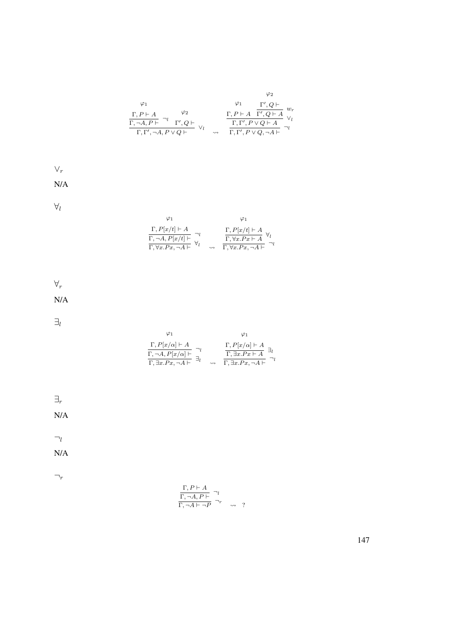$$
\varphi_1
$$
\n
$$
\varphi_2
$$
\n
$$
\frac{\Gamma, P \vdash A}{\Gamma, \neg A, P \vdash} \neg_l \qquad \varphi_2
$$
\n
$$
\frac{\Gamma, P \vdash A}{\Gamma, \Gamma', \neg A, P \lor Q \vdash} \lor_l \qquad \frac{\Gamma, P \vdash A}{\Gamma, \Gamma', P \lor Q \vdash A} \neg_l \qquad \varphi_l
$$
\n
$$
\frac{\Gamma, \Gamma', P \lor Q \vdash A}{\Gamma, \Gamma', P \lor Q, \neg A \vdash} \neg_l
$$

 $\vee_r$ N/A

 $\forall_l$ 

| $\varphi_1$                                                                                               |                                                                                                             |
|-----------------------------------------------------------------------------------------------------------|-------------------------------------------------------------------------------------------------------------|
| $\Gamma, P[x/t] \vdash A$<br>$\frac{\Gamma, \neg A, P[x/t] \vdash}{\Gamma, \forall x. Px, \neg A \vdash}$ | $\frac{\Gamma, P[x/t] \vdash A}{\Gamma, \forall x. Px \vdash A}$<br>$\Gamma, \forall x . Px, \neg A \vdash$ |

 $\forall_r$ 

N/A

 $\exists_l$ 

| $\Gamma, P[x/\alpha] \vdash A$           | $\Gamma, P[x/\alpha] \vdash A$           |
|------------------------------------------|------------------------------------------|
| $\Gamma, \neg A, P[x/\alpha] \vdash$     | $\Gamma$ , $\exists x.Px \vdash A$       |
| $\Gamma$ , $\exists x.Px, \neg A \vdash$ | $\Gamma$ , $\exists x.Px, \neg A \vdash$ |

∃r

N/A

 $\neg_l$ 

N/A

 $\neg_r$ 

$$
\frac{\Gamma, P \vdash A}{\Gamma, \neg A, P \vdash} \neg_l
$$
\n
$$
\frac{\Gamma, \neg A, P \vdash}{\Gamma, \neg A \vdash \neg P} \neg_r \qquad \rightsquigarrow \qquad ?
$$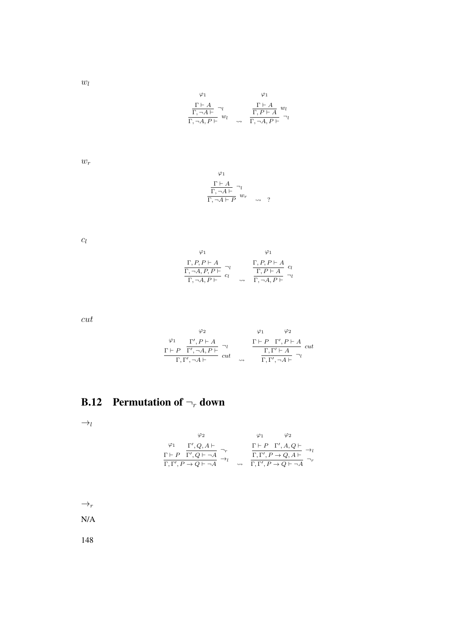$w_l$ 

$$
\varphi_1 \qquad \varphi_1
$$
\n
$$
\frac{\Gamma \vdash A}{\Gamma, \neg A \vdash} \neg_l \qquad \frac{\Gamma \vdash A}{\Gamma, P \vdash A} w_l
$$
\n
$$
\frac{\Gamma \vdash A}{\Gamma, \neg A, P \vdash} w_l \qquad \varphi \vdash \frac{\Gamma \vdash A}{\Gamma, \neg A, P \vdash} w_l
$$

 $w_r$ 

$$
\varphi_1
$$
  
\n
$$
\frac{\Gamma \vdash A}{\Gamma, \neg A \vdash} \neg_l
$$
  
\n
$$
\frac{\Gamma, \neg A \vdash}{\Gamma, \neg A \vdash P} w_r \rightarrow ?
$$

 $\mathfrak{c}_l$ 

$$
\begin{array}{cc}\n\varphi_1 & \varphi_1 \\
\frac{\Gamma, P, P \vdash A}{\Gamma, \neg A, P, P \vdash} \neg_l & \frac{\Gamma, P, P \vdash A}{\Gamma, P \vdash A} c_l \\
\frac{\Gamma, \neg A, P \vdash}{\Gamma, \neg A, P \vdash} & \leadsto & \frac{\Gamma, P \vdash A}{\Gamma, \neg A, P \vdash} \neg_l\n\end{array}
$$

cut

$$
\begin{array}{cc}\n\varphi_2 & \varphi_1 & \varphi_2 \\
\frac{\varphi_1}{\Gamma', P \vdash A} & \frac{\varphi_2}{\Gamma', P \vdash A} \\
\frac{\Gamma \vdash P \quad \Gamma', \neg A, P \vdash}{\Gamma, \Gamma', \neg A \vdash} & cut & \frac{\Gamma \vdash P \quad \Gamma', P \vdash A}{\Gamma, \Gamma', \neg A \vdash} \neg_l\n\end{array} cut
$$

#### **B.12** Permutation of  $\neg_r$  down

 $\rightarrow_l$ 

$$
\varphi_2 \qquad \varphi_1 \qquad \varphi_2
$$
\n
$$
\varphi_1 \qquad \varphi_2
$$
\n
$$
\varphi_1 \qquad \varphi_2
$$
\n
$$
\varphi_1 \qquad \varphi_2
$$
\n
$$
\varphi_2 \qquad \varphi_2
$$
\n
$$
\varphi_1 \qquad \varphi_2
$$
\n
$$
\varphi_2 \qquad \varphi_2
$$
\n
$$
\varphi_1 \qquad \varphi_2
$$
\n
$$
\varphi_1 \qquad \varphi_2
$$
\n
$$
\varphi_1 \qquad \varphi_2
$$
\n
$$
\varphi_1 \qquad \varphi_2 \qquad \varphi_1 \qquad \varphi_2
$$
\n
$$
\varphi_1 \qquad \varphi_2 \qquad \varphi_1 \qquad \varphi_2 \qquad \varphi_1 \qquad \varphi_1 \qquad \varphi_2
$$
\n
$$
\varphi_1 \qquad \varphi_1 \qquad \varphi_2 \qquad \varphi_1 \qquad \varphi_2 \qquad \varphi_1 \qquad \varphi_2 \qquad \varphi_1 \qquad \varphi_2 \qquad \varphi_1 \qquad \varphi_2 \qquad \varphi_1 \qquad \varphi_2 \qquad \varphi_1 \qquad \varphi_2 \qquad \varphi_1 \qquad \varphi_2 \qquad \varphi_1 \qquad \varphi_2 \qquad \varphi_1 \qquad \varphi_2 \qquad \varphi_1 \qquad \varphi_2 \qquad \varphi_1 \qquad \varphi_2 \qquad \varphi_1 \qquad \varphi_2 \qquad \varphi_1 \qquad \varphi_2 \qquad \varphi_1 \qquad \varphi_2 \qquad \varphi_1 \qquad \varphi_2 \qquad \varphi_2 \qquad \varphi_1 \qquad \varphi_2 \qquad \varphi_2 \qquad \varphi_1 \qquad \varphi_2 \qquad \varphi_2 \qquad \varphi_1 \qquad \varphi_2 \qquad \varphi_2 \qquad \varphi_1 \qquad \varphi_2 \qquad \varphi_2 \qquad \varphi_1 \qquad \varphi_2 \qquad \varphi_2 \qquad \varphi_2 \qquad \varphi_1 \qquad \varphi_2 \qquad \varphi_2 \qquad \varphi_1 \qquad
$$

 $\rightarrow_r$ 

N/A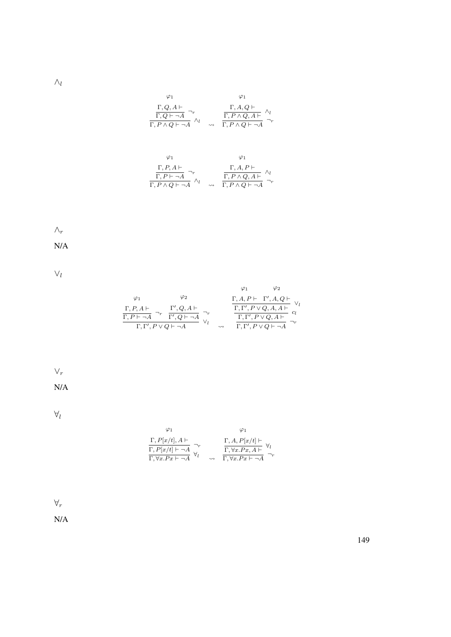$\wedge_l$ 

$$
\begin{array}{cc}\varphi_1 & \varphi_1 \\ \frac{\Gamma, Q, A \vdash}{\Gamma, Q \vdash \neg A} \neg_r & \frac{\Gamma, A, Q \vdash}{\Gamma, P \land Q, A \vdash} \land_l \\ \frac{\Gamma, P \land Q \vdash \neg A}{\Gamma, P \land Q \vdash \neg A} \land_l & \leadsto & \frac{\Gamma, P \land Q, A \vdash}{\Gamma, P \land Q \vdash \neg A} \neg_r\end{array}
$$

$$
\varphi_1 \qquad \varphi_1
$$
\n
$$
\frac{\Gamma, P, A \vdash}{\Gamma, P \vdash \neg A} \neg_r \qquad \qquad \frac{\Gamma, A, P \vdash}{\Gamma, P \land Q, A \vdash} \land_l
$$
\n
$$
\frac{\Gamma, P \land Q, A \vdash}{\Gamma, P \land Q \vdash \neg A} \land_l \qquad \varphi \vdash \frac{\Gamma, P \land Q, A \vdash}{\Gamma, P \land Q \vdash \neg A} \neg_r
$$

## $\wedge_r$

N/A

 $\vee_l$ 

| $\varphi_1$                               | $\varphi_2$                |    | $\Gamma, A, P \vdash \ \ \Gamma', A, Q \vdash$ |
|-------------------------------------------|----------------------------|----|------------------------------------------------|
| $\Gamma, P, A \vdash$                     | $\Gamma', Q, A \vdash$     |    | $\Gamma, \Gamma', P \vee Q, A, A \vdash$       |
| $\overline{\Gamma,P\vdash \neg A}$        | $\Gamma', Q \vdash \neg A$ |    | $\Gamma, \Gamma', P \vee Q, A \vdash$          |
| $\Gamma, \Gamma', P \vee Q \vdash \neg A$ |                            | بہ | $\Gamma, \Gamma', P \vee Q \vdash \neg A$      |

 $\vee_r$ 

N/A

 $\forall_l$ 

$$
\begin{array}{cc}\n\varphi_1 & \varphi_1 \\
\frac{\Gamma, P[x/t], A \vdash}{\Gamma, P[x/t] \vdash \neg A} \neg_r & \frac{\Gamma, A, P[x/t] \vdash}{\Gamma, \forall x. Px, A \vdash} \forall_l \\
\frac{\Gamma, \forall x. Px \vdash \neg A}{\Gamma, \forall x. Px \vdash \neg A} & \leadsto & \frac{\Gamma, \forall x. Px \vdash \neg A}{\Gamma, \forall x. Px \vdash \neg A}\n\end{array}
$$

 $\forall_r$ 

N/A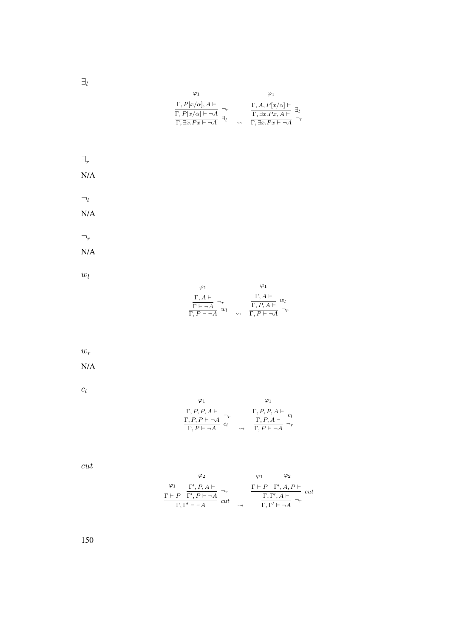$\exists_l$ 

$$
\varphi_1 \qquad \varphi_1
$$
\n
$$
\frac{\Gamma, P[x/\alpha], A \vdash}{\Gamma, P[x/\alpha] \vdash \neg A} \neg_r \qquad \frac{\Gamma, A, P[x/\alpha] \vdash}{\Gamma, \exists x. Px, A \vdash} \exists_l
$$
\n
$$
\frac{\Gamma, \exists x. Px \vdash \neg A}{\Gamma, \exists x. Px \vdash \neg A} \exists_l
$$

$$
\exists_r
$$
  
\nN/A  
\nN/A  
\n
$$
\neg_r
$$
  
\nN/A

 $w_l$ 

| φ1                                                                                               |                    |                                                                                              |
|--------------------------------------------------------------------------------------------------|--------------------|----------------------------------------------------------------------------------------------|
| $\Gamma, A \vdash$<br>$\frac{\overline{\Gamma \vdash \neg A}}{\Gamma, P \vdash \neg A}$<br>$w_1$ | $\rightsquigarrow$ | $\Gamma, A \vdash$<br>$w_l$<br>$\overline{\Gamma, P, A \vdash}$<br>$\Gamma, P \vdash \neg A$ |

 $w_r$ 

N/A

 $c_l$ 

$$
\begin{array}{cc}\n\varphi_1 & \varphi_1 \\
\frac{\Gamma, P, P, A \vdash}{\Gamma, P, P \vdash \neg A} \bigg|_{c_l}^{\neg_r} & \frac{\Gamma, P, P, A \vdash}{\Gamma, P, A \vdash} \bigg|_{c_l}^{\neg_r} \\
\frac{\Gamma, P, A \vdash}{\Gamma, P \vdash \neg A} \bigg|_{c_l} & \leadsto & \frac{\Gamma, P \vdash \neg A}{\Gamma, P \vdash \neg A} \bigg|_{c_l}\n\end{array}
$$

cut

$$
\varphi_2 \qquad \varphi_1 \qquad \varphi_2
$$
  
\n
$$
\frac{\varphi_1}{\Gamma + P} \frac{\Gamma', P, A \vdash}{\Gamma', P \vdash \neg A} \neg_r \qquad \frac{\Gamma \vdash P \Gamma', A, P \vdash}{\Gamma, \Gamma', A \vdash} cut
$$
  
\n
$$
\frac{\Gamma, \Gamma', A \vdash}{\Gamma, \Gamma' \vdash \neg A} \neg_r
$$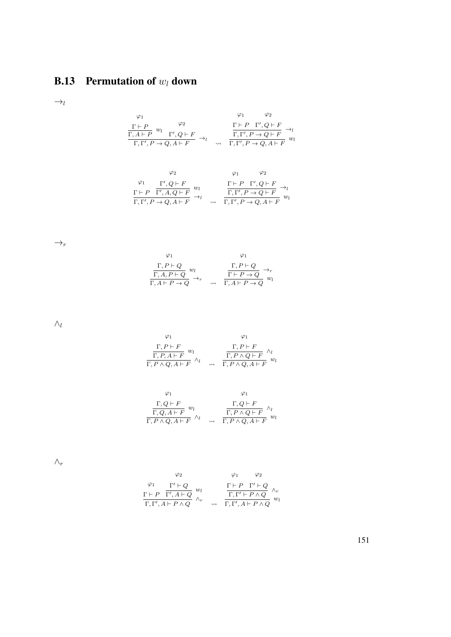## **B.13** Permutation of  $w_l$  down

 $\rightarrow_l$ 

$$
\begin{array}{cc}\n\varphi_1 & \varphi_2 \\
\frac{\Gamma \vdash P}{\Gamma, A \vdash P} \ w_l & \Gamma', Q \vdash F \\
\hline\n\Gamma, \Gamma', P \rightarrow Q, A \vdash F\n\end{array} \rightarrow_l \quad\n\begin{array}{cc}\n\varphi_1 & \varphi_2 \\
\frac{\Gamma \vdash P \Gamma', Q \vdash F}{\Gamma, \Gamma', P \rightarrow Q \vdash F} \rightarrow_l \\
\hline\n\Gamma, \Gamma', P \rightarrow Q, A \vdash F\n\end{array}
$$

$$
\varphi_2 \qquad \varphi_1 \qquad \varphi_2
$$
\n
$$
\frac{\varphi_1}{\Gamma + P} \frac{\Gamma', Q \vdash F}{\Gamma', A, Q \vdash F} w_l \qquad \frac{\Gamma \vdash P \Gamma', Q \vdash F}{\Gamma, \Gamma', P \to Q, A \vdash F} \to_l
$$
\n
$$
\frac{\Gamma, \Gamma', P \to Q \vdash F}{\Gamma, \Gamma', P \to Q, A \vdash F} w_l
$$

 $\rightarrow_r$ 

$$
\begin{array}{cc}\n\varphi_1 & \varphi_1 \\
\frac{\Gamma, P \vdash Q}{\Gamma, A, P \vdash Q} w_l & \frac{\Gamma, P \vdash Q}{\Gamma \vdash P \rightarrow Q} \rightarrow_r \\
\frac{\Gamma, P \vdash Q}{\Gamma, A \vdash P \rightarrow Q} w_l\n\end{array}
$$

 $\wedge_l$ 

$$
\varphi_1 \qquad \varphi_1
$$
\n
$$
\frac{\Gamma, P \vdash F}{\Gamma, P, A \vdash F} w_l \qquad \frac{\Gamma, P \vdash F}{\Gamma, P \land Q, A \vdash F} \land_l
$$
\n
$$
\frac{\Gamma, P \vdash F}{\Gamma, P \land Q, A \vdash F} w_l
$$

$$
\varphi_1 \qquad \varphi_1
$$
\n
$$
\frac{\Gamma, Q \vdash F}{\Gamma, Q, A \vdash F} w_l \qquad \frac{\Gamma, Q \vdash F}{\Gamma, P \land Q, A \vdash F} \land_l
$$
\n
$$
\frac{\Gamma, Q \vdash F}{\Gamma, P \land Q, A \vdash F} w_l
$$

 $\wedge_r$ 

$$
\begin{array}{cc}\n\varphi_2 & \varphi_1 & \varphi_2 \\
\varphi_1 & \Gamma' \vdash Q & w_l \\
\Gamma \vdash P & \Gamma', A \vdash Q & \wedge_r \\
\Gamma, \Gamma', A \vdash P \wedge Q & \wedge_r & \longrightarrow & \Gamma, \Gamma', A \vdash P \wedge Q\n\end{array}
$$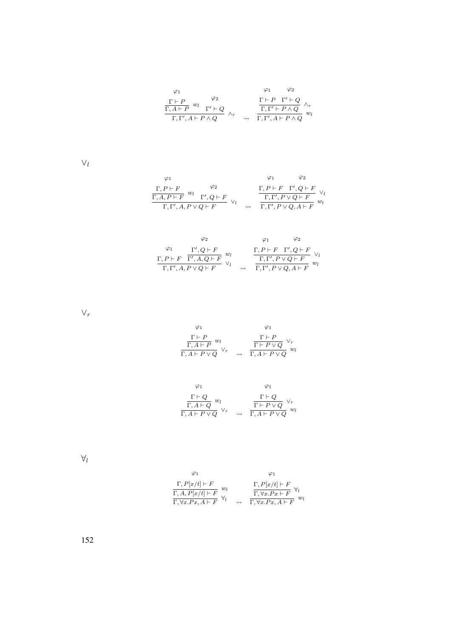$$
\begin{array}{ccccc}\varphi_1 & & & \varphi_1 & & \varphi_2 \\ \frac{\Gamma\vdash P}{\Gamma, A\vdash P} & w_l & & \Gamma'\vdash Q \\ \frac{\Gamma\vdash P}{\Gamma, \Gamma', A\vdash P\land Q} & & \wedge_r & & \frac{\Gamma\vdash P\quad \Gamma'\vdash Q}{\Gamma, \Gamma'\vdash P\land Q} & w_l\end{array}
$$

 $\vee_l$ 

$$
\begin{array}{ccccc}\varphi_1 & & \varphi_2 & & \varphi_1 & & \varphi_2 \\ \frac{\Gamma, P \vdash F}{\Gamma, A, P \vdash F} & w_l & & \Gamma', Q \vdash F & & \downarrow & & \frac{\Gamma, P \vdash F & \Gamma', Q \vdash F}{\Gamma, \Gamma', P \lor Q \vdash F} & \lor_l & & \frac{\Gamma, \Gamma', P \lor Q \vdash F}{\Gamma, \Gamma', P \lor Q, A \vdash F} & w_l\end{array}
$$

|             | Φ2                                                                         |                    |                                                |
|-------------|----------------------------------------------------------------------------|--------------------|------------------------------------------------|
| $\varphi_1$ | $\Gamma', Q \vdash F$<br>wı                                                |                    | $\Gamma, P \vdash F \quad \Gamma', Q \vdash F$ |
|             | $\underbrace{\Gamma, P \vdash F \quad \overline{\Gamma', A, Q \vdash F}}.$ |                    | $\boxed{\Gamma, \Gamma', P \vee Q \vdash F}$   |
|             | $\Gamma, \Gamma', A, P \vee Q \vdash F$                                    | $\rightsquigarrow$ | $\Gamma, \Gamma', P \vee Q, A \vdash F$        |

 $\vee_r$ 

$$
\begin{array}{cc}\varphi_1 & \varphi_1 \\ \frac{\Gamma \vdash P}{\Gamma, A \vdash P} \ w_l & \frac{\Gamma \vdash P}{\Gamma \vdash P \lor Q} \ \vee_r \\ \frac{\Gamma \vdash P}{\Gamma, A \vdash P \lor Q} & \varphi_r & \frac{\Gamma \vdash P \lor Q}{\Gamma, A \vdash P \lor Q} \ w_l\end{array}
$$

$$
\varphi_1 \qquad \varphi_1
$$
\n
$$
\frac{\Gamma \vdash Q}{\Gamma, A \vdash Q} w_l \qquad \qquad \frac{\Gamma \vdash Q}{\Gamma \vdash P \lor Q} \vee_r
$$
\n
$$
\frac{\Gamma \vdash Q}{\Gamma, A \vdash P \lor Q} w_l
$$

 $\forall_l$ 

$$
\varphi_1 \qquad \varphi_1
$$
\n
$$
\frac{\Gamma, P[x/t] \vdash F}{\Gamma, A, P[x/t] \vdash F} w_l \qquad \frac{\Gamma, P[x/t] \vdash F}{\Gamma, \forall x. Px \vdash F} \forall_l
$$
\n
$$
\frac{\Gamma, \forall x. Px \vdash F}{\Gamma, \forall x. Px \vdash F} w_l
$$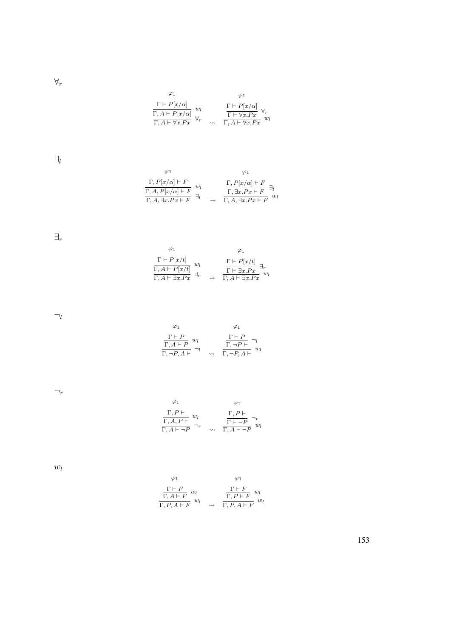$\forall_r$ 

$$
\begin{array}{cc}\varphi_1 & \varphi_1\\ \frac{\Gamma \vdash P[x/\alpha]}{\Gamma, A \vdash P[x/\alpha]} \ w_l & \frac{\Gamma \vdash P[x/\alpha]}{\Gamma \vdash \forall x.Px} \ \forall_r\\ \frac{\Gamma, A \vdash \forall x.Px}{\Gamma, A \vdash \forall x.Px} & \leadsto & \frac{\Gamma \vdash \forall x.Px}{\Gamma, A \vdash \forall x.Px} \end{array}
$$

 $\exists_l$ 

$$
\begin{array}{ccc}\n\varphi_1 & \varphi_1 \\
\frac{\Gamma, P[x/\alpha] \vdash F}{\Gamma, A, P[x/\alpha] \vdash F} & w_l \\
\frac{\Gamma, A, P[x/\alpha] \vdash F}{\Gamma, A, \exists x.Px \vdash F} & \exists_l \\
\end{array} \longrightarrow \begin{array}{c}\n\Gamma, P[x/\alpha] \vdash F \\
\frac{\Gamma, \exists x.Px \vdash F}{\Gamma, A, \exists x.Px \vdash F} & w_l\n\end{array}
$$

 $\exists_r$ 

| Φ1                                                                                        |    |                    | φ1                                                                                                  |
|-------------------------------------------------------------------------------------------|----|--------------------|-----------------------------------------------------------------------------------------------------|
| $\Gamma \vdash P[x/t]$<br>$\frac{\Gamma, A \vdash P[x/t]}{\Gamma, A \vdash \exists x.Px}$ | wı | $\rightsquigarrow$ | $\frac{\frac{\Gamma\vdash P[x/t]}{\Gamma\vdash\exists x.Px}\exists_r}{\Gamma,A\vdash\exists x.Px}w$ |

 $\neg_l$ 

$$
\varphi_1 \qquad \varphi_1
$$
\n
$$
\frac{\Gamma \vdash P}{\Gamma, A \vdash P} w_l \qquad \frac{\Gamma \vdash P}{\Gamma, \neg P \vdash} \neg_l
$$
\n
$$
\frac{\Gamma \vdash P}{\Gamma, \neg P, A \vdash} w_l
$$

 $\neg_r$ 

$$
\begin{array}{cc}\n\varphi_1 & \varphi_1 \\
\frac{\Gamma,P\vdash}{\Gamma,A,P\vdash} w_l & \frac{\Gamma,P\vdash}{\Gamma\vdash \neg P} \neg_r \\
\frac{\Gamma,A\vdash \neg P}{\Gamma,A\vdash \neg P} w_l\n\end{array}
$$

 $\omega_l$ 

$$
\begin{array}{cc}\varphi_1 & \varphi_1 \\ \frac{\Gamma \vdash F}{\Gamma, A \vdash F} \ w_l & \frac{\Gamma \vdash F}{\Gamma, P \vdash F} \ w_l \\ \frac{\Gamma, P \vdash F}{\Gamma, P, A \vdash F} \ w_l & \rightsquigarrow & \frac{\Gamma, P \vdash F}{\Gamma, P, A \vdash F} \ w_l \end{array}
$$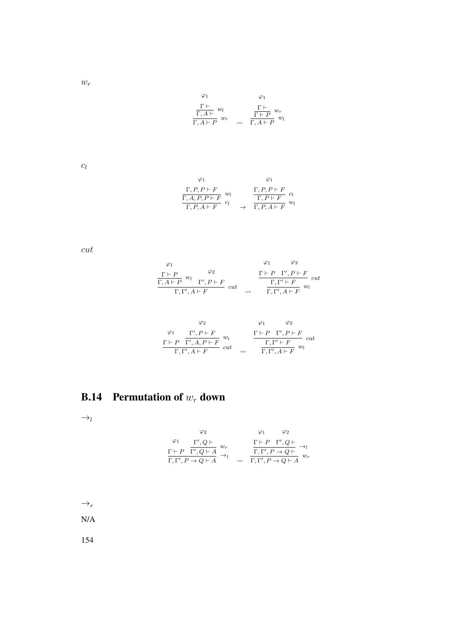$w_r$ 

$$
\begin{array}{ccc}\varphi_1 & & \varphi_1 \\ \frac{\Gamma\vdash}{\Gamma, A\vdash} w_l & & \frac{\Gamma\vdash}{\Gamma\vdash P} w_r \\ \frac{\Gamma, A\vdash P}{\Gamma, A\vdash P} w_r & \leadsto & \frac{\Gamma\vdash P}{\Gamma, A\vdash P} w_l\end{array}
$$

 $\mathfrak{C}_l$ 

$$
\varphi_1 \qquad \varphi_1
$$
\n
$$
\frac{\Gamma, P, P \vdash F}{\Gamma, A, P, P \vdash F} \ w_l \qquad \frac{\Gamma, P, P \vdash F}{\Gamma, P \vdash F} \ c_l
$$
\n
$$
\frac{\Gamma, P, P \vdash F}{\Gamma, P, A \vdash F} \ w_l
$$

cut

$$
\begin{array}{cc}\n\varphi_1 & \varphi_2 \\
\frac{\Gamma \vdash P}{\Gamma, A \vdash P} \stackrel{\psi_2}{w_l} & \frac{\Gamma \vdash P \quad \Gamma', P \vdash F}{\Gamma, \Gamma' \vdash A \vdash F} \\
\frac{\Gamma \vdash P \quad \Gamma', P \vdash F}{\Gamma, \Gamma', A \vdash F} \quad cut & \xrightarrow{\Gamma, \Gamma', A \vdash F} \frac{\Gamma, \Gamma' \vdash F}{w_l}\n\end{array}
$$

$$
\begin{array}{cc}\n\varphi_2 & \varphi_1 & \varphi_2 \\
\frac{\Gamma + P \quad \Gamma', A, P \vdash F}{\Gamma', A, P \vdash F} \ w_l & \frac{\Gamma \vdash P \quad \Gamma', P \vdash F}{\Gamma, \Gamma' \vdash F} \ cut \\
\frac{\Gamma, \Gamma' \vdash F}{\Gamma, \Gamma', A \vdash F} \ w_l\n\end{array}
$$

# **B.14** Permutation of  $w_r$  down

 $\rightarrow_l$ 

$$
\begin{array}{cc}\n\varphi_2 & \varphi_1 & \varphi_2 \\
\varphi_1 & \Gamma', Q \vdash \\
\Gamma \vdash P & \Gamma', Q \vdash A \\
\overline{\Gamma}, \Gamma', P \rightarrow Q \vdash A} \stackrel{w_r}{\rightarrow_l} & \frac{\Gamma \vdash P \Gamma', Q \vdash}{\Gamma, \Gamma', P \rightarrow Q \vdash} \rightarrow_l \\
\overline{\Gamma, \Gamma', P \rightarrow Q \vdash A} & \leadsto & \overline{\Gamma, \Gamma', P \rightarrow Q \vdash A}\n\end{array}
$$

 $\rightarrow_r$ 

N/A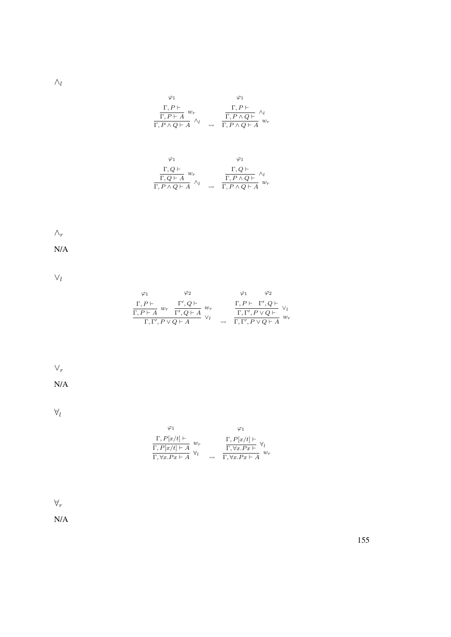$\wedge_l$ 

$$
\begin{array}{cc}\varphi_1 & \varphi_1 \\ \frac{\Gamma,P\vdash}{\Gamma,P\vdash A} \ w_r \\ \frac{\Gamma,P\vdash A}{\Gamma,P\land Q\vdash A} \ \wedge_l & \underset{\sim}{\longrightarrow}\end{array}\quad \frac{\Gamma,P\vdash}{\Gamma,P\land Q\vdash} \ \wedge_l \\ \frac{\Gamma,P\land Q\vdash A}{\Gamma,P\land Q\vdash A} \ w_r
$$

$$
\begin{array}{cc}\n\varphi_1 & \varphi_1 \\
\frac{\Gamma, Q \vdash}{\Gamma, Q \vdash A} w_r & \frac{\Gamma, Q \vdash}{\Gamma, P \land Q \vdash} \land_l \\
\frac{\Gamma, P \land Q \vdash A}{\Gamma, P \land Q \vdash A} w_r\n\end{array}
$$

#### $\wedge_r$

N/A

 $\vee_l$ 

| $\varphi_1$        | $\varphi_2$                                                                                            |                    | $\varphi_2$                                                                          |       |
|--------------------|--------------------------------------------------------------------------------------------------------|--------------------|--------------------------------------------------------------------------------------|-------|
| $\Gamma, P \vdash$ | $\Gamma', Q \vdash$<br>$w_r$<br>$\overline{\Gamma, P \vdash A}$ $w_r$ $\overline{\Gamma', Q \vdash A}$ |                    | $\frac{\Gamma, P \vdash \Gamma', Q \vdash}{\Gamma, \Gamma', P \vee Q \vdash} \vee_l$ | $w_r$ |
|                    | $\Gamma, \Gamma', P \vee Q \vdash A$                                                                   | $\rightsquigarrow$ | $\Gamma, \Gamma', P \vee Q \vdash A$                                                 |       |

## $\vee_r$

N/A

 $\forall_l$ 

| φ1                                                               |                                                              |
|------------------------------------------------------------------|--------------------------------------------------------------|
| $\Gamma, P[x/t] \vdash$                                          | $\frac{\Gamma, P[x/t] \vdash}{\Gamma, \forall x. Px \vdash}$ |
| $w_r$                                                            | $w_{\bm r}$                                                  |
| $\frac{\Gamma, P[x/t] \vdash A}{\Gamma, \forall x. Px \vdash A}$ | $\Gamma, \forall x . P x \vdash A$                           |

 $\forall_r$ 

N/A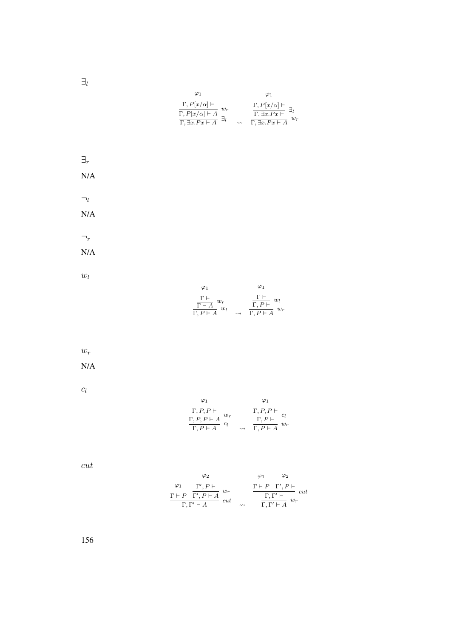$\exists_l$ 

| $\varphi_1$                                                                                                   | Ο1                                                                                                                                             |
|---------------------------------------------------------------------------------------------------------------|------------------------------------------------------------------------------------------------------------------------------------------------|
| $\Gamma, P[x/\alpha] \vdash$<br>$w_r$<br>$\Gamma, P[x/\alpha] \vdash A$<br>$\Gamma$ , $\exists x.Px \vdash A$ | $\Gamma, P[x/\alpha] \vdash$<br>$\exists_l$<br>$\Gamma$ , $\exists x.Px \vdash$<br>$w_{\bm r}$<br>$\Gamma$ , $\overline{\exists x.Px\vdash A}$ |

$$
\exists_r
$$
  
\nN/A  
\nN/A  
\n
$$
\neg_r
$$
  
\nN/A  

 $w_l$ 

$$
\begin{array}{cc}\varphi_1 & \varphi_1 \\ \frac{\Gamma\vdash}{\Gamma\vdash A} \; w_r & \frac{\Gamma\vdash}{\Gamma,P\vdash A} \; w_l \\ \frac{\Gamma\vdash A}{\Gamma,P\vdash A} \; w_l & \leadsto & \frac{\Gamma,P\vdash A}{\Gamma,P\vdash A} \; w_r\end{array}
$$

 $w_r$ 

N/A

 $c_l$ 

$$
\begin{array}{cc}\n\varphi_1 & \varphi_1 \\
\Gamma, P, P \vdash & \\
\hline\n\Gamma, P, P \vdash A & \\
\hline\n\Gamma, P \vdash A & \\
\end{array}\n\quad\n\begin{array}{cc}\n\varphi_1 \\
\Gamma, P, P \vdash & \\
\hline\n\Gamma, P \vdash & \\
\end{array}\n\quad\n\begin{array}{cc}\n\varphi_1 \\
\Gamma, P, P \vdash & \\
\hline\n\Gamma, P \vdash A & \\
\end{array}
$$

cut

$$
\varphi_2 \qquad \varphi_1 \qquad \varphi_2
$$
  
\n
$$
\varphi_1 \qquad \varphi_2
$$
  
\n
$$
\varphi_1 \qquad \varphi_2
$$
  
\n
$$
\varphi_1 \qquad \varphi_2
$$
  
\n
$$
\varphi_1 \qquad \varphi_2
$$
  
\n
$$
\Gamma, P \qquad \Gamma', P \vdash
$$
  
\n
$$
\Gamma, P \qquad \Gamma', P \vdash
$$
  
\n
$$
\Gamma, \Gamma' \vdash A \qquad \omega_r
$$
  
\n
$$
\Gamma, \Gamma' \vdash A \qquad \omega_r
$$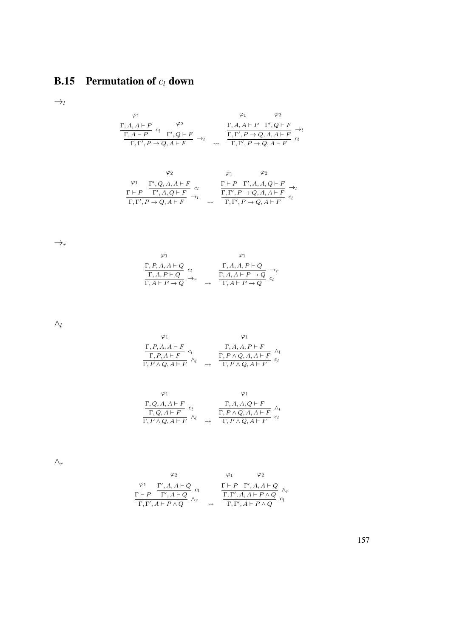# **B.15** Permutation of  $c_l$  down

 $\rightarrow_l$ 

$$
\begin{array}{cc}\n\varphi_1 & \varphi_2 \\
\frac{\Gamma, A, A \vdash P}{\Gamma, A \vdash P} \ c_l & \Gamma', Q \vdash F \\
\frac{\Gamma, A \vdash P}{\Gamma, \Gamma', P \rightarrow Q, A \vdash F}\n\end{array} \rightarrow_l \quad \begin{array}{cc}\n\Gamma, A, A \vdash P & \Gamma', Q \vdash F \\
\frac{\Gamma, A, A \vdash P}{\Gamma, \Gamma', P \rightarrow Q, A, A \vdash F}\n\end{array} \rightarrow_l
$$

$$
\begin{array}{cc}\n\varphi_2 & \varphi_1 & \varphi_2 \\
\frac{\varphi_1}{\Gamma,P} & \frac{\Gamma',Q,A,A\vdash F}{\Gamma',A,Q\vdash F} & c_l & \frac{\Gamma\vdash P\quad \Gamma',A,A,Q\vdash F}{\Gamma,\Gamma',P\to Q,A,A\vdash F}\rightarrow_l \\
\frac{\Gamma\vdash P\quad \Gamma',A,A,Q\vdash F}{\Gamma,\Gamma',P\to Q,A\vdash F} & c_l & \n\end{array}
$$

 $\rightarrow_r$ 

$$
\varphi_1 \qquad \varphi_1
$$
\n
$$
\frac{\Gamma, P, A, A \vdash Q}{\Gamma, A, P \vdash Q} c_l \qquad \qquad \frac{\Gamma, A, A, P \vdash Q}{\Gamma, A, A \vdash P \rightarrow Q} \rightarrow_r
$$
\n
$$
\frac{\Gamma, A, A \vdash P}{\Gamma, A \vdash P \rightarrow Q} c_l
$$

 $\wedge_l$ 

$$
\begin{array}{cc}\n\varphi_1 & \varphi_1 \\
\frac{\Gamma, P, A, A \vdash F}{\Gamma, P, A \vdash F} & c_l & \frac{\Gamma, A, A, P \vdash F}{\Gamma, P \land Q, A, A \vdash F} & \wedge_l \\
\frac{\Gamma, P \land Q, A \vdash F}{\Gamma, P \land Q, A \vdash F} & \wedge_l & \wedge_l & \frac{\Gamma, P \land Q, A \vdash F}{\Gamma, P \land Q, A \vdash F}\n\end{array}
$$

$$
\begin{array}{cc}\n\varphi_1 & \varphi_1 \\
\frac{\Gamma, Q, A, A \vdash F}{\Gamma, Q, A \vdash F} & c_l & \frac{\Gamma, A, A, Q \vdash F}{\Gamma, P \land Q, A, A \vdash F} \\
\frac{\Gamma, P \land Q, A \vdash F}{\Gamma, P \land Q, A \vdash F} & c_l\n\end{array}
$$

 $\wedge_r$ 

$$
\begin{array}{cc}\n\varphi_2 & \varphi_1 & \varphi_2 \\
\Gamma + P & \Gamma', A, A \vdash Q \\
\hline\n\Gamma, \Gamma', A \vdash P \land Q & \wedge_r & \Gamma, \Gamma', A \vdash P \land Q \\
\end{array} \quad \begin{array}{cc}\n\varphi_1 & \varphi_2 \\
\Gamma + P & \Gamma', A, A \vdash Q \\
\hline\n\Gamma, \Gamma', A \vdash P \land Q & c_l\n\end{array}
$$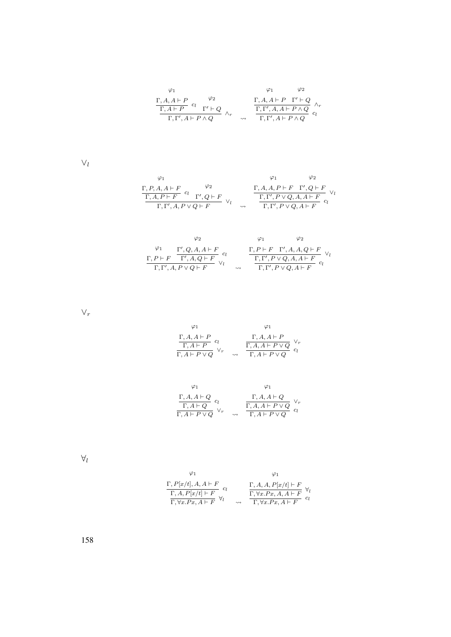$$
\begin{array}{ccccc}\varphi_1 & & & \varphi_1 & & \varphi_2 \\ \frac{\Gamma,A,A\vdash P}{\Gamma,A\vdash P} & c_l & & \Gamma'+Q & \\ \frac{\Gamma,A\vdash P}{\Gamma,\Gamma',A\vdash P\wedge Q} & & \wedge_r & & \frac{\Gamma,\Gamma',A,A\vdash P\wedge Q}{\Gamma,\Gamma',A\vdash P\wedge Q} & c_l\end{array}
$$

 $\vee_l$ 

$$
\begin{array}{ccccc}\varphi_1 & & \varphi_1 & & \varphi_2 \\ \frac{\Gamma, P, A, A \vdash F}{\Gamma, A, P \vdash F} & c_l & & \Gamma', Q \vdash F \\ \frac{\Gamma, A, P \vdash F}{\Gamma, \Gamma', A, P \vee Q \vdash F} & \vee_l & & \frac{\Gamma, A, A, P \vdash F & \Gamma', Q \vdash F}{\Gamma, \Gamma', P \vee Q, A, A \vdash F} & c_l\end{array}
$$

$$
\begin{array}{ccccc}\varphi_2 & & \varphi_1 & & \varphi_2 \\ \varphi_1 & & \Gamma', Q, A, A \vdash F & \\ \frac{\Gamma, P \vdash F & \Gamma', A, Q \vdash F}{\Gamma, \Gamma', A, P \lor Q \vdash F} & \vee_l & & \frac{\Gamma, P \vdash F & \Gamma', A, A, Q \vdash F}{\Gamma, \Gamma', P \lor Q, A, A \vdash F} & c_l \\ \end{array}
$$

 $\vee_r$ 

$$
\begin{array}{cc}\varphi_1 & \varphi_1 \\ \frac{\Gamma, A, A \vdash P}{\Gamma, A \vdash P} \ c_l & \frac{\Gamma, A, A \vdash P}{\Gamma, A \vdash P \lor Q} \ \vee_r \\ \frac{\Gamma, A \vdash P}{\Gamma, A \vdash P \lor Q} & \rightarrow & \frac{\Gamma, A, A \vdash P \lor Q}{\Gamma, A \vdash P \lor Q} \ c_l \end{array}
$$

$$
\begin{array}{cc}\n\varphi_1 & \varphi_1 \\
\frac{\Gamma, A, A \vdash Q}{\Gamma, A \vdash Q} c_l & \frac{\Gamma, A, A \vdash Q}{\Gamma, A \vdash P \lor Q} \vee_r \\
\frac{\Gamma, A \vdash P \lor Q}{\Gamma, A \vdash P \lor Q} c_l\n\end{array}
$$

 $\forall_l$ 

$$
\varphi_1 \qquad \varphi_1
$$
\n
$$
\frac{\Gamma, P[x/t], A, A \vdash F}{\Gamma, A, P[x/t] \vdash F} c_l \qquad \frac{\Gamma, A, A, P[x/t] \vdash F}{\Gamma, \forall x. Px, A \vdash F} \forall_l
$$
\n
$$
\frac{\Gamma, \forall x. Px, A \vdash F}{\Gamma, \forall x. Px, A \vdash F} c_l
$$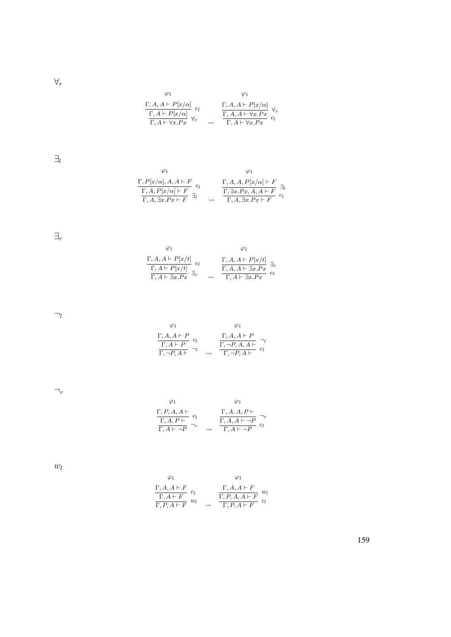$\forall_r$ 

$$
\begin{array}{ccc}\n\varphi_1 & \varphi_1 \\
\Gamma, A, A \vdash P[x/\alpha] \\
\hline\n\Gamma, A \vdash P[x/\alpha] \\
\hline\n\Gamma, A \vdash \forall x. Px\n\end{array} c_l \qquad\n\begin{array}{ccc}\n\Gamma, A, A \vdash P[x/\alpha] \\
\Gamma, A, A \vdash \forall x. Px \\
\hline\n\Gamma, A \vdash \forall x. Px\n\end{array} c_l\n\end{array}
$$

 $\exists_l$ 

$$
\begin{array}{cc}\n\varphi_1 & \varphi_1 \\
\Gamma, P[x/\alpha], A, A \vdash F \\
\hline\n\Gamma, A, P[x/\alpha] \vdash F \\
\Gamma, A, \exists x.Px \vdash F\n\end{array} \quad c_l \quad \begin{array}{cc}\n\Gamma, A, A, P[x/\alpha] \vdash F \\
\Gamma, A, P[x/\alpha] \vdash F \\
\hline\n\Gamma, A, \exists x.Px, A, A \vdash F \\
\hline\n\Gamma, A, \exists x.Px \vdash F\n\end{array} \quad a_l
$$

 $\exists_r$ 

| $\frac{\Gamma, A, A \vdash P[x/t]}{\Gamma, A \vdash P[x/t]} \ c_l \\ \frac{\Gamma, A \vdash P[x/t]}{\Gamma, A \vdash \exists x. Px} \ \exists_r$ | $\frac{\Gamma, A, A \vdash P[x/t]}{\Gamma, A, A \vdash \exists x.Px}$<br>$\Gamma, A \vdash \exists x.Px$ |  |
|--------------------------------------------------------------------------------------------------------------------------------------------------|----------------------------------------------------------------------------------------------------------|--|

 $\neg_l$ 

 $\varphi_1$  $\Gamma, A, A \vdash P$  $\frac{1}{\Gamma, A \vdash P}$   $c_l$  $\frac{1}{\Gamma, \neg P, A \vdash}$   $\neg l$   $\leadsto$  $\varphi_1$  $\Gamma, A, A \vdash P$  $\frac{1}{\Gamma, \neg P, A, A \vdash}$   $\neg l$  $\frac{\Gamma, \neg P, A \vdash}{\Gamma, \neg P, A \vdash} c_l$ 

 $\neg_r$ 

$$
\begin{array}{cc}\n\varphi_1 & \varphi_1 \\
\Gamma, P, A, A \vdash \\
\hline\n\Gamma, A, P \vdash \\
\hline\n\Gamma, A \vdash \neg P\n\end{array} \quad c_l \quad \begin{array}{cc}\n\Gamma, A, A, P \vdash \\
\Gamma, A, A \vdash \neg P \\
\hline\n\Gamma, A \vdash \neg P\n\end{array} \quad\n\begin{array}{cc}\n\varphi_1 \\
\Gamma, A \vdash \neg P \\
\hline\n\Gamma, A \vdash \neg P\n\end{array}
$$

 $w_l$ 

$$
\begin{array}{cc}\n\varphi_1 & \varphi_1 \\
\frac{\Gamma, A, A \vdash F}{\Gamma, A \vdash F} & c_l \\
\frac{\Gamma, A \vdash F}{\Gamma, P, A \vdash F} & w_l & \frac{\Gamma, P, A, A \vdash F}{\Gamma, P, A \vdash F} & c_l\n\end{array}
$$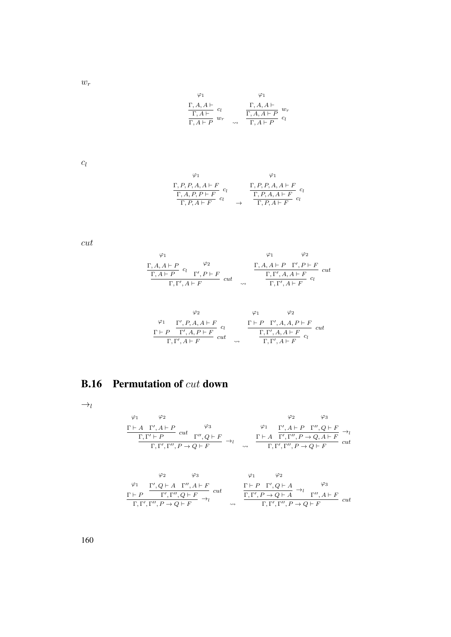$w_r$ 

$$
\begin{array}{cc}\n\varphi_1 & \varphi_1 \\
\Gamma, A, A \vdash \\
\hline\n\Gamma, A \vdash \\
\Gamma, A \vdash P\n\end{array} \quad u_r \quad \begin{array}{c}\n\varphi_1 \\
\Gamma, A, A \vdash \\
\hline\n\Gamma, A, A \vdash P \\
\hline\n\Gamma, A \vdash P\n\end{array} \quad u_r
$$

 $c_l$ 

$$
\varphi_1 \qquad \varphi_1
$$
\n
$$
\frac{\Gamma, P, P, A, A \vdash F}{\Gamma, A, P, P \vdash F} c_l \qquad \frac{\Gamma, P, P, A, A \vdash F}{\Gamma, P, A \vdash F} c_l
$$
\n
$$
\frac{\Gamma, P, A, A \vdash F}{\Gamma, P, A \vdash F} c_l
$$

cut

$$
\begin{array}{cc}\n\varphi_1 & \varphi_2 \\
\frac{\Gamma, A, A \vdash P}{\Gamma, A \vdash P} & c_l \\
\frac{\Gamma, A \vdash P}{\Gamma, \Gamma', A \vdash F} & cut \\
\end{array} \qquad\n\begin{array}{cc}\n\varphi_1 & \varphi_2 \\
\frac{\Gamma, A, A \vdash P \quad \Gamma', P \vdash F}{\Gamma, \Gamma', A, A \vdash F} & cut \\
\frac{\Gamma, \Gamma', A \vdash F}{\Gamma, \Gamma', A \vdash F} & c_l\n\end{array}
$$

$$
\varphi_1 \qquad \varphi_2 \qquad \varphi_1 \qquad \varphi_2
$$
\n
$$
\frac{\varphi_1}{\Gamma \vdash P} \frac{\Gamma', P, A, A \vdash F}{\Gamma', A, P \vdash F} c_l \qquad \frac{\Gamma \vdash P \quad \Gamma', A, A, P \vdash F}{\Gamma, \Gamma', A, A \vdash F} c_{lt}
$$
\n
$$
\frac{\Gamma, \Gamma', A \vdash F}{\Gamma, \Gamma', A \vdash F} c_l
$$

#### B.16 Permutation of cut down

 $\rightarrow_l$ 

$$
\frac{\varphi_1 \qquad \varphi_2 \qquad \varphi_3}{\Gamma, \Gamma' \vdash P} \quad \text{cut} \quad \frac{\varphi_3}{\Gamma', \Gamma' \vdash P} \rightarrow_l \qquad \frac{\varphi_1 \qquad \Gamma', A \vdash P \quad \Gamma'', Q \vdash F}{\Gamma, \Gamma', \Gamma'', P \rightarrow Q \vdash F} \rightarrow_l \qquad \frac{\Gamma \vdash A \quad \Gamma', \Gamma'', P \rightarrow Q, A \vdash F}{\Gamma, \Gamma', \Gamma'', P \rightarrow Q \vdash F} \quad \text{cut}
$$

$$
\begin{array}{ccccc}\n\varphi_2 & \varphi_3 & \varphi_1 & \varphi_2 \\
\frac{\varphi_1}{\Gamma', Q \vdash A & \Gamma'', A \vdash F} & & & \frac{\Gamma \vdash P & \Gamma', Q \vdash A}{\Gamma, \Gamma', \Gamma'', P \rightarrow Q \vdash F} \\
\frac{\Gamma \vdash P & \Gamma', Q \vdash A & \varphi_3}{\Gamma, \Gamma', \Gamma'', P \rightarrow Q \vdash F} & \rightsquigarrow & & \frac{\Gamma, \Gamma', P \rightarrow Q \vdash A}{\Gamma, \Gamma', \Gamma'', P \rightarrow Q \vdash F} & \text{cut} \\
\end{array}
$$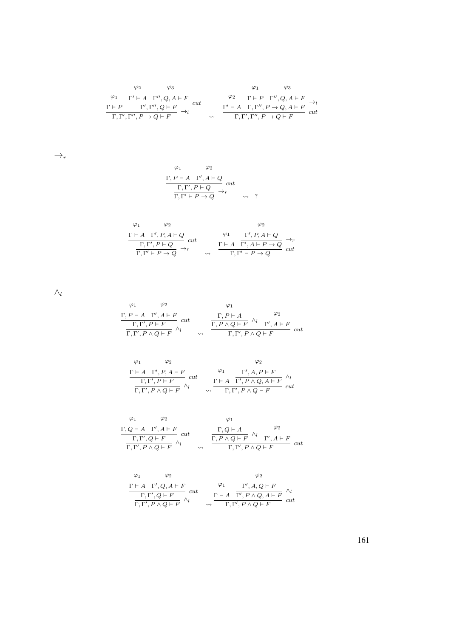$$
\varphi_2 \qquad \varphi_3 \qquad \varphi_1 \qquad \varphi_3
$$
\n
$$
\frac{\varphi_1}{\Gamma + P} \xrightarrow{\Gamma' + A \Gamma'', Q, A \vdash F} \operatorname{cut} \qquad \varphi_2 \qquad \frac{\Gamma \vdash P \Gamma'', Q, A \vdash F}{\Gamma, \Gamma', \Gamma'', P \to Q \vdash F} \to_l
$$
\n
$$
\frac{\Gamma' \vdash A \quad \Gamma, \Gamma'', P \to Q, A \vdash F}{\Gamma, \Gamma', \Gamma'', P \to Q \vdash F} \xrightarrow{\sim} \frac{\Gamma' \vdash A \quad \Gamma, \Gamma'', P \to Q, A \vdash F}{\Gamma, \Gamma', \Gamma'', P \to Q \vdash F} \xrightarrow{\sim} \operatorname{cut}
$$

 $\rightarrow_r$ 

$$
\begin{array}{ccc}\n\varphi_1 & \varphi_2 \\
\Gamma, P \vdash A & \Gamma', A \vdash Q \\
\hline\n\Gamma, \Gamma', P \vdash Q & \rightarrow_r \\
\Gamma, \Gamma' \vdash P \rightarrow Q & \rightarrow_r\n\end{array} cut
$$

$$
\begin{array}{cc}\n\varphi_1 & \varphi_2 & \varphi_2 \\
\frac{\Gamma \vdash A \quad \Gamma', P, A \vdash Q}{\Gamma, \Gamma' \vdash P \to Q} \quad cut & \varphi_1 & \Gamma', P, A \vdash Q \\
\frac{\Gamma, \Gamma', P \vdash Q}{\Gamma, \Gamma' \vdash P \to Q} \to_r & \varphi_1 & \frac{\Gamma \vdash A \quad \Gamma', A \vdash P \to Q}{\Gamma, \Gamma' \vdash P \to Q} \quad cut\n\end{array}
$$

 $\wedge_l$ 

$$
\begin{array}{ccccc}\n\varphi_1 & \varphi_2 & \varphi_1 & & & \\
\frac{\Gamma, P\vdash A\quad \Gamma', A\vdash F}{\Gamma, \Gamma', P\land Q\vdash F} \; cut & & & \frac{\Gamma, P\vdash A}{\Gamma, P\land Q\vdash F}\quad ^{\wedge_l} & & \varphi_2 \\
\hline\n\Gamma, \Gamma', P\land Q\vdash F & & & \downarrow & \Gamma', P\land Q\vdash F & & \\
\end{array} \label{eq:11}
$$

$$
\begin{array}{cc}\n\varphi_1 & \varphi_2 & \varphi_2 \\
\frac{\Gamma \vdash A \quad \Gamma', P, A \vdash F}{\Gamma, \Gamma', P \vdash F} \quad cut & \varphi_1 & \Gamma', A, P \vdash F \\
\frac{\Gamma, \Gamma', P \vdash F}{\Gamma, \Gamma', P \land Q \vdash F} & \wedge_l & \frac{\Gamma \vdash A \quad \Gamma', P \land Q, A \vdash F}{\Gamma, \Gamma', P \land Q \vdash F} \quad cut\n\end{array}
$$

$$
\begin{array}{ccccc}\n\varphi_1 & \varphi_2 & \varphi_1 & & \varphi_2 \\
\frac{\Gamma, Q\vdash A & \Gamma', A\vdash F}{\Gamma, \Gamma', Q\vdash F} & cut & & \frac{\Gamma, Q\vdash A}{\Gamma, P\land Q\vdash F} \stackrel{\wedge_l}{\land_l} & & \frac{\varphi_2}{\varphi_2} \\
\frac{\Gamma, \Gamma', Q\vdash F}{\Gamma, \Gamma', P\land Q\vdash F} & \wedge_l & & \frac{\Gamma, P\land Q\vdash F}{\Gamma, \Gamma', P\land Q\vdash F} & cut\n\end{array}
$$

$$
\begin{array}{cc}\n\varphi_1 & \varphi_2 & \varphi_2 \\
\frac{\Gamma \vdash A \quad \Gamma', Q, A \vdash F}{\Gamma, \Gamma', Q \vdash F} \quad cut & \varphi_1 & \frac{\Gamma', A, Q \vdash F}{\Gamma \vdash A \quad \Gamma', P \land Q, A \vdash F} \quad \wedge_l \\
\frac{\Gamma \vdash A \quad \Gamma', P \land Q, A \vdash F}{\Gamma, \Gamma', P \land Q \vdash F} & cut\n\end{array}
$$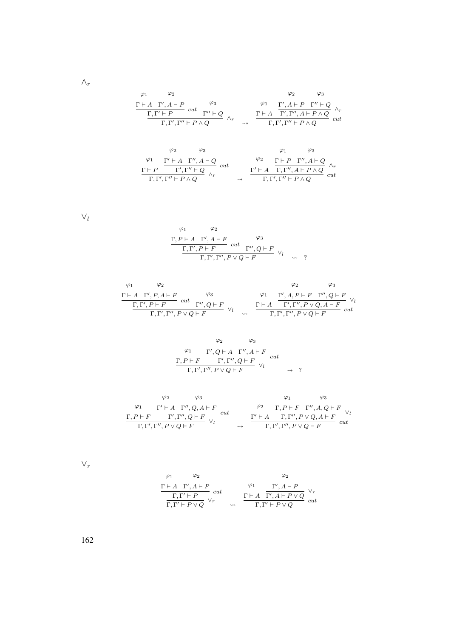$$
\begin{array}{cccc}\n\varphi_1 & \varphi_2 & \varphi_3 \\
\frac{\Gamma \vdash A \Gamma', A \vdash P}{\Gamma, \Gamma' \vdash P} & cut & \Gamma'' \vdash Q \\
& & \varphi_1 & \Gamma', A \vdash P \Gamma'' \vdash Q \\
& & \Gamma, \Gamma', \Gamma'' \vdash P \land Q\n\end{array}\n\quad\n\begin{array}{cccc}\n\varphi_1 & \varphi_2 & \varphi_3 \\
\varphi_2 & \varphi_3 & \varphi_1 \\
& & \Gamma', \Gamma'', A \vdash P \land Q \\
& & \varphi_1 & \varphi_2\n\end{array}
$$

$$
\frac{\Gamma \vdash P \quad \frac{\Gamma' \vdash A \quad \Gamma'', A \vdash Q}{\Gamma', \Gamma'' \vdash P \land Q} \quad cut \quad \downarrow^{Q2} \quad \frac{\Gamma \vdash P \quad \Gamma'', A \vdash Q}{\Gamma, \Gamma', A \vdash P \land Q} \quad \land_r}{\Gamma, \Gamma', \Gamma'' \vdash P \land Q} \quad cut
$$

 $\vee_l$ 

$$
\varphi_1 \qquad \varphi_2
$$
  
\n
$$
\frac{\Gamma, P \vdash A \quad \Gamma', A \vdash F}{\Gamma, \Gamma', P \vdash F} \quad cut \quad \varphi_3
$$
  
\n
$$
\frac{\Gamma, \Gamma', P \vdash F}{\Gamma, \Gamma', \Gamma'', P \lor Q \vdash F} \quad \lor_l \quad \leadsto \quad ?
$$

$$
\begin{array}{ccccc}\n\varphi_1 & \varphi_2 & \varphi_3 \\
\frac{\Gamma\vdash A\quad \Gamma',P,A\vdash F\quad}{\Gamma,\Gamma',P\vdash F\quad cut\quad \Gamma'',Q\vdash F\quad \vee_l & \frac{\Gamma\vdash A\quad \Gamma',A,P\vdash F\quad \Gamma'',Q\vdash F\quad \vee_l}{\Gamma,\Gamma',\Gamma'',P\lor Q,A\vdash F\quad cut}\n\end{array}
$$

$$
\varphi_2 \qquad \varphi_3
$$
  
\n
$$
\varphi_1 \qquad \Gamma', Q \vdash A \quad \Gamma'', A \vdash F
$$
  
\n
$$
\Gamma, P \vdash F \qquad \Gamma', \Gamma'', Q \vdash F \qquad \vee_l
$$
  
\n
$$
\Gamma, \Gamma', \Gamma'', P \lor Q \vdash F \qquad \vee_l \qquad \qquad \leadsto \qquad ?
$$

$$
\begin{array}{ccccc}\n\varphi_1 & \varphi_3 & \varphi_1 & \varphi_3 \\
\frac{\Gamma' \vdash A & \Gamma'', Q, A \vdash F}{\Gamma, \Gamma', \Gamma'', P \lor Q \vdash F} & cut & \frac{\varphi_2}{\Gamma, P \vdash F} & \frac{\Gamma, P \vdash F & \Gamma'', A, Q \vdash F}{\Gamma, \Gamma', P \lor Q, A \vdash F} \\
\frac{\Gamma' \vdash A & \Gamma, \Gamma'', P \lor Q, A \vdash F}{\Gamma, \Gamma', \Gamma'', P \lor Q \vdash F} & cut & \frac{\Gamma' \vdash A & \Gamma, \Gamma'', P \lor Q, A \vdash F}{\Gamma, \Gamma', \Gamma'', P \lor Q \vdash F} & cut\n\end{array}
$$

 $\vee_r$ 

$$
\begin{array}{ccccc}\n\varphi_1 & \varphi_2 & & \varphi_2 \\
\frac{\Gamma \vdash A & \Gamma', A \vdash P}{\Gamma, \Gamma' \vdash P} & cut & & \frac{\varphi_1}{\Gamma \vdash A} & \frac{\Gamma', A \vdash P}{\Gamma', A \vdash P \lor Q} \\
\frac{\Gamma, \Gamma' \vdash P}{\Gamma, \Gamma' \vdash P \lor Q} & \vee_r & & \frac{\Gamma \vdash A & \Gamma' \vdash P \lor Q}{\Gamma, \Gamma' \vdash P \lor Q} & cut\n\end{array}
$$

162

 $\wedge_r$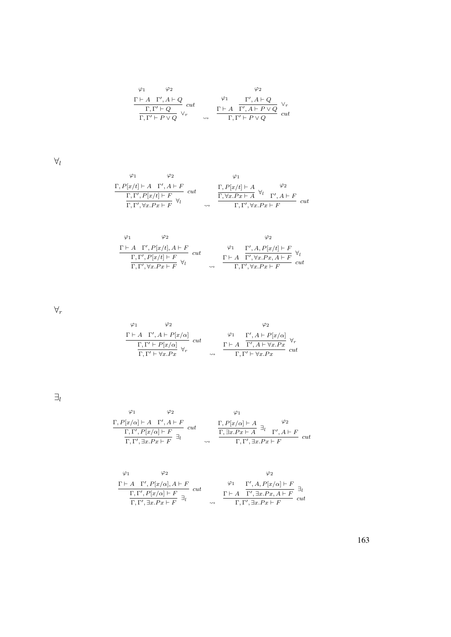$$
\begin{array}{ccccc}\n\varphi_1 & \varphi_2 & & \varphi_2 \\
\frac{\Gamma \vdash A & \Gamma', A \vdash Q}{\Gamma, \Gamma' \vdash Q} & cut & & \frac{\varphi_1}{\Gamma \vdash A} & \frac{\Gamma', A \vdash Q}{\Gamma', A \vdash P \lor Q} & \frac{\vee_r}{\Gamma, \Gamma' \vdash P \lor Q} \\
\end{array}
$$

 $\forall_l$ 

$$
\begin{array}{cc}\n\varphi_1 & \varphi_2 & \varphi_1 \\
\frac{\Gamma, P[x/t] \vdash A \quad \Gamma', A \vdash F}{\Gamma, \Gamma', \forall x. Px \vdash F} & cut & \frac{\Gamma, P[x/t] \vdash A}{\Gamma, \forall x. Px \vdash A} \forall_l & \frac{\varphi_2}{\Gamma', A \vdash F} \\
\frac{\Gamma, \Gamma', \forall x. Px \vdash F}{\Gamma, \Gamma', \forall x. Px \vdash F} & \n\end{array} = \n\begin{array}{cc}\n\varphi_1 & \varphi_2 \\
\frac{\Gamma, P[x/t] \vdash A}{\Gamma, \forall x. Px \vdash A} & \varphi_2 \\
\frac{\Gamma, \forall x. Px \vdash A}{\Gamma, \Gamma', \forall x. Px \vdash F} & cut\n\end{array}
$$

$$
\begin{array}{ccc}\n\varphi_1 & \varphi_2 & \varphi_2 \\
\frac{\Gamma\vdash A\quad \Gamma',P[x/t],A\vdash F}\Gamma & cut & \varphi_1 & \frac{\Gamma',A,P[x/t]\vdash F}\Gamma \\ \frac{\Gamma,\Gamma',P[x/t]\vdash F}\Gamma & \forall_l & \varphi_l & \frac{\Gamma\vdash A\quad \Gamma',\forall x.Px,A\vdash F}\Gamma \\ \frac{\Gamma,\Gamma',\forall x.Px\vdash F}\Gamma & \leadsto & \frac{\Gamma\vdash A\quad \Gamma',\forall x.Px\vdash F}\Gamma \end{array}.
$$

 $\forall_r$ 

ϕ<sup>1</sup> Γ ` A ϕ<sup>2</sup> Γ 0 , A ` P[x/α] Γ, Γ <sup>0</sup> ` P[x/α] cut Γ, Γ <sup>0</sup> ` ∀x.P x <sup>∀</sup><sup>r</sup> ϕ<sup>1</sup> Γ ` A ϕ<sup>2</sup> Γ 0 , A ` P[x/α] Γ 0 , A ` ∀x.P x ∀r Γ, Γ <sup>0</sup> ` ∀x.P x cut

 $\exists_l$ 

$$
\begin{array}{cc}\n\varphi_1 & \varphi_2 & \varphi_1 \\
\frac{\Gamma, P[x/\alpha] \vdash A \quad \Gamma', A \vdash F}{\Gamma, \Gamma', P[x/\alpha] \vdash F} & cut \\
\frac{\Gamma, \Gamma', P[x/\alpha] \vdash F}{\Gamma, \Gamma', \exists x. Px \vdash F}\n\end{array}\n\quad\n\begin{array}{cc}\n\varphi_1 & \varphi_2 \\
\frac{\Gamma, P[x/\alpha] \vdash A}{\Gamma, \exists x. Px \vdash A} & \frac{\varphi_2}{\Gamma}, \frac{\varphi_2}{\Gamma', A \vdash F} \\
\frac{\Gamma, \exists x. Px \vdash F}{\Gamma, \Gamma', \exists x. Px \vdash F}\n\end{array}
$$

$$
\begin{array}{ccc}\n\varphi_1 & \varphi_2 & \varphi_2 \\
\frac{\Gamma \vdash A \quad \Gamma', P[x/\alpha], A \vdash F}{\Gamma, \Gamma', P[x/\alpha] \vdash F} & cut & \varphi_1 & \frac{\Gamma', A, P[x/\alpha] \vdash F}{\Gamma', A, P[x/\alpha] \vdash F} \exists_l \\
\frac{\Gamma \vdash A \quad \Gamma', \exists x. Px, A \vdash F}{\Gamma, \Gamma', \exists x. Px \vdash F} & cut\n\end{array}
$$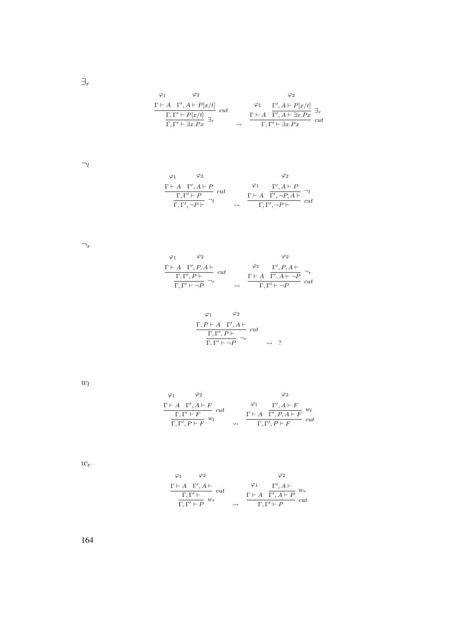$\exists_r$ 

$$
\begin{array}{ccc}\n\varphi_1 & \varphi_2 & \varphi_2 \\
\frac{\Gamma \vdash A \quad \Gamma', A \vdash P[x/t]}{\Gamma,\Gamma' \vdash P[x/t]} & cut & \varphi_1 & \frac{\Gamma', A \vdash P[x/t]}{\Gamma', A \vdash \exists x.Px} \exists_r \\
\frac{\Gamma, \Gamma' \vdash \exists x.Px}{\Gamma,\Gamma' \vdash \exists x.Px} & \leadsto & \frac{\Gamma \vdash A \quad \Gamma', A \vdash \exists x.Px}{\Gamma,\Gamma' \vdash \exists x.Px} & cut\n\end{array}
$$

 $\neg_l$ 

$$
\begin{array}{ccc}\n\varphi_1 & \varphi_2 & \varphi_2 \\
\frac{\Gamma \vdash A \quad \Gamma', A \vdash P}{\Gamma, \Gamma' \vdash P} & cut \\
\frac{\Gamma, \Gamma' \vdash P}{\Gamma, \Gamma', \neg P \vdash} \neg_l & \rightsquigarrow & \frac{\Gamma \vdash A \quad \Gamma', \neg P, A \vdash}{\Gamma, \Gamma', \neg P \vdash} & cut\n\end{array}
$$

 $\neg_r$ 

| $\varphi_2$<br>$\varphi_1$                   |                    |             | Φ2                                               |     |
|----------------------------------------------|--------------------|-------------|--------------------------------------------------|-----|
| $\Gamma \vdash A \quad \Gamma', P, A \vdash$ |                    | $\varphi_1$ | $\Gamma', P, A \vdash$                           |     |
| $\Gamma, \Gamma', P \vdash$                  | cut                |             | $\Gamma \vdash A \quad \Gamma', A \vdash \neg P$ |     |
| $\Gamma, \Gamma' \vdash \neg P$              | $\rightsquigarrow$ |             | $\Gamma, \Gamma' \vdash \neg P$                  | cut |

$$
\varphi_1 \qquad \varphi_2
$$
  

$$
\frac{\Gamma, P \vdash A \quad \Gamma', A \vdash}{\Gamma, \Gamma', P \vdash \quad \neg_r} \quad cut
$$
  

$$
\frac{\Gamma, \Gamma' \vdash \neg P}{\Gamma, \Gamma' \vdash \neg P} \qquad \neg_r
$$

 $w_l$ 

$$
\begin{array}{cc}\n\varphi_1 & \varphi_2 & \varphi_2 \\
\frac{\Gamma \vdash A \quad \Gamma', A \vdash F}{\Gamma, \Gamma' \vdash F} \quad cut & \varphi_1 & \frac{\Gamma', A \vdash F}{\Gamma', P, A \vdash F} \quad w_l \\
\frac{\Gamma, \Gamma' \vdash F}{\Gamma, \Gamma', P \vdash F} \quad w_l & \longrightarrow & \Gamma, \Gamma', P \vdash F\n\end{array}
$$

 $w_r$ 

$$
\begin{array}{ccccc}\varphi_1 & \varphi_2 & & \varphi_2 &\\ \frac{\Gamma\vdash A\quad \Gamma', A\vdash}{\Gamma,\Gamma'\vdash}\quad cut & &\varphi_1 & \Gamma', A\vdash\\ \frac{\Gamma,\Gamma'\vdash}{\Gamma,\Gamma'\vdash P}\ w_r & &\leadsto & \frac{\Gamma\vdash A\quad \Gamma', A\vdash P}{\Gamma,\Gamma'\vdash P}\quad cut\end{array}
$$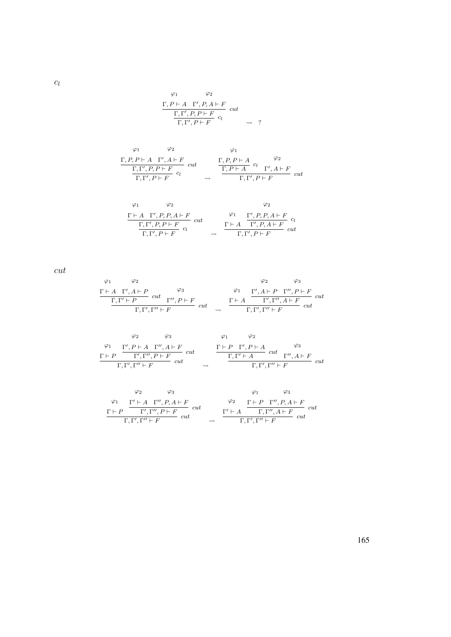$\varphi_1$  $\Gamma, P \vdash A$  $\varphi_2$  $\Gamma', P, A \vdash F$  $\Gamma, \Gamma', P, P \vdash F$  cut  $\frac{\Gamma, \Gamma', P \vdash T}{\Gamma, \Gamma', P \vdash F}$   $c_l$   $\rightarrow$  ?

$$
\begin{array}{ccc}\n\varphi_1 & \varphi_2 & \varphi_1 \\
\frac{\Gamma, P, P \vdash A & \Gamma', A \vdash F}{\Gamma, \Gamma', P, P \vdash F} & cut & \frac{\Gamma, P, P \vdash A}{\Gamma, P \vdash A} & cut & \frac{\Gamma, P \vdash A}{\Gamma, \Gamma', P \vdash F} & cut \\
\end{array}
$$

$$
\begin{array}{cc}\n\varphi_1 & \varphi_2 & \varphi_2 \\
\frac{\Gamma \vdash A \quad \Gamma', P, P, A \vdash F}{\Gamma, \Gamma', P, P \vdash F} & cut & \varphi_1 & \frac{\Gamma', P, P, A \vdash F}{\Gamma', P, A \vdash F} & cut \\
\frac{\Gamma, \Gamma', P, P \vdash F}{\Gamma, \Gamma', P \vdash F} & \downarrow \qquad & \frac{\Gamma \vdash A \quad \Gamma', P, A \vdash F}{\Gamma, \Gamma', P \vdash F} & cut\n\end{array}
$$

cut

$$
\begin{array}{ccccc}\n\varphi_1 & \varphi_2 & \varphi_3 \\
\hline\n\Gamma \vdash A & \Gamma', A \vdash P & cut \\
\hline\n\Gamma, \Gamma' \vdash P & cut & \Gamma'', P \vdash F \\
\hline\n\Gamma, \Gamma', \Gamma'' \vdash F & cut & \varphi\n\end{array}\n\quad\n\begin{array}{ccccc}\n\varphi_1 & \Gamma', A \vdash P & \Gamma'', P \vdash F \\
\hline\n\Gamma', A \vdash P & cut & \Gamma'', \Gamma'' \vdash F \\
\hline\n\Gamma, \Gamma', \Gamma'' \vdash F & cut\n\end{array}
$$

$$
\begin{array}{ccccc}\n\varphi_2 & \varphi_3 & \varphi_1 & \varphi_2 \\
\frac{\varphi_1}{\Gamma', P \vdash A & \Gamma'', A \vdash F} & & & \frac{\Gamma \vdash P & \Gamma', P \vdash A & \varphi_3}{\Gamma, \Gamma' \vdash A} \\
\frac{\Gamma \vdash P & \Gamma', P \vdash A & \varphi_3}{\Gamma, \Gamma', \Gamma'' \vdash F} & cut & & \frac{\Gamma, \Gamma' \vdash A}{\Gamma, \Gamma', \Gamma'' \vdash F} & cut \\
\end{array}
$$

$$
\varphi_2 \qquad \varphi_3 \qquad \varphi_1 \qquad \varphi_3
$$
\n
$$
\frac{\varphi_1}{\Gamma + P} \frac{\Gamma' \vdash A \Gamma'', P, A \vdash F}{\Gamma', \Gamma'', P \vdash F} cut \qquad \varphi_2 \qquad \frac{\varphi_1}{\Gamma \vdash P} \frac{\varphi_3}{\Gamma'', P, A \vdash F} cut
$$
\n
$$
\frac{\Gamma \vdash P \Gamma'', P, A \vdash F}{\Gamma, \Gamma', \Gamma'' \vdash F} cut
$$

 $c_l$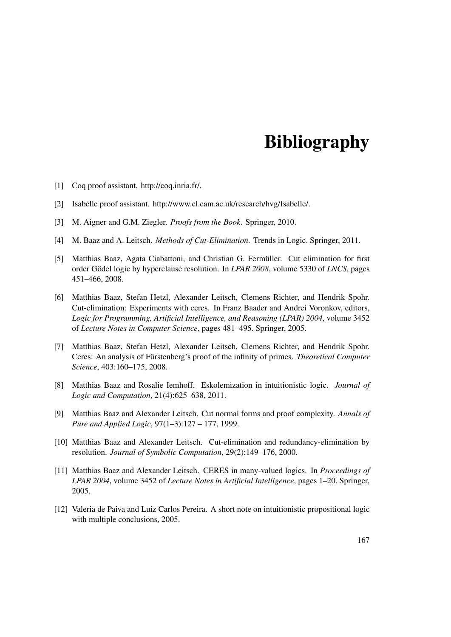## **Bibliography**

- [1] Coq proof assistant. http://coq.inria.fr/.
- [2] Isabelle proof assistant. http://www.cl.cam.ac.uk/research/hvg/Isabelle/.
- [3] M. Aigner and G.M. Ziegler. *Proofs from the Book*. Springer, 2010.
- [4] M. Baaz and A. Leitsch. *Methods of Cut-Elimination*. Trends in Logic. Springer, 2011.
- [5] Matthias Baaz, Agata Ciabattoni, and Christian G. Fermüller. Cut elimination for first order Gödel logic by hyperclause resolution. In *LPAR 2008*, volume 5330 of *LNCS*, pages 451–466, 2008.
- [6] Matthias Baaz, Stefan Hetzl, Alexander Leitsch, Clemens Richter, and Hendrik Spohr. Cut-elimination: Experiments with ceres. In Franz Baader and Andrei Voronkov, editors, *Logic for Programming, Artificial Intelligence, and Reasoning (LPAR) 2004*, volume 3452 of *Lecture Notes in Computer Science*, pages 481–495. Springer, 2005.
- [7] Matthias Baaz, Stefan Hetzl, Alexander Leitsch, Clemens Richter, and Hendrik Spohr. Ceres: An analysis of Fürstenberg's proof of the infinity of primes. *Theoretical Computer Science*, 403:160–175, 2008.
- [8] Matthias Baaz and Rosalie Iemhoff. Eskolemization in intuitionistic logic. *Journal of Logic and Computation*, 21(4):625–638, 2011.
- [9] Matthias Baaz and Alexander Leitsch. Cut normal forms and proof complexity. *Annals of Pure and Applied Logic*, 97(1–3):127 – 177, 1999.
- [10] Matthias Baaz and Alexander Leitsch. Cut-elimination and redundancy-elimination by resolution. *Journal of Symbolic Computation*, 29(2):149–176, 2000.
- [11] Matthias Baaz and Alexander Leitsch. CERES in many-valued logics. In *Proceedings of LPAR 2004*, volume 3452 of *Lecture Notes in Artificial Intelligence*, pages 1–20. Springer, 2005.
- [12] Valeria de Paiva and Luiz Carlos Pereira. A short note on intuitionistic propositional logic with multiple conclusions, 2005.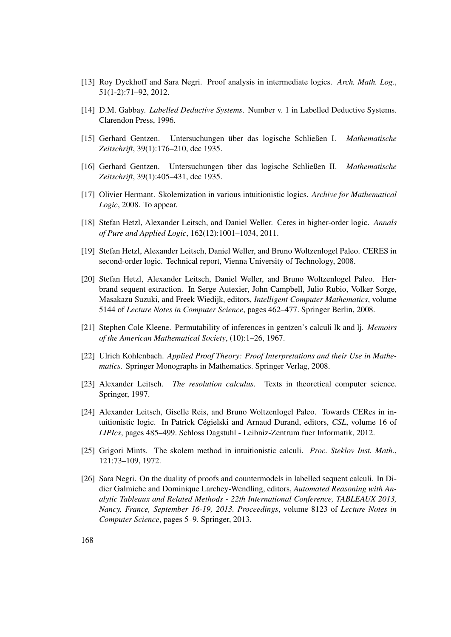- [13] Roy Dyckhoff and Sara Negri. Proof analysis in intermediate logics. *Arch. Math. Log.*, 51(1-2):71–92, 2012.
- [14] D.M. Gabbay. *Labelled Deductive Systems*. Number v. 1 in Labelled Deductive Systems. Clarendon Press, 1996.
- [15] Gerhard Gentzen. Untersuchungen über das logische Schließen I. *Mathematische Zeitschrift*, 39(1):176–210, dec 1935.
- [16] Gerhard Gentzen. Untersuchungen über das logische Schließen II. *Mathematische Zeitschrift*, 39(1):405–431, dec 1935.
- [17] Olivier Hermant. Skolemization in various intuitionistic logics. *Archive for Mathematical Logic*, 2008. To appear.
- [18] Stefan Hetzl, Alexander Leitsch, and Daniel Weller. Ceres in higher-order logic. *Annals of Pure and Applied Logic*, 162(12):1001–1034, 2011.
- [19] Stefan Hetzl, Alexander Leitsch, Daniel Weller, and Bruno Woltzenlogel Paleo. CERES in second-order logic. Technical report, Vienna University of Technology, 2008.
- [20] Stefan Hetzl, Alexander Leitsch, Daniel Weller, and Bruno Woltzenlogel Paleo. Herbrand sequent extraction. In Serge Autexier, John Campbell, Julio Rubio, Volker Sorge, Masakazu Suzuki, and Freek Wiedijk, editors, *Intelligent Computer Mathematics*, volume 5144 of *Lecture Notes in Computer Science*, pages 462–477. Springer Berlin, 2008.
- [21] Stephen Cole Kleene. Permutability of inferences in gentzen's calculi lk and lj. *Memoirs of the American Mathematical Society*, (10):1–26, 1967.
- [22] Ulrich Kohlenbach. *Applied Proof Theory: Proof Interpretations and their Use in Mathematics*. Springer Monographs in Mathematics. Springer Verlag, 2008.
- [23] Alexander Leitsch. *The resolution calculus*. Texts in theoretical computer science. Springer, 1997.
- [24] Alexander Leitsch, Giselle Reis, and Bruno Woltzenlogel Paleo. Towards CERes in intuitionistic logic. In Patrick Cégielski and Arnaud Durand, editors, *CSL*, volume 16 of *LIPIcs*, pages 485–499. Schloss Dagstuhl - Leibniz-Zentrum fuer Informatik, 2012.
- [25] Grigori Mints. The skolem method in intuitionistic calculi. *Proc. Steklov Inst. Math.*, 121:73–109, 1972.
- [26] Sara Negri. On the duality of proofs and countermodels in labelled sequent calculi. In Didier Galmiche and Dominique Larchey-Wendling, editors, *Automated Reasoning with Analytic Tableaux and Related Methods - 22th International Conference, TABLEAUX 2013, Nancy, France, September 16-19, 2013. Proceedings*, volume 8123 of *Lecture Notes in Computer Science*, pages 5–9. Springer, 2013.